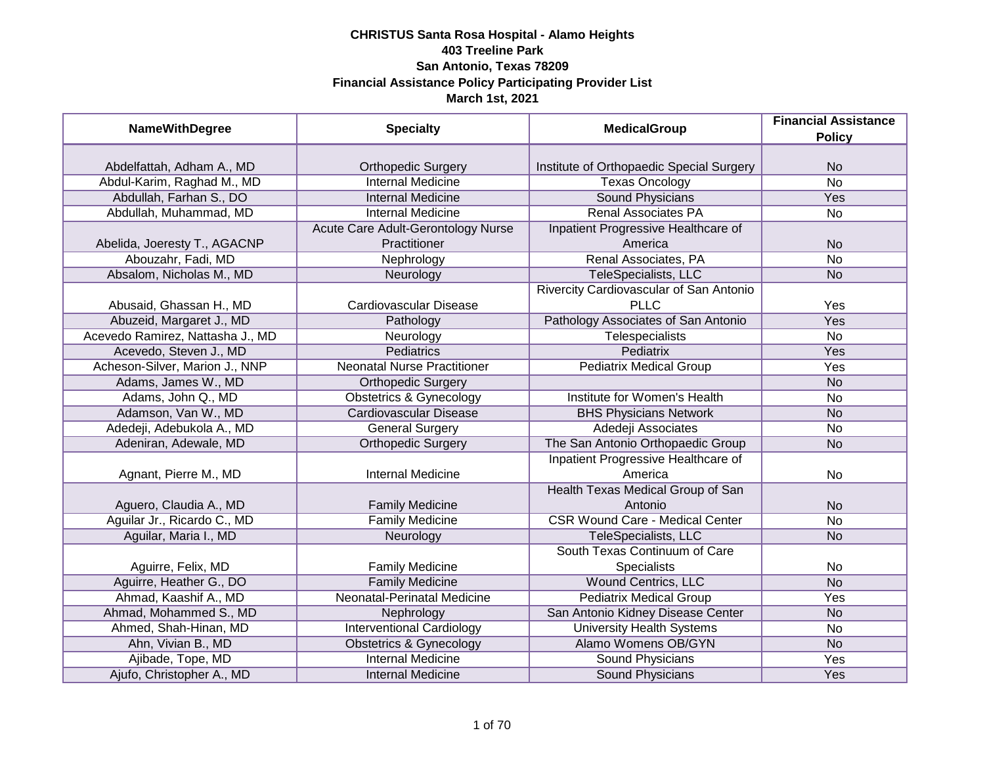| <b>NameWithDegree</b>            | <b>Specialty</b>                   | <b>MedicalGroup</b>                      | <b>Financial Assistance</b><br><b>Policy</b> |
|----------------------------------|------------------------------------|------------------------------------------|----------------------------------------------|
|                                  |                                    |                                          |                                              |
| Abdelfattah, Adham A., MD        | <b>Orthopedic Surgery</b>          | Institute of Orthopaedic Special Surgery | <b>No</b>                                    |
| Abdul-Karim, Raghad M., MD       | <b>Internal Medicine</b>           | <b>Texas Oncology</b>                    | $\overline{No}$                              |
| Abdullah, Farhan S., DO          | <b>Internal Medicine</b>           | <b>Sound Physicians</b>                  | <b>Yes</b>                                   |
| Abdullah, Muhammad, MD           | <b>Internal Medicine</b>           | <b>Renal Associates PA</b>               | $\overline{No}$                              |
|                                  | Acute Care Adult-Gerontology Nurse | Inpatient Progressive Healthcare of      |                                              |
| Abelida, Joeresty T., AGACNP     | Practitioner                       | America                                  | <b>No</b>                                    |
| Abouzahr, Fadi, MD               | Nephrology                         | Renal Associates, PA                     | <b>No</b>                                    |
| Absalom, Nicholas M., MD         | Neurology                          | TeleSpecialists, LLC                     | <b>No</b>                                    |
|                                  |                                    | Rivercity Cardiovascular of San Antonio  |                                              |
| Abusaid, Ghassan H., MD          | Cardiovascular Disease             | <b>PLLC</b>                              | Yes                                          |
| Abuzeid, Margaret J., MD         | Pathology                          | Pathology Associates of San Antonio      | Yes                                          |
| Acevedo Ramirez, Nattasha J., MD | Neurology                          | Telespecialists                          | <b>No</b>                                    |
| Acevedo, Steven J., MD           | Pediatrics                         | Pediatrix                                | Yes                                          |
| Acheson-Silver, Marion J., NNP   | <b>Neonatal Nurse Practitioner</b> | <b>Pediatrix Medical Group</b>           | Yes                                          |
| Adams, James W., MD              | <b>Orthopedic Surgery</b>          |                                          | <b>No</b>                                    |
| Adams, John Q., MD               | <b>Obstetrics &amp; Gynecology</b> | Institute for Women's Health             | No                                           |
| Adamson, Van W., MD              | <b>Cardiovascular Disease</b>      | <b>BHS Physicians Network</b>            | <b>No</b>                                    |
| Adedeji, Adebukola A., MD        | <b>General Surgery</b>             | Adedeji Associates                       | No                                           |
| Adeniran, Adewale, MD            | <b>Orthopedic Surgery</b>          | The San Antonio Orthopaedic Group        | <b>No</b>                                    |
|                                  |                                    | Inpatient Progressive Healthcare of      |                                              |
| Agnant, Pierre M., MD            | <b>Internal Medicine</b>           | America                                  | No                                           |
|                                  |                                    | Health Texas Medical Group of San        |                                              |
| Aguero, Claudia A., MD           | <b>Family Medicine</b>             | Antonio                                  | <b>No</b>                                    |
| Aguilar Jr., Ricardo C., MD      | <b>Family Medicine</b>             | <b>CSR Wound Care - Medical Center</b>   | <b>No</b>                                    |
| Aguilar, Maria I., MD            | Neurology                          | TeleSpecialists, LLC                     | <b>No</b>                                    |
|                                  |                                    | South Texas Continuum of Care            |                                              |
| Aguirre, Felix, MD               | <b>Family Medicine</b>             | Specialists                              | No                                           |
| Aguirre, Heather G., DO          | <b>Family Medicine</b>             | <b>Wound Centrics, LLC</b>               | <b>No</b>                                    |
| Ahmad, Kaashif A., MD            | Neonatal-Perinatal Medicine        | <b>Pediatrix Medical Group</b>           | Yes                                          |
| Ahmad, Mohammed S., MD           | Nephrology                         | San Antonio Kidney Disease Center        | <b>No</b>                                    |
| Ahmed, Shah-Hinan, MD            | <b>Interventional Cardiology</b>   | <b>University Health Systems</b>         | No                                           |
| Ahn, Vivian B., MD               | <b>Obstetrics &amp; Gynecology</b> | Alamo Womens OB/GYN                      | N <sub>o</sub>                               |
| Ajibade, Tope, MD                | <b>Internal Medicine</b>           | <b>Sound Physicians</b>                  | Yes                                          |
| Ajufo, Christopher A., MD        | <b>Internal Medicine</b>           | Sound Physicians                         | Yes                                          |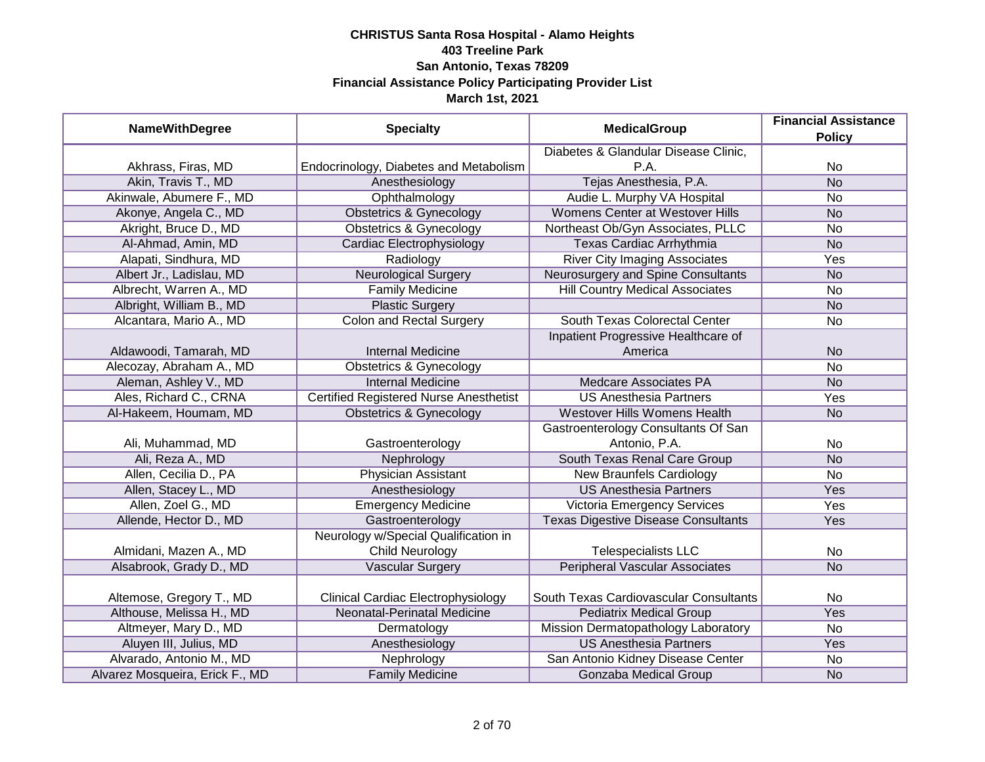| <b>NameWithDegree</b>           | <b>Specialty</b>                              | <b>MedicalGroup</b>                        | <b>Financial Assistance</b><br><b>Policy</b> |
|---------------------------------|-----------------------------------------------|--------------------------------------------|----------------------------------------------|
|                                 |                                               | Diabetes & Glandular Disease Clinic,       |                                              |
| Akhrass, Firas, MD              | Endocrinology, Diabetes and Metabolism        | P.A.                                       | No                                           |
| Akin, Travis T., MD             | Anesthesiology                                | Tejas Anesthesia, P.A.                     | N <sub>o</sub>                               |
| Akinwale, Abumere F., MD        | Ophthalmology                                 | Audie L. Murphy VA Hospital                | No                                           |
| Akonye, Angela C., MD           | <b>Obstetrics &amp; Gynecology</b>            | Womens Center at Westover Hills            | <b>No</b>                                    |
| Akright, Bruce D., MD           | <b>Obstetrics &amp; Gynecology</b>            | Northeast Ob/Gyn Associates, PLLC          | No                                           |
| Al-Ahmad, Amin, MD              | Cardiac Electrophysiology                     | Texas Cardiac Arrhythmia                   | N <sub>o</sub>                               |
| Alapati, Sindhura, MD           | Radiology                                     | <b>River City Imaging Associates</b>       | Yes                                          |
| Albert Jr., Ladislau, MD        | <b>Neurological Surgery</b>                   | Neurosurgery and Spine Consultants         | <b>No</b>                                    |
| Albrecht, Warren A., MD         | <b>Family Medicine</b>                        | <b>Hill Country Medical Associates</b>     | No                                           |
| Albright, William B., MD        | <b>Plastic Surgery</b>                        |                                            | <b>No</b>                                    |
| Alcantara, Mario A., MD         | <b>Colon and Rectal Surgery</b>               | South Texas Colorectal Center              | No                                           |
|                                 |                                               | Inpatient Progressive Healthcare of        |                                              |
| Aldawoodi, Tamarah, MD          | <b>Internal Medicine</b>                      | America                                    | <b>No</b>                                    |
| Alecozay, Abraham A., MD        | <b>Obstetrics &amp; Gynecology</b>            |                                            | No                                           |
| Aleman, Ashley V., MD           | <b>Internal Medicine</b>                      | <b>Medcare Associates PA</b>               | <b>No</b>                                    |
| Ales, Richard C., CRNA          | <b>Certified Registered Nurse Anesthetist</b> | <b>US Anesthesia Partners</b>              | Yes                                          |
| Al-Hakeem, Houmam, MD           | <b>Obstetrics &amp; Gynecology</b>            | Westover Hills Womens Health               | <b>No</b>                                    |
|                                 |                                               | Gastroenterology Consultants Of San        |                                              |
| Ali, Muhammad, MD               | Gastroenterology                              | Antonio, P.A.                              | No                                           |
| Ali, Reza A., MD                | Nephrology                                    | South Texas Renal Care Group               | <b>No</b>                                    |
| Allen, Cecilia D., PA           | <b>Physician Assistant</b>                    | <b>New Braunfels Cardiology</b>            | <b>No</b>                                    |
| Allen, Stacey L., MD            | Anesthesiology                                | <b>US Anesthesia Partners</b>              | Yes                                          |
| Allen, Zoel G., MD              | <b>Emergency Medicine</b>                     | Victoria Emergency Services                | Yes                                          |
| Allende, Hector D., MD          | Gastroenterology                              | <b>Texas Digestive Disease Consultants</b> | Yes                                          |
|                                 | Neurology w/Special Qualification in          |                                            |                                              |
| Almidani, Mazen A., MD          | <b>Child Neurology</b>                        | <b>Telespecialists LLC</b>                 | No                                           |
| Alsabrook, Grady D., MD         | <b>Vascular Surgery</b>                       | <b>Peripheral Vascular Associates</b>      | <b>No</b>                                    |
|                                 |                                               |                                            |                                              |
| Altemose, Gregory T., MD        | <b>Clinical Cardiac Electrophysiology</b>     | South Texas Cardiovascular Consultants     | No                                           |
| Althouse, Melissa H., MD        | Neonatal-Perinatal Medicine                   | <b>Pediatrix Medical Group</b>             | Yes                                          |
| Altmeyer, Mary D., MD           | Dermatology                                   | Mission Dermatopathology Laboratory        | No                                           |
| Aluyen III, Julius, MD          | Anesthesiology                                | <b>US Anesthesia Partners</b>              | Yes                                          |
| Alvarado, Antonio M., MD        | Nephrology                                    | San Antonio Kidney Disease Center          | No                                           |
| Alvarez Mosqueira, Erick F., MD | <b>Family Medicine</b>                        | Gonzaba Medical Group                      | <b>No</b>                                    |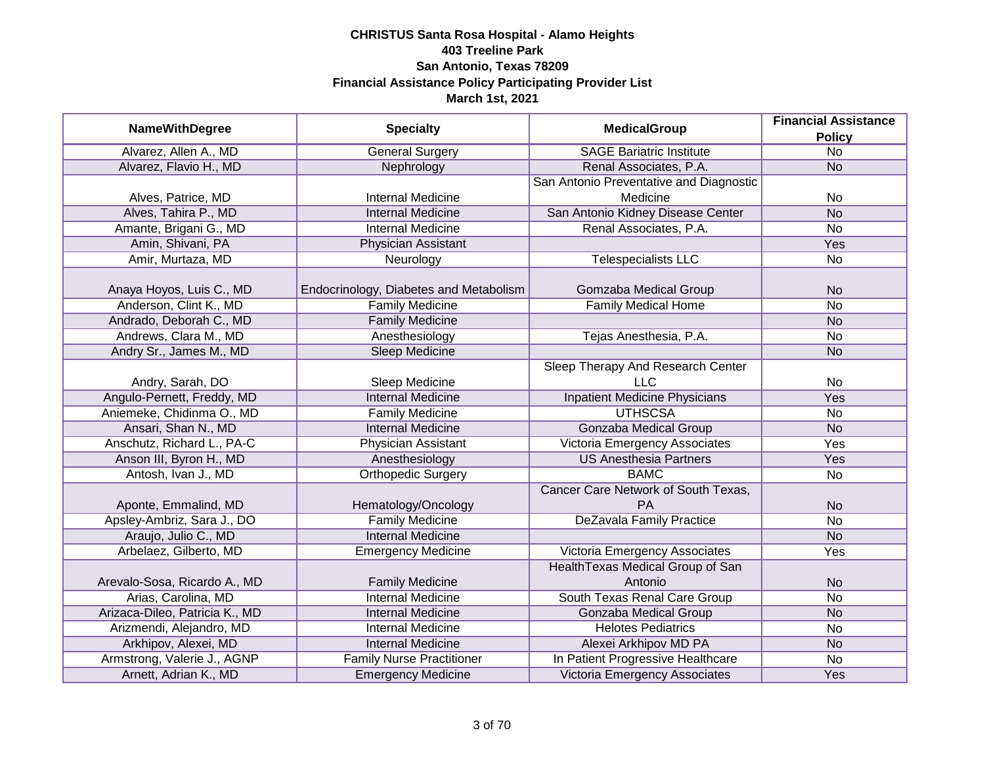|                                |                                        | <b>MedicalGroup</b>                     | <b>Financial Assistance</b> |
|--------------------------------|----------------------------------------|-----------------------------------------|-----------------------------|
| <b>NameWithDegree</b>          | <b>Specialty</b>                       |                                         | <b>Policy</b>               |
| Alvarez, Allen A., MD          | <b>General Surgery</b>                 | <b>SAGE Bariatric Institute</b>         | $\overline{No}$             |
| Alvarez, Flavio H., MD         | Nephrology                             | Renal Associates, P.A.                  | <b>No</b>                   |
|                                |                                        | San Antonio Preventative and Diagnostic |                             |
| Alves, Patrice, MD             | <b>Internal Medicine</b>               | Medicine                                | No                          |
| Alves, Tahira P., MD           | <b>Internal Medicine</b>               | San Antonio Kidney Disease Center       | <b>No</b>                   |
| Amante, Brigani G., MD         | Internal Medicine                      | Renal Associates, P.A.                  | No                          |
| Amin, Shivani, PA              | <b>Physician Assistant</b>             |                                         | Yes                         |
| Amir, Murtaza, MD              | Neurology                              | <b>Telespecialists LLC</b>              | <b>No</b>                   |
| Anaya Hoyos, Luis C., MD       | Endocrinology, Diabetes and Metabolism | Gomzaba Medical Group                   | <b>No</b>                   |
| Anderson, Clint K., MD         | <b>Family Medicine</b>                 | <b>Family Medical Home</b>              | <b>No</b>                   |
| Andrado, Deborah C., MD        | <b>Family Medicine</b>                 |                                         | <b>No</b>                   |
| Andrews, Clara M., MD          | Anesthesiology                         | Tejas Anesthesia, P.A.                  | No                          |
| Andry Sr., James M., MD        | <b>Sleep Medicine</b>                  |                                         | <b>No</b>                   |
|                                |                                        | Sleep Therapy And Research Center       |                             |
| Andry, Sarah, DO               | Sleep Medicine                         | <b>LLC</b>                              | No                          |
| Angulo-Pernett, Freddy, MD     | <b>Internal Medicine</b>               | <b>Inpatient Medicine Physicians</b>    | Yes                         |
| Aniemeke, Chidinma O., MD      | <b>Family Medicine</b>                 | <b>UTHSCSA</b>                          | No                          |
| Ansari, Shan N., MD            | <b>Internal Medicine</b>               | <b>Gonzaba Medical Group</b>            | <b>No</b>                   |
| Anschutz, Richard L., PA-C     | Physician Assistant                    | Victoria Emergency Associates           | Yes                         |
| Anson III, Byron H., MD        | Anesthesiology                         | <b>US Anesthesia Partners</b>           | Yes                         |
| Antosh, Ivan J., MD            | <b>Orthopedic Surgery</b>              | <b>BAMC</b>                             | No                          |
|                                |                                        | Cancer Care Network of South Texas,     |                             |
| Aponte, Emmalind, MD           | Hematology/Oncology                    | PA                                      | <b>No</b>                   |
| Apsley-Ambriz, Sara J., DO     | <b>Family Medicine</b>                 | <b>DeZavala Family Practice</b>         | <b>No</b>                   |
| Araujo, Julio C., MD           | <b>Internal Medicine</b>               |                                         | <b>No</b>                   |
| Arbelaez, Gilberto, MD         | <b>Emergency Medicine</b>              | Victoria Emergency Associates           | Yes                         |
|                                |                                        | Health Texas Medical Group of San       |                             |
| Arevalo-Sosa, Ricardo A., MD   | <b>Family Medicine</b>                 | Antonio                                 | <b>No</b>                   |
| Arias, Carolina, MD            | <b>Internal Medicine</b>               | South Texas Renal Care Group            | No                          |
| Arizaca-Dileo, Patricia K., MD | <b>Internal Medicine</b>               | <b>Gonzaba Medical Group</b>            | <b>No</b>                   |
| Arizmendi, Alejandro, MD       | <b>Internal Medicine</b>               | <b>Helotes Pediatrics</b>               | No                          |
| Arkhipov, Alexei, MD           | <b>Internal Medicine</b>               | Alexei Arkhipov MD PA                   | <b>No</b>                   |
| Armstrong, Valerie J., AGNP    | <b>Family Nurse Practitioner</b>       | In Patient Progressive Healthcare       | No                          |
| Arnett, Adrian K., MD          | <b>Emergency Medicine</b>              | Victoria Emergency Associates           | Yes                         |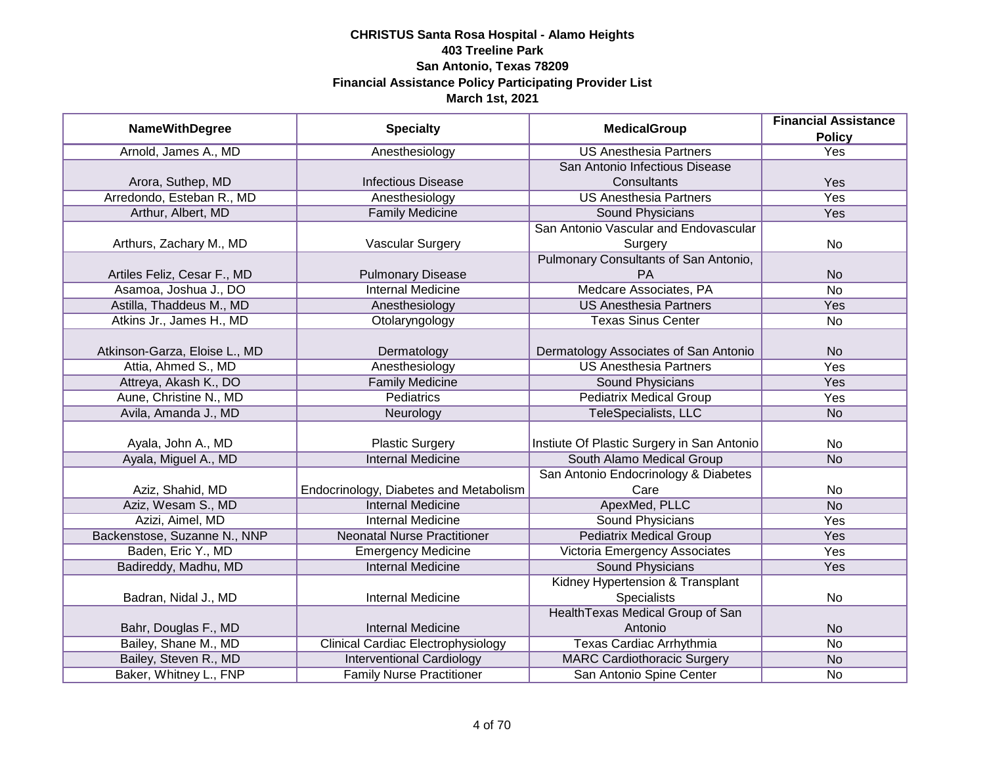|                               |                                           | <b>MedicalGroup</b>                        | <b>Financial Assistance</b> |
|-------------------------------|-------------------------------------------|--------------------------------------------|-----------------------------|
| <b>NameWithDegree</b>         | <b>Specialty</b>                          |                                            | <b>Policy</b>               |
| Arnold, James A., MD          | Anesthesiology                            | <b>US Anesthesia Partners</b>              | <b>Yes</b>                  |
|                               |                                           | San Antonio Infectious Disease             |                             |
| Arora, Suthep, MD             | <b>Infectious Disease</b>                 | Consultants                                | Yes                         |
| Arredondo, Esteban R., MD     | Anesthesiology                            | <b>US Anesthesia Partners</b>              | Yes                         |
| Arthur, Albert, MD            | <b>Family Medicine</b>                    | Sound Physicians                           | <b>Yes</b>                  |
|                               |                                           | San Antonio Vascular and Endovascular      |                             |
| Arthurs, Zachary M., MD       | Vascular Surgery                          | Surgery                                    | No                          |
|                               |                                           | Pulmonary Consultants of San Antonio,      |                             |
| Artiles Feliz, Cesar F., MD   | <b>Pulmonary Disease</b>                  | PA                                         | <b>No</b>                   |
| Asamoa, Joshua J., DO         | Internal Medicine                         | Medcare Associates, PA                     | <b>No</b>                   |
| Astilla, Thaddeus M., MD      | Anesthesiology                            | <b>US Anesthesia Partners</b>              | Yes                         |
| Atkins Jr., James H., MD      | Otolaryngology                            | <b>Texas Sinus Center</b>                  | No                          |
|                               |                                           |                                            |                             |
| Atkinson-Garza, Eloise L., MD | Dermatology                               | Dermatology Associates of San Antonio      | <b>No</b>                   |
| Attia, Ahmed S., MD           | Anesthesiology                            | <b>US Anesthesia Partners</b>              | Yes                         |
| Attreya, Akash K., DO         | <b>Family Medicine</b>                    | <b>Sound Physicians</b>                    | Yes                         |
| Aune, Christine N., MD        | <b>Pediatrics</b>                         | <b>Pediatrix Medical Group</b>             | Yes                         |
| Avila, Amanda J., MD          | Neurology                                 | TeleSpecialists, LLC                       | <b>No</b>                   |
|                               |                                           |                                            |                             |
| Ayala, John A., MD            | <b>Plastic Surgery</b>                    | Instiute Of Plastic Surgery in San Antonio | No                          |
| Ayala, Miguel A., MD          | <b>Internal Medicine</b>                  | South Alamo Medical Group                  | <b>No</b>                   |
|                               |                                           | San Antonio Endocrinology & Diabetes       |                             |
| Aziz, Shahid, MD              | Endocrinology, Diabetes and Metabolism    | Care                                       | No                          |
| Aziz, Wesam S., MD            | <b>Internal Medicine</b>                  | ApexMed, PLLC                              | N <sub>O</sub>              |
| Azizi, Aimel, MD              | <b>Internal Medicine</b>                  | Sound Physicians                           | Yes                         |
| Backenstose, Suzanne N., NNP  | <b>Neonatal Nurse Practitioner</b>        | <b>Pediatrix Medical Group</b>             | Yes                         |
| Baden, Eric Y., MD            | <b>Emergency Medicine</b>                 | Victoria Emergency Associates              | <b>Yes</b>                  |
| Badireddy, Madhu, MD          | <b>Internal Medicine</b>                  | <b>Sound Physicians</b>                    | Yes                         |
|                               |                                           | Kidney Hypertension & Transplant           |                             |
| Badran, Nidal J., MD          | <b>Internal Medicine</b>                  | Specialists                                | No                          |
|                               |                                           | Health Texas Medical Group of San          |                             |
| Bahr, Douglas F., MD          | <b>Internal Medicine</b>                  | Antonio                                    | <b>No</b>                   |
| Bailey, Shane M., MD          | <b>Clinical Cardiac Electrophysiology</b> | <b>Texas Cardiac Arrhythmia</b>            | No                          |
| Bailey, Steven R., MD         | <b>Interventional Cardiology</b>          | <b>MARC Cardiothoracic Surgery</b>         | <b>No</b>                   |
| Baker, Whitney L., FNP        | <b>Family Nurse Practitioner</b>          | San Antonio Spine Center                   | No                          |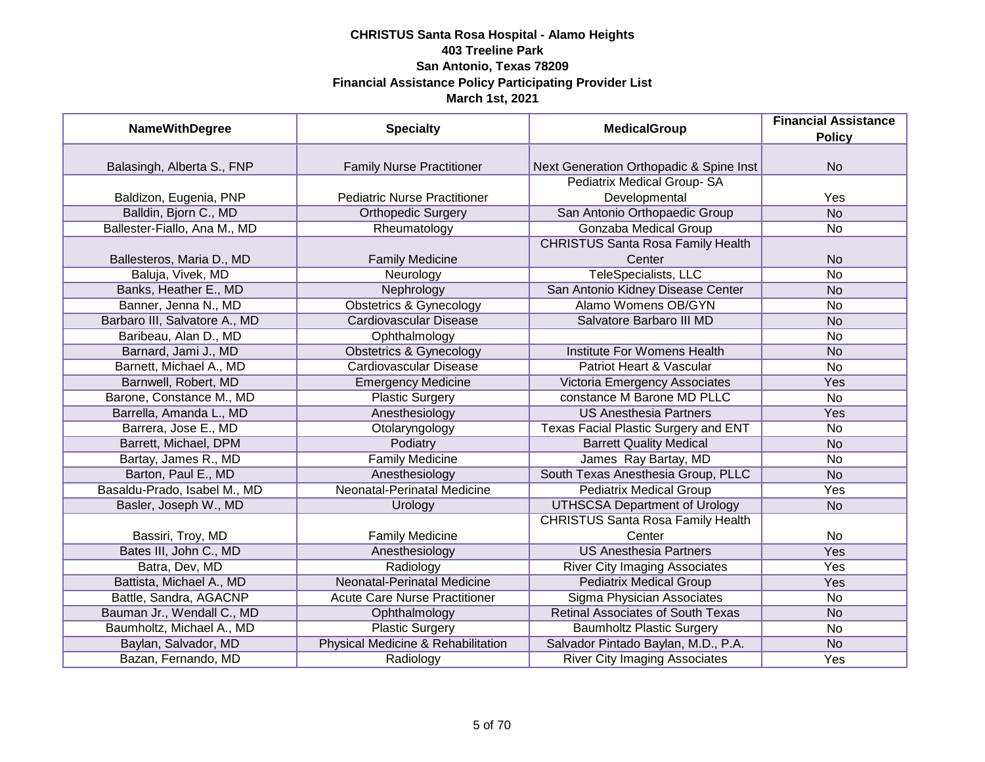| <b>NameWithDegree</b>         | <b>Specialty</b>                     | <b>MedicalGroup</b>                      | <b>Financial Assistance</b> |
|-------------------------------|--------------------------------------|------------------------------------------|-----------------------------|
|                               |                                      |                                          | <b>Policy</b>               |
|                               |                                      |                                          |                             |
| Balasingh, Alberta S., FNP    | <b>Family Nurse Practitioner</b>     | Next Generation Orthopadic & Spine Inst  | <b>No</b>                   |
|                               |                                      | Pediatrix Medical Group-SA               |                             |
| Baldizon, Eugenia, PNP        | <b>Pediatric Nurse Practitioner</b>  | Developmental                            | Yes                         |
| Balldin, Bjorn C., MD         | <b>Orthopedic Surgery</b>            | San Antonio Orthopaedic Group            | $\overline{No}$             |
| Ballester-Fiallo, Ana M., MD  | Rheumatology                         | Gonzaba Medical Group                    | <b>No</b>                   |
|                               |                                      | <b>CHRISTUS Santa Rosa Family Health</b> |                             |
| Ballesteros, Maria D., MD     | <b>Family Medicine</b>               | Center                                   | <b>No</b>                   |
| Baluja, Vivek, MD             | Neurology                            | <b>TeleSpecialists, LLC</b>              | <b>No</b>                   |
| Banks, Heather E., MD         | Nephrology                           | San Antonio Kidney Disease Center        | <b>No</b>                   |
| Banner, Jenna N., MD          | <b>Obstetrics &amp; Gynecology</b>   | <b>Alamo Womens OB/GYN</b>               | No                          |
| Barbaro III, Salvatore A., MD | <b>Cardiovascular Disease</b>        | Salvatore Barbaro III MD                 | <b>No</b>                   |
| Baribeau, Alan D., MD         | Ophthalmology                        |                                          | No                          |
| Barnard, Jami J., MD          | <b>Obstetrics &amp; Gynecology</b>   | Institute For Womens Health              | <b>No</b>                   |
| Barnett, Michael A., MD       | <b>Cardiovascular Disease</b>        | Patriot Heart & Vascular                 | <b>No</b>                   |
| Barnwell, Robert, MD          | <b>Emergency Medicine</b>            | Victoria Emergency Associates            | Yes                         |
| Barone, Constance M., MD      | <b>Plastic Surgery</b>               | constance M Barone MD PLLC               | No                          |
| Barrella, Amanda L., MD       | Anesthesiology                       | <b>US Anesthesia Partners</b>            | Yes                         |
| Barrera, Jose E., MD          | Otolaryngology                       | Texas Facial Plastic Surgery and ENT     | <b>No</b>                   |
| Barrett, Michael, DPM         | Podiatry                             | <b>Barrett Quality Medical</b>           | <b>No</b>                   |
| Bartay, James R., MD          | <b>Family Medicine</b>               | James Ray Bartay, MD                     | No                          |
| Barton, Paul E., MD           | Anesthesiology                       | South Texas Anesthesia Group, PLLC       | <b>No</b>                   |
| Basaldu-Prado, Isabel M., MD  | <b>Neonatal-Perinatal Medicine</b>   | <b>Pediatrix Medical Group</b>           | Yes                         |
| Basler, Joseph W., MD         | Urology                              | <b>UTHSCSA Department of Urology</b>     | <b>No</b>                   |
|                               |                                      | <b>CHRISTUS Santa Rosa Family Health</b> |                             |
| Bassiri, Troy, MD             | <b>Family Medicine</b>               | Center                                   | No                          |
| Bates III, John C., MD        | Anesthesiology                       | <b>US Anesthesia Partners</b>            | Yes                         |
| Batra, Dev, MD                | Radiology                            | <b>River City Imaging Associates</b>     | Yes                         |
| Battista, Michael A., MD      | <b>Neonatal-Perinatal Medicine</b>   | <b>Pediatrix Medical Group</b>           | Yes                         |
| Battle, Sandra, AGACNP        | <b>Acute Care Nurse Practitioner</b> | Sigma Physician Associates               | No                          |
| Bauman Jr., Wendall C., MD    | Ophthalmology                        | <b>Retinal Associates of South Texas</b> | <b>No</b>                   |
| Baumholtz, Michael A., MD     | <b>Plastic Surgery</b>               | <b>Baumholtz Plastic Surgery</b>         | No                          |
| Baylan, Salvador, MD          | Physical Medicine & Rehabilitation   | Salvador Pintado Baylan, M.D., P.A.      | <b>No</b>                   |
| Bazan, Fernando, MD           | Radiology                            | <b>River City Imaging Associates</b>     | Yes                         |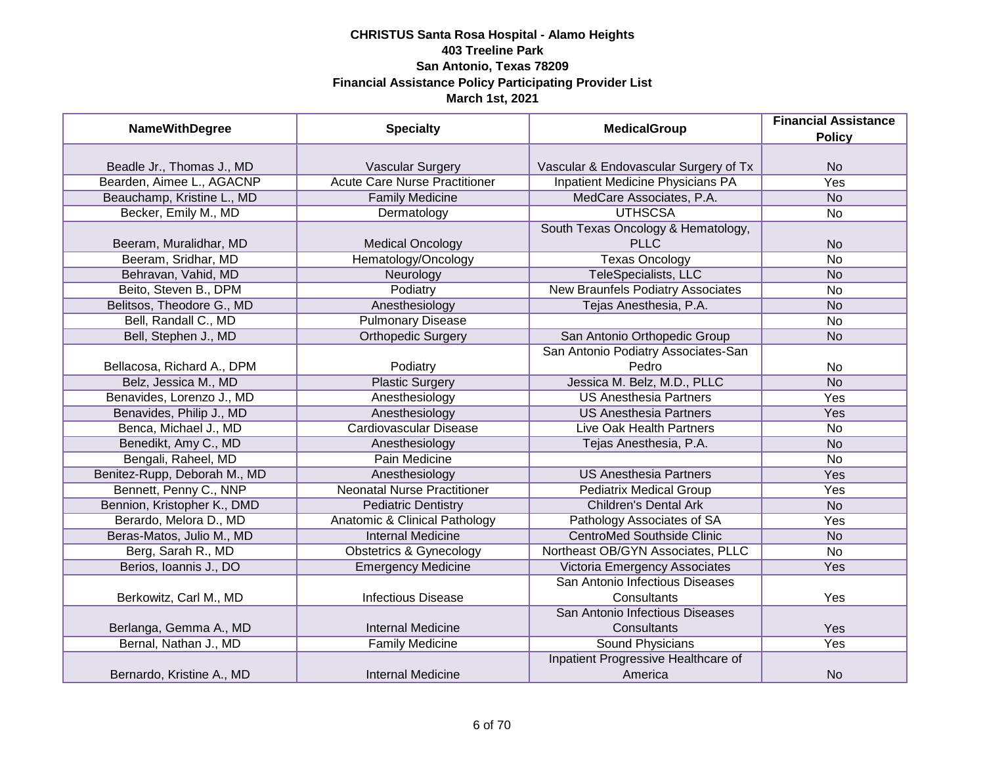| <b>NameWithDegree</b>        | <b>Specialty</b>                         | <b>MedicalGroup</b>                               | <b>Financial Assistance</b><br><b>Policy</b> |
|------------------------------|------------------------------------------|---------------------------------------------------|----------------------------------------------|
|                              |                                          |                                                   |                                              |
| Beadle Jr., Thomas J., MD    | <b>Vascular Surgery</b>                  | Vascular & Endovascular Surgery of Tx             | <b>No</b>                                    |
| Bearden, Aimee L., AGACNP    | <b>Acute Care Nurse Practitioner</b>     | Inpatient Medicine Physicians PA                  | <b>Yes</b>                                   |
| Beauchamp, Kristine L., MD   | <b>Family Medicine</b>                   | MedCare Associates, P.A.                          | <b>No</b>                                    |
| Becker, Emily M., MD         | Dermatology                              | <b>UTHSCSA</b>                                    | <b>No</b>                                    |
| Beeram, Muralidhar, MD       | <b>Medical Oncology</b>                  | South Texas Oncology & Hematology,<br><b>PLLC</b> | <b>No</b>                                    |
| Beeram, Sridhar, MD          | Hematology/Oncology                      | <b>Texas Oncology</b>                             | <b>No</b>                                    |
| Behravan, Vahid, MD          | Neurology                                | TeleSpecialists, LLC                              | <b>No</b>                                    |
| Beito, Steven B., DPM        | Podiatry                                 | New Braunfels Podiatry Associates                 | <b>No</b>                                    |
| Belitsos, Theodore G., MD    | Anesthesiology                           | Tejas Anesthesia, P.A.                            | <b>No</b>                                    |
| Bell, Randall C., MD         | <b>Pulmonary Disease</b>                 |                                                   | <b>No</b>                                    |
| Bell, Stephen J., MD         | <b>Orthopedic Surgery</b>                | San Antonio Orthopedic Group                      | <b>No</b>                                    |
|                              |                                          | San Antonio Podiatry Associates-San               |                                              |
| Bellacosa, Richard A., DPM   | Podiatry                                 | Pedro                                             | <b>No</b>                                    |
| Belz, Jessica M., MD         | <b>Plastic Surgery</b>                   | Jessica M. Belz, M.D., PLLC                       | <b>No</b>                                    |
| Benavides, Lorenzo J., MD    | Anesthesiology                           | <b>US Anesthesia Partners</b>                     | Yes                                          |
| Benavides, Philip J., MD     | Anesthesiology                           | <b>US Anesthesia Partners</b>                     | Yes                                          |
| Benca, Michael J., MD        | Cardiovascular Disease                   | Live Oak Health Partners                          | <b>No</b>                                    |
| Benedikt, Amy C., MD         | Anesthesiology                           | Tejas Anesthesia, P.A.                            | <b>No</b>                                    |
| Bengali, Raheel, MD          | Pain Medicine                            |                                                   | <b>No</b>                                    |
| Benitez-Rupp, Deborah M., MD | Anesthesiology                           | <b>US Anesthesia Partners</b>                     | Yes                                          |
| Bennett, Penny C., NNP       | <b>Neonatal Nurse Practitioner</b>       | <b>Pediatrix Medical Group</b>                    | Yes                                          |
| Bennion, Kristopher K., DMD  | <b>Pediatric Dentistry</b>               | <b>Children's Dental Ark</b>                      | <b>No</b>                                    |
| Berardo, Melora D., MD       | <b>Anatomic &amp; Clinical Pathology</b> | Pathology Associates of SA                        | Yes                                          |
| Beras-Matos, Julio M., MD    | <b>Internal Medicine</b>                 | <b>CentroMed Southside Clinic</b>                 | <b>No</b>                                    |
| Berg, Sarah R., MD           | <b>Obstetrics &amp; Gynecology</b>       | Northeast OB/GYN Associates, PLLC                 | <b>No</b>                                    |
| Berios, Ioannis J., DO       | <b>Emergency Medicine</b>                | Victoria Emergency Associates                     | Yes                                          |
|                              |                                          | San Antonio Infectious Diseases                   |                                              |
| Berkowitz, Carl M., MD       | <b>Infectious Disease</b>                | Consultants                                       | Yes                                          |
| Berlanga, Gemma A., MD       | <b>Internal Medicine</b>                 | San Antonio Infectious Diseases<br>Consultants    | Yes                                          |
| Bernal, Nathan J., MD        | <b>Family Medicine</b>                   | Sound Physicians                                  | Yes                                          |
| Bernardo, Kristine A., MD    | <b>Internal Medicine</b>                 | Inpatient Progressive Healthcare of<br>America    | <b>No</b>                                    |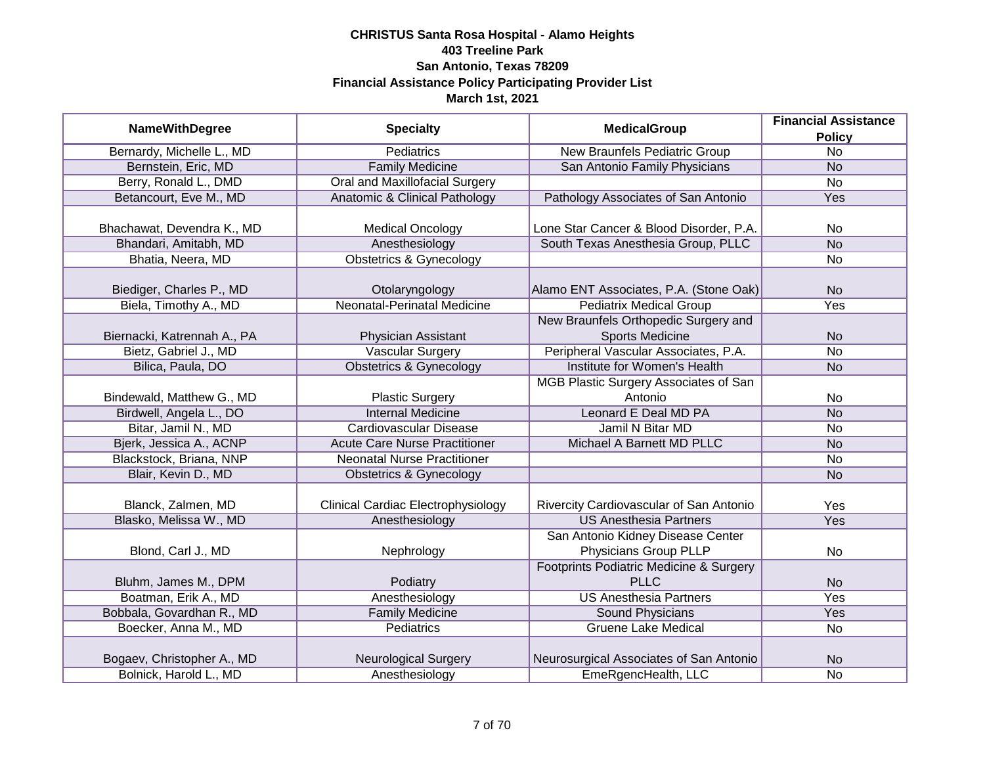|                             |                                           |                                         | <b>Financial Assistance</b> |
|-----------------------------|-------------------------------------------|-----------------------------------------|-----------------------------|
| <b>NameWithDegree</b>       | <b>Specialty</b>                          | <b>MedicalGroup</b>                     | <b>Policy</b>               |
| Bernardy, Michelle L., MD   | Pediatrics                                | <b>New Braunfels Pediatric Group</b>    | $\overline{No}$             |
| Bernstein, Eric, MD         | <b>Family Medicine</b>                    | San Antonio Family Physicians           | <b>No</b>                   |
| Berry, Ronald L., DMD       | <b>Oral and Maxillofacial Surgery</b>     |                                         | $\overline{No}$             |
| Betancourt, Eve M., MD      | Anatomic & Clinical Pathology             | Pathology Associates of San Antonio     | Yes                         |
|                             |                                           |                                         |                             |
| Bhachawat, Devendra K., MD  | <b>Medical Oncology</b>                   | Lone Star Cancer & Blood Disorder, P.A. | No                          |
| Bhandari, Amitabh, MD       | Anesthesiology                            | South Texas Anesthesia Group, PLLC      | N <sub>o</sub>              |
| Bhatia, Neera, MD           | <b>Obstetrics &amp; Gynecology</b>        |                                         | No                          |
| Biediger, Charles P., MD    | Otolaryngology                            | Alamo ENT Associates, P.A. (Stone Oak)  | <b>No</b>                   |
| Biela, Timothy A., MD       | <b>Neonatal-Perinatal Medicine</b>        | <b>Pediatrix Medical Group</b>          | Yes                         |
|                             |                                           | New Braunfels Orthopedic Surgery and    |                             |
| Biernacki, Katrennah A., PA | Physician Assistant                       | <b>Sports Medicine</b>                  | <b>No</b>                   |
| Bietz, Gabriel J., MD       | <b>Vascular Surgery</b>                   | Peripheral Vascular Associates, P.A.    | <b>No</b>                   |
| Bilica, Paula, DO           | <b>Obstetrics &amp; Gynecology</b>        | Institute for Women's Health            | <b>No</b>                   |
|                             |                                           | MGB Plastic Surgery Associates of San   |                             |
| Bindewald, Matthew G., MD   | <b>Plastic Surgery</b>                    | Antonio                                 | No                          |
| Birdwell, Angela L., DO     | <b>Internal Medicine</b>                  | Leonard E Deal MD PA                    | <b>No</b>                   |
| Bitar, Jamil N., MD         | Cardiovascular Disease                    | Jamil N Bitar MD                        | <b>No</b>                   |
| Bjerk, Jessica A., ACNP     | <b>Acute Care Nurse Practitioner</b>      | Michael A Barnett MD PLLC               | <b>No</b>                   |
| Blackstock, Briana, NNP     | <b>Neonatal Nurse Practitioner</b>        |                                         | No                          |
| Blair, Kevin D., MD         | <b>Obstetrics &amp; Gynecology</b>        |                                         | <b>No</b>                   |
|                             |                                           |                                         |                             |
| Blanck, Zalmen, MD          | <b>Clinical Cardiac Electrophysiology</b> | Rivercity Cardiovascular of San Antonio | Yes                         |
| Blasko, Melissa W., MD      | Anesthesiology                            | <b>US Anesthesia Partners</b>           | Yes                         |
|                             |                                           | San Antonio Kidney Disease Center       |                             |
| Blond, Carl J., MD          | Nephrology                                | Physicians Group PLLP                   | No                          |
|                             |                                           | Footprints Podiatric Medicine & Surgery |                             |
| Bluhm, James M., DPM        | Podiatry                                  | <b>PLLC</b>                             | <b>No</b>                   |
| Boatman, Erik A., MD        | Anesthesiology                            | <b>US Anesthesia Partners</b>           | Yes                         |
| Bobbala, Govardhan R., MD   | <b>Family Medicine</b>                    | Sound Physicians                        | Yes                         |
| Boecker, Anna M., MD        | <b>Pediatrics</b>                         | <b>Gruene Lake Medical</b>              | No                          |
| Bogaev, Christopher A., MD  | Neurological Surgery                      | Neurosurgical Associates of San Antonio | <b>No</b>                   |
| Bolnick, Harold L., MD      | Anesthesiology                            | EmeRgencHealth, LLC                     | No                          |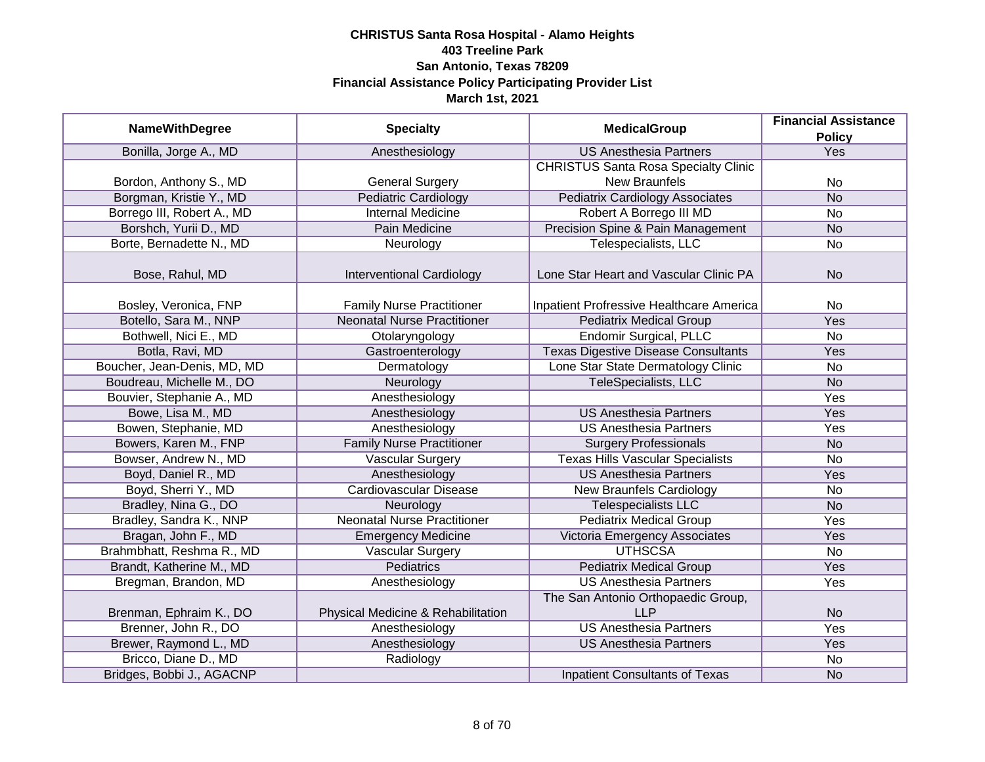|                             | <b>Specialty</b>                   | <b>MedicalGroup</b>                         | <b>Financial Assistance</b> |
|-----------------------------|------------------------------------|---------------------------------------------|-----------------------------|
| <b>NameWithDegree</b>       |                                    |                                             | <b>Policy</b>               |
| Bonilla, Jorge A., MD       | Anesthesiology                     | <b>US Anesthesia Partners</b>               | Yes                         |
|                             |                                    | <b>CHRISTUS Santa Rosa Specialty Clinic</b> |                             |
| Bordon, Anthony S., MD      | <b>General Surgery</b>             | <b>New Braunfels</b>                        | No                          |
| Borgman, Kristie Y., MD     | <b>Pediatric Cardiology</b>        | <b>Pediatrix Cardiology Associates</b>      | <b>No</b>                   |
| Borrego III, Robert A., MD  | <b>Internal Medicine</b>           | Robert A Borrego III MD                     | No                          |
| Borshch, Yurii D., MD       | Pain Medicine                      | Precision Spine & Pain Management           | <b>No</b>                   |
| Borte, Bernadette N., MD    | Neurology                          | Telespecialists, LLC                        | No                          |
| Bose, Rahul, MD             | Interventional Cardiology          | Lone Star Heart and Vascular Clinic PA      | <b>No</b>                   |
| Bosley, Veronica, FNP       | <b>Family Nurse Practitioner</b>   | Inpatient Profressive Healthcare America    | No                          |
| Botello, Sara M., NNP       | <b>Neonatal Nurse Practitioner</b> | <b>Pediatrix Medical Group</b>              | Yes                         |
| Bothwell, Nici E., MD       | Otolaryngology                     | <b>Endomir Surgical, PLLC</b>               | No                          |
| Botla, Ravi, MD             | Gastroenterology                   | <b>Texas Digestive Disease Consultants</b>  | Yes                         |
| Boucher, Jean-Denis, MD, MD | Dermatology                        | Lone Star State Dermatology Clinic          | No                          |
| Boudreau, Michelle M., DO   | Neurology                          | TeleSpecialists, LLC                        | <b>No</b>                   |
| Bouvier, Stephanie A., MD   | Anesthesiology                     |                                             | Yes                         |
| Bowe, Lisa M., MD           | Anesthesiology                     | <b>US Anesthesia Partners</b>               | Yes                         |
| Bowen, Stephanie, MD        | Anesthesiology                     | <b>US Anesthesia Partners</b>               | Yes                         |
| Bowers, Karen M., FNP       | <b>Family Nurse Practitioner</b>   | <b>Surgery Professionals</b>                | <b>No</b>                   |
| Bowser, Andrew N., MD       | <b>Vascular Surgery</b>            | <b>Texas Hills Vascular Specialists</b>     | <b>No</b>                   |
| Boyd, Daniel R., MD         | Anesthesiology                     | <b>US Anesthesia Partners</b>               | Yes                         |
| Boyd, Sherri Y., MD         | <b>Cardiovascular Disease</b>      | <b>New Braunfels Cardiology</b>             | <b>No</b>                   |
| Bradley, Nina G., DO        | Neurology                          | <b>Telespecialists LLC</b>                  | <b>No</b>                   |
| Bradley, Sandra K., NNP     | <b>Neonatal Nurse Practitioner</b> | <b>Pediatrix Medical Group</b>              | Yes                         |
| Bragan, John F., MD         | <b>Emergency Medicine</b>          | Victoria Emergency Associates               | Yes                         |
| Brahmbhatt, Reshma R., MD   | <b>Vascular Surgery</b>            | <b>UTHSCSA</b>                              | No                          |
| Brandt, Katherine M., MD    | <b>Pediatrics</b>                  | <b>Pediatrix Medical Group</b>              | Yes                         |
| Bregman, Brandon, MD        | Anesthesiology                     | <b>US Anesthesia Partners</b>               | Yes                         |
|                             |                                    | The San Antonio Orthopaedic Group,          |                             |
| Brenman, Ephraim K., DO     | Physical Medicine & Rehabilitation | <b>LLP</b>                                  | <b>No</b>                   |
| Brenner, John R., DO        | Anesthesiology                     | <b>US Anesthesia Partners</b>               | <b>Yes</b>                  |
| Brewer, Raymond L., MD      | Anesthesiology                     | <b>US Anesthesia Partners</b>               | Yes                         |
| Bricco, Diane D., MD        | Radiology                          |                                             | No                          |
| Bridges, Bobbi J., AGACNP   |                                    | <b>Inpatient Consultants of Texas</b>       | <b>No</b>                   |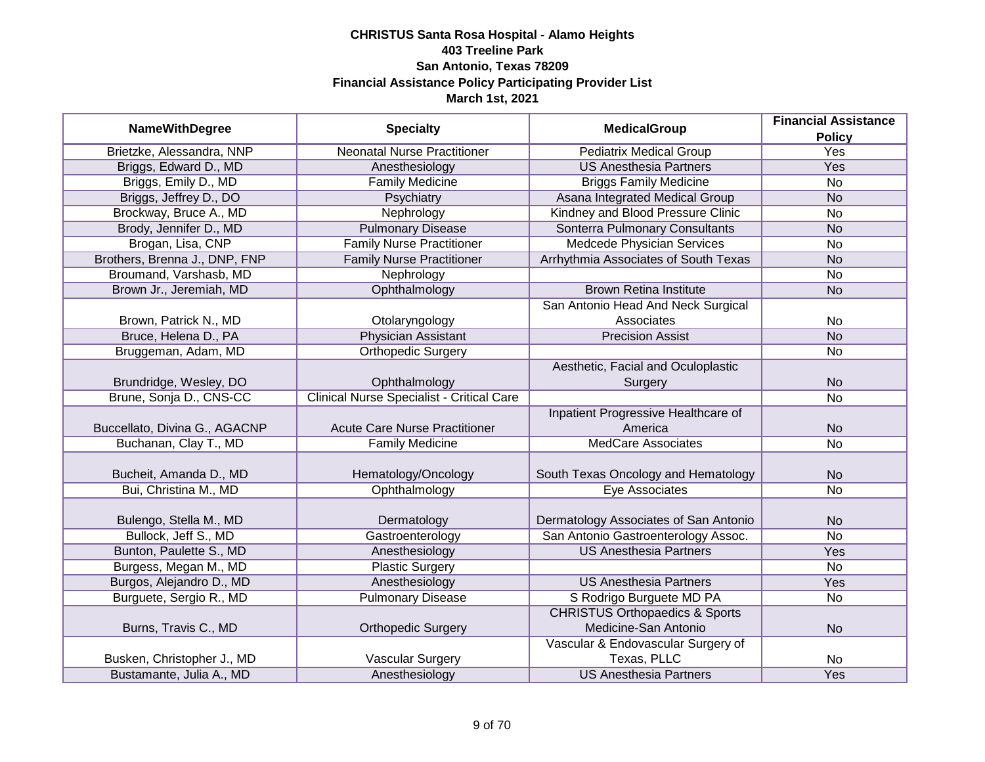|                               |                                                  |                                           | <b>Financial Assistance</b> |
|-------------------------------|--------------------------------------------------|-------------------------------------------|-----------------------------|
| <b>NameWithDegree</b>         | <b>Specialty</b>                                 | <b>MedicalGroup</b>                       | <b>Policy</b>               |
| Brietzke, Alessandra, NNP     | <b>Neonatal Nurse Practitioner</b>               | <b>Pediatrix Medical Group</b>            | <b>Yes</b>                  |
| Briggs, Edward D., MD         | Anesthesiology                                   | <b>US Anesthesia Partners</b>             | Yes                         |
| Briggs, Emily D., MD          | <b>Family Medicine</b>                           | <b>Briggs Family Medicine</b>             | <b>No</b>                   |
| Briggs, Jeffrey D., DO        | Psychiatry                                       | Asana Integrated Medical Group            | <b>No</b>                   |
| Brockway, Bruce A., MD        | Nephrology                                       | Kindney and Blood Pressure Clinic         | <b>No</b>                   |
| Brody, Jennifer D., MD        | <b>Pulmonary Disease</b>                         | Sonterra Pulmonary Consultants            | <b>No</b>                   |
| Brogan, Lisa, CNP             | <b>Family Nurse Practitioner</b>                 | <b>Medcede Physician Services</b>         | <b>No</b>                   |
| Brothers, Brenna J., DNP, FNP | <b>Family Nurse Practitioner</b>                 | Arrhythmia Associates of South Texas      | <b>No</b>                   |
| Broumand, Varshasb, MD        | Nephrology                                       |                                           | <b>No</b>                   |
| Brown Jr., Jeremiah, MD       | Ophthalmology                                    | <b>Brown Retina Institute</b>             | <b>No</b>                   |
|                               |                                                  | San Antonio Head And Neck Surgical        |                             |
| Brown, Patrick N., MD         | Otolaryngology                                   | Associates                                | <b>No</b>                   |
| Bruce, Helena D., PA          | <b>Physician Assistant</b>                       | <b>Precision Assist</b>                   | <b>No</b>                   |
| Bruggeman, Adam, MD           | <b>Orthopedic Surgery</b>                        |                                           | No                          |
|                               |                                                  | Aesthetic, Facial and Oculoplastic        |                             |
| Brundridge, Wesley, DO        | Ophthalmology                                    | Surgery                                   | <b>No</b>                   |
| Brune, Sonja D., CNS-CC       | <b>Clinical Nurse Specialist - Critical Care</b> |                                           | <b>No</b>                   |
|                               |                                                  | Inpatient Progressive Healthcare of       |                             |
| Buccellato, Divina G., AGACNP | <b>Acute Care Nurse Practitioner</b>             | America                                   | <b>No</b>                   |
| Buchanan, Clay T., MD         | <b>Family Medicine</b>                           | <b>MedCare Associates</b>                 | <b>No</b>                   |
|                               |                                                  |                                           |                             |
| Bucheit, Amanda D., MD        | Hematology/Oncology                              | South Texas Oncology and Hematology       | <b>No</b>                   |
| Bui, Christina M., MD         | Ophthalmology                                    | Eye Associates                            | <b>No</b>                   |
| Bulengo, Stella M., MD        | Dermatology                                      | Dermatology Associates of San Antonio     | <b>No</b>                   |
| Bullock, Jeff S., MD          | Gastroenterology                                 | San Antonio Gastroenterology Assoc.       | <b>No</b>                   |
| Bunton, Paulette S., MD       | Anesthesiology                                   | <b>US Anesthesia Partners</b>             | Yes                         |
| Burgess, Megan M., MD         | <b>Plastic Surgery</b>                           |                                           | <b>No</b>                   |
| Burgos, Alejandro D., MD      | Anesthesiology                                   | <b>US Anesthesia Partners</b>             | Yes                         |
| Burguete, Sergio R., MD       | <b>Pulmonary Disease</b>                         | S Rodrigo Burguete MD PA                  | <b>No</b>                   |
|                               |                                                  | <b>CHRISTUS Orthopaedics &amp; Sports</b> |                             |
| Burns, Travis C., MD          | <b>Orthopedic Surgery</b>                        | Medicine-San Antonio                      | <b>No</b>                   |
|                               |                                                  | Vascular & Endovascular Surgery of        |                             |
| Busken, Christopher J., MD    | Vascular Surgery                                 | Texas, PLLC                               | No                          |
| Bustamante, Julia A., MD      | Anesthesiology                                   | <b>US Anesthesia Partners</b>             | Yes                         |
|                               |                                                  |                                           |                             |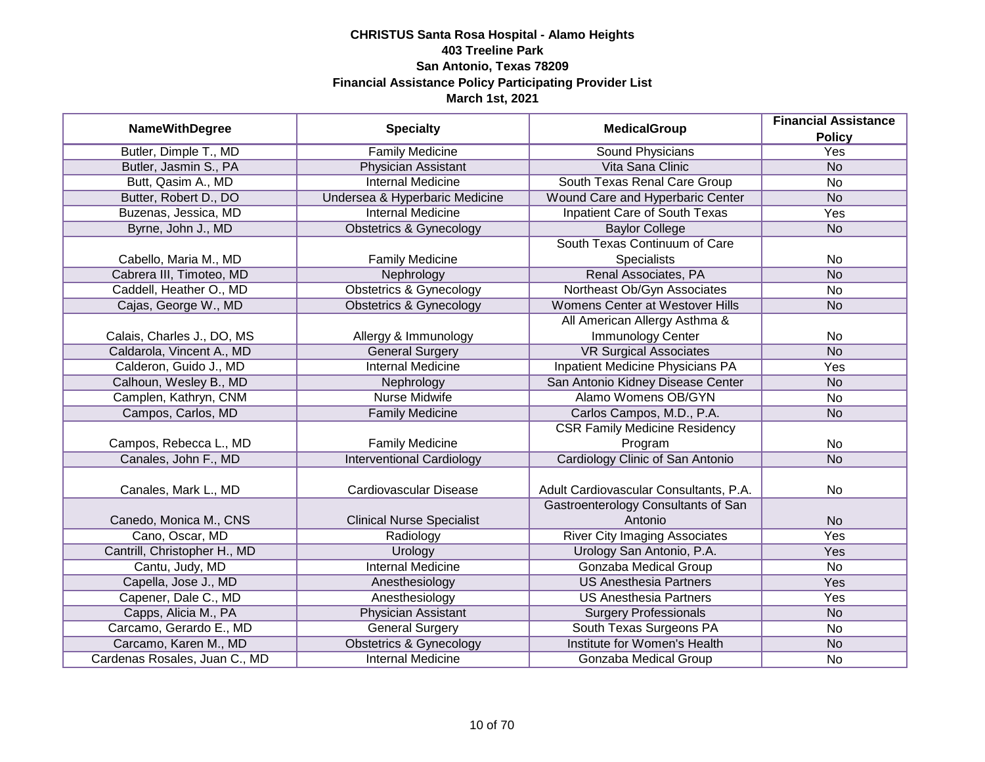|                               |                                    | <b>MedicalGroup</b>                    | <b>Financial Assistance</b> |
|-------------------------------|------------------------------------|----------------------------------------|-----------------------------|
| <b>NameWithDegree</b>         | <b>Specialty</b>                   |                                        | <b>Policy</b>               |
| Butler, Dimple T., MD         | <b>Family Medicine</b>             | <b>Sound Physicians</b>                | <b>Yes</b>                  |
| Butler, Jasmin S., PA         | Physician Assistant                | Vita Sana Clinic                       | N <sub>o</sub>              |
| Butt, Qasim A., MD            | <b>Internal Medicine</b>           | South Texas Renal Care Group           | No                          |
| Butter, Robert D., DO         | Undersea & Hyperbaric Medicine     | Wound Care and Hyperbaric Center       | <b>No</b>                   |
| Buzenas, Jessica, MD          | <b>Internal Medicine</b>           | <b>Inpatient Care of South Texas</b>   | Yes                         |
| Byrne, John J., MD            | <b>Obstetrics &amp; Gynecology</b> | <b>Baylor College</b>                  | <b>No</b>                   |
|                               |                                    | South Texas Continuum of Care          |                             |
| Cabello, Maria M., MD         | <b>Family Medicine</b>             | Specialists                            | No                          |
| Cabrera III, Timoteo, MD      | Nephrology                         | Renal Associates, PA                   | <b>No</b>                   |
| Caddell, Heather O., MD       | <b>Obstetrics &amp; Gynecology</b> | Northeast Ob/Gyn Associates            | No                          |
| Cajas, George W., MD          | <b>Obstetrics &amp; Gynecology</b> | <b>Womens Center at Westover Hills</b> | <b>No</b>                   |
|                               |                                    | All American Allergy Asthma &          |                             |
| Calais, Charles J., DO, MS    | Allergy & Immunology               | Immunology Center                      | No                          |
| Caldarola, Vincent A., MD     | <b>General Surgery</b>             | <b>VR Surgical Associates</b>          | <b>No</b>                   |
| Calderon, Guido J., MD        | <b>Internal Medicine</b>           | Inpatient Medicine Physicians PA       | Yes                         |
| Calhoun, Wesley B., MD        | Nephrology                         | San Antonio Kidney Disease Center      | <b>No</b>                   |
| Camplen, Kathryn, CNM         | <b>Nurse Midwife</b>               | Alamo Womens OB/GYN                    | No                          |
| Campos, Carlos, MD            | <b>Family Medicine</b>             | Carlos Campos, M.D., P.A.              | <b>No</b>                   |
|                               |                                    | <b>CSR Family Medicine Residency</b>   |                             |
| Campos, Rebecca L., MD        | <b>Family Medicine</b>             | Program                                | No                          |
| Canales, John F., MD          | <b>Interventional Cardiology</b>   | Cardiology Clinic of San Antonio       | <b>No</b>                   |
|                               |                                    |                                        |                             |
| Canales, Mark L., MD          | Cardiovascular Disease             | Adult Cardiovascular Consultants, P.A. | <b>No</b>                   |
|                               |                                    | Gastroenterology Consultants of San    |                             |
| Canedo, Monica M., CNS        | <b>Clinical Nurse Specialist</b>   | Antonio                                | <b>No</b>                   |
| Cano, Oscar, MD               | Radiology                          | <b>River City Imaging Associates</b>   | Yes                         |
| Cantrill, Christopher H., MD  | Urology                            | Urology San Antonio, P.A.              | Yes                         |
| Cantu, Judy, MD               | <b>Internal Medicine</b>           | Gonzaba Medical Group                  | No                          |
| Capella, Jose J., MD          | Anesthesiology                     | <b>US Anesthesia Partners</b>          | Yes                         |
| Capener, Dale C., MD          | Anesthesiology                     | <b>US Anesthesia Partners</b>          | Yes                         |
| Capps, Alicia M., PA          | Physician Assistant                | <b>Surgery Professionals</b>           | <b>No</b>                   |
| Carcamo, Gerardo E., MD       | <b>General Surgery</b>             | South Texas Surgeons PA                | No                          |
| Carcamo, Karen M., MD         | <b>Obstetrics &amp; Gynecology</b> | Institute for Women's Health           | <b>No</b>                   |
| Cardenas Rosales, Juan C., MD | <b>Internal Medicine</b>           | Gonzaba Medical Group                  | No                          |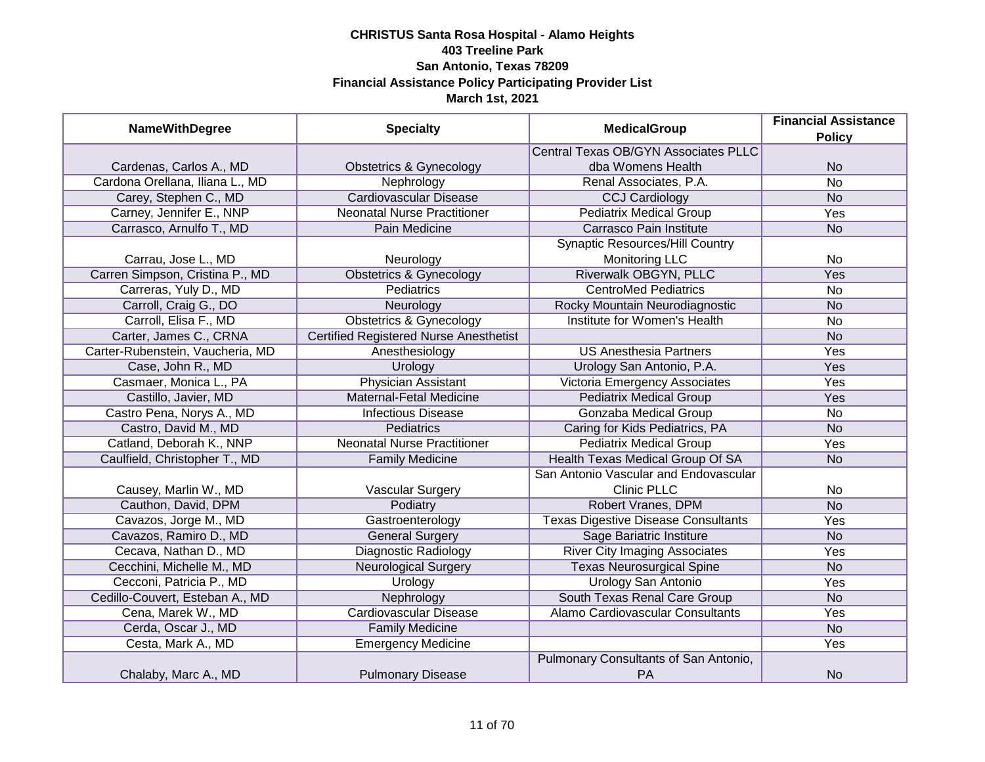| <b>NameWithDegree</b>            | <b>Specialty</b>                              | <b>MedicalGroup</b>                                | <b>Financial Assistance</b><br><b>Policy</b> |
|----------------------------------|-----------------------------------------------|----------------------------------------------------|----------------------------------------------|
|                                  |                                               | <b>Central Texas OB/GYN Associates PLLC</b>        |                                              |
| Cardenas, Carlos A., MD          | <b>Obstetrics &amp; Gynecology</b>            | dba Womens Health                                  | <b>No</b>                                    |
| Cardona Orellana, Iliana L., MD  | Nephrology                                    | Renal Associates, P.A.                             | $\overline{No}$                              |
| Carey, Stephen C., MD            | <b>Cardiovascular Disease</b>                 | <b>CCJ Cardiology</b>                              | <b>No</b>                                    |
| Carney, Jennifer E., NNP         | <b>Neonatal Nurse Practitioner</b>            | <b>Pediatrix Medical Group</b>                     | <b>Yes</b>                                   |
| Carrasco, Arnulfo T., MD         | Pain Medicine                                 | Carrasco Pain Institute                            | <b>No</b>                                    |
|                                  |                                               | <b>Synaptic Resources/Hill Country</b>             |                                              |
| Carrau, Jose L., MD              | Neurology                                     | <b>Monitoring LLC</b>                              | <b>No</b>                                    |
| Carren Simpson, Cristina P., MD  | <b>Obstetrics &amp; Gynecology</b>            | Riverwalk OBGYN, PLLC                              | Yes                                          |
| Carreras, Yuly D., MD            | Pediatrics                                    | <b>CentroMed Pediatrics</b>                        | <b>No</b>                                    |
| Carroll, Craig G., DO            | Neurology                                     | Rocky Mountain Neurodiagnostic                     | <b>No</b>                                    |
| Carroll, Elisa F., MD            | <b>Obstetrics &amp; Gynecology</b>            | Institute for Women's Health                       | <b>No</b>                                    |
| Carter, James C., CRNA           | <b>Certified Registered Nurse Anesthetist</b> |                                                    | <b>No</b>                                    |
| Carter-Rubenstein, Vaucheria, MD | Anesthesiology                                | <b>US Anesthesia Partners</b>                      | Yes                                          |
| Case, John R., MD                | Urology                                       | Urology San Antonio, P.A.                          | Yes                                          |
| Casmaer, Monica L., PA           | <b>Physician Assistant</b>                    | Victoria Emergency Associates                      | Yes                                          |
| Castillo, Javier, MD             | Maternal-Fetal Medicine                       | <b>Pediatrix Medical Group</b>                     | Yes                                          |
| Castro Pena, Norys A., MD        | <b>Infectious Disease</b>                     | <b>Gonzaba Medical Group</b>                       | <b>No</b>                                    |
| Castro, David M., MD             | Pediatrics                                    | Caring for Kids Pediatrics, PA                     | <b>No</b>                                    |
| Catland, Deborah K., NNP         | <b>Neonatal Nurse Practitioner</b>            | <b>Pediatrix Medical Group</b>                     | Yes                                          |
| Caulfield, Christopher T., MD    | <b>Family Medicine</b>                        | Health Texas Medical Group Of SA                   | <b>No</b>                                    |
|                                  |                                               | San Antonio Vascular and Endovascular              |                                              |
| Causey, Marlin W., MD            | Vascular Surgery                              | <b>Clinic PLLC</b>                                 | <b>No</b>                                    |
| Cauthon, David, DPM              | Podiatry                                      | Robert Vranes, DPM                                 | <b>No</b>                                    |
| Cavazos, Jorge M., MD            | Gastroenterology                              | <b>Texas Digestive Disease Consultants</b>         | Yes                                          |
| Cavazos, Ramiro D., MD           | <b>General Surgery</b>                        | Sage Bariatric Institure                           | <b>No</b>                                    |
| Cecava, Nathan D., MD            | <b>Diagnostic Radiology</b>                   | <b>River City Imaging Associates</b>               | Yes                                          |
| Cecchini, Michelle M., MD        | <b>Neurological Surgery</b>                   | <b>Texas Neurosurgical Spine</b>                   | <b>No</b>                                    |
| Cecconi, Patricia P., MD         | Urology                                       | <b>Urology San Antonio</b>                         | Yes                                          |
| Cedillo-Couvert, Esteban A., MD  | Nephrology                                    | South Texas Renal Care Group                       | <b>No</b>                                    |
| Cena, Marek W., MD               | <b>Cardiovascular Disease</b>                 | Alamo Cardiovascular Consultants                   | Yes                                          |
| Cerda, Oscar J., MD              | <b>Family Medicine</b>                        |                                                    | N <sub>o</sub>                               |
| Cesta, Mark A., MD               | <b>Emergency Medicine</b>                     |                                                    | Yes                                          |
| Chalaby, Marc A., MD             | <b>Pulmonary Disease</b>                      | Pulmonary Consultants of San Antonio,<br><b>PA</b> | <b>No</b>                                    |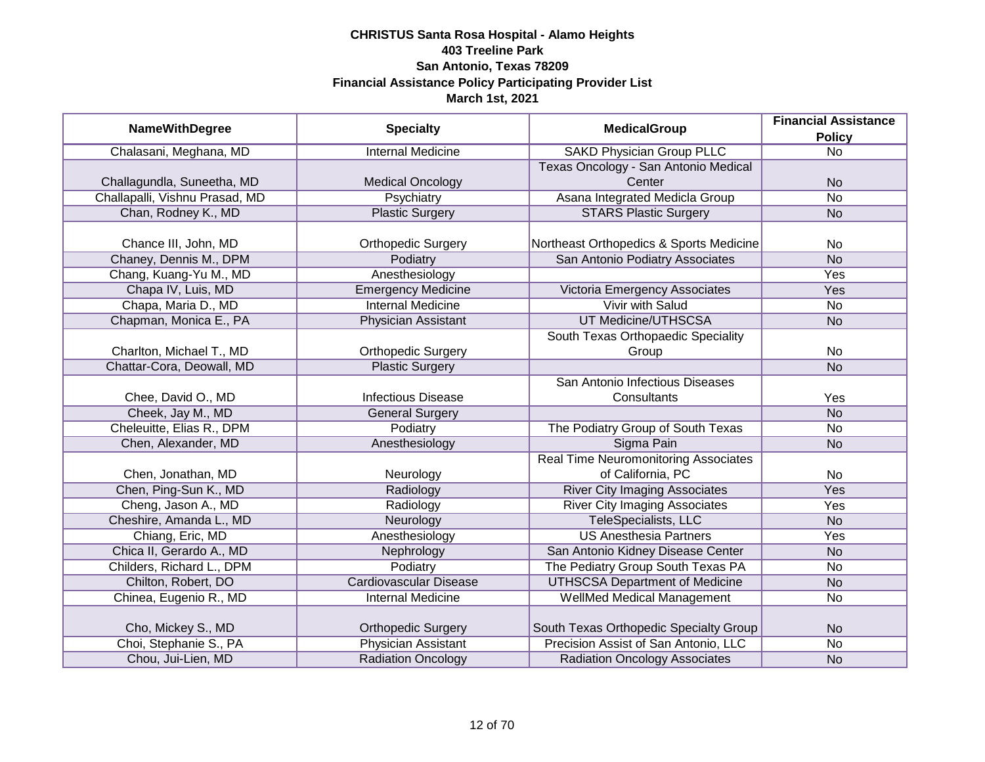| <b>NameWithDegree</b>          | <b>Specialty</b>              | <b>MedicalGroup</b>                         | <b>Financial Assistance</b> |
|--------------------------------|-------------------------------|---------------------------------------------|-----------------------------|
|                                |                               |                                             | <b>Policy</b>               |
| Chalasani, Meghana, MD         | <b>Internal Medicine</b>      | <b>SAKD Physician Group PLLC</b>            | $\overline{No}$             |
|                                |                               | Texas Oncology - San Antonio Medical        |                             |
| Challagundla, Suneetha, MD     | <b>Medical Oncology</b>       | Center                                      | <b>No</b>                   |
| Challapalli, Vishnu Prasad, MD | Psychiatry                    | Asana Integrated Medicla Group              | No                          |
| Chan, Rodney K., MD            | <b>Plastic Surgery</b>        | <b>STARS Plastic Surgery</b>                | <b>No</b>                   |
|                                |                               |                                             |                             |
| Chance III, John, MD           | <b>Orthopedic Surgery</b>     | Northeast Orthopedics & Sports Medicine     | No                          |
| Chaney, Dennis M., DPM         | Podiatry                      | San Antonio Podiatry Associates             | <b>No</b>                   |
| Chang, Kuang-Yu M., MD         | Anesthesiology                |                                             | Yes                         |
| Chapa IV, Luis, MD             | <b>Emergency Medicine</b>     | Victoria Emergency Associates               | Yes                         |
| Chapa, Maria D., MD            | <b>Internal Medicine</b>      | <b>Vivir with Salud</b>                     | <b>No</b>                   |
| Chapman, Monica E., PA         | Physician Assistant           | <b>UT Medicine/UTHSCSA</b>                  | <b>No</b>                   |
|                                |                               | South Texas Orthopaedic Speciality          |                             |
| Charlton, Michael T., MD       | <b>Orthopedic Surgery</b>     | Group                                       | No                          |
| Chattar-Cora, Deowall, MD      | <b>Plastic Surgery</b>        |                                             | <b>No</b>                   |
|                                |                               | San Antonio Infectious Diseases             |                             |
| Chee, David O., MD             | <b>Infectious Disease</b>     | Consultants                                 | Yes                         |
| Cheek, Jay M., MD              | <b>General Surgery</b>        |                                             | <b>No</b>                   |
| Cheleuitte, Elias R., DPM      | Podiatry                      | The Podiatry Group of South Texas           | No                          |
| Chen, Alexander, MD            | Anesthesiology                | Sigma Pain                                  | <b>No</b>                   |
|                                |                               | <b>Real Time Neuromonitoring Associates</b> |                             |
| Chen, Jonathan, MD             | Neurology                     | of California, PC                           | No                          |
| Chen, Ping-Sun K., MD          | Radiology                     | <b>River City Imaging Associates</b>        | Yes                         |
| Cheng, Jason A., MD            | Radiology                     | <b>River City Imaging Associates</b>        | Yes                         |
| Cheshire, Amanda L., MD        | Neurology                     | TeleSpecialists, LLC                        | <b>No</b>                   |
| Chiang, Eric, MD               | Anesthesiology                | <b>US Anesthesia Partners</b>               | Yes                         |
| Chica II, Gerardo A., MD       | Nephrology                    | San Antonio Kidney Disease Center           | <b>No</b>                   |
| Childers, Richard L., DPM      | Podiatry                      | The Pediatry Group South Texas PA           | <b>No</b>                   |
| Chilton, Robert, DO            | <b>Cardiovascular Disease</b> | <b>UTHSCSA Department of Medicine</b>       | <b>No</b>                   |
| Chinea, Eugenio R., MD         | <b>Internal Medicine</b>      | <b>WellMed Medical Management</b>           | No                          |
|                                |                               |                                             |                             |
| Cho, Mickey S., MD             | <b>Orthopedic Surgery</b>     | South Texas Orthopedic Specialty Group      | <b>No</b>                   |
| Choi, Stephanie S., PA         | <b>Physician Assistant</b>    | Precision Assist of San Antonio, LLC        | No                          |
| Chou, Jui-Lien, MD             | <b>Radiation Oncology</b>     | <b>Radiation Oncology Associates</b>        | <b>No</b>                   |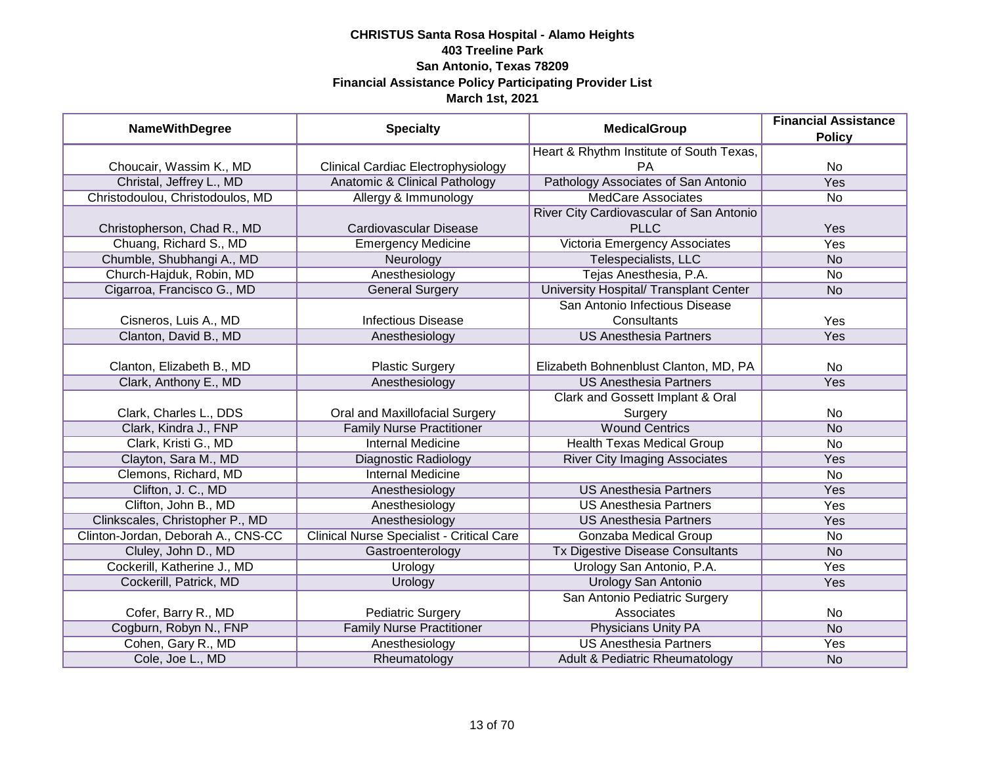| <b>NameWithDegree</b>              | <b>Specialty</b>                          | <b>MedicalGroup</b>                      | <b>Financial Assistance</b><br><b>Policy</b> |
|------------------------------------|-------------------------------------------|------------------------------------------|----------------------------------------------|
|                                    |                                           | Heart & Rhythm Institute of South Texas, |                                              |
| Choucair, Wassim K., MD            | <b>Clinical Cardiac Electrophysiology</b> | PA                                       | <b>No</b>                                    |
| Christal, Jeffrey L., MD           | Anatomic & Clinical Pathology             | Pathology Associates of San Antonio      | <b>Yes</b>                                   |
| Christodoulou, Christodoulos, MD   | Allergy & Immunology                      | <b>MedCare Associates</b>                | No                                           |
|                                    |                                           | River City Cardiovascular of San Antonio |                                              |
| Christopherson, Chad R., MD        | Cardiovascular Disease                    | <b>PLLC</b>                              | Yes                                          |
| Chuang, Richard S., MD             | <b>Emergency Medicine</b>                 | Victoria Emergency Associates            | <b>Yes</b>                                   |
| Chumble, Shubhangi A., MD          | Neurology                                 | Telespecialists, LLC                     | <b>No</b>                                    |
| Church-Hajduk, Robin, MD           | Anesthesiology                            | Tejas Anesthesia, P.A.                   | No                                           |
| Cigarroa, Francisco G., MD         | <b>General Surgery</b>                    | University Hospital/ Transplant Center   | <b>No</b>                                    |
|                                    |                                           | San Antonio Infectious Disease           |                                              |
| Cisneros, Luis A., MD              | <b>Infectious Disease</b>                 | Consultants                              | Yes                                          |
| Clanton, David B., MD              | Anesthesiology                            | <b>US Anesthesia Partners</b>            | Yes                                          |
|                                    |                                           |                                          |                                              |
| Clanton, Elizabeth B., MD          | <b>Plastic Surgery</b>                    | Elizabeth Bohnenblust Clanton, MD, PA    | No                                           |
| Clark, Anthony E., MD              | Anesthesiology                            | <b>US Anesthesia Partners</b>            | Yes                                          |
|                                    |                                           | Clark and Gossett Implant & Oral         |                                              |
| Clark, Charles L., DDS             | Oral and Maxillofacial Surgery            | Surgery                                  | No                                           |
| Clark, Kindra J., FNP              | <b>Family Nurse Practitioner</b>          | <b>Wound Centrics</b>                    | <b>No</b>                                    |
| Clark, Kristi G., MD               | <b>Internal Medicine</b>                  | <b>Health Texas Medical Group</b>        | No                                           |
| Clayton, Sara M., MD               | <b>Diagnostic Radiology</b>               | <b>River City Imaging Associates</b>     | Yes                                          |
| Clemons, Richard, MD               | <b>Internal Medicine</b>                  |                                          | No                                           |
| Clifton, J. C., MD                 | Anesthesiology                            | <b>US Anesthesia Partners</b>            | Yes                                          |
| Clifton, John B., MD               | Anesthesiology                            | <b>US Anesthesia Partners</b>            | Yes                                          |
| Clinkscales, Christopher P., MD    | Anesthesiology                            | <b>US Anesthesia Partners</b>            | Yes                                          |
| Clinton-Jordan, Deborah A., CNS-CC | Clinical Nurse Specialist - Critical Care | Gonzaba Medical Group                    | No                                           |
| Cluley, John D., MD                | Gastroenterology                          | Tx Digestive Disease Consultants         | <b>No</b>                                    |
| Cockerill, Katherine J., MD        | Urology                                   | Urology San Antonio, P.A.                | Yes                                          |
| Cockerill, Patrick, MD             | Urology                                   | <b>Urology San Antonio</b>               | Yes                                          |
|                                    |                                           | San Antonio Pediatric Surgery            |                                              |
| Cofer, Barry R., MD                | <b>Pediatric Surgery</b>                  | Associates                               | No                                           |
| Cogburn, Robyn N., FNP             | <b>Family Nurse Practitioner</b>          | <b>Physicians Unity PA</b>               | <b>No</b>                                    |
| Cohen, Gary R., MD                 | Anesthesiology                            | <b>US Anesthesia Partners</b>            | Yes                                          |
| Cole, Joe L., MD                   | Rheumatology                              | Adult & Pediatric Rheumatology           | <b>No</b>                                    |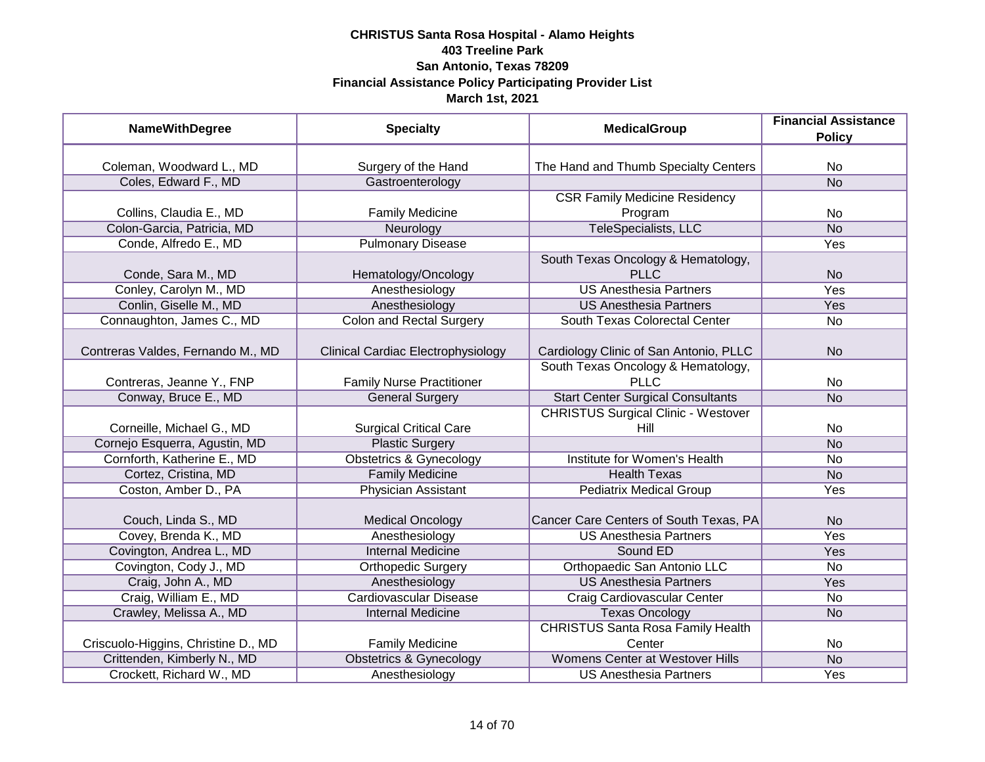| <b>NameWithDegree</b>               | <b>Specialty</b>                   | <b>MedicalGroup</b>                        | <b>Financial Assistance</b><br><b>Policy</b> |
|-------------------------------------|------------------------------------|--------------------------------------------|----------------------------------------------|
|                                     |                                    |                                            |                                              |
| Coleman, Woodward L., MD            | Surgery of the Hand                | The Hand and Thumb Specialty Centers       | No                                           |
| Coles, Edward F., MD                | Gastroenterology                   |                                            | <b>No</b>                                    |
|                                     |                                    | <b>CSR Family Medicine Residency</b>       |                                              |
| Collins, Claudia E., MD             | <b>Family Medicine</b>             | Program                                    | <b>No</b>                                    |
| Colon-Garcia, Patricia, MD          | Neurology                          | TeleSpecialists, LLC                       | <b>No</b>                                    |
| Conde, Alfredo E., MD               | <b>Pulmonary Disease</b>           |                                            | <b>Yes</b>                                   |
|                                     |                                    | South Texas Oncology & Hematology,         |                                              |
| Conde, Sara M., MD                  | Hematology/Oncology                | <b>PLLC</b>                                | <b>No</b>                                    |
| Conley, Carolyn M., MD              | Anesthesiology                     | <b>US Anesthesia Partners</b>              | Yes                                          |
| Conlin, Giselle M., MD              | Anesthesiology                     | <b>US Anesthesia Partners</b>              | Yes                                          |
| Connaughton, James C., MD           | <b>Colon and Rectal Surgery</b>    | South Texas Colorectal Center              | No                                           |
|                                     |                                    |                                            |                                              |
| Contreras Valdes, Fernando M., MD   | Clinical Cardiac Electrophysiology | Cardiology Clinic of San Antonio, PLLC     | N <sub>o</sub>                               |
|                                     |                                    | South Texas Oncology & Hematology,         |                                              |
| Contreras, Jeanne Y., FNP           | <b>Family Nurse Practitioner</b>   | PLLC                                       | No                                           |
| Conway, Bruce E., MD                | <b>General Surgery</b>             | <b>Start Center Surgical Consultants</b>   | <b>No</b>                                    |
|                                     |                                    | <b>CHRISTUS Surgical Clinic - Westover</b> |                                              |
| Corneille, Michael G., MD           | <b>Surgical Critical Care</b>      | Hill                                       | No                                           |
| Cornejo Esquerra, Agustin, MD       | <b>Plastic Surgery</b>             |                                            | <b>No</b>                                    |
| Cornforth, Katherine E., MD         | <b>Obstetrics &amp; Gynecology</b> | Institute for Women's Health               | <b>No</b>                                    |
| Cortez, Cristina, MD                | <b>Family Medicine</b>             | <b>Health Texas</b>                        | <b>No</b>                                    |
| Coston, Amber D., PA                | <b>Physician Assistant</b>         | <b>Pediatrix Medical Group</b>             | Yes                                          |
| Couch, Linda S., MD                 | <b>Medical Oncology</b>            | Cancer Care Centers of South Texas, PA     | N <sub>o</sub>                               |
| Covey, Brenda K., MD                | Anesthesiology                     | <b>US Anesthesia Partners</b>              | Yes                                          |
| Covington, Andrea L., MD            | <b>Internal Medicine</b>           | Sound ED                                   | Yes                                          |
| Covington, Cody J., MD              | <b>Orthopedic Surgery</b>          | Orthopaedic San Antonio LLC                | <b>No</b>                                    |
| Craig, John A., MD                  | Anesthesiology                     | <b>US Anesthesia Partners</b>              | <b>Yes</b>                                   |
| Craig, William E., MD               | <b>Cardiovascular Disease</b>      | Craig Cardiovascular Center                | No                                           |
| Crawley, Melissa A., MD             | <b>Internal Medicine</b>           | <b>Texas Oncology</b>                      | <b>No</b>                                    |
|                                     |                                    | <b>CHRISTUS Santa Rosa Family Health</b>   |                                              |
| Criscuolo-Higgins, Christine D., MD | <b>Family Medicine</b>             | Center                                     | No                                           |
| Crittenden, Kimberly N., MD         | <b>Obstetrics &amp; Gynecology</b> | <b>Womens Center at Westover Hills</b>     | N <sub>o</sub>                               |
| Crockett, Richard W., MD            | Anesthesiology                     | <b>US Anesthesia Partners</b>              | <b>Yes</b>                                   |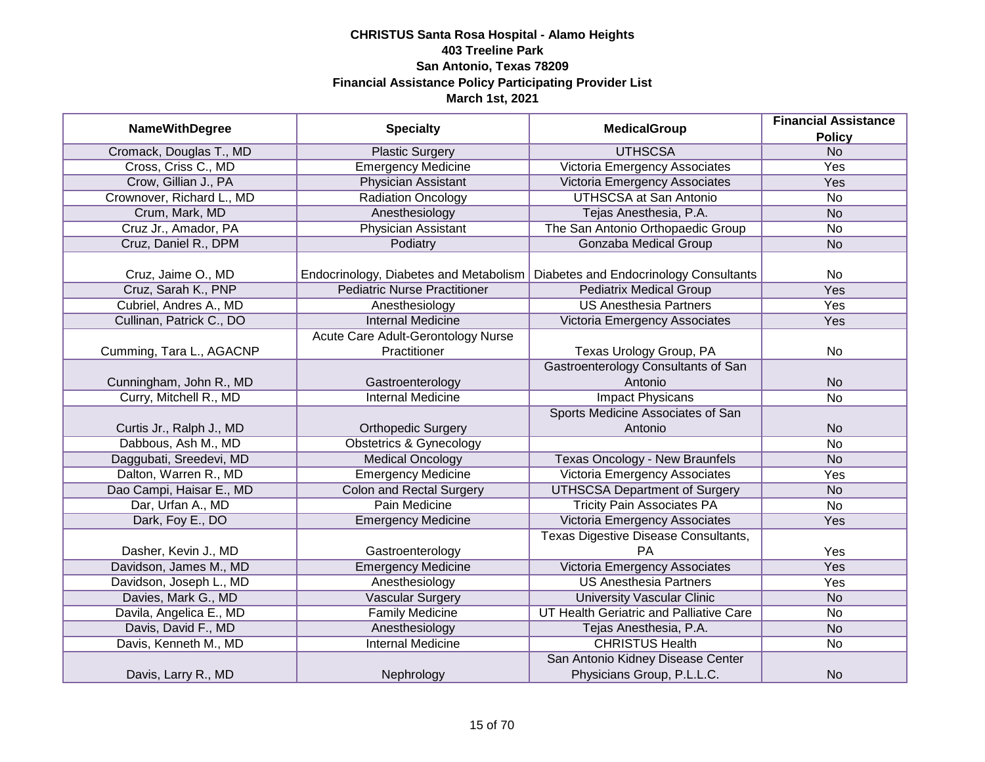| <b>NameWithDegree</b>     | <b>Specialty</b>                       | <b>MedicalGroup</b>                        | <b>Financial Assistance</b> |
|---------------------------|----------------------------------------|--------------------------------------------|-----------------------------|
|                           |                                        |                                            | <b>Policy</b>               |
| Cromack, Douglas T., MD   | <b>Plastic Surgery</b>                 | <b>UTHSCSA</b>                             | N <sub>o</sub>              |
| Cross, Criss C., MD       | <b>Emergency Medicine</b>              | Victoria Emergency Associates              | <b>Yes</b>                  |
| Crow, Gillian J., PA      | Physician Assistant                    | Victoria Emergency Associates              | Yes                         |
| Crownover, Richard L., MD | Radiation Oncology                     | <b>UTHSCSA at San Antonio</b>              | No                          |
| Crum, Mark, MD            | Anesthesiology                         | Tejas Anesthesia, P.A.                     | <b>No</b>                   |
| Cruz Jr., Amador, PA      | Physician Assistant                    | The San Antonio Orthopaedic Group          | No                          |
| Cruz, Daniel R., DPM      | Podiatry                               | <b>Gonzaba Medical Group</b>               | <b>No</b>                   |
|                           |                                        |                                            |                             |
| Cruz, Jaime O., MD        | Endocrinology, Diabetes and Metabolism | Diabetes and Endocrinology Consultants     | No                          |
| Cruz, Sarah K., PNP       | <b>Pediatric Nurse Practitioner</b>    | <b>Pediatrix Medical Group</b>             | <b>Yes</b>                  |
| Cubriel, Andres A., MD    | Anesthesiology                         | <b>US Anesthesia Partners</b>              | Yes                         |
| Cullinan, Patrick C., DO  | <b>Internal Medicine</b>               | Victoria Emergency Associates              | Yes                         |
|                           | Acute Care Adult-Gerontology Nurse     |                                            |                             |
| Cumming, Tara L., AGACNP  | Practitioner                           | Texas Urology Group, PA                    | No                          |
|                           |                                        | <b>Gastroenterology Consultants of San</b> |                             |
| Cunningham, John R., MD   | Gastroenterology                       | Antonio                                    | <b>No</b>                   |
| Curry, Mitchell R., MD    | <b>Internal Medicine</b>               | <b>Impact Physicans</b>                    | No                          |
|                           |                                        | Sports Medicine Associates of San          |                             |
| Curtis Jr., Ralph J., MD  | <b>Orthopedic Surgery</b>              | Antonio                                    | <b>No</b>                   |
| Dabbous, Ash M., MD       | <b>Obstetrics &amp; Gynecology</b>     |                                            | <b>No</b>                   |
| Daggubati, Sreedevi, MD   | <b>Medical Oncology</b>                | <b>Texas Oncology - New Braunfels</b>      | <b>No</b>                   |
| Dalton, Warren R., MD     | <b>Emergency Medicine</b>              | Victoria Emergency Associates              | Yes                         |
| Dao Campi, Haisar E., MD  | <b>Colon and Rectal Surgery</b>        | <b>UTHSCSA Department of Surgery</b>       | <b>No</b>                   |
| Dar, Urfan A., MD         | Pain Medicine                          | <b>Tricity Pain Associates PA</b>          | No                          |
| Dark, Foy E., DO          | <b>Emergency Medicine</b>              | Victoria Emergency Associates              | Yes                         |
|                           |                                        | Texas Digestive Disease Consultants,       |                             |
| Dasher, Kevin J., MD      | Gastroenterology                       | <b>PA</b>                                  | Yes                         |
| Davidson, James M., MD    | <b>Emergency Medicine</b>              | Victoria Emergency Associates              | <b>Yes</b>                  |
| Davidson, Joseph L., MD   | Anesthesiology                         | <b>US Anesthesia Partners</b>              | Yes                         |
| Davies, Mark G., MD       | <b>Vascular Surgery</b>                | <b>University Vascular Clinic</b>          | <b>No</b>                   |
| Davila, Angelica E., MD   | <b>Family Medicine</b>                 | UT Health Geriatric and Palliative Care    | No                          |
| Davis, David F., MD       | Anesthesiology                         | Tejas Anesthesia, P.A.                     | <b>No</b>                   |
| Davis, Kenneth M., MD     | <b>Internal Medicine</b>               | <b>CHRISTUS Health</b>                     | No                          |
|                           |                                        | San Antonio Kidney Disease Center          |                             |
| Davis, Larry R., MD       | Nephrology                             | Physicians Group, P.L.L.C.                 | <b>No</b>                   |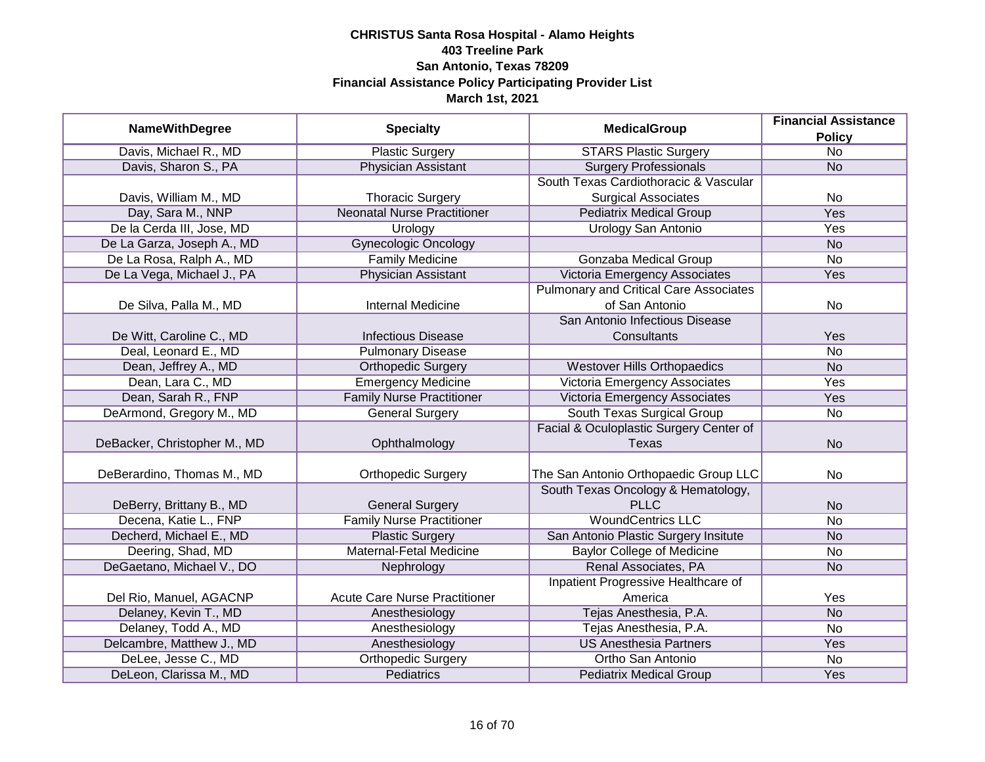|                              |                                      | <b>Financial Assistance</b>                   |                 |
|------------------------------|--------------------------------------|-----------------------------------------------|-----------------|
| <b>NameWithDegree</b>        | <b>Specialty</b>                     | <b>MedicalGroup</b>                           | <b>Policy</b>   |
| Davis, Michael R., MD        | <b>Plastic Surgery</b>               | <b>STARS Plastic Surgery</b>                  | $\overline{No}$ |
| Davis, Sharon S., PA         | <b>Physician Assistant</b>           | <b>Surgery Professionals</b>                  | <b>No</b>       |
|                              |                                      | South Texas Cardiothoracic & Vascular         |                 |
| Davis, William M., MD        | <b>Thoracic Surgery</b>              | <b>Surgical Associates</b>                    | <b>No</b>       |
| Day, Sara M., NNP            | <b>Neonatal Nurse Practitioner</b>   | <b>Pediatrix Medical Group</b>                | <b>Yes</b>      |
| De la Cerda III, Jose, MD    | Urology                              | Urology San Antonio                           | Yes             |
| De La Garza, Joseph A., MD   | <b>Gynecologic Oncology</b>          |                                               | <b>No</b>       |
| De La Rosa, Ralph A., MD     | <b>Family Medicine</b>               | Gonzaba Medical Group                         | <b>No</b>       |
| De La Vega, Michael J., PA   | Physician Assistant                  | Victoria Emergency Associates                 | Yes             |
|                              |                                      | <b>Pulmonary and Critical Care Associates</b> |                 |
| De Silva, Palla M., MD       | <b>Internal Medicine</b>             | of San Antonio                                | <b>No</b>       |
|                              |                                      | San Antonio Infectious Disease                |                 |
| De Witt, Caroline C., MD     | <b>Infectious Disease</b>            | Consultants                                   | Yes             |
| Deal, Leonard E., MD         | <b>Pulmonary Disease</b>             |                                               | <b>No</b>       |
| Dean, Jeffrey A., MD         | <b>Orthopedic Surgery</b>            | <b>Westover Hills Orthopaedics</b>            | <b>No</b>       |
| Dean, Lara C., MD            | <b>Emergency Medicine</b>            | Victoria Emergency Associates                 | Yes             |
| Dean, Sarah R., FNP          | <b>Family Nurse Practitioner</b>     | <b>Victoria Emergency Associates</b>          | Yes             |
| DeArmond, Gregory M., MD     | <b>General Surgery</b>               | South Texas Surgical Group                    | <b>No</b>       |
|                              |                                      | Facial & Oculoplastic Surgery Center of       |                 |
| DeBacker, Christopher M., MD | Ophthalmology                        | Texas                                         | <b>No</b>       |
|                              |                                      |                                               |                 |
| DeBerardino, Thomas M., MD   | <b>Orthopedic Surgery</b>            | The San Antonio Orthopaedic Group LLC         | <b>No</b>       |
|                              |                                      | South Texas Oncology & Hematology,            |                 |
| DeBerry, Brittany B., MD     | <b>General Surgery</b>               | <b>PLLC</b>                                   | <b>No</b>       |
| Decena, Katie L., FNP        | <b>Family Nurse Practitioner</b>     | <b>WoundCentrics LLC</b>                      | <b>No</b>       |
| Decherd, Michael E., MD      | <b>Plastic Surgery</b>               | San Antonio Plastic Surgery Insitute          | <b>No</b>       |
| Deering, Shad, MD            | Maternal-Fetal Medicine              | <b>Baylor College of Medicine</b>             | <b>No</b>       |
| DeGaetano, Michael V., DO    | Nephrology                           | Renal Associates, PA                          | <b>No</b>       |
|                              |                                      | Inpatient Progressive Healthcare of           |                 |
| Del Rio, Manuel, AGACNP      | <b>Acute Care Nurse Practitioner</b> | America                                       | Yes             |
| Delaney, Kevin T., MD        | Anesthesiology                       | Tejas Anesthesia, P.A.                        | N <sub>o</sub>  |
| Delaney, Todd A., MD         | Anesthesiology                       | Tejas Anesthesia, P.A.                        | <b>No</b>       |
| Delcambre, Matthew J., MD    | Anesthesiology                       | <b>US Anesthesia Partners</b>                 | Yes             |
| DeLee, Jesse C., MD          | <b>Orthopedic Surgery</b>            | Ortho San Antonio                             | No              |
| DeLeon, Clarissa M., MD      | <b>Pediatrics</b>                    | <b>Pediatrix Medical Group</b>                | Yes             |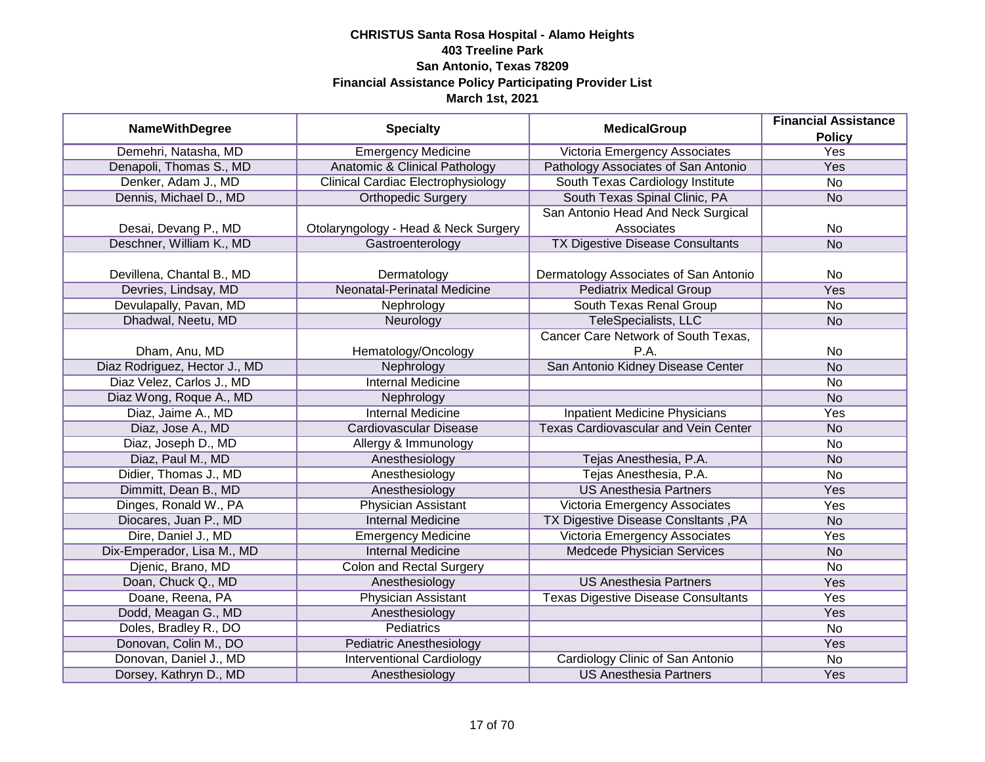| <b>NameWithDegree</b>         | <b>Specialty</b>                          | <b>MedicalGroup</b>                         | <b>Financial Assistance</b> |
|-------------------------------|-------------------------------------------|---------------------------------------------|-----------------------------|
|                               |                                           |                                             | <b>Policy</b>               |
| Demehri, Natasha, MD          | <b>Emergency Medicine</b>                 | Victoria Emergency Associates               | <b>Yes</b>                  |
| Denapoli, Thomas S., MD       | <b>Anatomic &amp; Clinical Pathology</b>  | Pathology Associates of San Antonio         | <b>Yes</b>                  |
| Denker, Adam J., MD           | <b>Clinical Cardiac Electrophysiology</b> | South Texas Cardiology Institute            | <b>No</b>                   |
| Dennis, Michael D., MD        | <b>Orthopedic Surgery</b>                 | South Texas Spinal Clinic, PA               | <b>No</b>                   |
|                               |                                           | San Antonio Head And Neck Surgical          |                             |
| Desai, Devang P., MD          | Otolaryngology - Head & Neck Surgery      | Associates                                  | No                          |
| Deschner, William K., MD      | Gastroenterology                          | <b>TX Digestive Disease Consultants</b>     | <b>No</b>                   |
|                               |                                           |                                             |                             |
| Devillena, Chantal B., MD     | Dermatology                               | Dermatology Associates of San Antonio       | <b>No</b>                   |
| Devries, Lindsay, MD          | Neonatal-Perinatal Medicine               | <b>Pediatrix Medical Group</b>              | Yes                         |
| Devulapally, Pavan, MD        | Nephrology                                | South Texas Renal Group                     | <b>No</b>                   |
| Dhadwal, Neetu, MD            | Neurology                                 | <b>TeleSpecialists, LLC</b>                 | <b>No</b>                   |
|                               |                                           | Cancer Care Network of South Texas,         |                             |
| Dham, Anu, MD                 | Hematology/Oncology                       | P.A.                                        | No                          |
| Diaz Rodriguez, Hector J., MD | Nephrology                                | San Antonio Kidney Disease Center           | <b>No</b>                   |
| Diaz Velez, Carlos J., MD     | <b>Internal Medicine</b>                  |                                             | No                          |
| Diaz Wong, Roque A., MD       | Nephrology                                |                                             | <b>No</b>                   |
| Diaz, Jaime A., MD            | <b>Internal Medicine</b>                  | <b>Inpatient Medicine Physicians</b>        | Yes                         |
| Diaz, Jose A., MD             | Cardiovascular Disease                    | <b>Texas Cardiovascular and Vein Center</b> | <b>No</b>                   |
| Diaz, Joseph D., MD           | Allergy & Immunology                      |                                             | No                          |
| Diaz, Paul M., MD             | Anesthesiology                            | Tejas Anesthesia, P.A.                      | <b>No</b>                   |
| Didier, Thomas J., MD         | Anesthesiology                            | Tejas Anesthesia, P.A.                      | No                          |
| Dimmitt, Dean B., MD          | Anesthesiology                            | <b>US Anesthesia Partners</b>               | Yes                         |
| Dinges, Ronald W., PA         | Physician Assistant                       | Victoria Emergency Associates               | Yes                         |
| Diocares, Juan P., MD         | <b>Internal Medicine</b>                  | TX Digestive Disease ConsItants, PA         | <b>No</b>                   |
| Dire, Daniel J., MD           | <b>Emergency Medicine</b>                 | <b>Victoria Emergency Associates</b>        | Yes                         |
| Dix-Emperador, Lisa M., MD    | <b>Internal Medicine</b>                  | Medcede Physician Services                  | <b>No</b>                   |
| Djenic, Brano, MD             | <b>Colon and Rectal Surgery</b>           |                                             | <b>No</b>                   |
| Doan, Chuck Q., MD            | Anesthesiology                            | <b>US Anesthesia Partners</b>               | Yes                         |
| Doane, Reena, PA              | <b>Physician Assistant</b>                | <b>Texas Digestive Disease Consultants</b>  | Yes                         |
| Dodd, Meagan G., MD           | Anesthesiology                            |                                             | Yes                         |
| Doles, Bradley R., DO         | <b>Pediatrics</b>                         |                                             | $\overline{No}$             |
| Donovan, Colin M., DO         | <b>Pediatric Anesthesiology</b>           |                                             | Yes                         |
| Donovan, Daniel J., MD        | <b>Interventional Cardiology</b>          | Cardiology Clinic of San Antonio            | <b>No</b>                   |
| Dorsey, Kathryn D., MD        | Anesthesiology                            | <b>US Anesthesia Partners</b>               | Yes                         |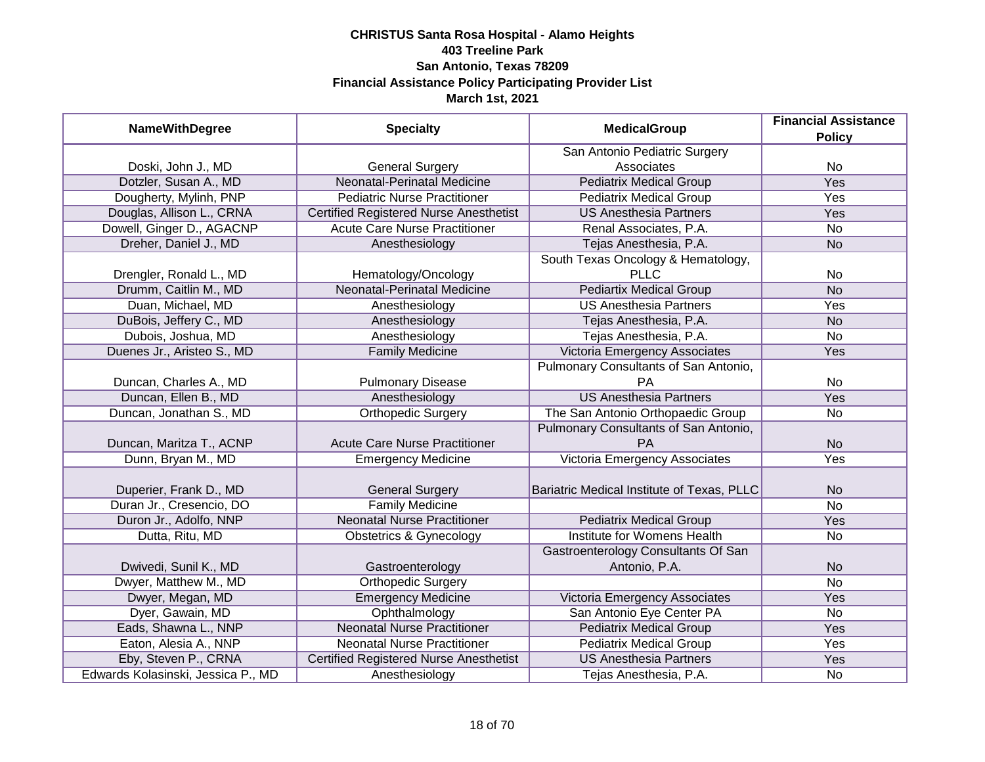| <b>NameWithDegree</b>              | <b>Specialty</b>                              | <b>MedicalGroup</b>                                  | <b>Financial Assistance</b><br><b>Policy</b> |
|------------------------------------|-----------------------------------------------|------------------------------------------------------|----------------------------------------------|
|                                    |                                               | San Antonio Pediatric Surgery                        |                                              |
| Doski, John J., MD                 | <b>General Surgery</b>                        | Associates                                           | No                                           |
| Dotzler, Susan A., MD              | <b>Neonatal-Perinatal Medicine</b>            | <b>Pediatrix Medical Group</b>                       | <b>Yes</b>                                   |
| Dougherty, Mylinh, PNP             | <b>Pediatric Nurse Practitioner</b>           | <b>Pediatrix Medical Group</b>                       | <b>Yes</b>                                   |
| Douglas, Allison L., CRNA          | <b>Certified Registered Nurse Anesthetist</b> | <b>US Anesthesia Partners</b>                        | Yes                                          |
| Dowell, Ginger D., AGACNP          | <b>Acute Care Nurse Practitioner</b>          | Renal Associates, P.A.                               | No                                           |
| Dreher, Daniel J., MD              | Anesthesiology                                | Tejas Anesthesia, P.A.                               | <b>No</b>                                    |
|                                    |                                               | South Texas Oncology & Hematology,                   |                                              |
| Drengler, Ronald L., MD            | Hematology/Oncology                           | <b>PLLC</b>                                          | No                                           |
| Drumm, Caitlin M., MD              | Neonatal-Perinatal Medicine                   | <b>Pediartix Medical Group</b>                       | <b>No</b>                                    |
| Duan, Michael, MD                  | Anesthesiology                                | <b>US Anesthesia Partners</b>                        | Yes                                          |
| DuBois, Jeffery C., MD             | Anesthesiology                                | Tejas Anesthesia, P.A.                               | <b>No</b>                                    |
| Dubois, Joshua, MD                 | Anesthesiology                                | Tejas Anesthesia, P.A.                               | <b>No</b>                                    |
| Duenes Jr., Aristeo S., MD         | <b>Family Medicine</b>                        | Victoria Emergency Associates                        | Yes                                          |
|                                    |                                               | Pulmonary Consultants of San Antonio,                |                                              |
| Duncan, Charles A., MD             | <b>Pulmonary Disease</b>                      | <b>PA</b>                                            | No                                           |
| Duncan, Ellen B., MD               | Anesthesiology                                | <b>US Anesthesia Partners</b>                        | Yes                                          |
| Duncan, Jonathan S., MD            | Orthopedic Surgery                            | The San Antonio Orthopaedic Group                    | No                                           |
|                                    |                                               | Pulmonary Consultants of San Antonio,                |                                              |
| Duncan, Maritza T., ACNP           | <b>Acute Care Nurse Practitioner</b>          | <b>PA</b>                                            | <b>No</b>                                    |
| Dunn, Bryan M., MD                 | <b>Emergency Medicine</b>                     | Victoria Emergency Associates                        | Yes                                          |
| Duperier, Frank D., MD             | <b>General Surgery</b>                        | Bariatric Medical Institute of Texas, PLLC           | <b>No</b>                                    |
| Duran Jr., Cresencio, DO           | <b>Family Medicine</b>                        |                                                      | $\overline{No}$                              |
| Duron Jr., Adolfo, NNP             | <b>Neonatal Nurse Practitioner</b>            | <b>Pediatrix Medical Group</b>                       | Yes                                          |
| Dutta, Ritu, MD                    | <b>Obstetrics &amp; Gynecology</b>            | Institute for Womens Health                          | No                                           |
| Dwivedi, Sunil K., MD              | Gastroenterology                              | Gastroenterology Consultants Of San<br>Antonio, P.A. | <b>No</b>                                    |
| Dwyer, Matthew M., MD              | <b>Orthopedic Surgery</b>                     |                                                      | <b>No</b>                                    |
| Dwyer, Megan, MD                   | <b>Emergency Medicine</b>                     | Victoria Emergency Associates                        | Yes                                          |
| Dyer, Gawain, MD                   | Ophthalmology                                 | San Antonio Eye Center PA                            | No                                           |
| Eads, Shawna L., NNP               | <b>Neonatal Nurse Practitioner</b>            | <b>Pediatrix Medical Group</b>                       | Yes                                          |
| Eaton, Alesia A., NNP              | <b>Neonatal Nurse Practitioner</b>            | <b>Pediatrix Medical Group</b>                       | Yes                                          |
| Eby, Steven P., CRNA               | <b>Certified Registered Nurse Anesthetist</b> | <b>US Anesthesia Partners</b>                        | Yes                                          |
| Edwards Kolasinski, Jessica P., MD | Anesthesiology                                | Tejas Anesthesia, P.A.                               | No                                           |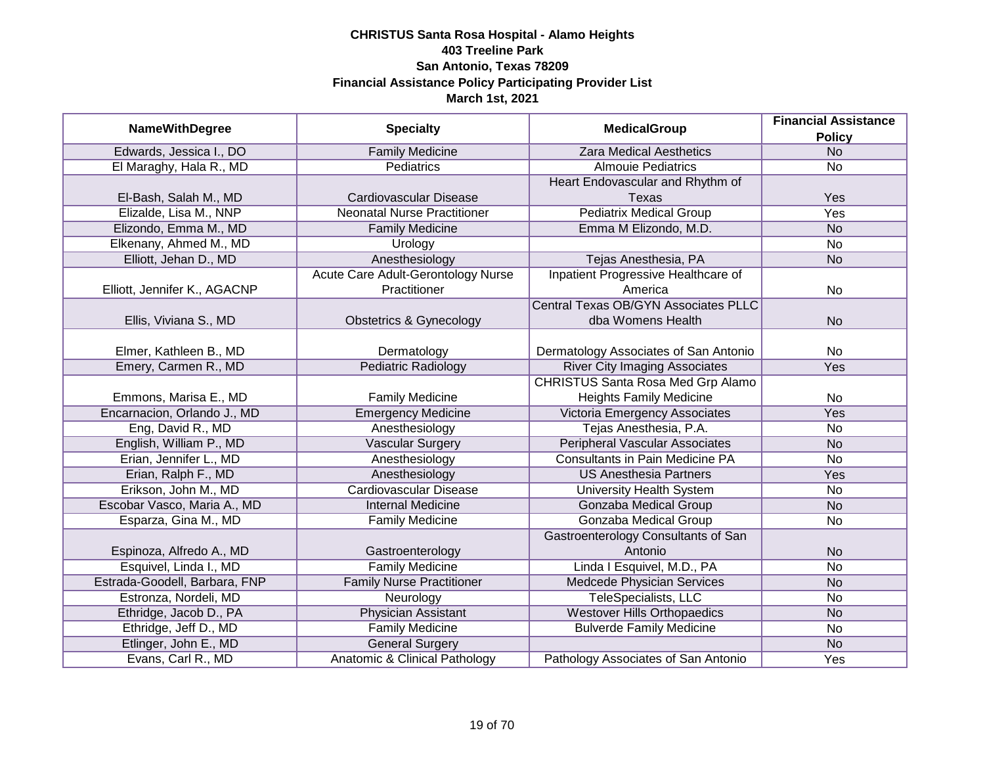|                               |                                    |                                             | <b>Financial Assistance</b> |
|-------------------------------|------------------------------------|---------------------------------------------|-----------------------------|
| <b>NameWithDegree</b>         | <b>Specialty</b>                   | <b>MedicalGroup</b>                         | <b>Policy</b>               |
| Edwards, Jessica I., DO       | <b>Family Medicine</b>             | <b>Zara Medical Aesthetics</b>              | <b>No</b>                   |
| El Maraghy, Hala R., MD       | Pediatrics                         | <b>Almouie Pediatrics</b>                   | <b>No</b>                   |
|                               |                                    | Heart Endovascular and Rhythm of            |                             |
| El-Bash, Salah M., MD         | Cardiovascular Disease             | <b>Texas</b>                                | Yes                         |
| Elizalde, Lisa M., NNP        | <b>Neonatal Nurse Practitioner</b> | <b>Pediatrix Medical Group</b>              | <b>Yes</b>                  |
| Elizondo, Emma M., MD         | <b>Family Medicine</b>             | Emma M Elizondo, M.D.                       | <b>No</b>                   |
| Elkenany, Ahmed M., MD        | Urology                            |                                             | No                          |
| Elliott, Jehan D., MD         | Anesthesiology                     | Tejas Anesthesia, PA                        | <b>No</b>                   |
|                               | Acute Care Adult-Gerontology Nurse | Inpatient Progressive Healthcare of         |                             |
| Elliott, Jennifer K., AGACNP  | Practitioner                       | America                                     | No                          |
|                               |                                    | <b>Central Texas OB/GYN Associates PLLC</b> |                             |
| Ellis, Viviana S., MD         | <b>Obstetrics &amp; Gynecology</b> | dba Womens Health                           | <b>No</b>                   |
|                               |                                    |                                             |                             |
| Elmer, Kathleen B., MD        | Dermatology                        | Dermatology Associates of San Antonio       | <b>No</b>                   |
| Emery, Carmen R., MD          | Pediatric Radiology                | <b>River City Imaging Associates</b>        | Yes                         |
|                               |                                    | CHRISTUS Santa Rosa Med Grp Alamo           |                             |
| Emmons, Marisa E., MD         | <b>Family Medicine</b>             | <b>Heights Family Medicine</b>              | <b>No</b>                   |
| Encarnacion, Orlando J., MD   | <b>Emergency Medicine</b>          | Victoria Emergency Associates               | Yes                         |
| Eng, David R., MD             | Anesthesiology                     | Tejas Anesthesia, P.A.                      | <b>No</b>                   |
| English, William P., MD       | <b>Vascular Surgery</b>            | <b>Peripheral Vascular Associates</b>       | <b>No</b>                   |
| Erian, Jennifer L., MD        | Anesthesiology                     | <b>Consultants in Pain Medicine PA</b>      | No                          |
| Erian, Ralph F., MD           | Anesthesiology                     | <b>US Anesthesia Partners</b>               | Yes                         |
| Erikson, John M., MD          | <b>Cardiovascular Disease</b>      | <b>University Health System</b>             | <b>No</b>                   |
| Escobar Vasco, Maria A., MD   | <b>Internal Medicine</b>           | <b>Gonzaba Medical Group</b>                | <b>No</b>                   |
| Esparza, Gina M., MD          | <b>Family Medicine</b>             | Gonzaba Medical Group                       | No                          |
|                               |                                    | Gastroenterology Consultants of San         |                             |
| Espinoza, Alfredo A., MD      | Gastroenterology                   | Antonio                                     | <b>No</b>                   |
| Esquivel, Linda I., MD        | <b>Family Medicine</b>             | Linda I Esquivel, M.D., PA                  | <b>No</b>                   |
| Estrada-Goodell, Barbara, FNP | <b>Family Nurse Practitioner</b>   | Medcede Physician Services                  | <b>No</b>                   |
| Estronza, Nordeli, MD         | Neurology                          | TeleSpecialists, LLC                        | No                          |
| Ethridge, Jacob D., PA        | <b>Physician Assistant</b>         | <b>Westover Hills Orthopaedics</b>          | <b>No</b>                   |
| Ethridge, Jeff D., MD         | <b>Family Medicine</b>             | <b>Bulverde Family Medicine</b>             | <b>No</b>                   |
| Etlinger, John E., MD         | <b>General Surgery</b>             |                                             | <b>No</b>                   |
| Evans, Carl R., MD            | Anatomic & Clinical Pathology      | Pathology Associates of San Antonio         | Yes                         |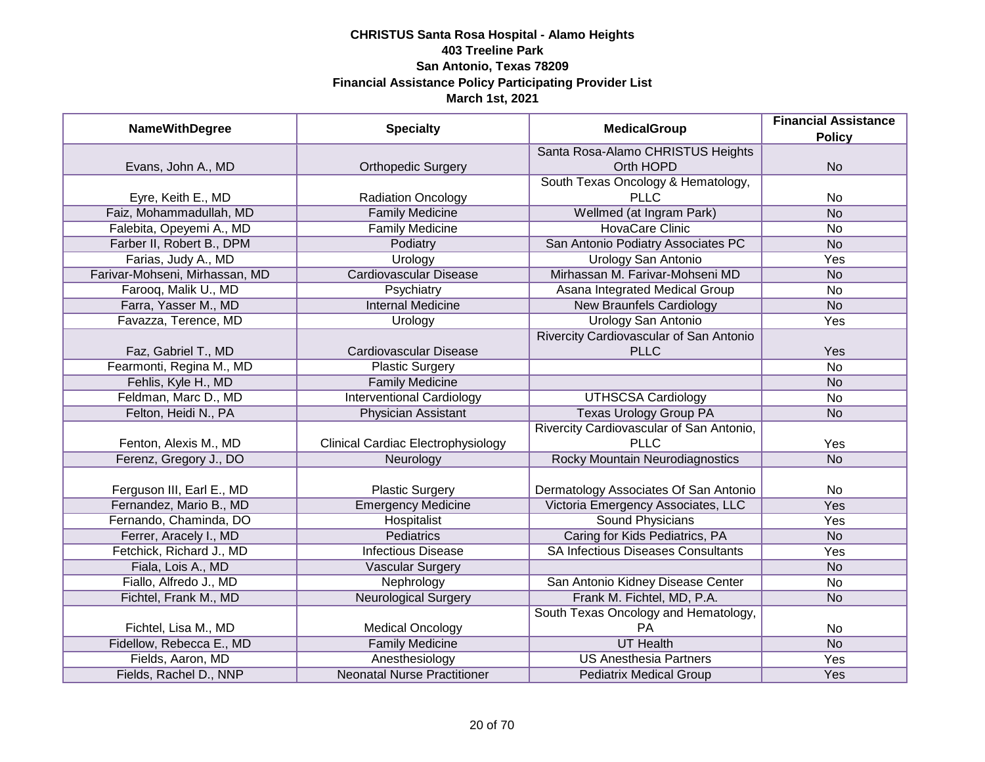| <b>NameWithDegree</b>          | <b>Specialty</b>                          | <b>MedicalGroup</b>                       | <b>Financial Assistance</b> |
|--------------------------------|-------------------------------------------|-------------------------------------------|-----------------------------|
|                                |                                           |                                           | <b>Policy</b>               |
|                                |                                           | Santa Rosa-Alamo CHRISTUS Heights         |                             |
| Evans, John A., MD             | <b>Orthopedic Surgery</b>                 | Orth HOPD                                 | <b>No</b>                   |
|                                |                                           | South Texas Oncology & Hematology,        |                             |
| Eyre, Keith E., MD             | <b>Radiation Oncology</b>                 | <b>PLLC</b>                               | No                          |
| Faiz, Mohammadullah, MD        | <b>Family Medicine</b>                    | Wellmed (at Ingram Park)                  | <b>No</b>                   |
| Falebita, Opeyemi A., MD       | <b>Family Medicine</b>                    | <b>HovaCare Clinic</b>                    | No                          |
| Farber II, Robert B., DPM      | Podiatry                                  | San Antonio Podiatry Associates PC        | <b>No</b>                   |
| Farias, Judy A., MD            | Urology                                   | <b>Urology San Antonio</b>                | Yes                         |
| Farivar-Mohseni, Mirhassan, MD | <b>Cardiovascular Disease</b>             | Mirhassan M. Farivar-Mohseni MD           | <b>No</b>                   |
| Farooq, Malik U., MD           | Psychiatry                                | Asana Integrated Medical Group            | <b>No</b>                   |
| Farra, Yasser M., MD           | <b>Internal Medicine</b>                  | <b>New Braunfels Cardiology</b>           | <b>No</b>                   |
| Favazza, Terence, MD           | Urology                                   | <b>Urology San Antonio</b>                | Yes                         |
|                                |                                           | Rivercity Cardiovascular of San Antonio   |                             |
| Faz, Gabriel T., MD            | Cardiovascular Disease                    | <b>PLLC</b>                               | Yes                         |
| Fearmonti, Regina M., MD       | <b>Plastic Surgery</b>                    |                                           | <b>No</b>                   |
| Fehlis, Kyle H., MD            | <b>Family Medicine</b>                    |                                           | <b>No</b>                   |
| Feldman, Marc D., MD           | <b>Interventional Cardiology</b>          | <b>UTHSCSA Cardiology</b>                 | No                          |
| Felton, Heidi N., PA           | <b>Physician Assistant</b>                | <b>Texas Urology Group PA</b>             | <b>No</b>                   |
|                                |                                           | Rivercity Cardiovascular of San Antonio,  |                             |
| Fenton, Alexis M., MD          | <b>Clinical Cardiac Electrophysiology</b> | <b>PLLC</b>                               | Yes                         |
| Ferenz, Gregory J., DO         | Neurology                                 | <b>Rocky Mountain Neurodiagnostics</b>    | <b>No</b>                   |
|                                |                                           |                                           |                             |
| Ferguson III, Earl E., MD      | <b>Plastic Surgery</b>                    | Dermatology Associates Of San Antonio     | No                          |
| Fernandez, Mario B., MD        | <b>Emergency Medicine</b>                 | Victoria Emergency Associates, LLC        | Yes                         |
| Fernando, Chaminda, DO         | Hospitalist                               | <b>Sound Physicians</b>                   | Yes                         |
| Ferrer, Aracely I., MD         | Pediatrics                                | Caring for Kids Pediatrics, PA            | <b>No</b>                   |
| Fetchick, Richard J., MD       | <b>Infectious Disease</b>                 | <b>SA Infectious Diseases Consultants</b> | Yes                         |
| Fiala, Lois A., MD             | <b>Vascular Surgery</b>                   |                                           | <b>No</b>                   |
| Fiallo, Alfredo J., MD         | Nephrology                                | San Antonio Kidney Disease Center         | No                          |
| Fichtel, Frank M., MD          | <b>Neurological Surgery</b>               | Frank M. Fichtel, MD, P.A.                | <b>No</b>                   |
|                                |                                           | South Texas Oncology and Hematology,      |                             |
| Fichtel, Lisa M., MD           | <b>Medical Oncology</b>                   | PA                                        | No                          |
| Fidellow, Rebecca E., MD       | <b>Family Medicine</b>                    | <b>UT Health</b>                          | N <sub>o</sub>              |
| Fields, Aaron, MD              | Anesthesiology                            | <b>US Anesthesia Partners</b>             | <b>Yes</b>                  |
| Fields, Rachel D., NNP         | <b>Neonatal Nurse Practitioner</b>        | <b>Pediatrix Medical Group</b>            | Yes                         |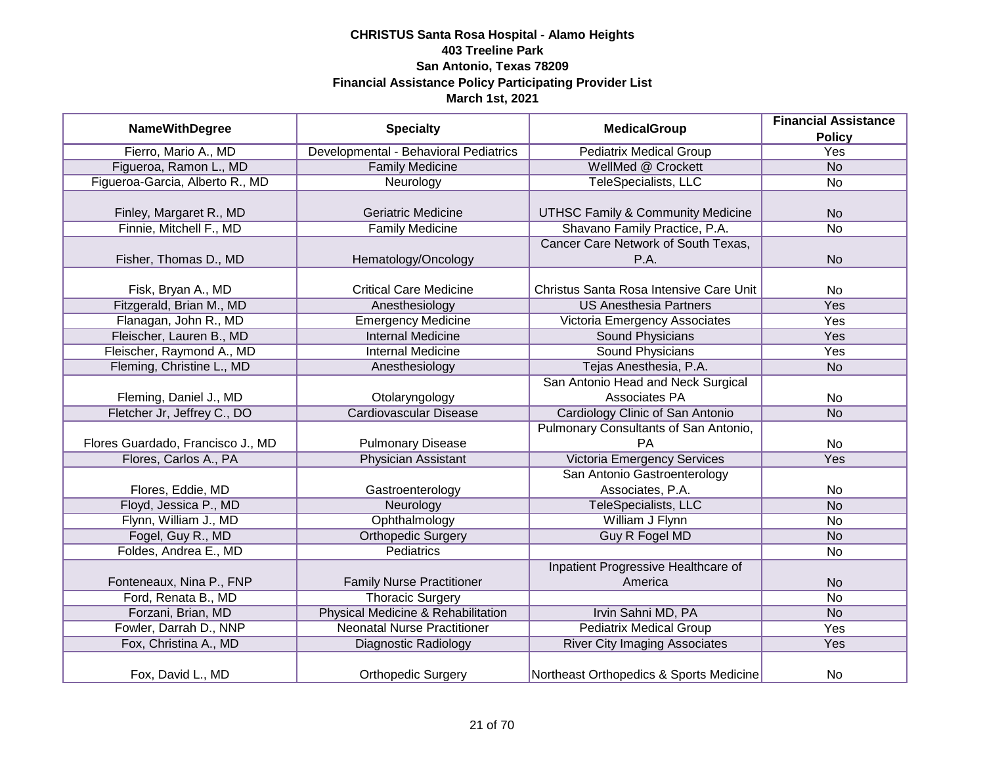| <b>NameWithDegree</b>             | <b>Specialty</b>                      | <b>MedicalGroup</b>                          | <b>Financial Assistance</b> |
|-----------------------------------|---------------------------------------|----------------------------------------------|-----------------------------|
|                                   |                                       |                                              | <b>Policy</b>               |
| Fierro, Mario A., MD              | Developmental - Behavioral Pediatrics | <b>Pediatrix Medical Group</b>               | <b>Yes</b>                  |
| Figueroa, Ramon L., MD            | <b>Family Medicine</b>                | WellMed @ Crockett                           | N <sub>o</sub>              |
| Figueroa-Garcia, Alberto R., MD   | Neurology                             | TeleSpecialists, LLC                         | <b>No</b>                   |
|                                   |                                       |                                              |                             |
| Finley, Margaret R., MD           | <b>Geriatric Medicine</b>             | <b>UTHSC Family &amp; Community Medicine</b> | <b>No</b>                   |
| Finnie, Mitchell F., MD           | <b>Family Medicine</b>                | Shavano Family Practice, P.A.                | <b>No</b>                   |
|                                   |                                       | Cancer Care Network of South Texas,          |                             |
| Fisher, Thomas D., MD             | Hematology/Oncology                   | P.A.                                         | <b>No</b>                   |
|                                   |                                       |                                              |                             |
| Fisk, Bryan A., MD                | <b>Critical Care Medicine</b>         | Christus Santa Rosa Intensive Care Unit      | <b>No</b>                   |
| Fitzgerald, Brian M., MD          | Anesthesiology                        | <b>US Anesthesia Partners</b>                | Yes                         |
| Flanagan, John R., MD             | <b>Emergency Medicine</b>             | Victoria Emergency Associates                | Yes                         |
| Fleischer, Lauren B., MD          | <b>Internal Medicine</b>              | <b>Sound Physicians</b>                      | Yes                         |
| Fleischer, Raymond A., MD         | <b>Internal Medicine</b>              | <b>Sound Physicians</b>                      | Yes                         |
| Fleming, Christine L., MD         | Anesthesiology                        | Tejas Anesthesia, P.A.                       | <b>No</b>                   |
|                                   |                                       | San Antonio Head and Neck Surgical           |                             |
| Fleming, Daniel J., MD            | Otolaryngology                        | Associates PA                                | <b>No</b>                   |
| Fletcher Jr, Jeffrey C., DO       | <b>Cardiovascular Disease</b>         | Cardiology Clinic of San Antonio             | <b>No</b>                   |
|                                   |                                       | Pulmonary Consultants of San Antonio,        |                             |
| Flores Guardado, Francisco J., MD | <b>Pulmonary Disease</b>              | <b>PA</b>                                    | <b>No</b>                   |
| Flores, Carlos A., PA             | <b>Physician Assistant</b>            | <b>Victoria Emergency Services</b>           | Yes                         |
|                                   |                                       | San Antonio Gastroenterology                 |                             |
| Flores, Eddie, MD                 | Gastroenterology                      | Associates, P.A.                             | <b>No</b>                   |
| Floyd, Jessica P., MD             | Neurology                             | TeleSpecialists, LLC                         | <b>No</b>                   |
| Flynn, William J., MD             | Ophthalmology                         | William J Flynn                              | <b>No</b>                   |
| Fogel, Guy R., MD                 | <b>Orthopedic Surgery</b>             | Guy R Fogel MD                               | <b>No</b>                   |
| Foldes, Andrea E., MD             | <b>Pediatrics</b>                     |                                              | <b>No</b>                   |
|                                   |                                       | Inpatient Progressive Healthcare of          |                             |
| Fonteneaux, Nina P., FNP          | <b>Family Nurse Practitioner</b>      | America                                      | <b>No</b>                   |
| Ford, Renata B., MD               | <b>Thoracic Surgery</b>               |                                              | <b>No</b>                   |
| Forzani, Brian, MD                | Physical Medicine & Rehabilitation    | Irvin Sahni MD, PA                           | <b>No</b>                   |
| Fowler, Darrah D., NNP            | <b>Neonatal Nurse Practitioner</b>    | <b>Pediatrix Medical Group</b>               | Yes                         |
| Fox, Christina A., MD             | <b>Diagnostic Radiology</b>           | <b>River City Imaging Associates</b>         | Yes                         |
| Fox, David L., MD                 | <b>Orthopedic Surgery</b>             | Northeast Orthopedics & Sports Medicine      | No                          |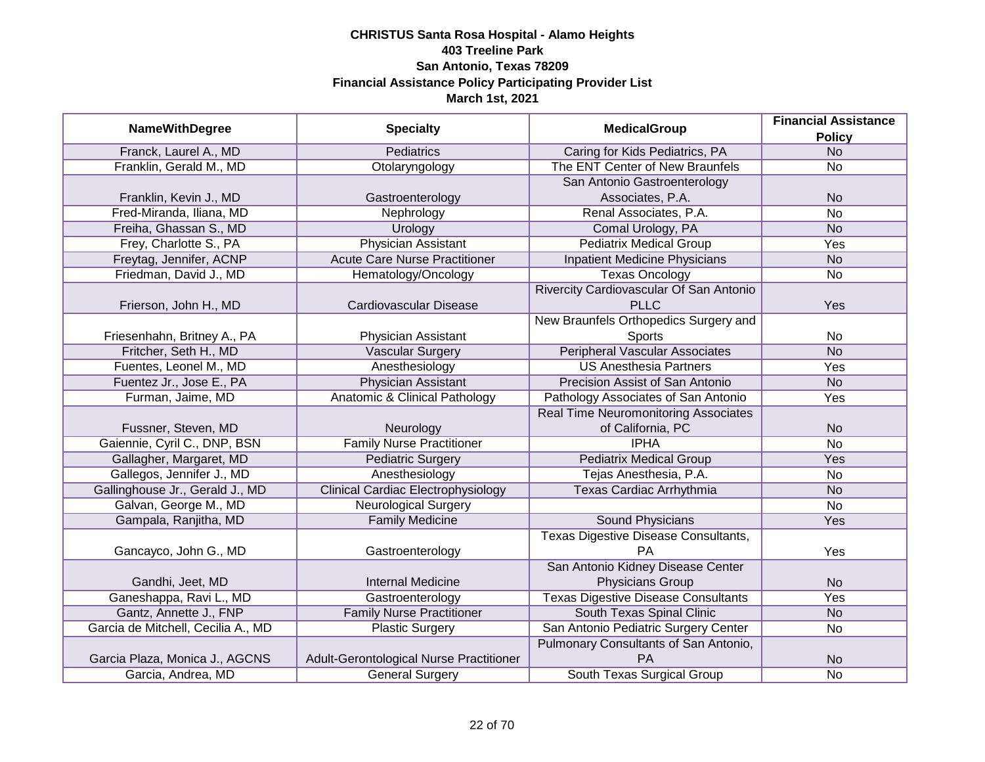|                                    |                                           |                                             | <b>Financial Assistance</b> |
|------------------------------------|-------------------------------------------|---------------------------------------------|-----------------------------|
| <b>NameWithDegree</b>              | <b>Specialty</b>                          | <b>MedicalGroup</b>                         | <b>Policy</b>               |
| Franck, Laurel A., MD              | <b>Pediatrics</b>                         | Caring for Kids Pediatrics, PA              | <b>No</b>                   |
| Franklin, Gerald M., MD            | Otolaryngology                            | The ENT Center of New Braunfels             | No                          |
|                                    |                                           | San Antonio Gastroenterology                |                             |
| Franklin, Kevin J., MD             | Gastroenterology                          | Associates, P.A.                            | <b>No</b>                   |
| Fred-Miranda, Iliana, MD           | Nephrology                                | Renal Associates, P.A.                      | <b>No</b>                   |
| Freiha, Ghassan S., MD             | Urology                                   | Comal Urology, PA                           | <b>No</b>                   |
| Frey, Charlotte S., PA             | <b>Physician Assistant</b>                | <b>Pediatrix Medical Group</b>              | <b>Yes</b>                  |
| Freytag, Jennifer, ACNP            | <b>Acute Care Nurse Practitioner</b>      | <b>Inpatient Medicine Physicians</b>        | <b>No</b>                   |
| Friedman, David J., MD             | Hematology/Oncology                       | <b>Texas Oncology</b>                       | <b>No</b>                   |
|                                    |                                           | Rivercity Cardiovascular Of San Antonio     |                             |
| Frierson, John H., MD              | Cardiovascular Disease                    | <b>PLLC</b>                                 | Yes                         |
|                                    |                                           | New Braunfels Orthopedics Surgery and       |                             |
| Friesenhahn, Britney A., PA        | Physician Assistant                       | Sports                                      | No                          |
| Fritcher, Seth H., MD              | <b>Vascular Surgery</b>                   | <b>Peripheral Vascular Associates</b>       | <b>No</b>                   |
| Fuentes, Leonel M., MD             | Anesthesiology                            | <b>US Anesthesia Partners</b>               | Yes                         |
| Fuentez Jr., Jose E., PA           | Physician Assistant                       | Precision Assist of San Antonio             | <b>No</b>                   |
| Furman, Jaime, MD                  | Anatomic & Clinical Pathology             | Pathology Associates of San Antonio         | Yes                         |
|                                    |                                           | <b>Real Time Neuromonitoring Associates</b> |                             |
| Fussner, Steven, MD                | Neurology                                 | of California, PC                           | <b>No</b>                   |
| Gaiennie, Cyril C., DNP, BSN       | <b>Family Nurse Practitioner</b>          | <b>IPHA</b>                                 | <b>No</b>                   |
| Gallagher, Margaret, MD            | <b>Pediatric Surgery</b>                  | <b>Pediatrix Medical Group</b>              | Yes                         |
| Gallegos, Jennifer J., MD          | Anesthesiology                            | Tejas Anesthesia, P.A.                      | No                          |
| Gallinghouse Jr., Gerald J., MD    | <b>Clinical Cardiac Electrophysiology</b> | Texas Cardiac Arrhythmia                    | <b>No</b>                   |
| Galvan, George M., MD              | <b>Neurological Surgery</b>               |                                             | No                          |
| Gampala, Ranjitha, MD              | <b>Family Medicine</b>                    | <b>Sound Physicians</b>                     | Yes                         |
|                                    |                                           | Texas Digestive Disease Consultants,        |                             |
| Gancayco, John G., MD              | Gastroenterology                          | <b>PA</b>                                   | Yes                         |
|                                    |                                           | San Antonio Kidney Disease Center           |                             |
| Gandhi, Jeet, MD                   | <b>Internal Medicine</b>                  | Physicians Group                            | <b>No</b>                   |
| Ganeshappa, Ravi L., MD            | Gastroenterology                          | <b>Texas Digestive Disease Consultants</b>  | Yes                         |
| Gantz, Annette J., FNP             | <b>Family Nurse Practitioner</b>          | South Texas Spinal Clinic                   | <b>No</b>                   |
| Garcia de Mitchell, Cecilia A., MD | <b>Plastic Surgery</b>                    | San Antonio Pediatric Surgery Center        | No                          |
|                                    |                                           | Pulmonary Consultants of San Antonio,       |                             |
| Garcia Plaza, Monica J., AGCNS     | Adult-Gerontological Nurse Practitioner   | PA                                          | <b>No</b>                   |
| Garcia, Andrea, MD                 | <b>General Surgery</b>                    | South Texas Surgical Group                  | No                          |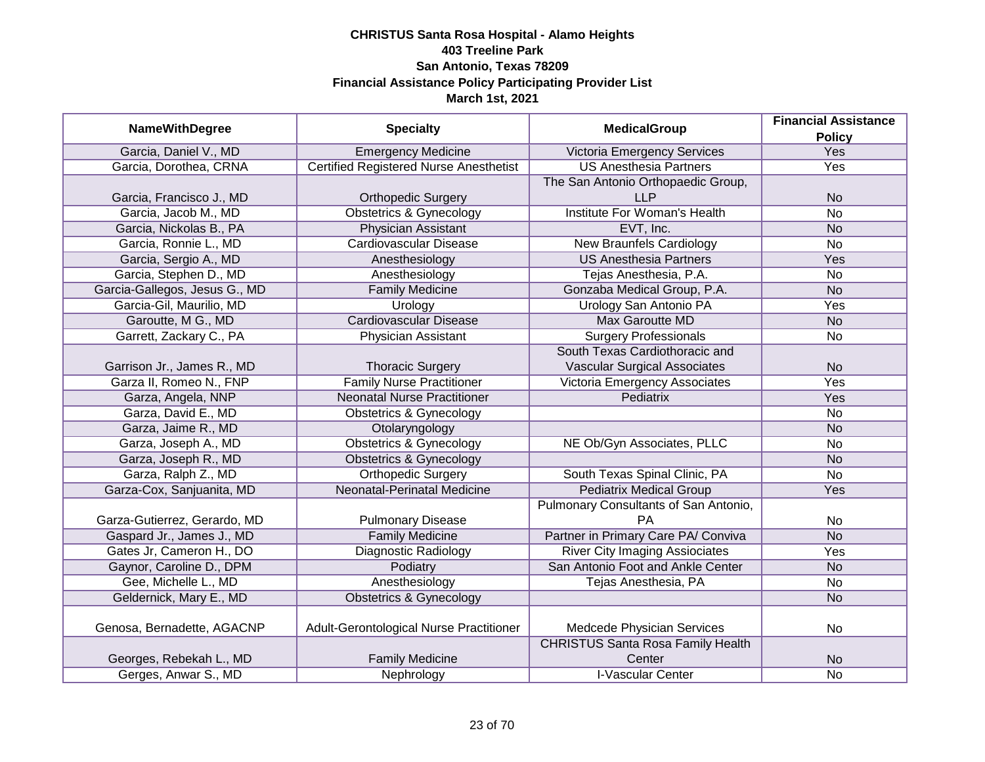| <b>NameWithDegree</b>         | <b>Specialty</b>                              | <b>MedicalGroup</b>                      | <b>Financial Assistance</b> |
|-------------------------------|-----------------------------------------------|------------------------------------------|-----------------------------|
|                               |                                               |                                          | <b>Policy</b>               |
| Garcia, Daniel V., MD         | <b>Emergency Medicine</b>                     | Victoria Emergency Services              | Yes                         |
| Garcia, Dorothea, CRNA        | <b>Certified Registered Nurse Anesthetist</b> | <b>US Anesthesia Partners</b>            | Yes                         |
|                               |                                               | The San Antonio Orthopaedic Group,       |                             |
| Garcia, Francisco J., MD      | <b>Orthopedic Surgery</b>                     | <b>LLP</b>                               | <b>No</b>                   |
| Garcia, Jacob M., MD          | <b>Obstetrics &amp; Gynecology</b>            | <b>Institute For Woman's Health</b>      | <b>No</b>                   |
| Garcia, Nickolas B., PA       | Physician Assistant                           | EVT, Inc.                                | <b>No</b>                   |
| Garcia, Ronnie L., MD         | Cardiovascular Disease                        | <b>New Braunfels Cardiology</b>          | <b>No</b>                   |
| Garcia, Sergio A., MD         | Anesthesiology                                | <b>US Anesthesia Partners</b>            | Yes                         |
| Garcia, Stephen D., MD        | Anesthesiology                                | Tejas Anesthesia, P.A.                   | <b>No</b>                   |
| Garcia-Gallegos, Jesus G., MD | <b>Family Medicine</b>                        | Gonzaba Medical Group, P.A.              | <b>No</b>                   |
| Garcia-Gil, Maurilio, MD      | Urology                                       | <b>Urology San Antonio PA</b>            | Yes                         |
| Garoutte, M G., MD            | <b>Cardiovascular Disease</b>                 | <b>Max Garoutte MD</b>                   | <b>No</b>                   |
| Garrett, Zackary C., PA       | Physician Assistant                           | <b>Surgery Professionals</b>             | <b>No</b>                   |
|                               |                                               | South Texas Cardiothoracic and           |                             |
| Garrison Jr., James R., MD    | <b>Thoracic Surgery</b>                       | <b>Vascular Surgical Associates</b>      | <b>No</b>                   |
| Garza II, Romeo N., FNP       | <b>Family Nurse Practitioner</b>              | Victoria Emergency Associates            | Yes                         |
| Garza, Angela, NNP            | <b>Neonatal Nurse Practitioner</b>            | Pediatrix                                | Yes                         |
| Garza, David E., MD           | <b>Obstetrics &amp; Gynecology</b>            |                                          | <b>No</b>                   |
| Garza, Jaime R., MD           | Otolaryngology                                |                                          | <b>No</b>                   |
| Garza, Joseph A., MD          | <b>Obstetrics &amp; Gynecology</b>            | NE Ob/Gyn Associates, PLLC               | <b>No</b>                   |
| Garza, Joseph R., MD          | <b>Obstetrics &amp; Gynecology</b>            |                                          | <b>No</b>                   |
| Garza, Ralph Z., MD           | <b>Orthopedic Surgery</b>                     | South Texas Spinal Clinic, PA            | <b>No</b>                   |
| Garza-Cox, Sanjuanita, MD     | Neonatal-Perinatal Medicine                   | <b>Pediatrix Medical Group</b>           | Yes                         |
|                               |                                               | Pulmonary Consultants of San Antonio,    |                             |
| Garza-Gutierrez, Gerardo, MD  | <b>Pulmonary Disease</b>                      | PA                                       | No                          |
| Gaspard Jr., James J., MD     | <b>Family Medicine</b>                        | Partner in Primary Care PA/ Conviva      | <b>No</b>                   |
| Gates Jr, Cameron H., DO      | Diagnostic Radiology                          | <b>River City Imaging Assiociates</b>    | Yes                         |
| Gaynor, Caroline D., DPM      | Podiatry                                      | San Antonio Foot and Ankle Center        | <b>No</b>                   |
| Gee, Michelle L., MD          | Anesthesiology                                | Tejas Anesthesia, PA                     | <b>No</b>                   |
| Geldernick, Mary E., MD       | <b>Obstetrics &amp; Gynecology</b>            |                                          | <b>No</b>                   |
|                               |                                               |                                          |                             |
| Genosa, Bernadette, AGACNP    | Adult-Gerontological Nurse Practitioner       | Medcede Physician Services               | No                          |
|                               |                                               | <b>CHRISTUS Santa Rosa Family Health</b> |                             |
| Georges, Rebekah L., MD       | <b>Family Medicine</b>                        | Center                                   | <b>No</b>                   |
| Gerges, Anwar S., MD          | Nephrology                                    | <b>I-Vascular Center</b>                 | <b>No</b>                   |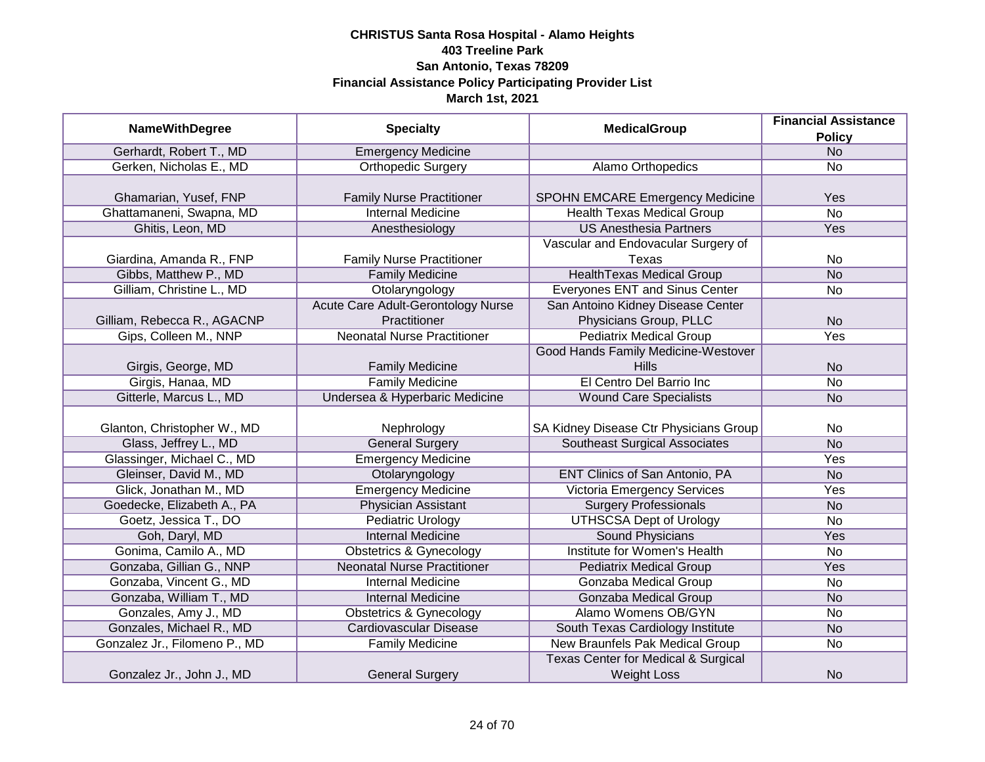|                               |                                           | <b>MedicalGroup</b>                            | <b>Financial Assistance</b> |
|-------------------------------|-------------------------------------------|------------------------------------------------|-----------------------------|
| <b>NameWithDegree</b>         | <b>Specialty</b>                          |                                                | <b>Policy</b>               |
| Gerhardt, Robert T., MD       | <b>Emergency Medicine</b>                 |                                                | N <sub>o</sub>              |
| Gerken, Nicholas E., MD       | <b>Orthopedic Surgery</b>                 | Alamo Orthopedics                              | No                          |
|                               |                                           |                                                |                             |
| Ghamarian, Yusef, FNP         | <b>Family Nurse Practitioner</b>          | SPOHN EMCARE Emergency Medicine                | Yes                         |
| Ghattamaneni, Swapna, MD      | <b>Internal Medicine</b>                  | <b>Health Texas Medical Group</b>              | $\overline{No}$             |
| Ghitis, Leon, MD              | Anesthesiology                            | <b>US Anesthesia Partners</b>                  | Yes                         |
|                               |                                           | Vascular and Endovacular Surgery of            |                             |
| Giardina, Amanda R., FNP      | <b>Family Nurse Practitioner</b>          | Texas                                          | No                          |
| Gibbs, Matthew P., MD         | <b>Family Medicine</b>                    | <b>HealthTexas Medical Group</b>               | <b>No</b>                   |
| Gilliam, Christine L., MD     | Otolaryngology                            | Everyones ENT and Sinus Center                 | <b>No</b>                   |
|                               | <b>Acute Care Adult-Gerontology Nurse</b> | San Antoino Kidney Disease Center              |                             |
| Gilliam, Rebecca R., AGACNP   | Practitioner                              | Physicians Group, PLLC                         | <b>No</b>                   |
| Gips, Colleen M., NNP         | <b>Neonatal Nurse Practitioner</b>        | <b>Pediatrix Medical Group</b>                 | Yes                         |
|                               |                                           | Good Hands Family Medicine-Westover            |                             |
| Girgis, George, MD            | <b>Family Medicine</b>                    | <b>Hills</b>                                   | <b>No</b>                   |
| Girgis, Hanaa, MD             | <b>Family Medicine</b>                    | El Centro Del Barrio Inc                       | <b>No</b>                   |
| Gitterle, Marcus L., MD       | Undersea & Hyperbaric Medicine            | <b>Wound Care Specialists</b>                  | <b>No</b>                   |
|                               |                                           |                                                |                             |
| Glanton, Christopher W., MD   | Nephrology                                | SA Kidney Disease Ctr Physicians Group         | No                          |
| Glass, Jeffrey L., MD         | <b>General Surgery</b>                    | <b>Southeast Surgical Associates</b>           | <b>No</b>                   |
| Glassinger, Michael C., MD    | <b>Emergency Medicine</b>                 |                                                | Yes                         |
| Gleinser, David M., MD        | Otolaryngology                            | ENT Clinics of San Antonio, PA                 | <b>No</b>                   |
| Glick, Jonathan M., MD        | <b>Emergency Medicine</b>                 | <b>Victoria Emergency Services</b>             | Yes                         |
| Goedecke, Elizabeth A., PA    | <b>Physician Assistant</b>                | <b>Surgery Professionals</b>                   | <b>No</b>                   |
| Goetz, Jessica T., DO         | <b>Pediatric Urology</b>                  | <b>UTHSCSA Dept of Urology</b>                 | No                          |
| Goh, Daryl, MD                | <b>Internal Medicine</b>                  | <b>Sound Physicians</b>                        | Yes                         |
| Gonima, Camilo A., MD         | <b>Obstetrics &amp; Gynecology</b>        | Institute for Women's Health                   | No                          |
| Gonzaba, Gillian G., NNP      | <b>Neonatal Nurse Practitioner</b>        | <b>Pediatrix Medical Group</b>                 | Yes                         |
| Gonzaba, Vincent G., MD       | <b>Internal Medicine</b>                  | Gonzaba Medical Group                          | No                          |
| Gonzaba, William T., MD       | <b>Internal Medicine</b>                  | Gonzaba Medical Group                          | <b>No</b>                   |
| Gonzales, Amy J., MD          | <b>Obstetrics &amp; Gynecology</b>        | Alamo Womens OB/GYN                            | No                          |
| Gonzales, Michael R., MD      | <b>Cardiovascular Disease</b>             | South Texas Cardiology Institute               | <b>No</b>                   |
| Gonzalez Jr., Filomeno P., MD | <b>Family Medicine</b>                    | New Braunfels Pak Medical Group                | No                          |
|                               |                                           | <b>Texas Center for Medical &amp; Surgical</b> |                             |
| Gonzalez Jr., John J., MD     | <b>General Surgery</b>                    | <b>Weight Loss</b>                             | <b>No</b>                   |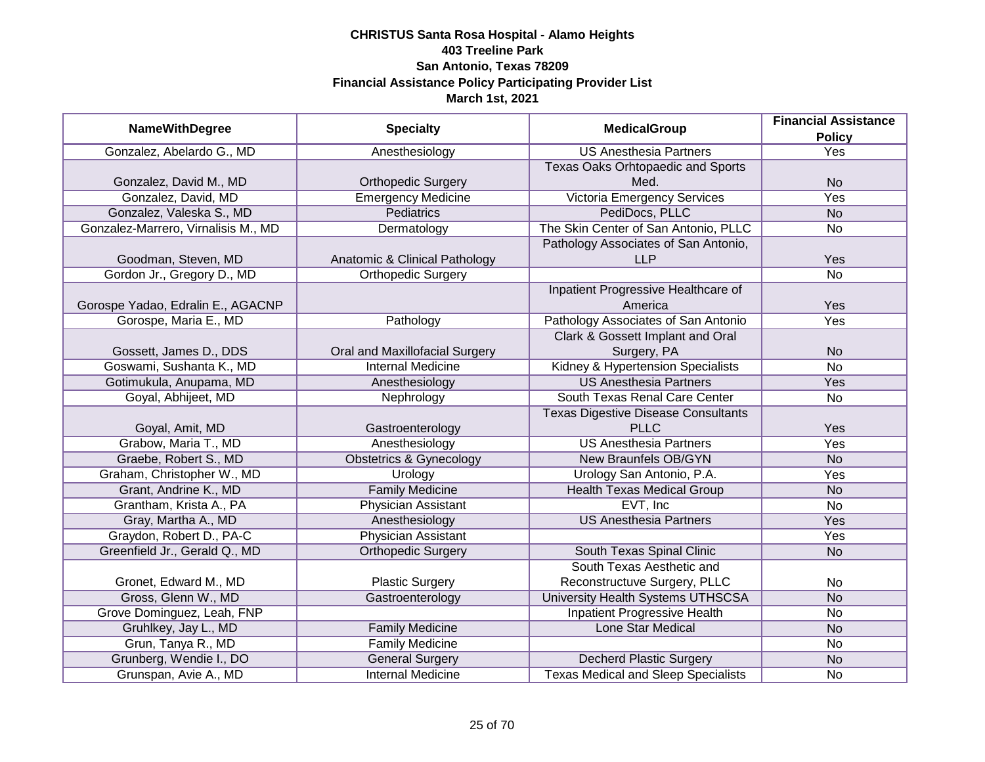|                                     |                                    |                                            | <b>Financial Assistance</b> |
|-------------------------------------|------------------------------------|--------------------------------------------|-----------------------------|
| <b>NameWithDegree</b>               | <b>Specialty</b>                   | <b>MedicalGroup</b>                        | <b>Policy</b>               |
| Gonzalez, Abelardo G., MD           | Anesthesiology                     | <b>US Anesthesia Partners</b>              | <b>Yes</b>                  |
|                                     |                                    | Texas Oaks Orhtopaedic and Sports          |                             |
| Gonzalez, David M., MD              | <b>Orthopedic Surgery</b>          | Med.                                       | <b>No</b>                   |
| Gonzalez, David, MD                 | <b>Emergency Medicine</b>          | <b>Victoria Emergency Services</b>         | <b>Yes</b>                  |
| Gonzalez, Valeska S., MD            | <b>Pediatrics</b>                  | PediDocs, PLLC                             | <b>No</b>                   |
| Gonzalez-Marrero, Virnalisis M., MD | Dermatology                        | The Skin Center of San Antonio, PLLC       | No                          |
|                                     |                                    | Pathology Associates of San Antonio,       |                             |
| Goodman, Steven, MD                 | Anatomic & Clinical Pathology      | <b>LLP</b>                                 | Yes                         |
| Gordon Jr., Gregory D., MD          | <b>Orthopedic Surgery</b>          |                                            | <b>No</b>                   |
|                                     |                                    | Inpatient Progressive Healthcare of        |                             |
| Gorospe Yadao, Edralin E., AGACNP   |                                    | America                                    | Yes                         |
| Gorospe, Maria E., MD               | Pathology                          | Pathology Associates of San Antonio        | Yes                         |
|                                     |                                    | Clark & Gossett Implant and Oral           |                             |
| Gossett, James D., DDS              | Oral and Maxillofacial Surgery     | Surgery, PA                                | <b>No</b>                   |
| Goswami, Sushanta K., MD            | <b>Internal Medicine</b>           | Kidney & Hypertension Specialists          | <b>No</b>                   |
| Gotimukula, Anupama, MD             | Anesthesiology                     | <b>US Anesthesia Partners</b>              | Yes                         |
| Goyal, Abhijeet, MD                 | Nephrology                         | South Texas Renal Care Center              | No                          |
|                                     |                                    | <b>Texas Digestive Disease Consultants</b> |                             |
| Goyal, Amit, MD                     | Gastroenterology                   | <b>PLLC</b>                                | Yes                         |
| Grabow, Maria T., MD                | Anesthesiology                     | <b>US Anesthesia Partners</b>              | Yes                         |
| Graebe, Robert S., MD               | <b>Obstetrics &amp; Gynecology</b> | New Braunfels OB/GYN                       | <b>No</b>                   |
| Graham, Christopher W., MD          | Urology                            | Urology San Antonio, P.A.                  | Yes                         |
| Grant, Andrine K., MD               | <b>Family Medicine</b>             | <b>Health Texas Medical Group</b>          | <b>No</b>                   |
| Grantham, Krista A., PA             | <b>Physician Assistant</b>         | EVT, Inc                                   | <b>No</b>                   |
| Gray, Martha A., MD                 | Anesthesiology                     | <b>US Anesthesia Partners</b>              | Yes                         |
| Graydon, Robert D., PA-C            | <b>Physician Assistant</b>         |                                            | Yes                         |
| Greenfield Jr., Gerald Q., MD       | <b>Orthopedic Surgery</b>          | South Texas Spinal Clinic                  | <b>No</b>                   |
|                                     |                                    | South Texas Aesthetic and                  |                             |
| Gronet, Edward M., MD               | <b>Plastic Surgery</b>             | Reconstructuve Surgery, PLLC               | No                          |
| Gross, Glenn W., MD                 | Gastroenterology                   | <b>University Health Systems UTHSCSA</b>   | <b>No</b>                   |
| Grove Dominguez, Leah, FNP          |                                    | <b>Inpatient Progressive Health</b>        | No                          |
| Gruhlkey, Jay L., MD                | <b>Family Medicine</b>             | <b>Lone Star Medical</b>                   | <b>No</b>                   |
| Grun, Tanya R., MD                  | <b>Family Medicine</b>             |                                            | No                          |
| Grunberg, Wendie I., DO             | <b>General Surgery</b>             | <b>Decherd Plastic Surgery</b>             | <b>No</b>                   |
| Grunspan, Avie A., MD               | <b>Internal Medicine</b>           | <b>Texas Medical and Sleep Specialists</b> | No                          |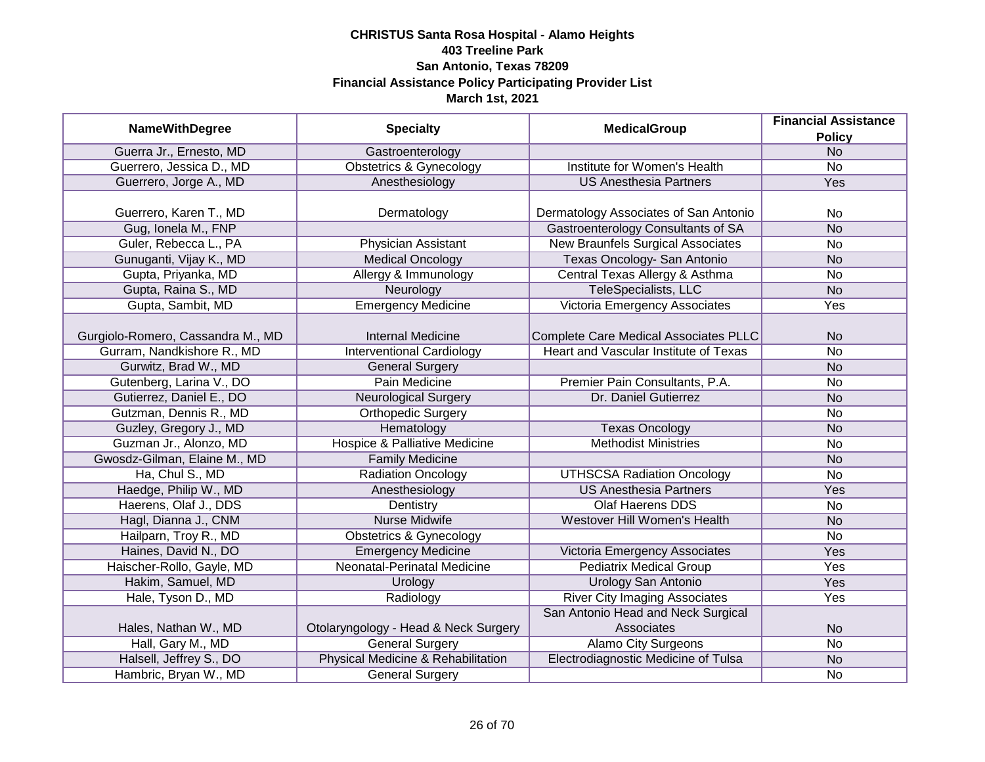|                                   |                                          | <b>MedicalGroup</b>                      | <b>Financial Assistance</b> |
|-----------------------------------|------------------------------------------|------------------------------------------|-----------------------------|
| <b>NameWithDegree</b>             | <b>Specialty</b>                         |                                          | <b>Policy</b>               |
| Guerra Jr., Ernesto, MD           | Gastroenterology                         |                                          | N <sub>O</sub>              |
| Guerrero, Jessica D., MD          | <b>Obstetrics &amp; Gynecology</b>       | Institute for Women's Health             | $\overline{No}$             |
| Guerrero, Jorge A., MD            | Anesthesiology                           | <b>US Anesthesia Partners</b>            | <b>Yes</b>                  |
|                                   |                                          |                                          |                             |
| Guerrero, Karen T., MD            | Dermatology                              | Dermatology Associates of San Antonio    | <b>No</b>                   |
| Gug, Ionela M., FNP               |                                          | Gastroenterology Consultants of SA       | <b>No</b>                   |
| Guler, Rebecca L., PA             | Physician Assistant                      | <b>New Braunfels Surgical Associates</b> | $\overline{No}$             |
| Gunuganti, Vijay K., MD           | <b>Medical Oncology</b>                  | Texas Oncology- San Antonio              | <b>No</b>                   |
| Gupta, Priyanka, MD               | Allergy & Immunology                     | Central Texas Allergy & Asthma           | <b>No</b>                   |
| Gupta, Raina S., MD               | Neurology                                | TeleSpecialists, LLC                     | <b>No</b>                   |
| Gupta, Sambit, MD                 | <b>Emergency Medicine</b>                | Victoria Emergency Associates            | Yes                         |
|                                   |                                          |                                          |                             |
| Gurgiolo-Romero, Cassandra M., MD | <b>Internal Medicine</b>                 | Complete Care Medical Associates PLLC    | <b>No</b>                   |
| Gurram, Nandkishore R., MD        | <b>Interventional Cardiology</b>         | Heart and Vascular Institute of Texas    | No                          |
| Gurwitz, Brad W., MD              | <b>General Surgery</b>                   |                                          | <b>No</b>                   |
| Gutenberg, Larina V., DO          | Pain Medicine                            | Premier Pain Consultants, P.A.           | No                          |
| Gutierrez, Daniel E., DO          | <b>Neurological Surgery</b>              | Dr. Daniel Gutierrez                     | <b>No</b>                   |
| Gutzman, Dennis R., MD            | <b>Orthopedic Surgery</b>                |                                          | No                          |
| Guzley, Gregory J., MD            | Hematology                               | <b>Texas Oncology</b>                    | <b>No</b>                   |
| Guzman Jr., Alonzo, MD            | <b>Hospice &amp; Palliative Medicine</b> | <b>Methodist Ministries</b>              | <b>No</b>                   |
| Gwosdz-Gilman, Elaine M., MD      | <b>Family Medicine</b>                   |                                          | <b>No</b>                   |
| Ha, Chul S., MD                   | <b>Radiation Oncology</b>                | <b>UTHSCSA Radiation Oncology</b>        | <b>No</b>                   |
| Haedge, Philip W., MD             | Anesthesiology                           | <b>US Anesthesia Partners</b>            | Yes                         |
| Haerens, Olaf J., DDS             | Dentistry                                | <b>Olaf Haerens DDS</b>                  | No                          |
| Hagl, Dianna J., CNM              | Nurse Midwife                            | Westover Hill Women's Health             | <b>No</b>                   |
| Hailparn, Troy R., MD             | <b>Obstetrics &amp; Gynecology</b>       |                                          | <b>No</b>                   |
| Haines, David N., DO              | <b>Emergency Medicine</b>                | Victoria Emergency Associates            | Yes                         |
| Haischer-Rollo, Gayle, MD         | Neonatal-Perinatal Medicine              | <b>Pediatrix Medical Group</b>           | Yes                         |
| Hakim, Samuel, MD                 | Urology                                  | <b>Urology San Antonio</b>               | Yes                         |
| Hale, Tyson D., MD                | Radiology                                | <b>River City Imaging Associates</b>     | Yes                         |
|                                   |                                          | San Antonio Head and Neck Surgical       |                             |
| Hales, Nathan W., MD              | Otolaryngology - Head & Neck Surgery     | Associates                               | <b>No</b>                   |
| Hall, Gary M., MD                 | <b>General Surgery</b>                   | <b>Alamo City Surgeons</b>               | $\overline{No}$             |
| Halsell, Jeffrey S., DO           | Physical Medicine & Rehabilitation       | Electrodiagnostic Medicine of Tulsa      | <b>No</b>                   |
| Hambric, Bryan W., MD             | <b>General Surgery</b>                   |                                          | No                          |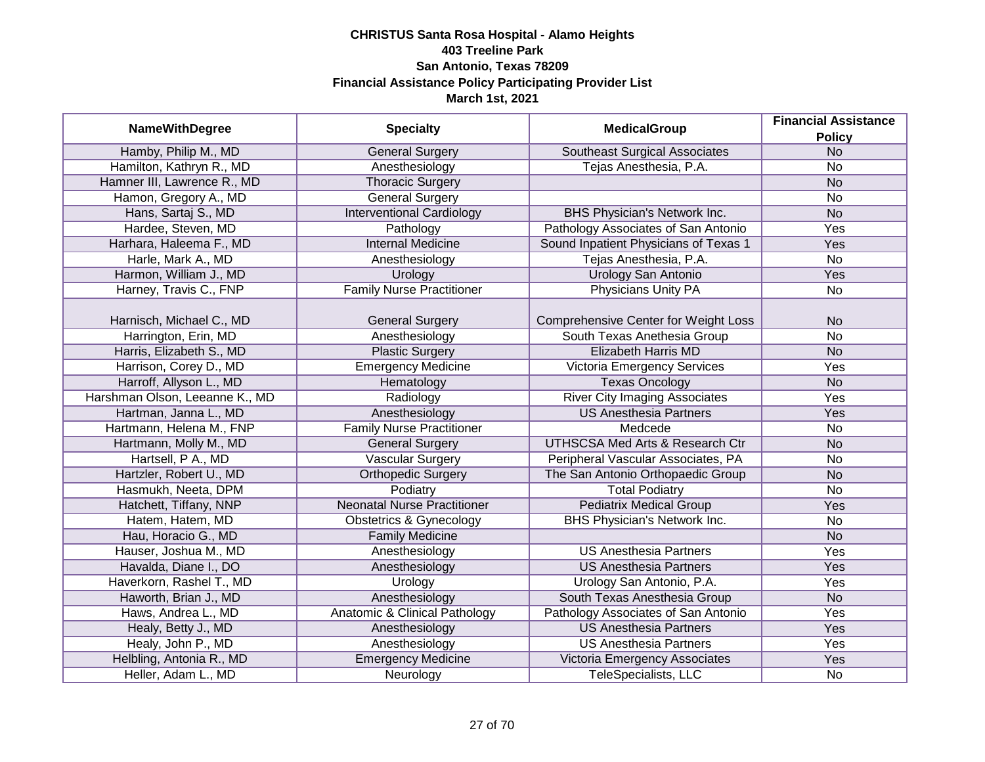| <b>NameWithDegree</b>          | <b>Specialty</b>                   | <b>MedicalGroup</b>                         | <b>Financial Assistance</b> |
|--------------------------------|------------------------------------|---------------------------------------------|-----------------------------|
|                                |                                    |                                             | <b>Policy</b>               |
| Hamby, Philip M., MD           | <b>General Surgery</b>             | <b>Southeast Surgical Associates</b>        | <b>No</b>                   |
| Hamilton, Kathryn R., MD       | Anesthesiology                     | Tejas Anesthesia, P.A.                      | No                          |
| Hamner III, Lawrence R., MD    | <b>Thoracic Surgery</b>            |                                             | N <sub>o</sub>              |
| Hamon, Gregory A., MD          | <b>General Surgery</b>             |                                             | No                          |
| Hans, Sartaj S., MD            | <b>Interventional Cardiology</b>   | BHS Physician's Network Inc.                | <b>No</b>                   |
| Hardee, Steven, MD             | Pathology                          | Pathology Associates of San Antonio         | <b>Yes</b>                  |
| Harhara, Haleema F., MD        | <b>Internal Medicine</b>           | Sound Inpatient Physicians of Texas 1       | Yes                         |
| Harle, Mark A., MD             | Anesthesiology                     | Tejas Anesthesia, P.A.                      | No                          |
| Harmon, William J., MD         | Urology                            | Urology San Antonio                         | Yes                         |
| Harney, Travis C., FNP         | <b>Family Nurse Practitioner</b>   | Physicians Unity PA                         | No                          |
|                                |                                    |                                             |                             |
| Harnisch, Michael C., MD       | <b>General Surgery</b>             | <b>Comprehensive Center for Weight Loss</b> | <b>No</b>                   |
| Harrington, Erin, MD           | Anesthesiology                     | South Texas Anethesia Group                 | <b>No</b>                   |
| Harris, Elizabeth S., MD       | <b>Plastic Surgery</b>             | <b>Elizabeth Harris MD</b>                  | <b>No</b>                   |
| Harrison, Corey D., MD         | <b>Emergency Medicine</b>          | Victoria Emergency Services                 | Yes                         |
| Harroff, Allyson L., MD        | Hematology                         | <b>Texas Oncology</b>                       | <b>No</b>                   |
| Harshman Olson, Leeanne K., MD | Radiology                          | <b>River City Imaging Associates</b>        | Yes                         |
| Hartman, Janna L., MD          | Anesthesiology                     | <b>US Anesthesia Partners</b>               | Yes                         |
| Hartmann, Helena M., FNP       | <b>Family Nurse Practitioner</b>   | Medcede                                     | No                          |
| Hartmann, Molly M., MD         | <b>General Surgery</b>             | <b>UTHSCSA Med Arts &amp; Research Ctr</b>  | <b>No</b>                   |
| Hartsell, P A., MD             | <b>Vascular Surgery</b>            | Peripheral Vascular Associates, PA          | No                          |
| Hartzler, Robert U., MD        | <b>Orthopedic Surgery</b>          | The San Antonio Orthopaedic Group           | <b>No</b>                   |
| Hasmukh, Neeta, DPM            | Podiatry                           | <b>Total Podiatry</b>                       | <b>No</b>                   |
| Hatchett, Tiffany, NNP         | <b>Neonatal Nurse Practitioner</b> | <b>Pediatrix Medical Group</b>              | Yes                         |
| Hatem, Hatem, MD               | <b>Obstetrics &amp; Gynecology</b> | <b>BHS Physician's Network Inc.</b>         | <b>No</b>                   |
| Hau, Horacio G., MD            | <b>Family Medicine</b>             |                                             | <b>No</b>                   |
| Hauser, Joshua M., MD          | Anesthesiology                     | <b>US Anesthesia Partners</b>               | Yes                         |
| Havalda, Diane I., DO          | Anesthesiology                     | <b>US Anesthesia Partners</b>               | Yes                         |
| Haverkorn, Rashel T., MD       | Urology                            | Urology San Antonio, P.A.                   | Yes                         |
| Haworth, Brian J., MD          | Anesthesiology                     | South Texas Anesthesia Group                | <b>No</b>                   |
| Haws, Andrea L., MD            | Anatomic & Clinical Pathology      | Pathology Associates of San Antonio         | Yes                         |
| Healy, Betty J., MD            | Anesthesiology                     | <b>US Anesthesia Partners</b>               | Yes                         |
| Healy, John P., MD             | Anesthesiology                     | <b>US Anesthesia Partners</b>               | Yes                         |
| Helbling, Antonia R., MD       | <b>Emergency Medicine</b>          | Victoria Emergency Associates               | Yes                         |
| Heller, Adam L., MD            | Neurology                          | <b>TeleSpecialists, LLC</b>                 | No                          |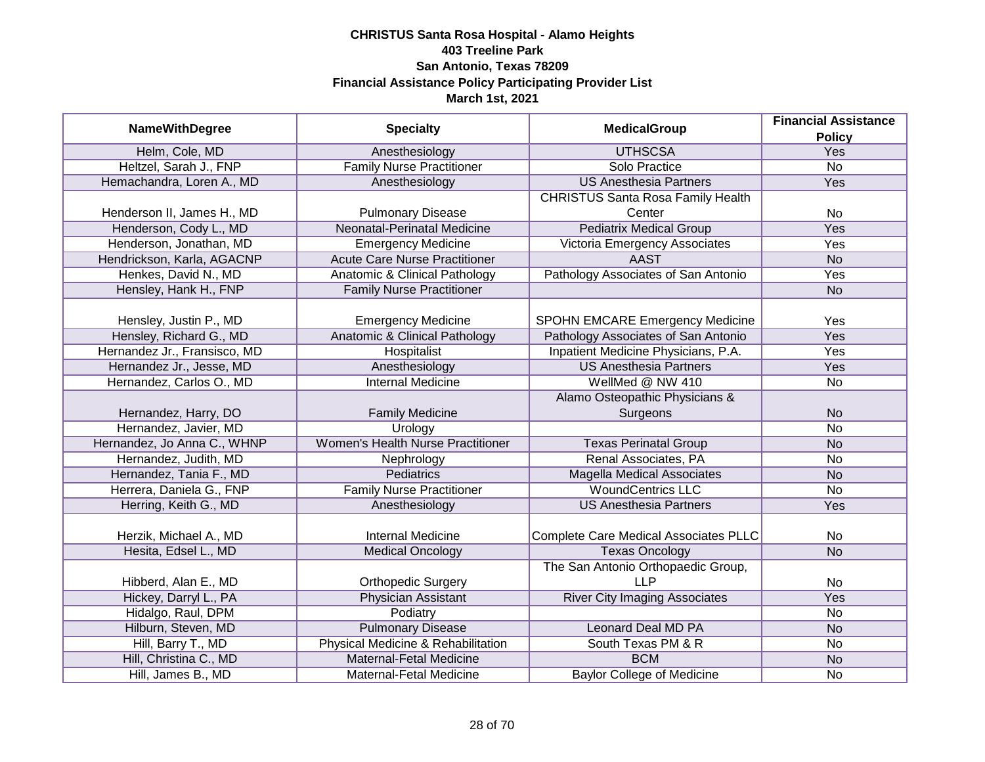| <b>NameWithDegree</b>        | <b>Specialty</b>                         | <b>MedicalGroup</b>                          | <b>Financial Assistance</b> |
|------------------------------|------------------------------------------|----------------------------------------------|-----------------------------|
|                              |                                          |                                              | <b>Policy</b>               |
| Helm, Cole, MD               | Anesthesiology                           | <b>UTHSCSA</b>                               | <b>Yes</b>                  |
| Heltzel, Sarah J., FNP       | <b>Family Nurse Practitioner</b>         | Solo Practice                                | $\overline{No}$             |
| Hemachandra, Loren A., MD    | Anesthesiology                           | <b>US Anesthesia Partners</b>                | <b>Yes</b>                  |
|                              |                                          | <b>CHRISTUS Santa Rosa Family Health</b>     |                             |
| Henderson II, James H., MD   | <b>Pulmonary Disease</b>                 | Center                                       | <b>No</b>                   |
| Henderson, Cody L., MD       | Neonatal-Perinatal Medicine              | <b>Pediatrix Medical Group</b>               | Yes                         |
| Henderson, Jonathan, MD      | <b>Emergency Medicine</b>                | Victoria Emergency Associates                | Yes                         |
| Hendrickson, Karla, AGACNP   | <b>Acute Care Nurse Practitioner</b>     | <b>AAST</b>                                  | <b>No</b>                   |
| Henkes, David N., MD         | Anatomic & Clinical Pathology            | Pathology Associates of San Antonio          | Yes                         |
| Hensley, Hank H., FNP        | <b>Family Nurse Practitioner</b>         |                                              | <b>No</b>                   |
|                              |                                          |                                              |                             |
| Hensley, Justin P., MD       | <b>Emergency Medicine</b>                | <b>SPOHN EMCARE Emergency Medicine</b>       | Yes                         |
| Hensley, Richard G., MD      | <b>Anatomic &amp; Clinical Pathology</b> | Pathology Associates of San Antonio          | Yes                         |
| Hernandez Jr., Fransisco, MD | Hospitalist                              | Inpatient Medicine Physicians, P.A.          | Yes                         |
| Hernandez Jr., Jesse, MD     | Anesthesiology                           | <b>US Anesthesia Partners</b>                | Yes                         |
| Hernandez, Carlos O., MD     | <b>Internal Medicine</b>                 | WellMed @ NW 410                             | <b>No</b>                   |
|                              |                                          | Alamo Osteopathic Physicians &               |                             |
| Hernandez, Harry, DO         | <b>Family Medicine</b>                   | Surgeons                                     | <b>No</b>                   |
| Hernandez, Javier, MD        | Urology                                  |                                              | <b>No</b>                   |
| Hernandez, Jo Anna C., WHNP  | <b>Women's Health Nurse Practitioner</b> | <b>Texas Perinatal Group</b>                 | <b>No</b>                   |
| Hernandez, Judith, MD        | Nephrology                               | Renal Associates, PA                         | <b>No</b>                   |
| Hernandez, Tania F., MD      | <b>Pediatrics</b>                        | <b>Magella Medical Associates</b>            | <b>No</b>                   |
| Herrera, Daniela G., FNP     | <b>Family Nurse Practitioner</b>         | <b>WoundCentrics LLC</b>                     | <b>No</b>                   |
| Herring, Keith G., MD        | Anesthesiology                           | <b>US Anesthesia Partners</b>                | Yes                         |
|                              |                                          |                                              |                             |
| Herzik, Michael A., MD       | <b>Internal Medicine</b>                 | <b>Complete Care Medical Associates PLLC</b> | <b>No</b>                   |
| Hesita, Edsel L., MD         | <b>Medical Oncology</b>                  | <b>Texas Oncology</b>                        | <b>No</b>                   |
|                              |                                          | The San Antonio Orthopaedic Group,           |                             |
| Hibberd, Alan E., MD         | <b>Orthopedic Surgery</b>                | <b>LLP</b>                                   | <b>No</b>                   |
| Hickey, Darryl L., PA        | <b>Physician Assistant</b>               | <b>River City Imaging Associates</b>         | Yes                         |
| Hidalgo, Raul, DPM           | Podiatry                                 |                                              | <b>No</b>                   |
| Hilburn, Steven, MD          | <b>Pulmonary Disease</b>                 | <b>Leonard Deal MD PA</b>                    | <b>No</b>                   |
| Hill, Barry T., MD           | Physical Medicine & Rehabilitation       | South Texas PM & R                           | <b>No</b>                   |
| Hill, Christina C., MD       | <b>Maternal-Fetal Medicine</b>           | <b>BCM</b>                                   | <b>No</b>                   |
| Hill, James B., MD           | Maternal-Fetal Medicine                  | <b>Baylor College of Medicine</b>            | <b>No</b>                   |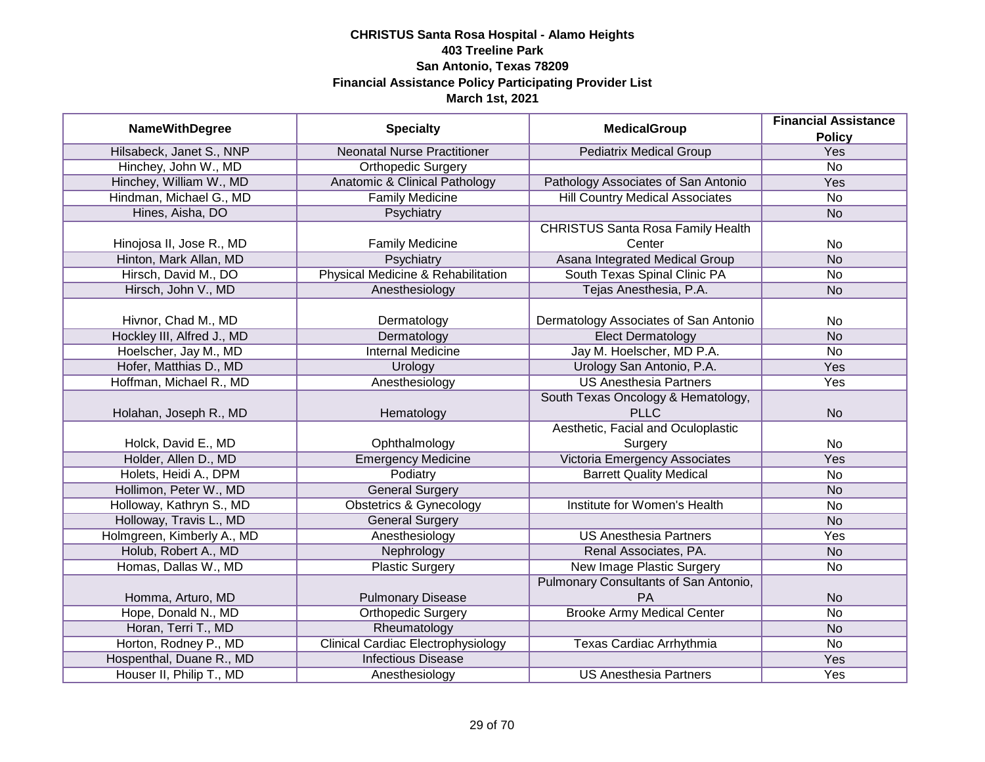| <b>NameWithDegree</b>      | <b>Specialty</b>                          | <b>MedicalGroup</b>                      | <b>Financial Assistance</b> |
|----------------------------|-------------------------------------------|------------------------------------------|-----------------------------|
|                            |                                           |                                          | <b>Policy</b>               |
| Hilsabeck, Janet S., NNP   | <b>Neonatal Nurse Practitioner</b>        | <b>Pediatrix Medical Group</b>           | Yes                         |
| Hinchey, John W., MD       | <b>Orthopedic Surgery</b>                 |                                          | $\overline{No}$             |
| Hinchey, William W., MD    | Anatomic & Clinical Pathology             | Pathology Associates of San Antonio      | <b>Yes</b>                  |
| Hindman, Michael G., MD    | <b>Family Medicine</b>                    | <b>Hill Country Medical Associates</b>   | $\overline{No}$             |
| Hines, Aisha, DO           | Psychiatry                                |                                          | <b>No</b>                   |
|                            |                                           | <b>CHRISTUS Santa Rosa Family Health</b> |                             |
| Hinojosa II, Jose R., MD   | <b>Family Medicine</b>                    | Center                                   | <b>No</b>                   |
| Hinton, Mark Allan, MD     | Psychiatry                                | Asana Integrated Medical Group           | <b>No</b>                   |
| Hirsch, David M., DO       | Physical Medicine & Rehabilitation        | South Texas Spinal Clinic PA             | No                          |
| Hirsch, John V., MD        | Anesthesiology                            | Tejas Anesthesia, P.A.                   | <b>No</b>                   |
|                            |                                           |                                          |                             |
| Hivnor, Chad M., MD        | Dermatology                               | Dermatology Associates of San Antonio    | No                          |
| Hockley III, Alfred J., MD | Dermatology                               | <b>Elect Dermatology</b>                 | <b>No</b>                   |
| Hoelscher, Jay M., MD      | <b>Internal Medicine</b>                  | Jay M. Hoelscher, MD P.A.                | No                          |
| Hofer, Matthias D., MD     | Urology                                   | Urology San Antonio, P.A.                | Yes                         |
| Hoffman, Michael R., MD    | Anesthesiology                            | <b>US Anesthesia Partners</b>            | Yes                         |
|                            |                                           | South Texas Oncology & Hematology,       |                             |
| Holahan, Joseph R., MD     | Hematology                                | <b>PLLC</b>                              | <b>No</b>                   |
|                            |                                           | Aesthetic, Facial and Oculoplastic       |                             |
| Holck, David E., MD        | Ophthalmology                             | Surgery                                  | No                          |
| Holder, Allen D., MD       | <b>Emergency Medicine</b>                 | Victoria Emergency Associates            | Yes                         |
| Holets, Heidi A., DPM      | Podiatry                                  | <b>Barrett Quality Medical</b>           | <b>No</b>                   |
| Hollimon, Peter W., MD     | <b>General Surgery</b>                    |                                          | <b>No</b>                   |
| Holloway, Kathryn S., MD   | <b>Obstetrics &amp; Gynecology</b>        | <b>Institute for Women's Health</b>      | <b>No</b>                   |
| Holloway, Travis L., MD    | <b>General Surgery</b>                    |                                          | <b>No</b>                   |
| Holmgreen, Kimberly A., MD | Anesthesiology                            | <b>US Anesthesia Partners</b>            | Yes                         |
| Holub, Robert A., MD       | Nephrology                                | Renal Associates, PA.                    | <b>No</b>                   |
| Homas, Dallas W., MD       | <b>Plastic Surgery</b>                    | <b>New Image Plastic Surgery</b>         | No                          |
|                            |                                           | Pulmonary Consultants of San Antonio,    |                             |
| Homma, Arturo, MD          | <b>Pulmonary Disease</b>                  | PA                                       | <b>No</b>                   |
| Hope, Donald N., MD        | <b>Orthopedic Surgery</b>                 | <b>Brooke Army Medical Center</b>        | $\overline{No}$             |
| Horan, Terri T., MD        | Rheumatology                              |                                          | <b>No</b>                   |
| Horton, Rodney P., MD      | <b>Clinical Cardiac Electrophysiology</b> | Texas Cardiac Arrhythmia                 | No                          |
| Hospenthal, Duane R., MD   | <b>Infectious Disease</b>                 |                                          | <b>Yes</b>                  |
| Houser II, Philip T., MD   | Anesthesiology                            | <b>US Anesthesia Partners</b>            | Yes                         |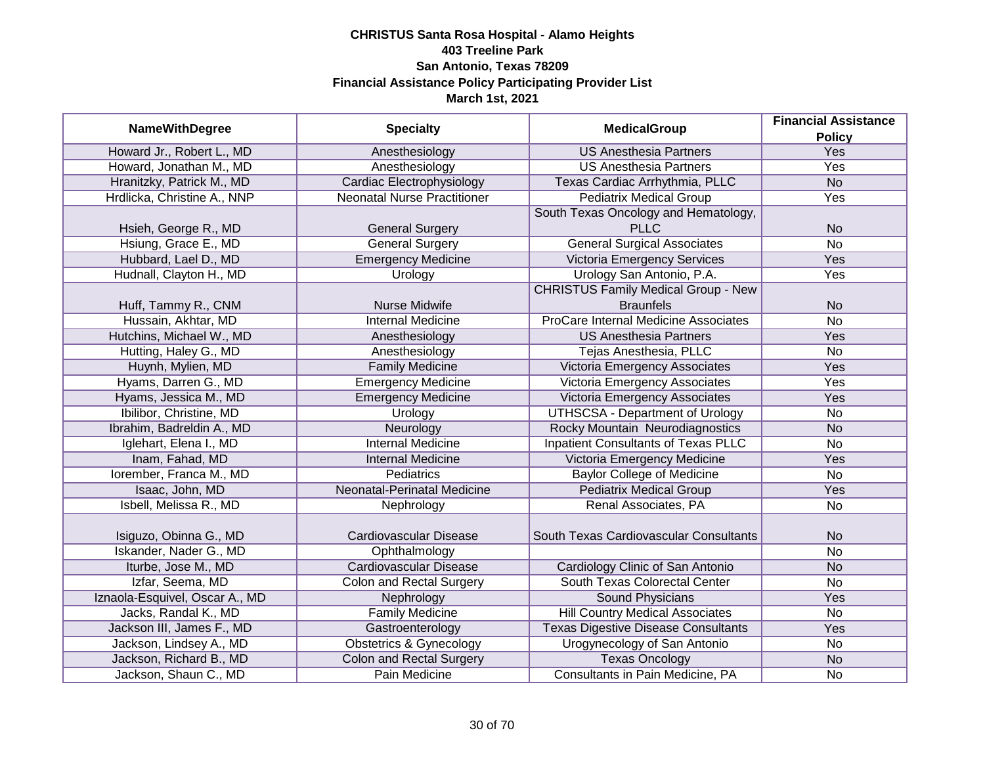| <b>NameWithDegree</b>          | <b>Specialty</b>                   | <b>MedicalGroup</b>                         | <b>Financial Assistance</b> |
|--------------------------------|------------------------------------|---------------------------------------------|-----------------------------|
| Howard Jr., Robert L., MD      | Anesthesiology                     | <b>US Anesthesia Partners</b>               | <b>Policy</b><br>Yes        |
| Howard, Jonathan M., MD        | Anesthesiology                     | <b>US Anesthesia Partners</b>               | Yes                         |
| Hranitzky, Patrick M., MD      | Cardiac Electrophysiology          | Texas Cardiac Arrhythmia, PLLC              | N <sub>o</sub>              |
| Hrdlicka, Christine A., NNP    | <b>Neonatal Nurse Practitioner</b> | <b>Pediatrix Medical Group</b>              | Yes                         |
|                                |                                    | South Texas Oncology and Hematology,        |                             |
| Hsieh, George R., MD           | <b>General Surgery</b>             | <b>PLLC</b>                                 | <b>No</b>                   |
| Hsiung, Grace E., MD           | <b>General Surgery</b>             | <b>General Surgical Associates</b>          | $\overline{No}$             |
| Hubbard, Lael D., MD           | <b>Emergency Medicine</b>          | Victoria Emergency Services                 | Yes                         |
| Hudnall, Clayton H., MD        | Urology                            | Urology San Antonio, P.A.                   | Yes                         |
|                                |                                    | <b>CHRISTUS Family Medical Group - New</b>  |                             |
| Huff, Tammy R., CNM            | Nurse Midwife                      | <b>Braunfels</b>                            | <b>No</b>                   |
| Hussain, Akhtar, MD            | <b>Internal Medicine</b>           | <b>ProCare Internal Medicine Associates</b> | <b>No</b>                   |
| Hutchins, Michael W., MD       | Anesthesiology                     | <b>US Anesthesia Partners</b>               | Yes                         |
| Hutting, Haley G., MD          | Anesthesiology                     | Tejas Anesthesia, PLLC                      | <b>No</b>                   |
| Huynh, Mylien, MD              | <b>Family Medicine</b>             | Victoria Emergency Associates               | Yes                         |
| Hyams, Darren G., MD           | <b>Emergency Medicine</b>          | Victoria Emergency Associates               | Yes                         |
| Hyams, Jessica M., MD          | <b>Emergency Medicine</b>          | Victoria Emergency Associates               | Yes                         |
| Ibilibor, Christine, MD        | Urology                            | <b>UTHSCSA - Department of Urology</b>      | <b>No</b>                   |
| Ibrahim, Badreldin A., MD      | Neurology                          | Rocky Mountain Neurodiagnostics             | <b>No</b>                   |
| Iglehart, Elena I., MD         | <b>Internal Medicine</b>           | <b>Inpatient Consultants of Texas PLLC</b>  | <b>No</b>                   |
| Inam, Fahad, MD                | <b>Internal Medicine</b>           | Victoria Emergency Medicine                 | Yes                         |
| Iorember, Franca M., MD        | <b>Pediatrics</b>                  | <b>Baylor College of Medicine</b>           | <b>No</b>                   |
| Isaac, John, MD                | Neonatal-Perinatal Medicine        | <b>Pediatrix Medical Group</b>              | Yes                         |
| Isbell, Melissa R., MD         | Nephrology                         | Renal Associates, PA                        | <b>No</b>                   |
| Isiguzo, Obinna G., MD         | Cardiovascular Disease             | South Texas Cardiovascular Consultants      | <b>No</b>                   |
| Iskander, Nader G., MD         | Ophthalmology                      |                                             | <b>No</b>                   |
| Iturbe, Jose M., MD            | <b>Cardiovascular Disease</b>      | Cardiology Clinic of San Antonio            | <b>No</b>                   |
| Izfar, Seema, MD               | <b>Colon and Rectal Surgery</b>    | South Texas Colorectal Center               | <b>No</b>                   |
| Iznaola-Esquivel, Oscar A., MD | Nephrology                         | Sound Physicians                            | Yes                         |
| Jacks, Randal K., MD           | <b>Family Medicine</b>             | <b>Hill Country Medical Associates</b>      | <b>No</b>                   |
| Jackson III, James F., MD      | Gastroenterology                   | <b>Texas Digestive Disease Consultants</b>  | Yes                         |
| Jackson, Lindsey A., MD        | <b>Obstetrics &amp; Gynecology</b> | Urogynecology of San Antonio                | <b>No</b>                   |
| Jackson, Richard B., MD        | <b>Colon and Rectal Surgery</b>    | <b>Texas Oncology</b>                       | <b>No</b>                   |
| Jackson, Shaun C., MD          | Pain Medicine                      | Consultants in Pain Medicine, PA            | <b>No</b>                   |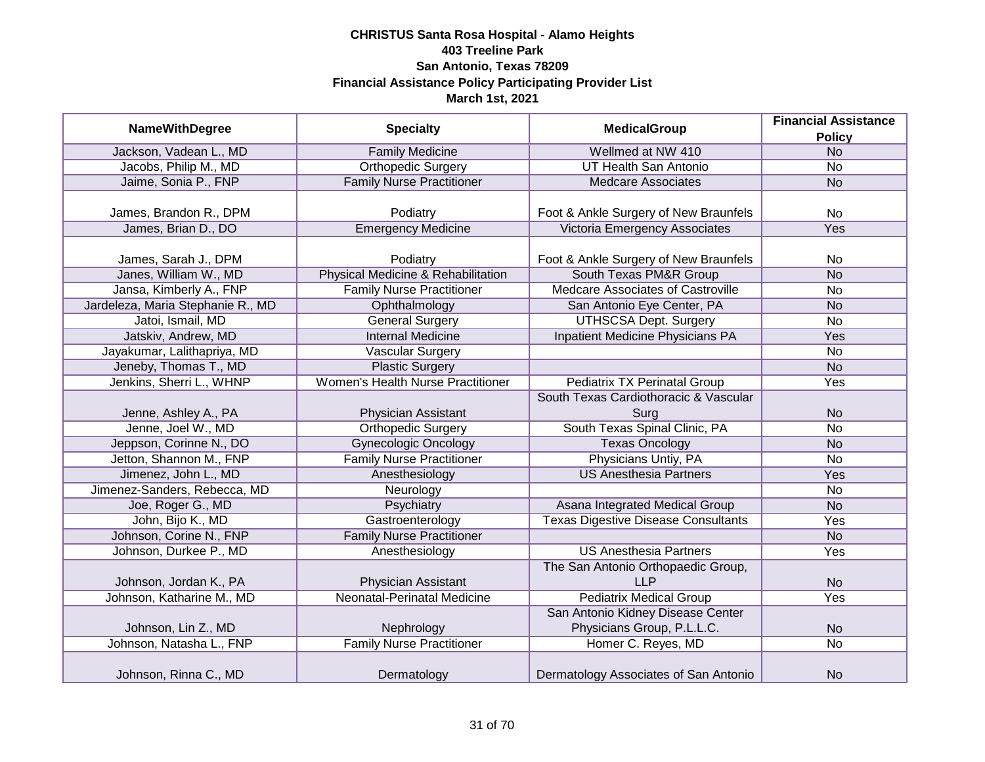|                                   |                                          | <b>MedicalGroup</b>                        | <b>Financial Assistance</b> |
|-----------------------------------|------------------------------------------|--------------------------------------------|-----------------------------|
| <b>NameWithDegree</b>             | <b>Specialty</b>                         |                                            | <b>Policy</b>               |
| Jackson, Vadean L., MD            | <b>Family Medicine</b>                   | Wellmed at NW 410                          | <b>No</b>                   |
| Jacobs, Philip M., MD             | Orthopedic Surgery                       | UT Health San Antonio                      | $\overline{No}$             |
| Jaime, Sonia P., FNP              | <b>Family Nurse Practitioner</b>         | <b>Medcare Associates</b>                  | <b>No</b>                   |
|                                   |                                          |                                            |                             |
| James, Brandon R., DPM            | Podiatry                                 | Foot & Ankle Surgery of New Braunfels      | <b>No</b>                   |
| James, Brian D., DO               | <b>Emergency Medicine</b>                | Victoria Emergency Associates              | Yes                         |
|                                   |                                          |                                            |                             |
| James, Sarah J., DPM              | Podiatry                                 | Foot & Ankle Surgery of New Braunfels      | No                          |
| Janes, William W., MD             | Physical Medicine & Rehabilitation       | South Texas PM&R Group                     | <b>No</b>                   |
| Jansa, Kimberly A., FNP           | <b>Family Nurse Practitioner</b>         | Medcare Associates of Castroville          | No                          |
| Jardeleza, Maria Stephanie R., MD | Ophthalmology                            | San Antonio Eye Center, PA                 | <b>No</b>                   |
| Jatoi, Ismail, MD                 | <b>General Surgery</b>                   | <b>UTHSCSA Dept. Surgery</b>               | <b>No</b>                   |
| Jatskiv, Andrew, MD               | <b>Internal Medicine</b>                 | Inpatient Medicine Physicians PA           | Yes                         |
| Jayakumar, Lalithapriya, MD       | <b>Vascular Surgery</b>                  |                                            | <b>No</b>                   |
| Jeneby, Thomas T., MD             | <b>Plastic Surgery</b>                   |                                            | <b>No</b>                   |
| Jenkins, Sherri L., WHNP          | <b>Women's Health Nurse Practitioner</b> | <b>Pediatrix TX Perinatal Group</b>        | Yes                         |
|                                   |                                          | South Texas Cardiothoracic & Vascular      |                             |
| Jenne, Ashley A., PA              | Physician Assistant                      | Surg                                       | <b>No</b>                   |
| Jenne, Joel W., MD                | <b>Orthopedic Surgery</b>                | South Texas Spinal Clinic, PA              | <b>No</b>                   |
| Jeppson, Corinne N., DO           | <b>Gynecologic Oncology</b>              | <b>Texas Oncology</b>                      | <b>No</b>                   |
| Jetton, Shannon M., FNP           | <b>Family Nurse Practitioner</b>         | Physicians Untiy, PA                       | <b>No</b>                   |
| Jimenez, John L., MD              | Anesthesiology                           | <b>US Anesthesia Partners</b>              | Yes                         |
| Jimenez-Sanders, Rebecca, MD      | Neurology                                |                                            | No                          |
| Joe, Roger G., MD                 | Psychiatry                               | Asana Integrated Medical Group             | <b>No</b>                   |
| John, Bijo K., MD                 | Gastroenterology                         | <b>Texas Digestive Disease Consultants</b> | Yes                         |
| Johnson, Corine N., FNP           | <b>Family Nurse Practitioner</b>         |                                            | <b>No</b>                   |
| Johnson, Durkee P., MD            | Anesthesiology                           | <b>US Anesthesia Partners</b>              | Yes                         |
|                                   |                                          | The San Antonio Orthopaedic Group,         |                             |
| Johnson, Jordan K., PA            | Physician Assistant                      | <b>LLP</b>                                 | <b>No</b>                   |
| Johnson, Katharine M., MD         | Neonatal-Perinatal Medicine              | <b>Pediatrix Medical Group</b>             | Yes                         |
|                                   |                                          | San Antonio Kidney Disease Center          |                             |
| Johnson, Lin Z., MD               | Nephrology                               | Physicians Group, P.L.L.C.                 | <b>No</b>                   |
| Johnson, Natasha L., FNP          | <b>Family Nurse Practitioner</b>         | Homer C. Reyes, MD                         | $\overline{No}$             |
|                                   |                                          |                                            |                             |
| Johnson, Rinna C., MD             | Dermatology                              | Dermatology Associates of San Antonio      | <b>No</b>                   |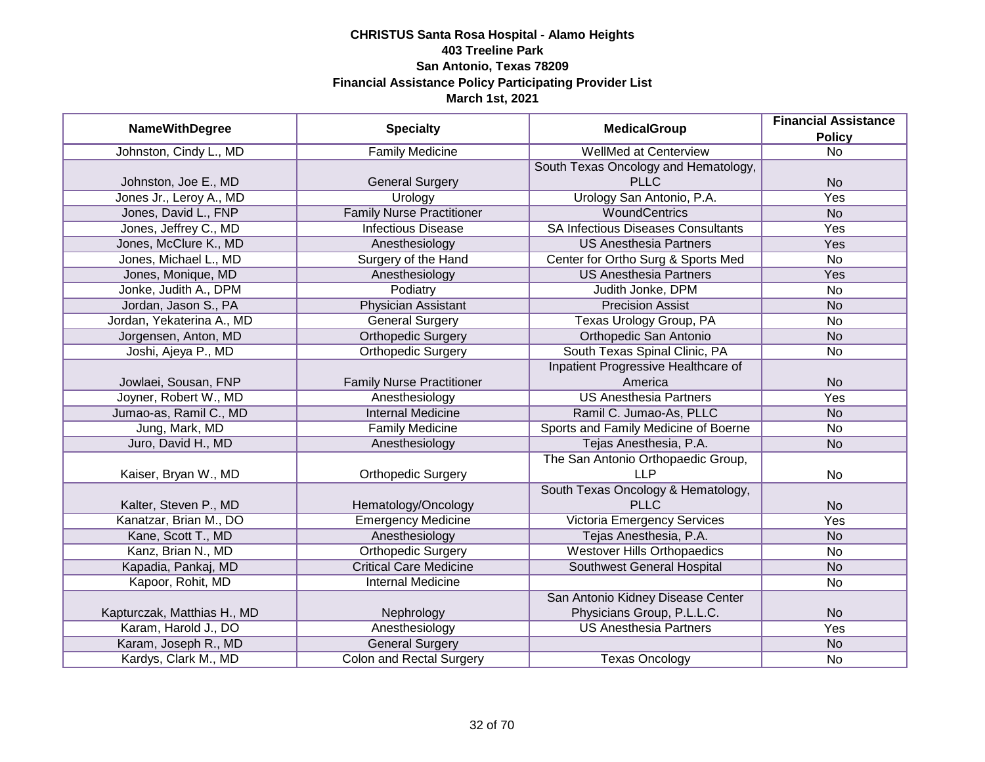|                             | <b>Specialty</b>                 | <b>MedicalGroup</b>                       | <b>Financial Assistance</b> |
|-----------------------------|----------------------------------|-------------------------------------------|-----------------------------|
| <b>NameWithDegree</b>       |                                  |                                           | <b>Policy</b>               |
| Johnston, Cindy L., MD      | <b>Family Medicine</b>           | <b>WellMed at Centerview</b>              | $\overline{No}$             |
|                             |                                  | South Texas Oncology and Hematology,      |                             |
| Johnston, Joe E., MD        | <b>General Surgery</b>           | <b>PLLC</b>                               | <b>No</b>                   |
| Jones Jr., Leroy A., MD     | Urology                          | Urology San Antonio, P.A.                 | Yes                         |
| Jones, David L., FNP        | <b>Family Nurse Practitioner</b> | <b>WoundCentrics</b>                      | <b>No</b>                   |
| Jones, Jeffrey C., MD       | <b>Infectious Disease</b>        | <b>SA Infectious Diseases Consultants</b> | Yes                         |
| Jones, McClure K., MD       | Anesthesiology                   | <b>US Anesthesia Partners</b>             | Yes                         |
| Jones, Michael L., MD       | Surgery of the Hand              | Center for Ortho Surg & Sports Med        | <b>No</b>                   |
| Jones, Monique, MD          | Anesthesiology                   | <b>US Anesthesia Partners</b>             | Yes                         |
| Jonke, Judith A., DPM       | Podiatry                         | Judith Jonke, DPM                         | <b>No</b>                   |
| Jordan, Jason S., PA        | <b>Physician Assistant</b>       | <b>Precision Assist</b>                   | <b>No</b>                   |
| Jordan, Yekaterina A., MD   | <b>General Surgery</b>           | Texas Urology Group, PA                   | No                          |
| Jorgensen, Anton, MD        | <b>Orthopedic Surgery</b>        | Orthopedic San Antonio                    | <b>No</b>                   |
| Joshi, Ajeya P., MD         | <b>Orthopedic Surgery</b>        | South Texas Spinal Clinic, PA             | <b>No</b>                   |
|                             |                                  | Inpatient Progressive Healthcare of       |                             |
| Jowlaei, Sousan, FNP        | <b>Family Nurse Practitioner</b> | America                                   | <b>No</b>                   |
| Joyner, Robert W., MD       | Anesthesiology                   | <b>US Anesthesia Partners</b>             | Yes                         |
| Jumao-as, Ramil C., MD      | <b>Internal Medicine</b>         | Ramil C. Jumao-As, PLLC                   | <b>No</b>                   |
| Jung, Mark, MD              | <b>Family Medicine</b>           | Sports and Family Medicine of Boerne      | <b>No</b>                   |
| Juro, David H., MD          | Anesthesiology                   | Tejas Anesthesia, P.A.                    | <b>No</b>                   |
|                             |                                  | The San Antonio Orthopaedic Group,        |                             |
| Kaiser, Bryan W., MD        | <b>Orthopedic Surgery</b>        | <b>LLP</b>                                | <b>No</b>                   |
|                             |                                  | South Texas Oncology & Hematology,        |                             |
| Kalter, Steven P., MD       | Hematology/Oncology              | <b>PLLC</b>                               | <b>No</b>                   |
| Kanatzar, Brian M., DO      | <b>Emergency Medicine</b>        | Victoria Emergency Services               | Yes                         |
| Kane, Scott T., MD          | Anesthesiology                   | Tejas Anesthesia, P.A.                    | <b>No</b>                   |
| Kanz, Brian N., MD          | <b>Orthopedic Surgery</b>        | <b>Westover Hills Orthopaedics</b>        | <b>No</b>                   |
| Kapadia, Pankaj, MD         | <b>Critical Care Medicine</b>    | Southwest General Hospital                | <b>No</b>                   |
| Kapoor, Rohit, MD           | <b>Internal Medicine</b>         |                                           | No                          |
|                             |                                  | San Antonio Kidney Disease Center         |                             |
| Kapturczak, Matthias H., MD | Nephrology                       | Physicians Group, P.L.L.C.                | <b>No</b>                   |
| Karam, Harold J., DO        | Anesthesiology                   | <b>US Anesthesia Partners</b>             | Yes                         |
| Karam, Joseph R., MD        | <b>General Surgery</b>           |                                           | <b>No</b>                   |
| Kardys, Clark M., MD        | <b>Colon and Rectal Surgery</b>  | <b>Texas Oncology</b>                     | No                          |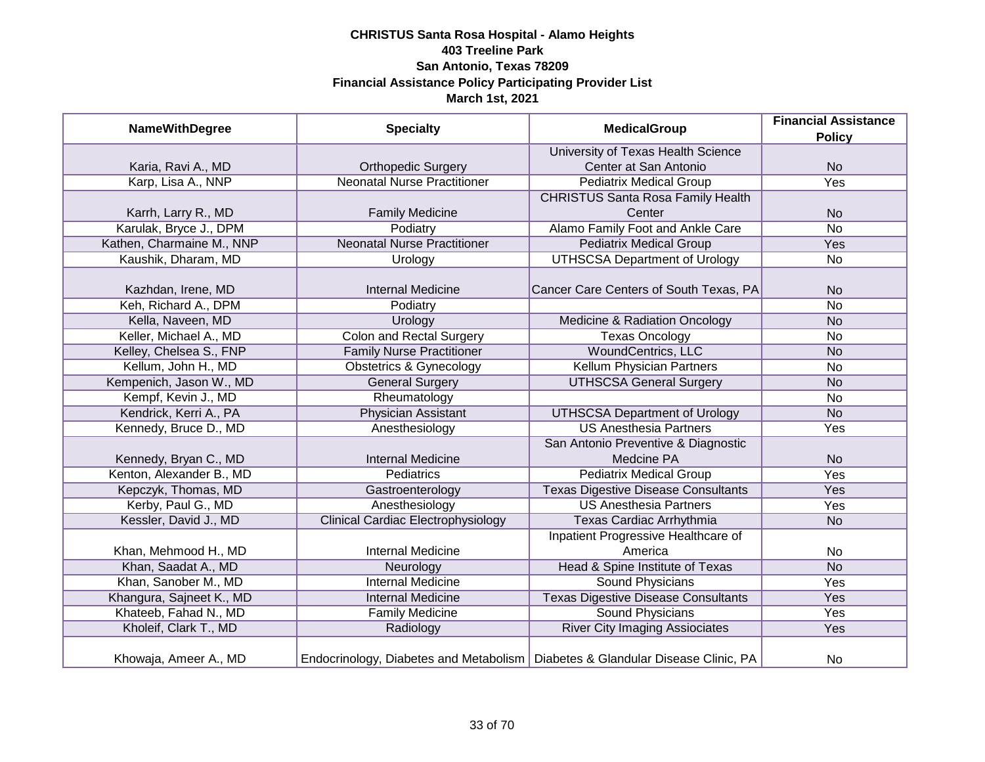| <b>NameWithDegree</b>     | <b>Specialty</b>                          | <b>MedicalGroup</b>                                                              | <b>Financial Assistance</b> |
|---------------------------|-------------------------------------------|----------------------------------------------------------------------------------|-----------------------------|
|                           |                                           |                                                                                  | <b>Policy</b>               |
|                           |                                           | University of Texas Health Science                                               |                             |
| Karia, Ravi A., MD        | <b>Orthopedic Surgery</b>                 | Center at San Antonio                                                            | <b>No</b>                   |
| Karp, Lisa A., NNP        | <b>Neonatal Nurse Practitioner</b>        | <b>Pediatrix Medical Group</b>                                                   | Yes                         |
|                           |                                           | <b>CHRISTUS Santa Rosa Family Health</b>                                         |                             |
| Karrh, Larry R., MD       | <b>Family Medicine</b>                    | Center                                                                           | <b>No</b>                   |
| Karulak, Bryce J., DPM    | Podiatry                                  | Alamo Family Foot and Ankle Care                                                 | <b>No</b>                   |
| Kathen, Charmaine M., NNP | <b>Neonatal Nurse Practitioner</b>        | <b>Pediatrix Medical Group</b>                                                   | Yes                         |
| Kaushik, Dharam, MD       | Urology                                   | <b>UTHSCSA Department of Urology</b>                                             | <b>No</b>                   |
|                           |                                           |                                                                                  |                             |
| Kazhdan, Irene, MD        | <b>Internal Medicine</b>                  | Cancer Care Centers of South Texas, PA                                           | <b>No</b>                   |
| Keh, Richard A., DPM      | Podiatry                                  |                                                                                  | <b>No</b>                   |
| Kella, Naveen, MD         | Urology                                   | Medicine & Radiation Oncology                                                    | <b>No</b>                   |
| Keller, Michael A., MD    | <b>Colon and Rectal Surgery</b>           | <b>Texas Oncology</b>                                                            | <b>No</b>                   |
| Kelley, Chelsea S., FNP   | <b>Family Nurse Practitioner</b>          | <b>WoundCentrics, LLC</b>                                                        | <b>No</b>                   |
| Kellum, John H., MD       | <b>Obstetrics &amp; Gynecology</b>        | Kellum Physician Partners                                                        | <b>No</b>                   |
| Kempenich, Jason W., MD   | <b>General Surgery</b>                    | <b>UTHSCSA General Surgery</b>                                                   | <b>No</b>                   |
| Kempf, Kevin J., MD       | Rheumatology                              |                                                                                  | <b>No</b>                   |
| Kendrick, Kerri A., PA    | <b>Physician Assistant</b>                | <b>UTHSCSA Department of Urology</b>                                             | <b>No</b>                   |
| Kennedy, Bruce D., MD     | Anesthesiology                            | <b>US Anesthesia Partners</b>                                                    | Yes                         |
|                           |                                           | San Antonio Preventive & Diagnostic                                              |                             |
| Kennedy, Bryan C., MD     | <b>Internal Medicine</b>                  | Medcine PA                                                                       | <b>No</b>                   |
| Kenton, Alexander B., MD  | Pediatrics                                | <b>Pediatrix Medical Group</b>                                                   | Yes                         |
| Kepczyk, Thomas, MD       | Gastroenterology                          | <b>Texas Digestive Disease Consultants</b>                                       | Yes                         |
| Kerby, Paul G., MD        | Anesthesiology                            | <b>US Anesthesia Partners</b>                                                    | Yes                         |
| Kessler, David J., MD     | <b>Clinical Cardiac Electrophysiology</b> | Texas Cardiac Arrhythmia                                                         | <b>No</b>                   |
|                           |                                           | Inpatient Progressive Healthcare of                                              |                             |
| Khan, Mehmood H., MD      | <b>Internal Medicine</b>                  | America                                                                          | <b>No</b>                   |
| Khan, Saadat A., MD       | Neurology                                 | Head & Spine Institute of Texas                                                  | <b>No</b>                   |
| Khan, Sanober M., MD      | <b>Internal Medicine</b>                  | Sound Physicians                                                                 | Yes                         |
| Khangura, Sajneet K., MD  | <b>Internal Medicine</b>                  | <b>Texas Digestive Disease Consultants</b>                                       | Yes                         |
| Khateeb, Fahad N., MD     | <b>Family Medicine</b>                    | <b>Sound Physicians</b>                                                          | Yes                         |
| Kholeif, Clark T., MD     | Radiology                                 | <b>River City Imaging Assiociates</b>                                            | Yes                         |
| Khowaja, Ameer A., MD     |                                           | Endocrinology, Diabetes and Metabolism   Diabetes & Glandular Disease Clinic, PA | No                          |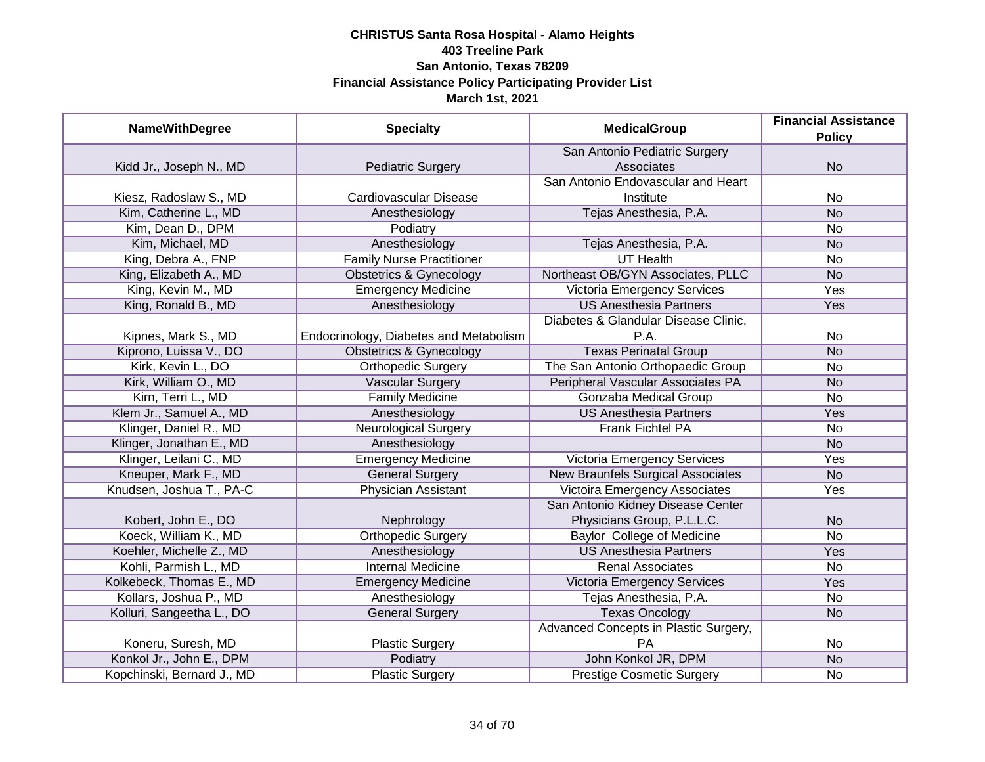| <b>NameWithDegree</b>      | <b>Specialty</b>                       | <b>MedicalGroup</b>                      | <b>Financial Assistance</b> |
|----------------------------|----------------------------------------|------------------------------------------|-----------------------------|
|                            |                                        |                                          | <b>Policy</b>               |
|                            |                                        | San Antonio Pediatric Surgery            |                             |
| Kidd Jr., Joseph N., MD    | <b>Pediatric Surgery</b>               | Associates                               | <b>No</b>                   |
|                            |                                        | San Antonio Endovascular and Heart       |                             |
| Kiesz, Radoslaw S., MD     | Cardiovascular Disease                 | Institute                                | No                          |
| Kim, Catherine L., MD      | Anesthesiology                         | Tejas Anesthesia, P.A.                   | <b>No</b>                   |
| Kim, Dean D., DPM          | Podiatry                               |                                          | <b>No</b>                   |
| Kim, Michael, MD           | Anesthesiology                         | Tejas Anesthesia, P.A.                   | <b>No</b>                   |
| King, Debra A., FNP        | <b>Family Nurse Practitioner</b>       | <b>UT Health</b>                         | No                          |
| King, Elizabeth A., MD     | <b>Obstetrics &amp; Gynecology</b>     | Northeast OB/GYN Associates, PLLC        | <b>No</b>                   |
| King, Kevin M., MD         | <b>Emergency Medicine</b>              | Victoria Emergency Services              | Yes                         |
| King, Ronald B., MD        | Anesthesiology                         | <b>US Anesthesia Partners</b>            | Yes                         |
|                            |                                        | Diabetes & Glandular Disease Clinic,     |                             |
| Kipnes, Mark S., MD        | Endocrinology, Diabetes and Metabolism | P.A.                                     | <b>No</b>                   |
| Kiprono, Luissa V., DO     | <b>Obstetrics &amp; Gynecology</b>     | <b>Texas Perinatal Group</b>             | <b>No</b>                   |
| Kirk, Kevin L., DO         | <b>Orthopedic Surgery</b>              | The San Antonio Orthopaedic Group        | No                          |
| Kirk, William O., MD       | <b>Vascular Surgery</b>                | Peripheral Vascular Associates PA        | <b>No</b>                   |
| Kirn, Terri L., MD         | <b>Family Medicine</b>                 | Gonzaba Medical Group                    | No                          |
| Klem Jr., Samuel A., MD    | Anesthesiology                         | <b>US Anesthesia Partners</b>            | Yes                         |
| Klinger, Daniel R., MD     | <b>Neurological Surgery</b>            | <b>Frank Fichtel PA</b>                  | No                          |
| Klinger, Jonathan E., MD   | Anesthesiology                         |                                          | <b>No</b>                   |
| Klinger, Leilani C., MD    | <b>Emergency Medicine</b>              | <b>Victoria Emergency Services</b>       | Yes                         |
| Kneuper, Mark F., MD       | <b>General Surgery</b>                 | <b>New Braunfels Surgical Associates</b> | <b>No</b>                   |
| Knudsen, Joshua T., PA-C   | <b>Physician Assistant</b>             | <b>Victoira Emergency Associates</b>     | Yes                         |
|                            |                                        | San Antonio Kidney Disease Center        |                             |
| Kobert, John E., DO        | Nephrology                             | Physicians Group, P.L.L.C.               | <b>No</b>                   |
| Koeck, William K., MD      | <b>Orthopedic Surgery</b>              | <b>Baylor College of Medicine</b>        | <b>No</b>                   |
| Koehler, Michelle Z., MD   | Anesthesiology                         | <b>US Anesthesia Partners</b>            | Yes                         |
| Kohli, Parmish L., MD      | <b>Internal Medicine</b>               | <b>Renal Associates</b>                  | No                          |
| Kolkebeck, Thomas E., MD   | <b>Emergency Medicine</b>              | Victoria Emergency Services              | Yes                         |
| Kollars, Joshua P., MD     | Anesthesiology                         | Tejas Anesthesia, P.A.                   | No                          |
| Kolluri, Sangeetha L., DO  | <b>General Surgery</b>                 | <b>Texas Oncology</b>                    | <b>No</b>                   |
|                            |                                        | Advanced Concepts in Plastic Surgery,    |                             |
| Koneru, Suresh, MD         | <b>Plastic Surgery</b>                 | <b>PA</b>                                | No                          |
| Konkol Jr., John E., DPM   | Podiatry                               | John Konkol JR, DPM                      | N <sub>o</sub>              |
| Kopchinski, Bernard J., MD | <b>Plastic Surgery</b>                 | <b>Prestige Cosmetic Surgery</b>         | No                          |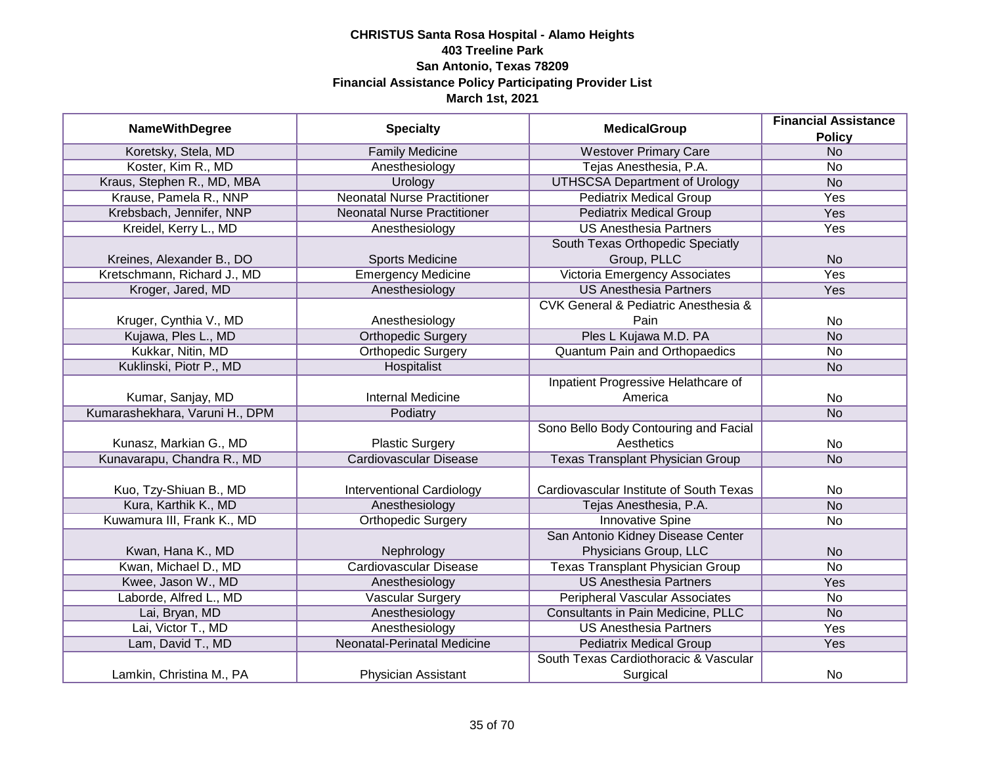| <b>NameWithDegree</b>          | <b>Specialty</b>                   | <b>MedicalGroup</b>                     | <b>Financial Assistance</b> |
|--------------------------------|------------------------------------|-----------------------------------------|-----------------------------|
|                                |                                    |                                         | <b>Policy</b>               |
| Koretsky, Stela, MD            | <b>Family Medicine</b>             | <b>Westover Primary Care</b>            | N <sub>O</sub>              |
| Koster, Kim R., MD             | Anesthesiology                     | Tejas Anesthesia, P.A.                  | <b>No</b>                   |
| Kraus, Stephen R., MD, MBA     | Urology                            | <b>UTHSCSA Department of Urology</b>    | N <sub>o</sub>              |
| Krause, Pamela R., NNP         | <b>Neonatal Nurse Practitioner</b> | <b>Pediatrix Medical Group</b>          | <b>Yes</b>                  |
| Krebsbach, Jennifer, NNP       | <b>Neonatal Nurse Practitioner</b> | <b>Pediatrix Medical Group</b>          | Yes                         |
| Kreidel, Kerry L., MD          | Anesthesiology                     | <b>US Anesthesia Partners</b>           | <b>Yes</b>                  |
|                                |                                    | South Texas Orthopedic Speciatly        |                             |
| Kreines, Alexander B., DO      | <b>Sports Medicine</b>             | Group, PLLC                             | <b>No</b>                   |
| Kretschmann, Richard J., MD    | <b>Emergency Medicine</b>          | Victoria Emergency Associates           | Yes                         |
| Kroger, Jared, MD              | Anesthesiology                     | <b>US Anesthesia Partners</b>           | Yes                         |
|                                |                                    | CVK General & Pediatric Anesthesia &    |                             |
| Kruger, Cynthia V., MD         | Anesthesiology                     | Pain                                    | <b>No</b>                   |
| Kujawa, Ples L., MD            | <b>Orthopedic Surgery</b>          | Ples L Kujawa M.D. PA                   | <b>No</b>                   |
| Kukkar, Nitin, MD              | <b>Orthopedic Surgery</b>          | <b>Quantum Pain and Orthopaedics</b>    | <b>No</b>                   |
| Kuklinski, Piotr P., MD        | Hospitalist                        |                                         | <b>No</b>                   |
|                                |                                    | Inpatient Progressive Helathcare of     |                             |
| Kumar, Sanjay, MD              | <b>Internal Medicine</b>           | America                                 | No                          |
| Kumarashekhara, Varuni H., DPM | Podiatry                           |                                         | <b>No</b>                   |
|                                |                                    | Sono Bello Body Contouring and Facial   |                             |
| Kunasz, Markian G., MD         | <b>Plastic Surgery</b>             | Aesthetics                              | No                          |
| Kunavarapu, Chandra R., MD     | <b>Cardiovascular Disease</b>      | <b>Texas Transplant Physician Group</b> | <b>No</b>                   |
|                                |                                    |                                         |                             |
| Kuo, Tzy-Shiuan B., MD         | <b>Interventional Cardiology</b>   | Cardiovascular Institute of South Texas | <b>No</b>                   |
| Kura, Karthik K., MD           | Anesthesiology                     | Tejas Anesthesia, P.A.                  | <b>No</b>                   |
| Kuwamura III, Frank K., MD     | <b>Orthopedic Surgery</b>          | <b>Innovative Spine</b>                 | <b>No</b>                   |
|                                |                                    | San Antonio Kidney Disease Center       |                             |
| Kwan, Hana K., MD              | Nephrology                         | Physicians Group, LLC                   | <b>No</b>                   |
| Kwan, Michael D., MD           | <b>Cardiovascular Disease</b>      | <b>Texas Transplant Physician Group</b> | <b>No</b>                   |
| Kwee, Jason W., MD             | Anesthesiology                     | <b>US Anesthesia Partners</b>           | Yes                         |
| Laborde, Alfred L., MD         | Vascular Surgery                   | Peripheral Vascular Associates          | No                          |
| Lai, Bryan, MD                 | Anesthesiology                     | Consultants in Pain Medicine, PLLC      | <b>No</b>                   |
| Lai, Victor T., MD             | Anesthesiology                     | <b>US Anesthesia Partners</b>           | Yes                         |
| Lam, David T., MD              | Neonatal-Perinatal Medicine        | <b>Pediatrix Medical Group</b>          | Yes                         |
|                                |                                    | South Texas Cardiothoracic & Vascular   |                             |
| Lamkin, Christina M., PA       | Physician Assistant                | Surgical                                | <b>No</b>                   |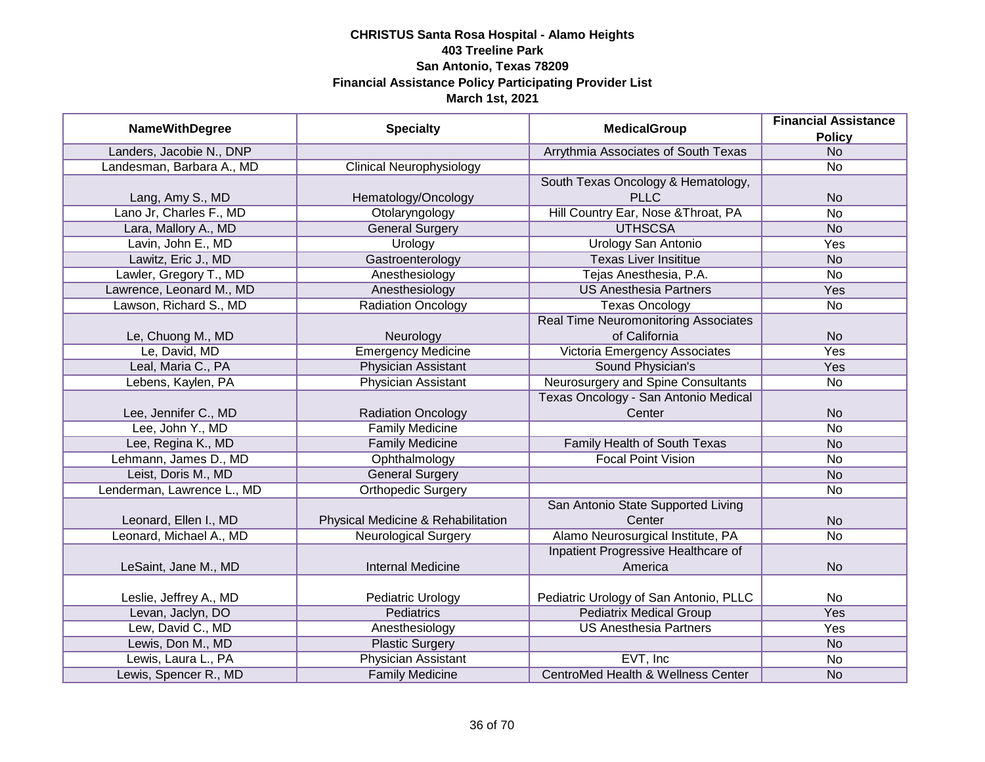|                            |                                    |                                               | <b>Financial Assistance</b> |
|----------------------------|------------------------------------|-----------------------------------------------|-----------------------------|
| <b>NameWithDegree</b>      | <b>Specialty</b>                   | <b>MedicalGroup</b>                           | <b>Policy</b>               |
| Landers, Jacobie N., DNP   |                                    | Arrythmia Associates of South Texas           | <b>No</b>                   |
| Landesman, Barbara A., MD  | <b>Clinical Neurophysiology</b>    |                                               | No                          |
|                            |                                    | South Texas Oncology & Hematology,            |                             |
| Lang, Amy S., MD           | Hematology/Oncology                | <b>PLLC</b>                                   | <b>No</b>                   |
| Lano Jr, Charles F., MD    | Otolaryngology                     | Hill Country Ear, Nose & Throat, PA           | <b>No</b>                   |
| Lara, Mallory A., MD       | <b>General Surgery</b>             | <b>UTHSCSA</b>                                | <b>No</b>                   |
| Lavin, John E., MD         | Urology                            | <b>Urology San Antonio</b>                    | <b>Yes</b>                  |
| Lawitz, Eric J., MD        | Gastroenterology                   | <b>Texas Liver Insititue</b>                  | <b>No</b>                   |
| Lawler, Gregory T., MD     | Anesthesiology                     | Tejas Anesthesia, P.A.                        | No                          |
| Lawrence, Leonard M., MD   | Anesthesiology                     | <b>US Anesthesia Partners</b>                 | Yes                         |
| Lawson, Richard S., MD     | <b>Radiation Oncology</b>          | <b>Texas Oncology</b>                         | <b>No</b>                   |
|                            |                                    | <b>Real Time Neuromonitoring Associates</b>   |                             |
| Le, Chuong M., MD          | Neurology                          | of California                                 | <b>No</b>                   |
| Le, David, MD              | <b>Emergency Medicine</b>          | Victoria Emergency Associates                 | Yes                         |
| Leal, Maria C., PA         | <b>Physician Assistant</b>         | Sound Physician's                             | Yes                         |
| Lebens, Kaylen, PA         | <b>Physician Assistant</b>         | Neurosurgery and Spine Consultants            | No                          |
|                            |                                    | Texas Oncology - San Antonio Medical          |                             |
| Lee, Jennifer C., MD       | <b>Radiation Oncology</b>          | Center                                        | <b>No</b>                   |
| Lee, John Y., MD           | <b>Family Medicine</b>             |                                               | No                          |
| Lee, Regina K., MD         | <b>Family Medicine</b>             | Family Health of South Texas                  | <b>No</b>                   |
| Lehmann, James D., MD      | Ophthalmology                      | <b>Focal Point Vision</b>                     | <b>No</b>                   |
| Leist, Doris M., MD        | <b>General Surgery</b>             |                                               | <b>No</b>                   |
| Lenderman, Lawrence L., MD | <b>Orthopedic Surgery</b>          |                                               | <b>No</b>                   |
|                            |                                    | San Antonio State Supported Living            |                             |
| Leonard, Ellen I., MD      | Physical Medicine & Rehabilitation | Center                                        | <b>No</b>                   |
| Leonard, Michael A., MD    | <b>Neurological Surgery</b>        | Alamo Neurosurgical Institute, PA             | No                          |
|                            |                                    | Inpatient Progressive Healthcare of           |                             |
| LeSaint, Jane M., MD       | <b>Internal Medicine</b>           | America                                       | <b>No</b>                   |
|                            |                                    |                                               |                             |
| Leslie, Jeffrey A., MD     | Pediatric Urology                  | Pediatric Urology of San Antonio, PLLC        | No                          |
| Levan, Jaclyn, DO          | <b>Pediatrics</b>                  | <b>Pediatrix Medical Group</b>                | Yes                         |
| Lew, David C., MD          | Anesthesiology                     | <b>US Anesthesia Partners</b>                 | Yes                         |
| Lewis, Don M., MD          | <b>Plastic Surgery</b>             |                                               | <b>No</b>                   |
| Lewis, Laura L., PA        | <b>Physician Assistant</b>         | EVT, Inc                                      | No                          |
| Lewis, Spencer R., MD      | <b>Family Medicine</b>             | <b>CentroMed Health &amp; Wellness Center</b> | <b>No</b>                   |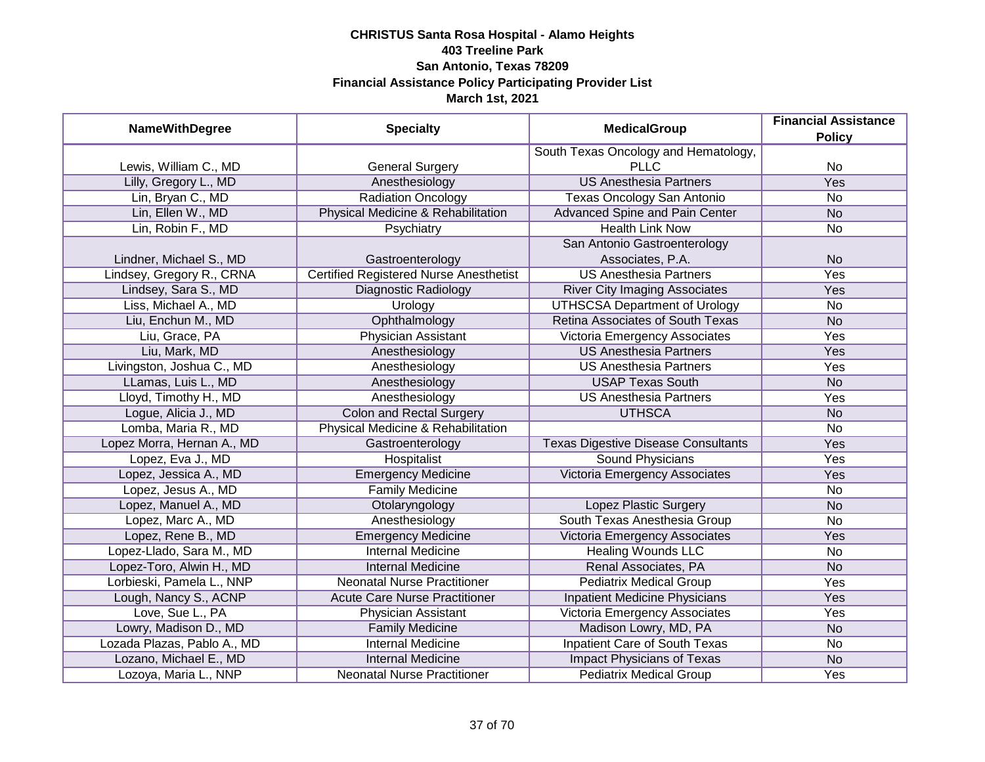| <b>NameWithDegree</b>       | <b>Specialty</b>                              | <b>MedicalGroup</b>                        | <b>Financial Assistance</b><br><b>Policy</b> |
|-----------------------------|-----------------------------------------------|--------------------------------------------|----------------------------------------------|
|                             |                                               | South Texas Oncology and Hematology,       |                                              |
| Lewis, William C., MD       | <b>General Surgery</b>                        | <b>PLLC</b>                                | No                                           |
| Lilly, Gregory L., MD       | Anesthesiology                                | <b>US Anesthesia Partners</b>              | <b>Yes</b>                                   |
| Lin, Bryan C., MD           | <b>Radiation Oncology</b>                     | Texas Oncology San Antonio                 | <b>No</b>                                    |
| Lin, Ellen W., MD           | Physical Medicine & Rehabilitation            | <b>Advanced Spine and Pain Center</b>      | <b>No</b>                                    |
| Lin, Robin F., MD           | Psychiatry                                    | <b>Health Link Now</b>                     | No                                           |
|                             |                                               | San Antonio Gastroenterology               |                                              |
| Lindner, Michael S., MD     | Gastroenterology                              | Associates, P.A.                           | <b>No</b>                                    |
| Lindsey, Gregory R., CRNA   | <b>Certified Registered Nurse Anesthetist</b> | <b>US Anesthesia Partners</b>              | Yes                                          |
| Lindsey, Sara S., MD        | Diagnostic Radiology                          | <b>River City Imaging Associates</b>       | Yes                                          |
| Liss, Michael A., MD        | Urology                                       | <b>UTHSCSA Department of Urology</b>       | No                                           |
| Liu, Enchun M., MD          | Ophthalmology                                 | Retina Associates of South Texas           | <b>No</b>                                    |
| Liu, Grace, PA              | Physician Assistant                           | Victoria Emergency Associates              | Yes                                          |
| Liu, Mark, MD               | Anesthesiology                                | <b>US Anesthesia Partners</b>              | Yes                                          |
| Livingston, Joshua C., MD   | Anesthesiology                                | <b>US Anesthesia Partners</b>              | Yes                                          |
| LLamas, Luis L., MD         | Anesthesiology                                | <b>USAP Texas South</b>                    | <b>No</b>                                    |
| Lloyd, Timothy H., MD       | Anesthesiology                                | <b>US Anesthesia Partners</b>              | Yes                                          |
| Logue, Alicia J., MD        | <b>Colon and Rectal Surgery</b>               | <b>UTHSCA</b>                              | <b>No</b>                                    |
| Lomba, Maria R., MD         | Physical Medicine & Rehabilitation            |                                            | No                                           |
| Lopez Morra, Hernan A., MD  | Gastroenterology                              | <b>Texas Digestive Disease Consultants</b> | Yes                                          |
| Lopez, Eva J., MD           | Hospitalist                                   | <b>Sound Physicians</b>                    | Yes                                          |
| Lopez, Jessica A., MD       | <b>Emergency Medicine</b>                     | Victoria Emergency Associates              | Yes                                          |
| Lopez, Jesus A., MD         | <b>Family Medicine</b>                        |                                            | <b>No</b>                                    |
| Lopez, Manuel A., MD        | Otolaryngology                                | Lopez Plastic Surgery                      | <b>No</b>                                    |
| Lopez, Marc A., MD          | Anesthesiology                                | South Texas Anesthesia Group               | <b>No</b>                                    |
| Lopez, Rene B., MD          | <b>Emergency Medicine</b>                     | Victoria Emergency Associates              | Yes                                          |
| Lopez-Llado, Sara M., MD    | <b>Internal Medicine</b>                      | <b>Healing Wounds LLC</b>                  | <b>No</b>                                    |
| Lopez-Toro, Alwin H., MD    | <b>Internal Medicine</b>                      | Renal Associates, PA                       | <b>No</b>                                    |
| Lorbieski, Pamela L., NNP   | <b>Neonatal Nurse Practitioner</b>            | <b>Pediatrix Medical Group</b>             | Yes                                          |
| Lough, Nancy S., ACNP       | <b>Acute Care Nurse Practitioner</b>          | <b>Inpatient Medicine Physicians</b>       | Yes                                          |
| Love, Sue L., PA            | Physician Assistant                           | Victoria Emergency Associates              | Yes                                          |
| Lowry, Madison D., MD       | <b>Family Medicine</b>                        | Madison Lowry, MD, PA                      | <b>No</b>                                    |
| Lozada Plazas, Pablo A., MD | <b>Internal Medicine</b>                      | <b>Inpatient Care of South Texas</b>       | No                                           |
| Lozano, Michael E., MD      | <b>Internal Medicine</b>                      | <b>Impact Physicians of Texas</b>          | N <sub>o</sub>                               |
| Lozoya, Maria L., NNP       | <b>Neonatal Nurse Practitioner</b>            | <b>Pediatrix Medical Group</b>             | Yes                                          |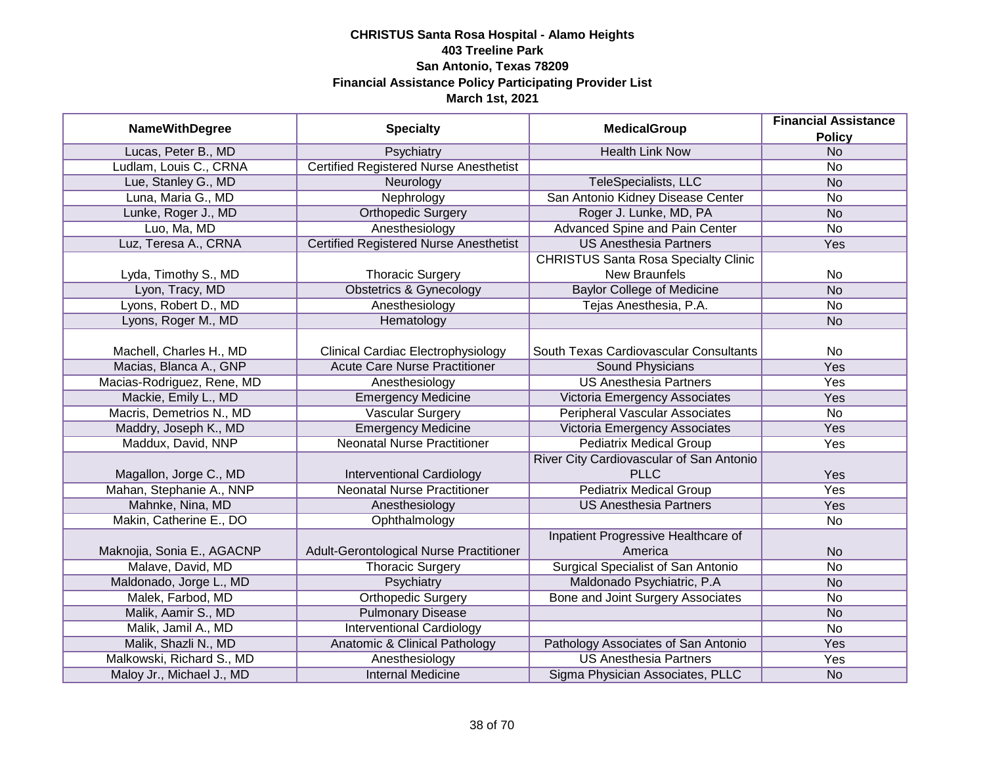| <b>NameWithDegree</b>      | <b>Specialty</b>                              | <b>MedicalGroup</b>                                     | <b>Financial Assistance</b><br><b>Policy</b> |
|----------------------------|-----------------------------------------------|---------------------------------------------------------|----------------------------------------------|
| Lucas, Peter B., MD        | Psychiatry                                    | <b>Health Link Now</b>                                  | <b>No</b>                                    |
| Ludlam, Louis C., CRNA     | <b>Certified Registered Nurse Anesthetist</b> |                                                         | <b>No</b>                                    |
| Lue, Stanley G., MD        | Neurology                                     | TeleSpecialists, LLC                                    | <b>No</b>                                    |
| Luna, Maria G., MD         | Nephrology                                    | San Antonio Kidney Disease Center                       | <b>No</b>                                    |
| Lunke, Roger J., MD        | <b>Orthopedic Surgery</b>                     | Roger J. Lunke, MD, PA                                  | N <sub>o</sub>                               |
| Luo, Ma, MD                | Anesthesiology                                | Advanced Spine and Pain Center                          | <b>No</b>                                    |
| Luz, Teresa A., CRNA       | <b>Certified Registered Nurse Anesthetist</b> | <b>US Anesthesia Partners</b>                           | Yes                                          |
|                            |                                               | <b>CHRISTUS Santa Rosa Specialty Clinic</b>             |                                              |
| Lyda, Timothy S., MD       | <b>Thoracic Surgery</b>                       | New Braunfels                                           | <b>No</b>                                    |
| Lyon, Tracy, MD            | <b>Obstetrics &amp; Gynecology</b>            | <b>Baylor College of Medicine</b>                       | <b>No</b>                                    |
| Lyons, Robert D., MD       | Anesthesiology                                | Tejas Anesthesia, P.A.                                  | <b>No</b>                                    |
| Lyons, Roger M., MD        | Hematology                                    |                                                         | <b>No</b>                                    |
| Machell, Charles H., MD    | <b>Clinical Cardiac Electrophysiology</b>     | South Texas Cardiovascular Consultants                  | <b>No</b>                                    |
| Macias, Blanca A., GNP     | <b>Acute Care Nurse Practitioner</b>          | Sound Physicians                                        | Yes                                          |
| Macias-Rodriguez, Rene, MD | Anesthesiology                                | <b>US Anesthesia Partners</b>                           | Yes                                          |
| Mackie, Emily L., MD       | <b>Emergency Medicine</b>                     | Victoria Emergency Associates                           | Yes                                          |
| Macris, Demetrios N., MD   | <b>Vascular Surgery</b>                       | <b>Peripheral Vascular Associates</b>                   | <b>No</b>                                    |
| Maddry, Joseph K., MD      | <b>Emergency Medicine</b>                     | Victoria Emergency Associates                           | Yes                                          |
| Maddux, David, NNP         | <b>Neonatal Nurse Practitioner</b>            | <b>Pediatrix Medical Group</b>                          | Yes                                          |
| Magallon, Jorge C., MD     | <b>Interventional Cardiology</b>              | River City Cardiovascular of San Antonio<br><b>PLLC</b> | Yes                                          |
| Mahan, Stephanie A., NNP   | <b>Neonatal Nurse Practitioner</b>            | <b>Pediatrix Medical Group</b>                          | Yes                                          |
| Mahnke, Nina, MD           | Anesthesiology                                | <b>US Anesthesia Partners</b>                           | Yes                                          |
| Makin, Catherine E., DO    | Ophthalmology                                 |                                                         | <b>No</b>                                    |
| Maknojia, Sonia E., AGACNP | Adult-Gerontological Nurse Practitioner       | Inpatient Progressive Healthcare of<br>America          | <b>No</b>                                    |
| Malave, David, MD          | <b>Thoracic Surgery</b>                       | <b>Surgical Specialist of San Antonio</b>               | <b>No</b>                                    |
| Maldonado, Jorge L., MD    | Psychiatry                                    | Maldonado Psychiatric, P.A                              | <b>No</b>                                    |
| Malek, Farbod, MD          | <b>Orthopedic Surgery</b>                     | Bone and Joint Surgery Associates                       | <b>No</b>                                    |
| Malik, Aamir S., MD        | <b>Pulmonary Disease</b>                      |                                                         | <b>No</b>                                    |
| Malik, Jamil A., MD        | <b>Interventional Cardiology</b>              |                                                         | <b>No</b>                                    |
| Malik, Shazli N., MD       | Anatomic & Clinical Pathology                 | Pathology Associates of San Antonio                     | Yes                                          |
| Malkowski, Richard S., MD  | Anesthesiology                                | <b>US Anesthesia Partners</b>                           | Yes                                          |
| Maloy Jr., Michael J., MD  | <b>Internal Medicine</b>                      | Sigma Physician Associates, PLLC                        | <b>No</b>                                    |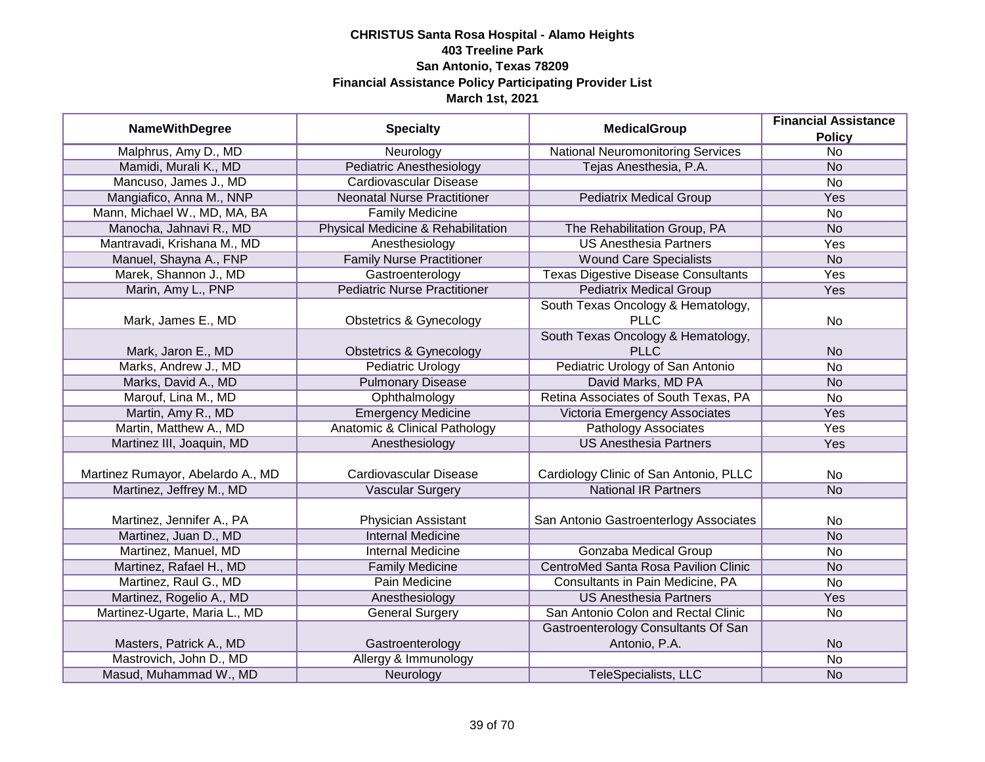| <b>NameWithDegree</b>             | <b>Specialty</b>                         | <b>MedicalGroup</b>                                  | <b>Financial Assistance</b><br><b>Policy</b> |
|-----------------------------------|------------------------------------------|------------------------------------------------------|----------------------------------------------|
| Malphrus, Amy D., MD              | Neurology                                | <b>National Neuromonitoring Services</b>             | $\overline{No}$                              |
| Mamidi, Murali K., MD             | <b>Pediatric Anesthesiology</b>          | Tejas Anesthesia, P.A.                               | <b>No</b>                                    |
| Mancuso, James J., MD             | <b>Cardiovascular Disease</b>            |                                                      | <b>No</b>                                    |
| Mangiafico, Anna M., NNP          | <b>Neonatal Nurse Practitioner</b>       | <b>Pediatrix Medical Group</b>                       | Yes                                          |
| Mann, Michael W., MD, MA, BA      | <b>Family Medicine</b>                   |                                                      | $\overline{No}$                              |
| Manocha, Jahnavi R., MD           | Physical Medicine & Rehabilitation       | The Rehabilitation Group, PA                         | <b>No</b>                                    |
| Mantravadi, Krishana M., MD       | Anesthesiology                           | <b>US Anesthesia Partners</b>                        | <b>Yes</b>                                   |
| Manuel, Shayna A., FNP            | <b>Family Nurse Practitioner</b>         | <b>Wound Care Specialists</b>                        | <b>No</b>                                    |
| Marek, Shannon J., MD             | Gastroenterology                         | <b>Texas Digestive Disease Consultants</b>           | Yes                                          |
| Marin, Amy L., PNP                | <b>Pediatric Nurse Practitioner</b>      | <b>Pediatrix Medical Group</b>                       | Yes                                          |
| Mark, James E., MD                | <b>Obstetrics &amp; Gynecology</b>       | South Texas Oncology & Hematology,<br><b>PLLC</b>    | <b>No</b>                                    |
| Mark, Jaron E., MD                | <b>Obstetrics &amp; Gynecology</b>       | South Texas Oncology & Hematology,<br><b>PLLC</b>    | <b>No</b>                                    |
| Marks, Andrew J., MD              | <b>Pediatric Urology</b>                 | Pediatric Urology of San Antonio                     | <b>No</b>                                    |
| Marks, David A., MD               | <b>Pulmonary Disease</b>                 | David Marks, MD PA                                   | <b>No</b>                                    |
| Marouf, Lina M., MD               | Ophthalmology                            | Retina Associates of South Texas, PA                 | <b>No</b>                                    |
| Martin, Amy R., MD                | <b>Emergency Medicine</b>                | Victoria Emergency Associates                        | Yes                                          |
| Martin, Matthew A., MD            | <b>Anatomic &amp; Clinical Pathology</b> | <b>Pathology Associates</b>                          | Yes                                          |
| Martinez III, Joaquin, MD         | Anesthesiology                           | <b>US Anesthesia Partners</b>                        | Yes                                          |
| Martinez Rumayor, Abelardo A., MD | Cardiovascular Disease                   | Cardiology Clinic of San Antonio, PLLC               | <b>No</b>                                    |
| Martinez, Jeffrey M., MD          | <b>Vascular Surgery</b>                  | <b>National IR Partners</b>                          | <b>No</b>                                    |
| Martinez, Jennifer A., PA         | Physician Assistant                      | San Antonio Gastroenterlogy Associates               | No                                           |
| Martinez, Juan D., MD             | <b>Internal Medicine</b>                 |                                                      | <b>No</b>                                    |
| Martinez, Manuel, MD              | Internal Medicine                        | Gonzaba Medical Group                                | <b>No</b>                                    |
| Martinez, Rafael H., MD           | <b>Family Medicine</b>                   | CentroMed Santa Rosa Pavilion Clinic                 | <b>No</b>                                    |
| Martinez, Raul G., MD             | Pain Medicine                            | Consultants in Pain Medicine, PA                     | <b>No</b>                                    |
| Martinez, Rogelio A., MD          | Anesthesiology                           | <b>US Anesthesia Partners</b>                        | Yes                                          |
| Martinez-Ugarte, Maria L., MD     | <b>General Surgery</b>                   | San Antonio Colon and Rectal Clinic                  | <b>No</b>                                    |
| Masters, Patrick A., MD           | Gastroenterology                         | Gastroenterology Consultants Of San<br>Antonio, P.A. | <b>No</b>                                    |
| Mastrovich, John D., MD           | Allergy & Immunology                     |                                                      | <b>No</b>                                    |
| Masud, Muhammad W., MD            | Neurology                                | TeleSpecialists, LLC                                 | <b>No</b>                                    |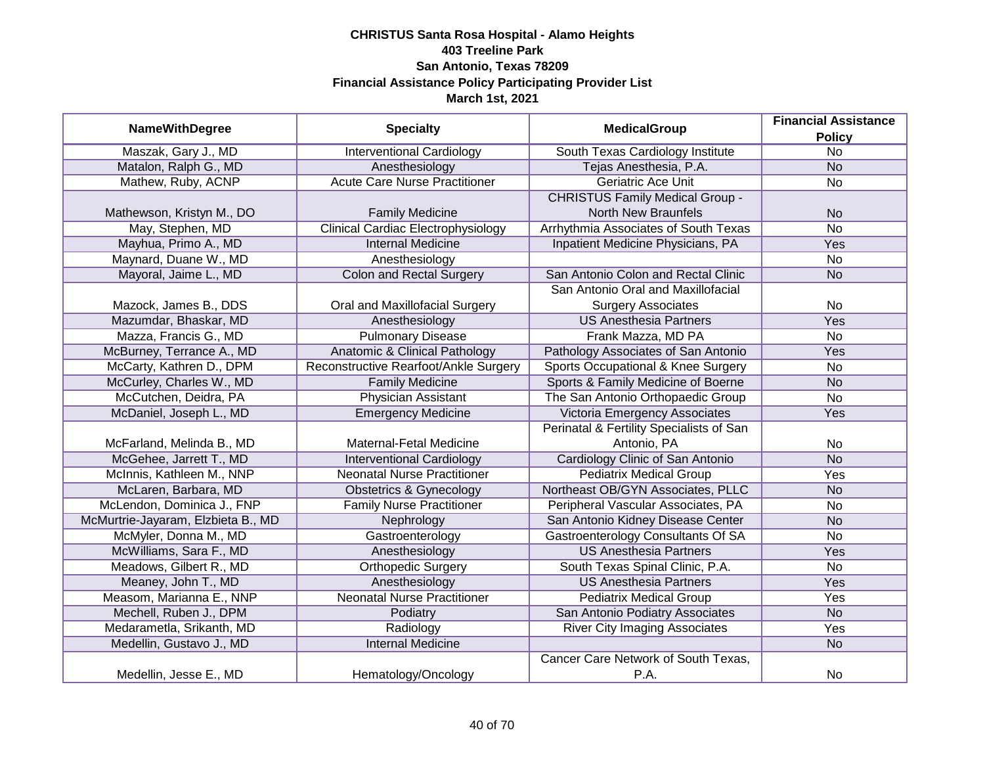|                                    |                                           |                                          | <b>Financial Assistance</b> |
|------------------------------------|-------------------------------------------|------------------------------------------|-----------------------------|
| <b>NameWithDegree</b>              | <b>Specialty</b>                          | <b>MedicalGroup</b>                      | <b>Policy</b>               |
| Maszak, Gary J., MD                | <b>Interventional Cardiology</b>          | South Texas Cardiology Institute         | $\overline{No}$             |
| Matalon, Ralph G., MD              | Anesthesiology                            | Tejas Anesthesia, P.A.                   | N <sub>o</sub>              |
| Mathew, Ruby, ACNP                 | <b>Acute Care Nurse Practitioner</b>      | <b>Geriatric Ace Unit</b>                | $\overline{No}$             |
|                                    |                                           | <b>CHRISTUS Family Medical Group -</b>   |                             |
| Mathewson, Kristyn M., DO          | <b>Family Medicine</b>                    | <b>North New Braunfels</b>               | <b>No</b>                   |
| May, Stephen, MD                   | <b>Clinical Cardiac Electrophysiology</b> | Arrhythmia Associates of South Texas     | <b>No</b>                   |
| Mayhua, Primo A., MD               | <b>Internal Medicine</b>                  | Inpatient Medicine Physicians, PA        | Yes                         |
| Maynard, Duane W., MD              | Anesthesiology                            |                                          | <b>No</b>                   |
| Mayoral, Jaime L., MD              | <b>Colon and Rectal Surgery</b>           | San Antonio Colon and Rectal Clinic      | <b>No</b>                   |
|                                    |                                           | San Antonio Oral and Maxillofacial       |                             |
| Mazock, James B., DDS              | Oral and Maxillofacial Surgery            | <b>Surgery Associates</b>                | No                          |
| Mazumdar, Bhaskar, MD              | Anesthesiology                            | <b>US Anesthesia Partners</b>            | Yes                         |
| Mazza, Francis G., MD              | <b>Pulmonary Disease</b>                  | Frank Mazza, MD PA                       | <b>No</b>                   |
| McBurney, Terrance A., MD          | <b>Anatomic &amp; Clinical Pathology</b>  | Pathology Associates of San Antonio      | Yes                         |
| McCarty, Kathren D., DPM           | Reconstructive Rearfoot/Ankle Surgery     | Sports Occupational & Knee Surgery       | No                          |
| McCurley, Charles W., MD           | <b>Family Medicine</b>                    | Sports & Family Medicine of Boerne       | <b>No</b>                   |
| McCutchen, Deidra, PA              | <b>Physician Assistant</b>                | The San Antonio Orthopaedic Group        | <b>No</b>                   |
| McDaniel, Joseph L., MD            | <b>Emergency Medicine</b>                 | Victoria Emergency Associates            | Yes                         |
|                                    |                                           | Perinatal & Fertility Specialists of San |                             |
| McFarland, Melinda B., MD          | Maternal-Fetal Medicine                   | Antonio, PA                              | No                          |
| McGehee, Jarrett T., MD            | <b>Interventional Cardiology</b>          | Cardiology Clinic of San Antonio         | <b>No</b>                   |
| McInnis, Kathleen M., NNP          | <b>Neonatal Nurse Practitioner</b>        | <b>Pediatrix Medical Group</b>           | Yes                         |
| McLaren, Barbara, MD               | Obstetrics & Gynecology                   | Northeast OB/GYN Associates, PLLC        | <b>No</b>                   |
| McLendon, Dominica J., FNP         | <b>Family Nurse Practitioner</b>          | Peripheral Vascular Associates, PA       | No                          |
| McMurtrie-Jayaram, Elzbieta B., MD | Nephrology                                | San Antonio Kidney Disease Center        | <b>No</b>                   |
| McMyler, Donna M., MD              | Gastroenterology                          | Gastroenterology Consultants Of SA       | No                          |
| McWilliams, Sara F., MD            | Anesthesiology                            | <b>US Anesthesia Partners</b>            | Yes                         |
| Meadows, Gilbert R., MD            | <b>Orthopedic Surgery</b>                 | South Texas Spinal Clinic, P.A.          | No                          |
| Meaney, John T., MD                | Anesthesiology                            | <b>US Anesthesia Partners</b>            | Yes                         |
| Measom, Marianna E., NNP           | <b>Neonatal Nurse Practitioner</b>        | <b>Pediatrix Medical Group</b>           | Yes                         |
| Mechell, Ruben J., DPM             | Podiatry                                  | San Antonio Podiatry Associates          | <b>No</b>                   |
| Medarametla, Srikanth, MD          | Radiology                                 | <b>River City Imaging Associates</b>     | Yes                         |
| Medellin, Gustavo J., MD           | <b>Internal Medicine</b>                  |                                          | N <sub>o</sub>              |
|                                    |                                           | Cancer Care Network of South Texas,      |                             |
| Medellin, Jesse E., MD             | Hematology/Oncology                       | P.A.                                     | No                          |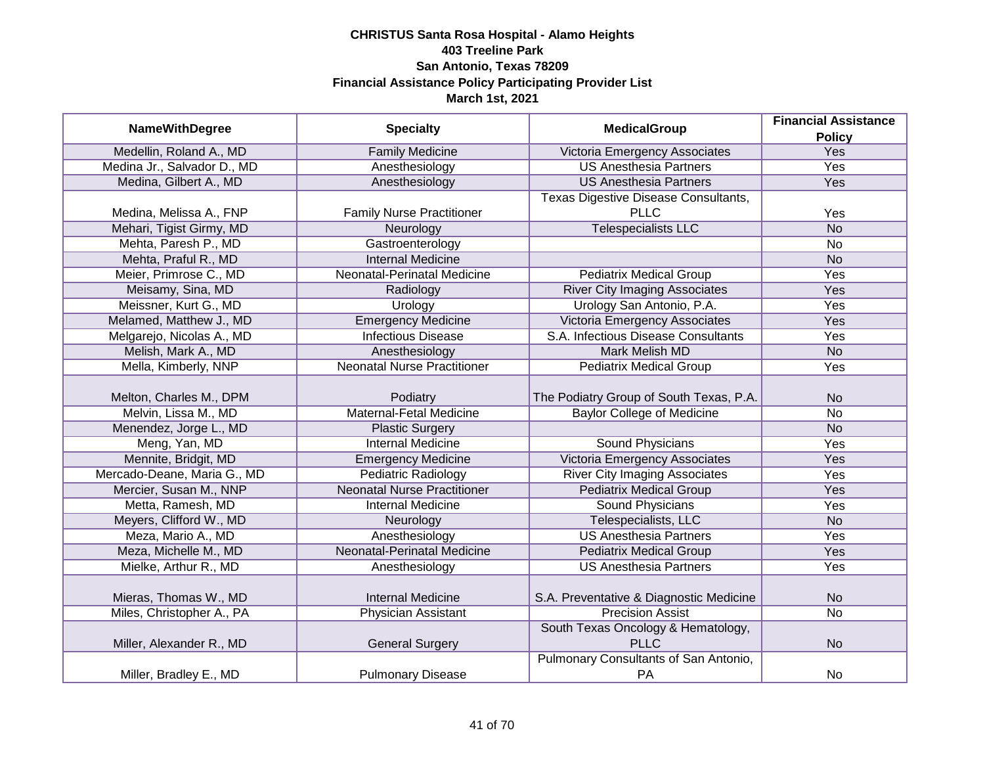|                                                 |                                                                  | <b>MedicalGroup</b>                                                          | <b>Financial Assistance</b> |
|-------------------------------------------------|------------------------------------------------------------------|------------------------------------------------------------------------------|-----------------------------|
| <b>NameWithDegree</b>                           | <b>Specialty</b>                                                 |                                                                              | <b>Policy</b>               |
| Medellin, Roland A., MD                         | <b>Family Medicine</b>                                           | Victoria Emergency Associates                                                | Yes                         |
| Medina Jr., Salvador D., MD                     | Anesthesiology                                                   | <b>US Anesthesia Partners</b>                                                | <b>Yes</b>                  |
| Medina, Gilbert A., MD                          | Anesthesiology                                                   | <b>US Anesthesia Partners</b>                                                | Yes                         |
|                                                 |                                                                  | Texas Digestive Disease Consultants,                                         |                             |
| Medina, Melissa A., FNP                         | <b>Family Nurse Practitioner</b>                                 | <b>PLLC</b>                                                                  | Yes                         |
| Mehari, Tigist Girmy, MD                        | Neurology                                                        | <b>Telespecialists LLC</b>                                                   | <b>No</b>                   |
| Mehta, Paresh P., MD                            | Gastroenterology                                                 |                                                                              | <b>No</b>                   |
| Mehta, Praful R., MD                            | <b>Internal Medicine</b>                                         |                                                                              | <b>No</b>                   |
| Meier, Primrose C., MD                          | Neonatal-Perinatal Medicine                                      | <b>Pediatrix Medical Group</b>                                               | Yes                         |
| Meisamy, Sina, MD                               | Radiology                                                        | <b>River City Imaging Associates</b>                                         | Yes                         |
| Meissner, Kurt G., MD                           | Urology                                                          | Urology San Antonio, P.A.                                                    | Yes                         |
| Melamed, Matthew J., MD                         | <b>Emergency Medicine</b>                                        | Victoria Emergency Associates                                                | Yes                         |
| Melgarejo, Nicolas A., MD                       | <b>Infectious Disease</b>                                        | S.A. Infectious Disease Consultants                                          | Yes                         |
| Melish, Mark A., MD                             | Anesthesiology                                                   | <b>Mark Melish MD</b>                                                        | <b>No</b>                   |
| Mella, Kimberly, NNP                            | <b>Neonatal Nurse Practitioner</b>                               | <b>Pediatrix Medical Group</b>                                               | Yes                         |
|                                                 |                                                                  |                                                                              |                             |
| Melton, Charles M., DPM<br>Melvin, Lissa M., MD | Podiatry<br>Maternal-Fetal Medicine                              | The Podiatry Group of South Texas, P.A.<br><b>Baylor College of Medicine</b> | <b>No</b><br><b>No</b>      |
| Menendez, Jorge L., MD                          |                                                                  |                                                                              |                             |
| Meng, Yan, MD                                   | <b>Plastic Surgery</b><br><b>Internal Medicine</b>               | <b>Sound Physicians</b>                                                      | <b>No</b>                   |
| Mennite, Bridgit, MD                            |                                                                  | Victoria Emergency Associates                                                | Yes<br>Yes                  |
|                                                 | <b>Emergency Medicine</b>                                        |                                                                              |                             |
| Mercado-Deane, Maria G., MD                     | <b>Pediatric Radiology</b><br><b>Neonatal Nurse Practitioner</b> | <b>River City Imaging Associates</b>                                         | Yes                         |
| Mercier, Susan M., NNP                          |                                                                  | <b>Pediatrix Medical Group</b>                                               | Yes                         |
| Metta, Ramesh, MD                               | <b>Internal Medicine</b>                                         | <b>Sound Physicians</b>                                                      | Yes                         |
| Meyers, Clifford W., MD                         | Neurology                                                        | Telespecialists, LLC                                                         | <b>No</b>                   |
| Meza, Mario A., MD                              | Anesthesiology                                                   | <b>US Anesthesia Partners</b>                                                | Yes                         |
| Meza, Michelle M., MD                           | <b>Neonatal-Perinatal Medicine</b>                               | <b>Pediatrix Medical Group</b>                                               | Yes                         |
| Mielke, Arthur R., MD                           | Anesthesiology                                                   | <b>US Anesthesia Partners</b>                                                | Yes                         |
| Mieras, Thomas W., MD                           | <b>Internal Medicine</b>                                         | S.A. Preventative & Diagnostic Medicine                                      | <b>No</b>                   |
| Miles, Christopher A., PA                       | <b>Physician Assistant</b>                                       | <b>Precision Assist</b>                                                      | $\overline{No}$             |
|                                                 |                                                                  | South Texas Oncology & Hematology,                                           |                             |
| Miller, Alexander R., MD                        | <b>General Surgery</b>                                           | <b>PLLC</b>                                                                  | <b>No</b>                   |
|                                                 |                                                                  | Pulmonary Consultants of San Antonio,                                        |                             |
| Miller, Bradley E., MD                          | <b>Pulmonary Disease</b>                                         | PA                                                                           | No                          |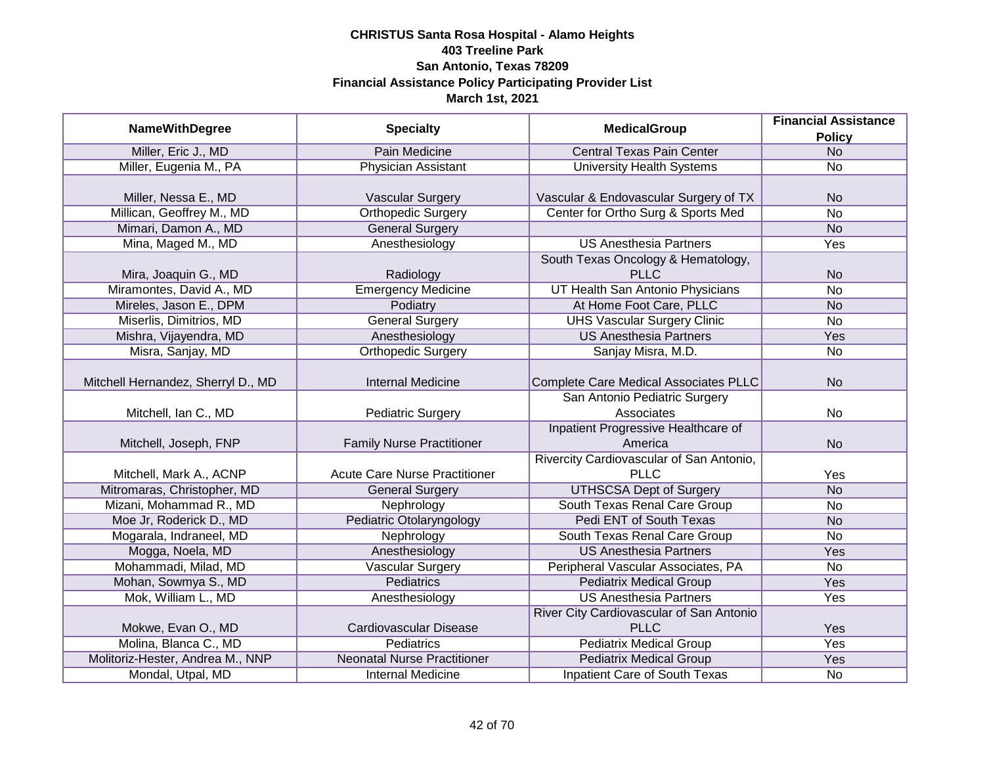|                                    |                                      |                                              | <b>Financial Assistance</b> |
|------------------------------------|--------------------------------------|----------------------------------------------|-----------------------------|
| <b>NameWithDegree</b>              | <b>Specialty</b>                     | <b>MedicalGroup</b>                          | <b>Policy</b>               |
| Miller, Eric J., MD                | Pain Medicine                        | <b>Central Texas Pain Center</b>             | N <sub>o</sub>              |
| Miller, Eugenia M., PA             | <b>Physician Assistant</b>           | <b>University Health Systems</b>             | No                          |
|                                    |                                      |                                              |                             |
| Miller, Nessa E., MD               | Vascular Surgery                     | Vascular & Endovascular Surgery of TX        | <b>No</b>                   |
| Millican, Geoffrey M., MD          | <b>Orthopedic Surgery</b>            | Center for Ortho Surg & Sports Med           | $\overline{No}$             |
| Mimari, Damon A., MD               | <b>General Surgery</b>               |                                              | <b>No</b>                   |
| Mina, Maged M., MD                 | Anesthesiology                       | <b>US Anesthesia Partners</b>                | <b>Yes</b>                  |
|                                    |                                      | South Texas Oncology & Hematology,           |                             |
| Mira, Joaquin G., MD               | Radiology                            | <b>PLLC</b>                                  | <b>No</b>                   |
| Miramontes, David A., MD           | <b>Emergency Medicine</b>            | UT Health San Antonio Physicians             | <b>No</b>                   |
| Mireles, Jason E., DPM             | Podiatry                             | At Home Foot Care, PLLC                      | <b>No</b>                   |
| Miserlis, Dimitrios, MD            | <b>General Surgery</b>               | <b>UHS Vascular Surgery Clinic</b>           | No                          |
| Mishra, Vijayendra, MD             | Anesthesiology                       | <b>US Anesthesia Partners</b>                | Yes                         |
| Misra, Sanjay, MD                  | <b>Orthopedic Surgery</b>            | Sanjay Misra, M.D.                           | No                          |
|                                    |                                      |                                              |                             |
| Mitchell Hernandez, Sherryl D., MD | <b>Internal Medicine</b>             | <b>Complete Care Medical Associates PLLC</b> | <b>No</b>                   |
|                                    |                                      | San Antonio Pediatric Surgery                |                             |
| Mitchell, Ian C., MD               | <b>Pediatric Surgery</b>             | Associates                                   | No                          |
|                                    |                                      | Inpatient Progressive Healthcare of          |                             |
| Mitchell, Joseph, FNP              | <b>Family Nurse Practitioner</b>     | America                                      | <b>No</b>                   |
|                                    |                                      | Rivercity Cardiovascular of San Antonio,     |                             |
| Mitchell, Mark A., ACNP            | <b>Acute Care Nurse Practitioner</b> | <b>PLLC</b>                                  | Yes                         |
| Mitromaras, Christopher, MD        | <b>General Surgery</b>               | <b>UTHSCSA Dept of Surgery</b>               | <b>No</b>                   |
| Mizani, Mohammad R., MD            | Nephrology                           | South Texas Renal Care Group                 | <b>No</b>                   |
| Moe Jr, Roderick D., MD            | Pediatric Otolaryngology             | Pedi ENT of South Texas                      | <b>No</b>                   |
| Mogarala, Indraneel, MD            | Nephrology                           | South Texas Renal Care Group                 | No                          |
| Mogga, Noela, MD                   | Anesthesiology                       | <b>US Anesthesia Partners</b>                | Yes                         |
| Mohammadi, Milad, MD               | <b>Vascular Surgery</b>              | Peripheral Vascular Associates, PA           | No                          |
| Mohan, Sowmya S., MD               | <b>Pediatrics</b>                    | <b>Pediatrix Medical Group</b>               | Yes                         |
| Mok, William L., MD                | Anesthesiology                       | <b>US Anesthesia Partners</b>                | Yes                         |
|                                    |                                      | River City Cardiovascular of San Antonio     |                             |
| Mokwe, Evan O., MD                 | Cardiovascular Disease               | <b>PLLC</b>                                  | Yes                         |
| Molina, Blanca C., MD              | <b>Pediatrics</b>                    | <b>Pediatrix Medical Group</b>               | Yes                         |
| Molitoriz-Hester, Andrea M., NNP   | <b>Neonatal Nurse Practitioner</b>   | <b>Pediatrix Medical Group</b>               | <b>Yes</b>                  |
| Mondal, Utpal, MD                  | <b>Internal Medicine</b>             | <b>Inpatient Care of South Texas</b>         | No                          |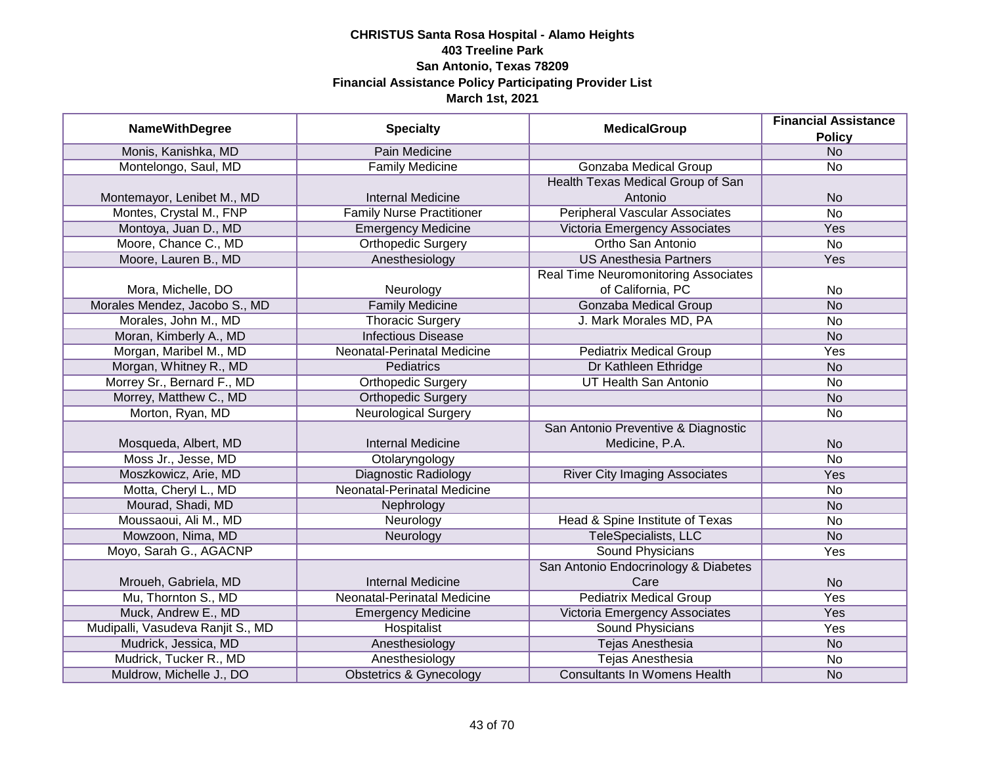|                                   |                                  | <b>MedicalGroup</b>                         | <b>Financial Assistance</b> |
|-----------------------------------|----------------------------------|---------------------------------------------|-----------------------------|
| <b>NameWithDegree</b>             | <b>Specialty</b>                 |                                             | <b>Policy</b>               |
| Monis, Kanishka, MD               | Pain Medicine                    |                                             | N <sub>o</sub>              |
| Montelongo, Saul, MD              | <b>Family Medicine</b>           | Gonzaba Medical Group                       | <b>No</b>                   |
|                                   |                                  | Health Texas Medical Group of San           |                             |
| Montemayor, Lenibet M., MD        | <b>Internal Medicine</b>         | Antonio                                     | <b>No</b>                   |
| Montes, Crystal M., FNP           | <b>Family Nurse Practitioner</b> | <b>Peripheral Vascular Associates</b>       | <b>No</b>                   |
| Montoya, Juan D., MD              | <b>Emergency Medicine</b>        | Victoria Emergency Associates               | Yes                         |
| Moore, Chance C., MD              | Orthopedic Surgery               | Ortho San Antonio                           | <b>No</b>                   |
| Moore, Lauren B., MD              | Anesthesiology                   | <b>US Anesthesia Partners</b>               | Yes                         |
|                                   |                                  | <b>Real Time Neuromonitoring Associates</b> |                             |
| Mora, Michelle, DO                | Neurology                        | of California, PC                           | No                          |
| Morales Mendez, Jacobo S., MD     | <b>Family Medicine</b>           | <b>Gonzaba Medical Group</b>                | <b>No</b>                   |
| Morales, John M., MD              | <b>Thoracic Surgery</b>          | J. Mark Morales MD, PA                      | <b>No</b>                   |
| Moran, Kimberly A., MD            | <b>Infectious Disease</b>        |                                             | <b>No</b>                   |
| Morgan, Maribel M., MD            | Neonatal-Perinatal Medicine      | <b>Pediatrix Medical Group</b>              | Yes                         |
| Morgan, Whitney R., MD            | Pediatrics                       | Dr Kathleen Ethridge                        | <b>No</b>                   |
| Morrey Sr., Bernard F., MD        | <b>Orthopedic Surgery</b>        | <b>UT Health San Antonio</b>                | <b>No</b>                   |
| Morrey, Matthew C., MD            | <b>Orthopedic Surgery</b>        |                                             | <b>No</b>                   |
| Morton, Ryan, MD                  | <b>Neurological Surgery</b>      |                                             | <b>No</b>                   |
|                                   |                                  | San Antonio Preventive & Diagnostic         |                             |
| Mosqueda, Albert, MD              | <b>Internal Medicine</b>         | Medicine, P.A.                              | <b>No</b>                   |
| Moss Jr., Jesse, MD               | Otolaryngology                   |                                             | <b>No</b>                   |
| Moszkowicz, Arie, MD              | Diagnostic Radiology             | <b>River City Imaging Associates</b>        | Yes                         |
| Motta, Cheryl L., MD              | Neonatal-Perinatal Medicine      |                                             | <b>No</b>                   |
| Mourad, Shadi, MD                 | Nephrology                       |                                             | <b>No</b>                   |
| Moussaoui, Ali M., MD             | Neurology                        | Head & Spine Institute of Texas             | <b>No</b>                   |
| Mowzoon, Nima, MD                 | Neurology                        | <b>TeleSpecialists, LLC</b>                 | <b>No</b>                   |
| Moyo, Sarah G., AGACNP            |                                  | <b>Sound Physicians</b>                     | Yes                         |
|                                   |                                  | San Antonio Endocrinology & Diabetes        |                             |
| Mroueh, Gabriela, MD              | <b>Internal Medicine</b>         | Care                                        | <b>No</b>                   |
| Mu, Thornton S., MD               | Neonatal-Perinatal Medicine      | <b>Pediatrix Medical Group</b>              | Yes                         |
| Muck, Andrew E., MD               | <b>Emergency Medicine</b>        | Victoria Emergency Associates               | Yes                         |
| Mudipalli, Vasudeva Ranjit S., MD | Hospitalist                      | <b>Sound Physicians</b>                     | Yes                         |
| Mudrick, Jessica, MD              | Anesthesiology                   | <b>Tejas Anesthesia</b>                     | <b>No</b>                   |
| Mudrick, Tucker R., MD            | Anesthesiology                   | <b>Tejas Anesthesia</b>                     | No                          |
| Muldrow, Michelle J., DO          | Obstetrics & Gynecology          | <b>Consultants In Womens Health</b>         | <b>No</b>                   |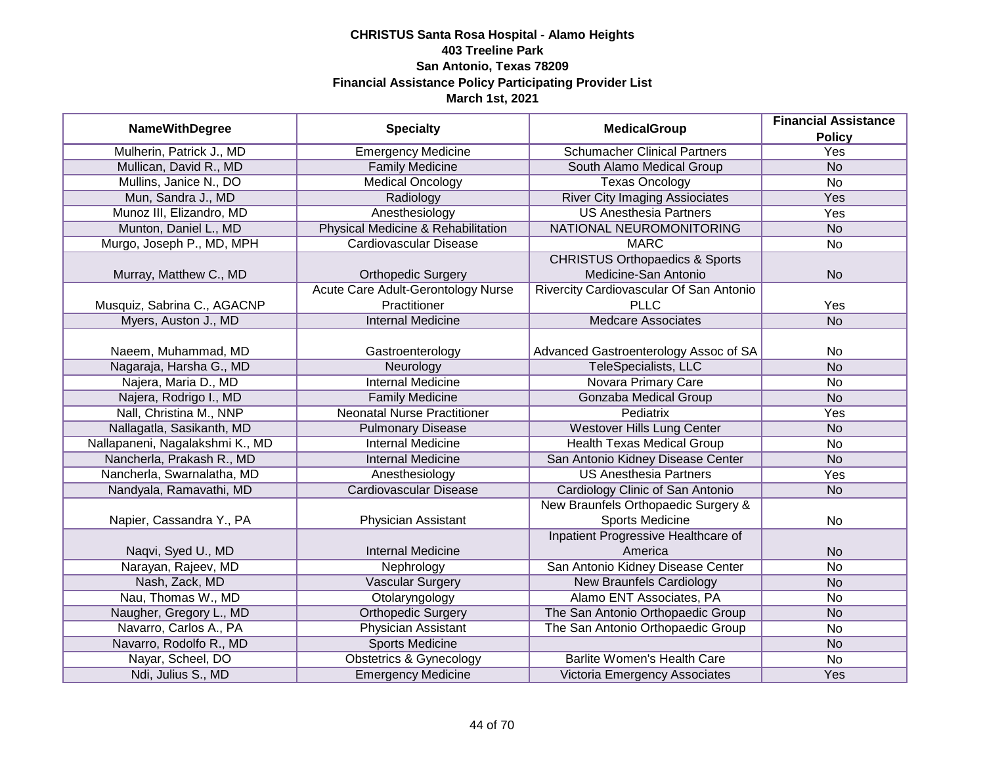|                                 |                                    |                                           | <b>Financial Assistance</b> |
|---------------------------------|------------------------------------|-------------------------------------------|-----------------------------|
| <b>NameWithDegree</b>           | <b>Specialty</b>                   | <b>MedicalGroup</b>                       | <b>Policy</b>               |
| Mulherin, Patrick J., MD        | <b>Emergency Medicine</b>          | <b>Schumacher Clinical Partners</b>       | <b>Yes</b>                  |
| Mullican, David R., MD          | <b>Family Medicine</b>             | South Alamo Medical Group                 | <b>No</b>                   |
| Mullins, Janice N., DO          | <b>Medical Oncology</b>            | <b>Texas Oncology</b>                     | $\overline{No}$             |
| Mun, Sandra J., MD              | Radiology                          | <b>River City Imaging Assiociates</b>     | <b>Yes</b>                  |
| Munoz III, Elizandro, MD        | Anesthesiology                     | <b>US Anesthesia Partners</b>             | Yes                         |
| Munton, Daniel L., MD           | Physical Medicine & Rehabilitation | NATIONAL NEUROMONITORING                  | <b>No</b>                   |
| Murgo, Joseph P., MD, MPH       | <b>Cardiovascular Disease</b>      | <b>MARC</b>                               | No                          |
|                                 |                                    | <b>CHRISTUS Orthopaedics &amp; Sports</b> |                             |
| Murray, Matthew C., MD          | <b>Orthopedic Surgery</b>          | Medicine-San Antonio                      | <b>No</b>                   |
|                                 | Acute Care Adult-Gerontology Nurse | Rivercity Cardiovascular Of San Antonio   |                             |
| Musquiz, Sabrina C., AGACNP     | Practitioner                       | <b>PLLC</b>                               | Yes                         |
| Myers, Auston J., MD            | <b>Internal Medicine</b>           | <b>Medcare Associates</b>                 | <b>No</b>                   |
|                                 |                                    |                                           |                             |
| Naeem, Muhammad, MD             | Gastroenterology                   | Advanced Gastroenterology Assoc of SA     | No                          |
| Nagaraja, Harsha G., MD         | Neurology                          | <b>TeleSpecialists, LLC</b>               | <b>No</b>                   |
| Najera, Maria D., MD            | <b>Internal Medicine</b>           | Novara Primary Care                       | No                          |
| Najera, Rodrigo I., MD          | <b>Family Medicine</b>             | <b>Gonzaba Medical Group</b>              | <b>No</b>                   |
| Nall, Christina M., NNP         | <b>Neonatal Nurse Practitioner</b> | Pediatrix                                 | Yes                         |
| Nallagatla, Sasikanth, MD       | <b>Pulmonary Disease</b>           | <b>Westover Hills Lung Center</b>         | <b>No</b>                   |
| Nallapaneni, Nagalakshmi K., MD | <b>Internal Medicine</b>           | <b>Health Texas Medical Group</b>         | <b>No</b>                   |
| Nancherla, Prakash R., MD       | <b>Internal Medicine</b>           | San Antonio Kidney Disease Center         | <b>No</b>                   |
| Nancherla, Swarnalatha, MD      | Anesthesiology                     | <b>US Anesthesia Partners</b>             | Yes                         |
| Nandyala, Ramavathi, MD         | <b>Cardiovascular Disease</b>      | Cardiology Clinic of San Antonio          | <b>No</b>                   |
|                                 |                                    | New Braunfels Orthopaedic Surgery &       |                             |
| Napier, Cassandra Y., PA        | Physician Assistant                | <b>Sports Medicine</b>                    | No                          |
|                                 |                                    | Inpatient Progressive Healthcare of       |                             |
| Naqvi, Syed U., MD              | <b>Internal Medicine</b>           | America                                   | <b>No</b>                   |
| Narayan, Rajeev, MD             | Nephrology                         | San Antonio Kidney Disease Center         | <b>No</b>                   |
| Nash, Zack, MD                  | Vascular Surgery                   | <b>New Braunfels Cardiology</b>           | <b>No</b>                   |
| Nau, Thomas W., MD              | Otolaryngology                     | Alamo ENT Associates, PA                  | No                          |
| Naugher, Gregory L., MD         | <b>Orthopedic Surgery</b>          | The San Antonio Orthopaedic Group         | <b>No</b>                   |
| Navarro, Carlos A., PA          | <b>Physician Assistant</b>         | The San Antonio Orthopaedic Group         | No                          |
| Navarro, Rodolfo R., MD         | <b>Sports Medicine</b>             |                                           | <b>No</b>                   |
| Nayar, Scheel, DO               | <b>Obstetrics &amp; Gynecology</b> | <b>Barlite Women's Health Care</b>        | No                          |
| Ndi, Julius S., MD              | <b>Emergency Medicine</b>          | Victoria Emergency Associates             | Yes                         |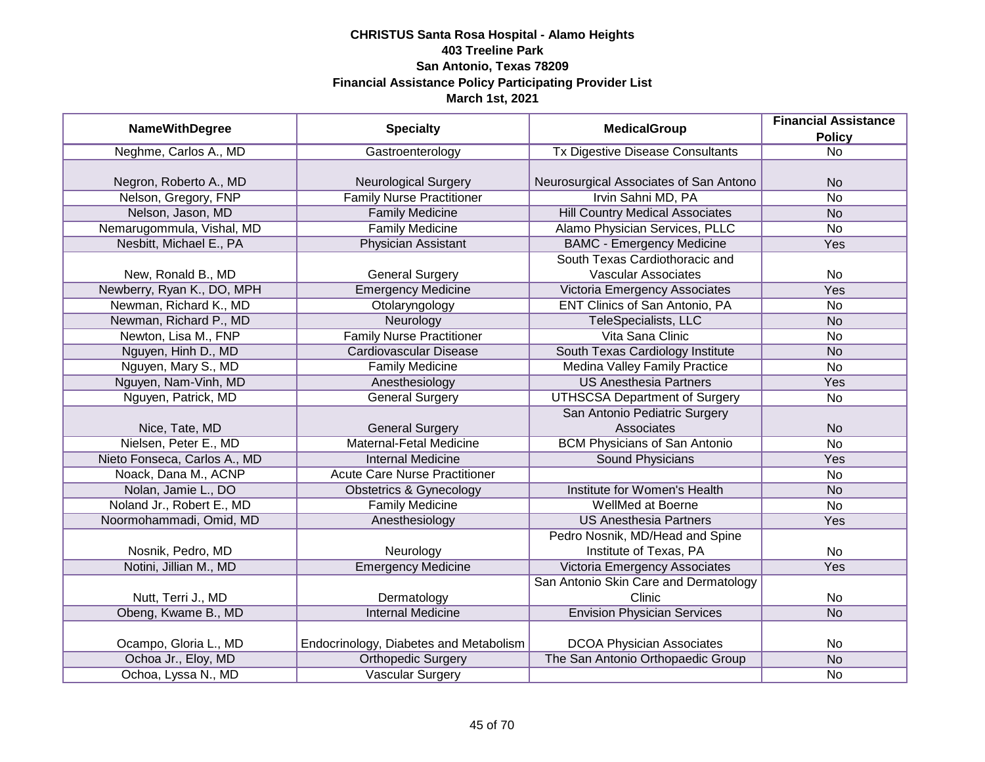|                              |                                        | <b>MedicalGroup</b>                     | <b>Financial Assistance</b> |
|------------------------------|----------------------------------------|-----------------------------------------|-----------------------------|
| <b>NameWithDegree</b>        | <b>Specialty</b>                       |                                         | <b>Policy</b>               |
| Neghme, Carlos A., MD        | Gastroenterology                       | <b>Tx Digestive Disease Consultants</b> | $\overline{No}$             |
|                              |                                        |                                         |                             |
| Negron, Roberto A., MD       | <b>Neurological Surgery</b>            | Neurosurgical Associates of San Antono  | <b>No</b>                   |
| Nelson, Gregory, FNP         | <b>Family Nurse Practitioner</b>       | Irvin Sahni MD, PA                      | $\overline{No}$             |
| Nelson, Jason, MD            | <b>Family Medicine</b>                 | <b>Hill Country Medical Associates</b>  | <b>No</b>                   |
| Nemarugommula, Vishal, MD    | <b>Family Medicine</b>                 | Alamo Physician Services, PLLC          | No                          |
| Nesbitt, Michael E., PA      | <b>Physician Assistant</b>             | <b>BAMC - Emergency Medicine</b>        | Yes                         |
|                              |                                        | South Texas Cardiothoracic and          |                             |
| New, Ronald B., MD           | <b>General Surgery</b>                 | <b>Vascular Associates</b>              | No                          |
| Newberry, Ryan K., DO, MPH   | <b>Emergency Medicine</b>              | Victoria Emergency Associates           | Yes                         |
| Newman, Richard K., MD       | Otolaryngology                         | ENT Clinics of San Antonio, PA          | No                          |
| Newman, Richard P., MD       | Neurology                              | <b>TeleSpecialists, LLC</b>             | <b>No</b>                   |
| Newton, Lisa M., FNP         | <b>Family Nurse Practitioner</b>       | Vita Sana Clinic                        | <b>No</b>                   |
| Nguyen, Hinh D., MD          | <b>Cardiovascular Disease</b>          | South Texas Cardiology Institute        | <b>No</b>                   |
| Nguyen, Mary S., MD          | <b>Family Medicine</b>                 | <b>Medina Valley Family Practice</b>    | No                          |
| Nguyen, Nam-Vinh, MD         | Anesthesiology                         | <b>US Anesthesia Partners</b>           | Yes                         |
| Nguyen, Patrick, MD          | <b>General Surgery</b>                 | <b>UTHSCSA Department of Surgery</b>    | No                          |
|                              |                                        | San Antonio Pediatric Surgery           |                             |
| Nice, Tate, MD               | <b>General Surgery</b>                 | Associates                              | <b>No</b>                   |
| Nielsen, Peter E., MD        | Maternal-Fetal Medicine                | <b>BCM Physicians of San Antonio</b>    | No                          |
| Nieto Fonseca, Carlos A., MD | <b>Internal Medicine</b>               | Sound Physicians                        | Yes                         |
| Noack, Dana M., ACNP         | <b>Acute Care Nurse Practitioner</b>   |                                         | No                          |
| Nolan, Jamie L., DO          | <b>Obstetrics &amp; Gynecology</b>     | Institute for Women's Health            | <b>No</b>                   |
| Noland Jr., Robert E., MD    | <b>Family Medicine</b>                 | <b>WellMed at Boerne</b>                | <b>No</b>                   |
| Noormohammadi, Omid, MD      | Anesthesiology                         | <b>US Anesthesia Partners</b>           | Yes                         |
|                              |                                        | Pedro Nosnik, MD/Head and Spine         |                             |
| Nosnik, Pedro, MD            | Neurology                              | Institute of Texas, PA                  | No                          |
| Notini, Jillian M., MD       | <b>Emergency Medicine</b>              | Victoria Emergency Associates           | Yes                         |
|                              |                                        | San Antonio Skin Care and Dermatology   |                             |
| Nutt, Terri J., MD           | Dermatology                            | Clinic                                  | No                          |
| Obeng, Kwame B., MD          | <b>Internal Medicine</b>               | <b>Envision Physician Services</b>      | N <sub>o</sub>              |
|                              |                                        |                                         |                             |
| Ocampo, Gloria L., MD        | Endocrinology, Diabetes and Metabolism | <b>DCOA Physician Associates</b>        | No                          |
| Ochoa Jr., Eloy, MD          | <b>Orthopedic Surgery</b>              | The San Antonio Orthopaedic Group       | N <sub>o</sub>              |
| Ochoa, Lyssa N., MD          | <b>Vascular Surgery</b>                |                                         | No                          |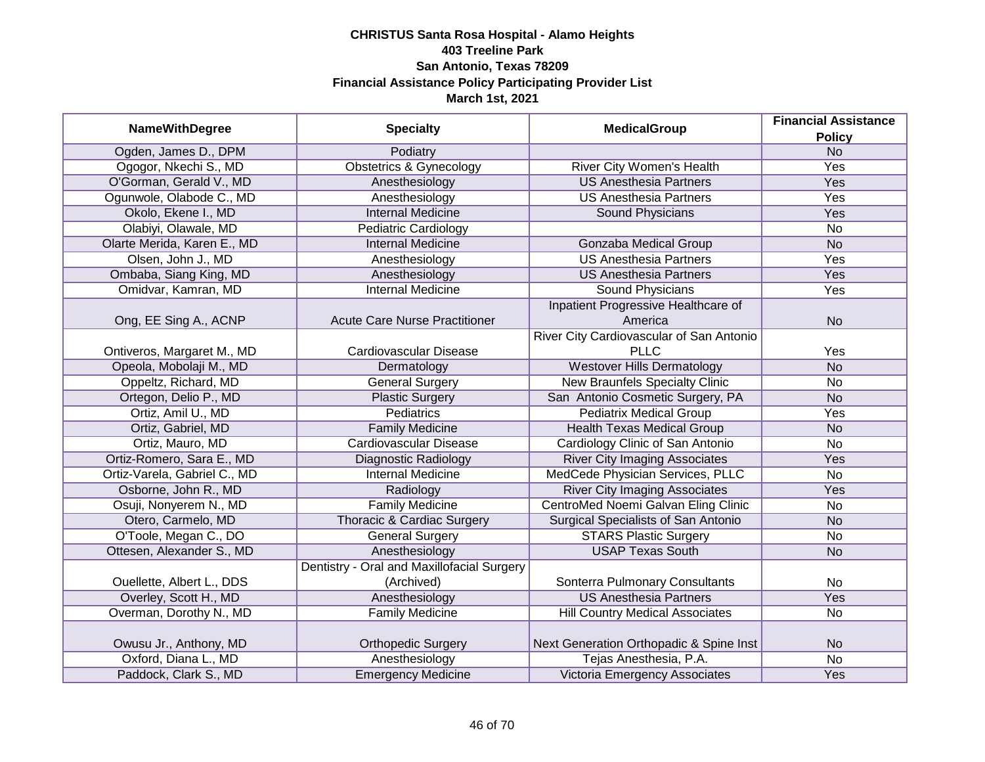| <b>NameWithDegree</b>        | <b>Specialty</b>                           | <b>MedicalGroup</b>                      | <b>Financial Assistance</b><br><b>Policy</b> |
|------------------------------|--------------------------------------------|------------------------------------------|----------------------------------------------|
| Ogden, James D., DPM         | Podiatry                                   |                                          | <b>No</b>                                    |
| Ogogor, Nkechi S., MD        | <b>Obstetrics &amp; Gynecology</b>         | River City Women's Health                | Yes                                          |
| O'Gorman, Gerald V., MD      | Anesthesiology                             | <b>US Anesthesia Partners</b>            | Yes                                          |
| Ogunwole, Olabode C., MD     | Anesthesiology                             | <b>US Anesthesia Partners</b>            | <b>Yes</b>                                   |
| Okolo, Ekene I., MD          | <b>Internal Medicine</b>                   | <b>Sound Physicians</b>                  | Yes                                          |
| Olabiyi, Olawale, MD         | <b>Pediatric Cardiology</b>                |                                          | <b>No</b>                                    |
| Olarte Merida, Karen E., MD  | <b>Internal Medicine</b>                   | <b>Gonzaba Medical Group</b>             | N <sub>o</sub>                               |
| Olsen, John J., MD           | Anesthesiology                             | <b>US Anesthesia Partners</b>            | Yes                                          |
| Ombaba, Siang King, MD       | Anesthesiology                             | <b>US Anesthesia Partners</b>            | Yes                                          |
| Omidvar, Kamran, MD          | Internal Medicine                          | Sound Physicians                         | Yes                                          |
|                              |                                            | Inpatient Progressive Healthcare of      |                                              |
| Ong, EE Sing A., ACNP        | <b>Acute Care Nurse Practitioner</b>       | America                                  | <b>No</b>                                    |
|                              |                                            | River City Cardiovascular of San Antonio |                                              |
| Ontiveros, Margaret M., MD   | Cardiovascular Disease                     | <b>PLLC</b>                              | Yes                                          |
| Opeola, Mobolaji M., MD      | Dermatology                                | <b>Westover Hills Dermatology</b>        | <b>No</b>                                    |
| Oppeltz, Richard, MD         | <b>General Surgery</b>                     | <b>New Braunfels Specialty Clinic</b>    | <b>No</b>                                    |
| Ortegon, Delio P., MD        | <b>Plastic Surgery</b>                     | San Antonio Cosmetic Surgery, PA         | <b>No</b>                                    |
| Ortiz, Amil U., MD           | Pediatrics                                 | <b>Pediatrix Medical Group</b>           | Yes                                          |
| Ortiz, Gabriel, MD           | <b>Family Medicine</b>                     | <b>Health Texas Medical Group</b>        | <b>No</b>                                    |
| Ortiz, Mauro, MD             | Cardiovascular Disease                     | Cardiology Clinic of San Antonio         | <b>No</b>                                    |
| Ortiz-Romero, Sara E., MD    | <b>Diagnostic Radiology</b>                | <b>River City Imaging Associates</b>     | Yes                                          |
| Ortiz-Varela, Gabriel C., MD | <b>Internal Medicine</b>                   | MedCede Physician Services, PLLC         | <b>No</b>                                    |
| Osborne, John R., MD         | Radiology                                  | <b>River City Imaging Associates</b>     | Yes                                          |
| Osuji, Nonyerem N., MD       | <b>Family Medicine</b>                     | CentroMed Noemi Galvan Eling Clinic      | No                                           |
| Otero, Carmelo, MD           | Thoracic & Cardiac Surgery                 | Surgical Specialists of San Antonio      | <b>No</b>                                    |
| O'Toole, Megan C., DO        | <b>General Surgery</b>                     | <b>STARS Plastic Surgery</b>             | No                                           |
| Ottesen, Alexander S., MD    | Anesthesiology                             | <b>USAP Texas South</b>                  | <b>No</b>                                    |
|                              | Dentistry - Oral and Maxillofacial Surgery |                                          |                                              |
| Ouellette, Albert L., DDS    | (Archived)                                 | Sonterra Pulmonary Consultants           | <b>No</b>                                    |
| Overley, Scott H., MD        | Anesthesiology                             | <b>US Anesthesia Partners</b>            | Yes                                          |
| Overman, Dorothy N., MD      | <b>Family Medicine</b>                     | <b>Hill Country Medical Associates</b>   | <b>No</b>                                    |
|                              |                                            |                                          |                                              |
| Owusu Jr., Anthony, MD       | <b>Orthopedic Surgery</b>                  | Next Generation Orthopadic & Spine Inst  | <b>No</b>                                    |
| Oxford, Diana L., MD         | Anesthesiology                             | Tejas Anesthesia, P.A.                   | No                                           |
| Paddock, Clark S., MD        | <b>Emergency Medicine</b>                  | Victoria Emergency Associates            | Yes                                          |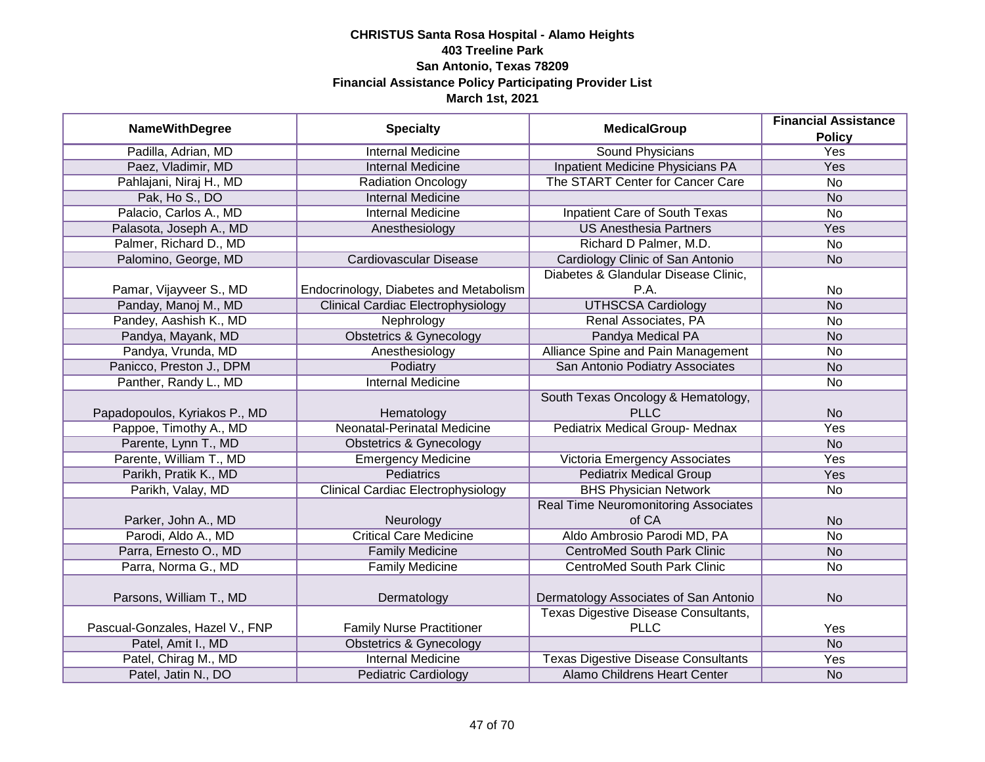|                                 |                                           | <b>MedicalGroup</b>                         | <b>Financial Assistance</b> |
|---------------------------------|-------------------------------------------|---------------------------------------------|-----------------------------|
| <b>NameWithDegree</b>           | <b>Specialty</b>                          |                                             | <b>Policy</b>               |
| Padilla, Adrian, MD             | <b>Internal Medicine</b>                  | <b>Sound Physicians</b>                     | <b>Yes</b>                  |
| Paez, Vladimir, MD              | <b>Internal Medicine</b>                  | Inpatient Medicine Physicians PA            | Yes                         |
| Pahlajani, Niraj H., MD         | <b>Radiation Oncology</b>                 | The START Center for Cancer Care            | <b>No</b>                   |
| Pak, Ho S., DO                  | <b>Internal Medicine</b>                  |                                             | <b>No</b>                   |
| Palacio, Carlos A., MD          | <b>Internal Medicine</b>                  | Inpatient Care of South Texas               | <b>No</b>                   |
| Palasota, Joseph A., MD         | Anesthesiology                            | <b>US Anesthesia Partners</b>               | Yes                         |
| Palmer, Richard D., MD          |                                           | Richard D Palmer, M.D.                      | <b>No</b>                   |
| Palomino, George, MD            | Cardiovascular Disease                    | Cardiology Clinic of San Antonio            | <b>No</b>                   |
|                                 |                                           | Diabetes & Glandular Disease Clinic,        |                             |
| Pamar, Vijayveer S., MD         | Endocrinology, Diabetes and Metabolism    | P.A.                                        | No                          |
| Panday, Manoj M., MD            | <b>Clinical Cardiac Electrophysiology</b> | <b>UTHSCSA Cardiology</b>                   | <b>No</b>                   |
| Pandey, Aashish K., MD          | Nephrology                                | Renal Associates, PA                        | <b>No</b>                   |
| Pandya, Mayank, MD              | <b>Obstetrics &amp; Gynecology</b>        | Pandya Medical PA                           | <b>No</b>                   |
| Pandya, Vrunda, MD              | Anesthesiology                            | Alliance Spine and Pain Management          | <b>No</b>                   |
| Panicco, Preston J., DPM        | Podiatry                                  | San Antonio Podiatry Associates             | <b>No</b>                   |
| Panther, Randy L., MD           | <b>Internal Medicine</b>                  |                                             | No                          |
|                                 |                                           | South Texas Oncology & Hematology,          |                             |
| Papadopoulos, Kyriakos P., MD   | Hematology                                | <b>PLLC</b>                                 | <b>No</b>                   |
| Pappoe, Timothy A., MD          | Neonatal-Perinatal Medicine               | Pediatrix Medical Group- Mednax             | Yes                         |
| Parente, Lynn T., MD            | <b>Obstetrics &amp; Gynecology</b>        |                                             | <b>No</b>                   |
| Parente, William T., MD         | <b>Emergency Medicine</b>                 | Victoria Emergency Associates               | Yes                         |
| Parikh, Pratik K., MD           | <b>Pediatrics</b>                         | <b>Pediatrix Medical Group</b>              | Yes                         |
| Parikh, Valay, MD               | <b>Clinical Cardiac Electrophysiology</b> | <b>BHS Physician Network</b>                | <b>No</b>                   |
|                                 |                                           | <b>Real Time Neuromonitoring Associates</b> |                             |
| Parker, John A., MD             | Neurology                                 | of CA                                       | <b>No</b>                   |
| Parodi, Aldo A., MD             | <b>Critical Care Medicine</b>             | Aldo Ambrosio Parodi MD, PA                 | <b>No</b>                   |
| Parra, Ernesto O., MD           | <b>Family Medicine</b>                    | <b>CentroMed South Park Clinic</b>          | <b>No</b>                   |
| Parra, Norma G., MD             | <b>Family Medicine</b>                    | <b>CentroMed South Park Clinic</b>          | <b>No</b>                   |
|                                 |                                           |                                             |                             |
| Parsons, William T., MD         | Dermatology                               | Dermatology Associates of San Antonio       | <b>No</b>                   |
|                                 |                                           | <b>Texas Digestive Disease Consultants,</b> |                             |
| Pascual-Gonzales, Hazel V., FNP | <b>Family Nurse Practitioner</b>          | <b>PLLC</b>                                 | Yes                         |
| Patel, Amit I., MD              | <b>Obstetrics &amp; Gynecology</b>        |                                             | N <sub>o</sub>              |
| Patel, Chirag M., MD            | <b>Internal Medicine</b>                  | <b>Texas Digestive Disease Consultants</b>  | <b>Yes</b>                  |
| Patel, Jatin N., DO             | <b>Pediatric Cardiology</b>               | Alamo Childrens Heart Center                | <b>No</b>                   |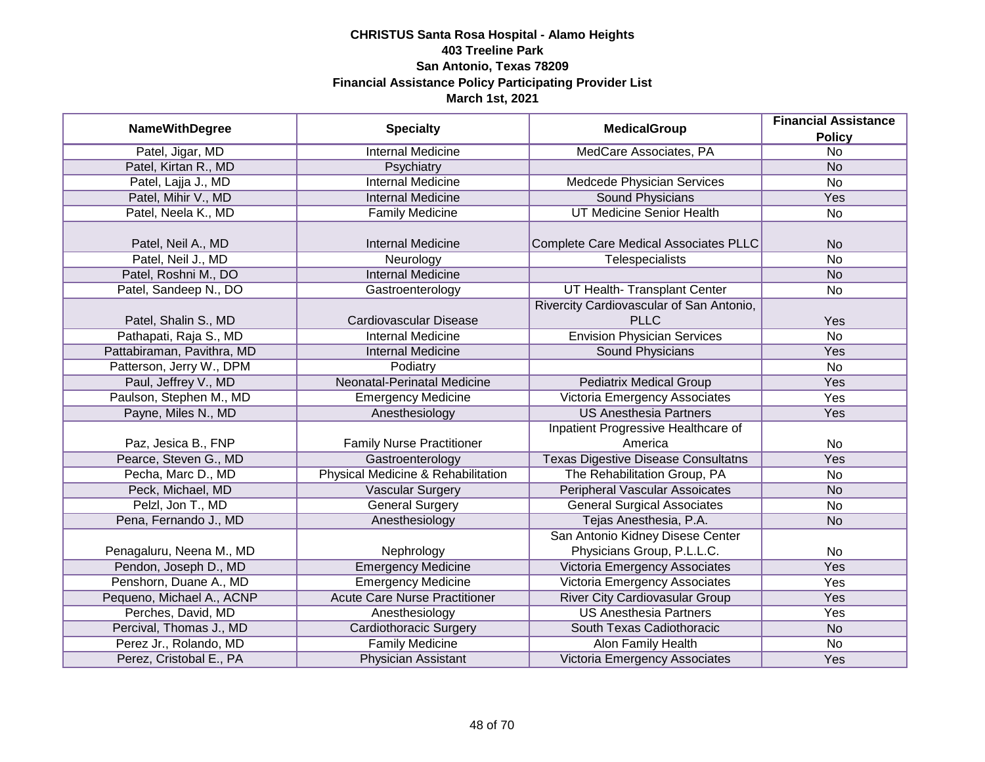|                            |                                      |                                            | <b>Financial Assistance</b> |
|----------------------------|--------------------------------------|--------------------------------------------|-----------------------------|
| <b>NameWithDegree</b>      | <b>Specialty</b>                     | <b>MedicalGroup</b>                        | <b>Policy</b>               |
| Patel, Jigar, MD           | <b>Internal Medicine</b>             | MedCare Associates, PA                     | $\overline{No}$             |
| Patel, Kirtan R., MD       | Psychiatry                           |                                            | <b>No</b>                   |
| Patel, Lajja J., MD        | <b>Internal Medicine</b>             | Medcede Physician Services                 | No                          |
| Patel, Mihir V., MD        | <b>Internal Medicine</b>             | <b>Sound Physicians</b>                    | Yes                         |
| Patel, Neela K., MD        | <b>Family Medicine</b>               | <b>UT Medicine Senior Health</b>           | $\overline{No}$             |
|                            |                                      |                                            |                             |
| Patel, Neil A., MD         | <b>Internal Medicine</b>             | Complete Care Medical Associates PLLC      | <b>No</b>                   |
| Patel, Neil J., MD         | Neurology                            | Telespecialists                            | <b>No</b>                   |
| Patel, Roshni M., DO       | <b>Internal Medicine</b>             |                                            | <b>No</b>                   |
| Patel, Sandeep N., DO      | Gastroenterology                     | UT Health- Transplant Center               | No                          |
|                            |                                      | Rivercity Cardiovascular of San Antonio,   |                             |
| Patel, Shalin S., MD       | Cardiovascular Disease               | <b>PLLC</b>                                | Yes                         |
| Pathapati, Raja S., MD     | <b>Internal Medicine</b>             | <b>Envision Physician Services</b>         | <b>No</b>                   |
| Pattabiraman, Pavithra, MD | <b>Internal Medicine</b>             | Sound Physicians                           | Yes                         |
| Patterson, Jerry W., DPM   | Podiatry                             |                                            | <b>No</b>                   |
| Paul, Jeffrey V., MD       | Neonatal-Perinatal Medicine          | <b>Pediatrix Medical Group</b>             | Yes                         |
| Paulson, Stephen M., MD    | <b>Emergency Medicine</b>            | Victoria Emergency Associates              | Yes                         |
| Payne, Miles N., MD        | Anesthesiology                       | <b>US Anesthesia Partners</b>              | Yes                         |
|                            |                                      | Inpatient Progressive Healthcare of        |                             |
| Paz, Jesica B., FNP        | <b>Family Nurse Practitioner</b>     | America                                    | No                          |
| Pearce, Steven G., MD      | Gastroenterology                     | <b>Texas Digestive Disease Consultatns</b> | Yes                         |
| Pecha, Marc D., MD         | Physical Medicine & Rehabilitation   | The Rehabilitation Group, PA               | No                          |
| Peck, Michael, MD          | <b>Vascular Surgery</b>              | <b>Peripheral Vascular Assoicates</b>      | <b>No</b>                   |
| Pelzl, Jon T., MD          | <b>General Surgery</b>               | <b>General Surgical Associates</b>         | <b>No</b>                   |
| Pena, Fernando J., MD      | Anesthesiology                       | Tejas Anesthesia, P.A.                     | <b>No</b>                   |
|                            |                                      | San Antonio Kidney Disese Center           |                             |
| Penagaluru, Neena M., MD   | Nephrology                           | Physicians Group, P.L.L.C.                 | No                          |
| Pendon, Joseph D., MD      | <b>Emergency Medicine</b>            | Victoria Emergency Associates              | Yes                         |
| Penshorn, Duane A., MD     | <b>Emergency Medicine</b>            | Victoria Emergency Associates              | Yes                         |
| Pequeno, Michael A., ACNP  | <b>Acute Care Nurse Practitioner</b> | <b>River City Cardiovasular Group</b>      | Yes                         |
| Perches, David, MD         | Anesthesiology                       | <b>US Anesthesia Partners</b>              | Yes                         |
| Percival, Thomas J., MD    | <b>Cardiothoracic Surgery</b>        | South Texas Cadiothoracic                  | <b>No</b>                   |
| Perez Jr., Rolando, MD     | <b>Family Medicine</b>               | Alon Family Health                         | No                          |
| Perez, Cristobal E., PA    | Physician Assistant                  | Victoria Emergency Associates              | Yes                         |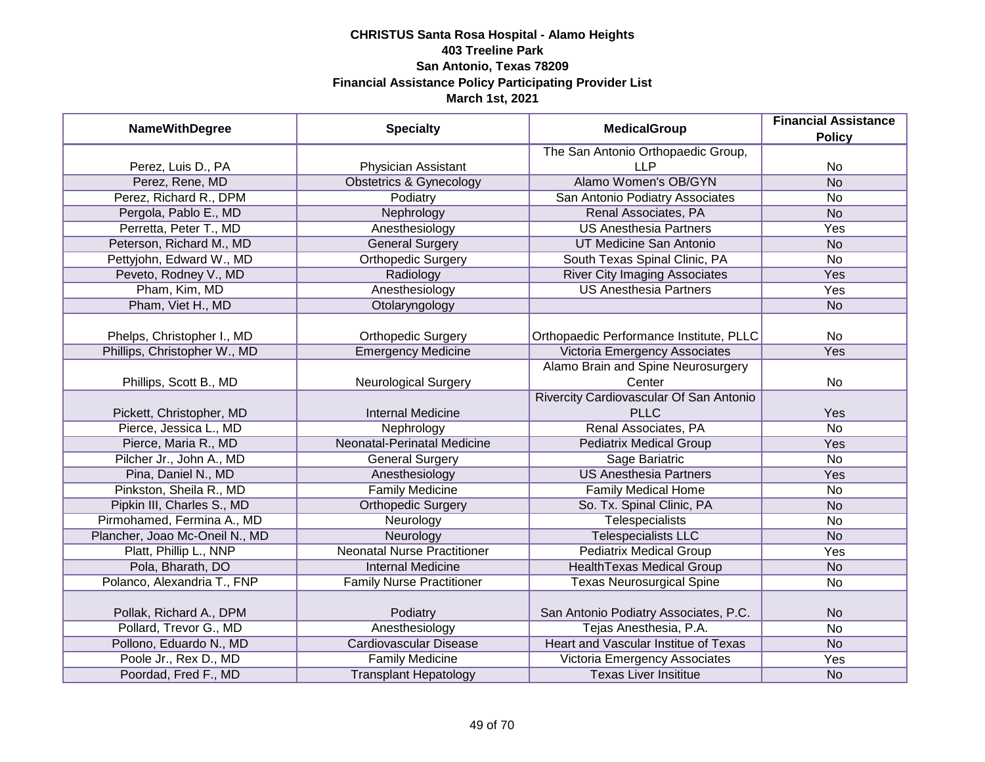| <b>NameWithDegree</b>          | <b>Specialty</b>                   | <b>MedicalGroup</b>                         | <b>Financial Assistance</b><br><b>Policy</b> |
|--------------------------------|------------------------------------|---------------------------------------------|----------------------------------------------|
|                                |                                    | The San Antonio Orthopaedic Group,          |                                              |
| Perez, Luis D., PA             | <b>Physician Assistant</b>         | <b>LLP</b>                                  | No                                           |
| Perez, Rene, MD                | <b>Obstetrics &amp; Gynecology</b> | Alamo Women's OB/GYN                        | N <sub>o</sub>                               |
| Perez, Richard R., DPM         | Podiatry                           | San Antonio Podiatry Associates             | No                                           |
| Pergola, Pablo E., MD          | Nephrology                         | Renal Associates, PA                        | <b>No</b>                                    |
| Perretta, Peter T., MD         | Anesthesiology                     | <b>US Anesthesia Partners</b>               | Yes                                          |
| Peterson, Richard M., MD       | <b>General Surgery</b>             | UT Medicine San Antonio                     | N <sub>o</sub>                               |
| Pettyjohn, Edward W., MD       | <b>Orthopedic Surgery</b>          | South Texas Spinal Clinic, PA               | <b>No</b>                                    |
| Peveto, Rodney V., MD          | Radiology                          | <b>River City Imaging Associates</b>        | Yes                                          |
| Pham, Kim, MD                  | Anesthesiology                     | <b>US Anesthesia Partners</b>               | Yes                                          |
| Pham, Viet H., MD              | Otolaryngology                     |                                             | <b>No</b>                                    |
| Phelps, Christopher I., MD     | <b>Orthopedic Surgery</b>          | Orthopaedic Performance Institute, PLLC     | No                                           |
| Phillips, Christopher W., MD   | <b>Emergency Medicine</b>          | Victoria Emergency Associates               | Yes                                          |
|                                |                                    | Alamo Brain and Spine Neurosurgery          |                                              |
| Phillips, Scott B., MD         | <b>Neurological Surgery</b>        | Center                                      | No                                           |
|                                |                                    | Rivercity Cardiovascular Of San Antonio     |                                              |
| Pickett, Christopher, MD       | <b>Internal Medicine</b>           | <b>PLLC</b>                                 | Yes                                          |
| Pierce, Jessica L., MD         | Nephrology                         | Renal Associates, PA                        | No                                           |
| Pierce, Maria R., MD           | <b>Neonatal-Perinatal Medicine</b> | <b>Pediatrix Medical Group</b>              | Yes                                          |
| Pilcher Jr., John A., MD       | <b>General Surgery</b>             | Sage Bariatric                              | <b>No</b>                                    |
| Pina, Daniel N., MD            | Anesthesiology                     | <b>US Anesthesia Partners</b>               | Yes                                          |
| Pinkston, Sheila R., MD        | <b>Family Medicine</b>             | <b>Family Medical Home</b>                  | <b>No</b>                                    |
| Pipkin III, Charles S., MD     | <b>Orthopedic Surgery</b>          | So. Tx. Spinal Clinic, PA                   | <b>No</b>                                    |
| Pirmohamed, Fermina A., MD     | Neurology                          | Telespecialists                             | No                                           |
| Plancher, Joao Mc-Oneil N., MD | Neurology                          | <b>Telespecialists LLC</b>                  | <b>No</b>                                    |
| Platt, Phillip L., NNP         | <b>Neonatal Nurse Practitioner</b> | <b>Pediatrix Medical Group</b>              | Yes                                          |
| Pola, Bharath, DO              | <b>Internal Medicine</b>           | <b>HealthTexas Medical Group</b>            | <b>No</b>                                    |
| Polanco, Alexandria T., FNP    | <b>Family Nurse Practitioner</b>   | <b>Texas Neurosurgical Spine</b>            | No                                           |
| Pollak, Richard A., DPM        | Podiatry                           | San Antonio Podiatry Associates, P.C.       | <b>No</b>                                    |
| Pollard, Trevor G., MD         | Anesthesiology                     | Tejas Anesthesia, P.A.                      | No                                           |
| Pollono, Eduardo N., MD        | <b>Cardiovascular Disease</b>      | <b>Heart and Vascular Institue of Texas</b> | N <sub>o</sub>                               |
| Poole Jr., Rex D., MD          | <b>Family Medicine</b>             | Victoria Emergency Associates               | Yes                                          |
| Poordad, Fred F., MD           | <b>Transplant Hepatology</b>       | <b>Texas Liver Insititue</b>                | <b>No</b>                                    |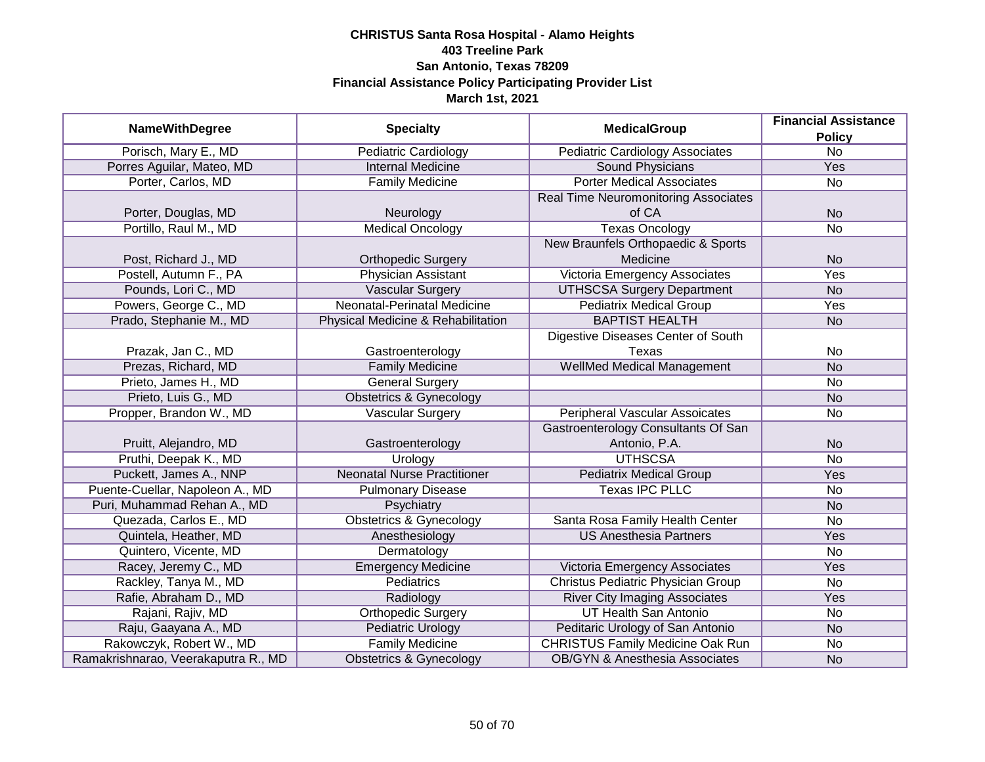| <b>NameWithDegree</b>               |                                    | <b>MedicalGroup</b>                         | <b>Financial Assistance</b> |
|-------------------------------------|------------------------------------|---------------------------------------------|-----------------------------|
|                                     | <b>Specialty</b>                   |                                             | <b>Policy</b>               |
| Porisch, Mary E., MD                | <b>Pediatric Cardiology</b>        | <b>Pediatric Cardiology Associates</b>      | $\overline{No}$             |
| Porres Aguilar, Mateo, MD           | <b>Internal Medicine</b>           | <b>Sound Physicians</b>                     | Yes                         |
| Porter, Carlos, MD                  | <b>Family Medicine</b>             | <b>Porter Medical Associates</b>            | No                          |
|                                     |                                    | <b>Real Time Neuromonitoring Associates</b> |                             |
| Porter, Douglas, MD                 | Neurology                          | of CA                                       | <b>No</b>                   |
| Portillo, Raul M., MD               | <b>Medical Oncology</b>            | <b>Texas Oncology</b>                       | <b>No</b>                   |
|                                     |                                    | New Braunfels Orthopaedic & Sports          |                             |
| Post, Richard J., MD                | <b>Orthopedic Surgery</b>          | Medicine                                    | <b>No</b>                   |
| Postell, Autumn F., PA              | <b>Physician Assistant</b>         | Victoria Emergency Associates               | Yes                         |
| Pounds, Lori C., MD                 | <b>Vascular Surgery</b>            | <b>UTHSCSA Surgery Department</b>           | <b>No</b>                   |
| Powers, George C., MD               | Neonatal-Perinatal Medicine        | <b>Pediatrix Medical Group</b>              | Yes                         |
| Prado, Stephanie M., MD             | Physical Medicine & Rehabilitation | <b>BAPTIST HEALTH</b>                       | <b>No</b>                   |
|                                     |                                    | Digestive Diseases Center of South          |                             |
| Prazak, Jan C., MD                  | Gastroenterology                   | Texas                                       | No                          |
| Prezas, Richard, MD                 | <b>Family Medicine</b>             | <b>WellMed Medical Management</b>           | <b>No</b>                   |
| Prieto, James H., MD                | <b>General Surgery</b>             |                                             | No                          |
| Prieto, Luis G., MD                 | <b>Obstetrics &amp; Gynecology</b> |                                             | <b>No</b>                   |
| Propper, Brandon W., MD             | Vascular Surgery                   | <b>Peripheral Vascular Assoicates</b>       | No                          |
|                                     |                                    | Gastroenterology Consultants Of San         |                             |
| Pruitt, Alejandro, MD               | Gastroenterology                   | Antonio, P.A.                               | <b>No</b>                   |
| Pruthi, Deepak K., MD               | Urology                            | <b>UTHSCSA</b>                              | <b>No</b>                   |
| Puckett, James A., NNP              | <b>Neonatal Nurse Practitioner</b> | <b>Pediatrix Medical Group</b>              | Yes                         |
| Puente-Cuellar, Napoleon A., MD     | <b>Pulmonary Disease</b>           | <b>Texas IPC PLLC</b>                       | No                          |
| Puri, Muhammad Rehan A., MD         | Psychiatry                         |                                             | <b>No</b>                   |
| Quezada, Carlos E., MD              | <b>Obstetrics &amp; Gynecology</b> | Santa Rosa Family Health Center             | <b>No</b>                   |
| Quintela, Heather, MD               | Anesthesiology                     | <b>US Anesthesia Partners</b>               | Yes                         |
| Quintero, Vicente, MD               | Dermatology                        |                                             | <b>No</b>                   |
| Racey, Jeremy C., MD                | <b>Emergency Medicine</b>          | Victoria Emergency Associates               | Yes                         |
| Rackley, Tanya M., MD               | Pediatrics                         | Christus Pediatric Physician Group          | No                          |
| Rafie, Abraham D., MD               | Radiology                          | <b>River City Imaging Associates</b>        | Yes                         |
| Rajani, Rajiv, MD                   | <b>Orthopedic Surgery</b>          | <b>UT Health San Antonio</b>                | No                          |
| Raju, Gaayana A., MD                | <b>Pediatric Urology</b>           | Peditaric Urology of San Antonio            | <b>No</b>                   |
| Rakowczyk, Robert W., MD            | <b>Family Medicine</b>             | <b>CHRISTUS Family Medicine Oak Run</b>     | No                          |
| Ramakrishnarao, Veerakaputra R., MD | <b>Obstetrics &amp; Gynecology</b> | <b>OB/GYN &amp; Anesthesia Associates</b>   | <b>No</b>                   |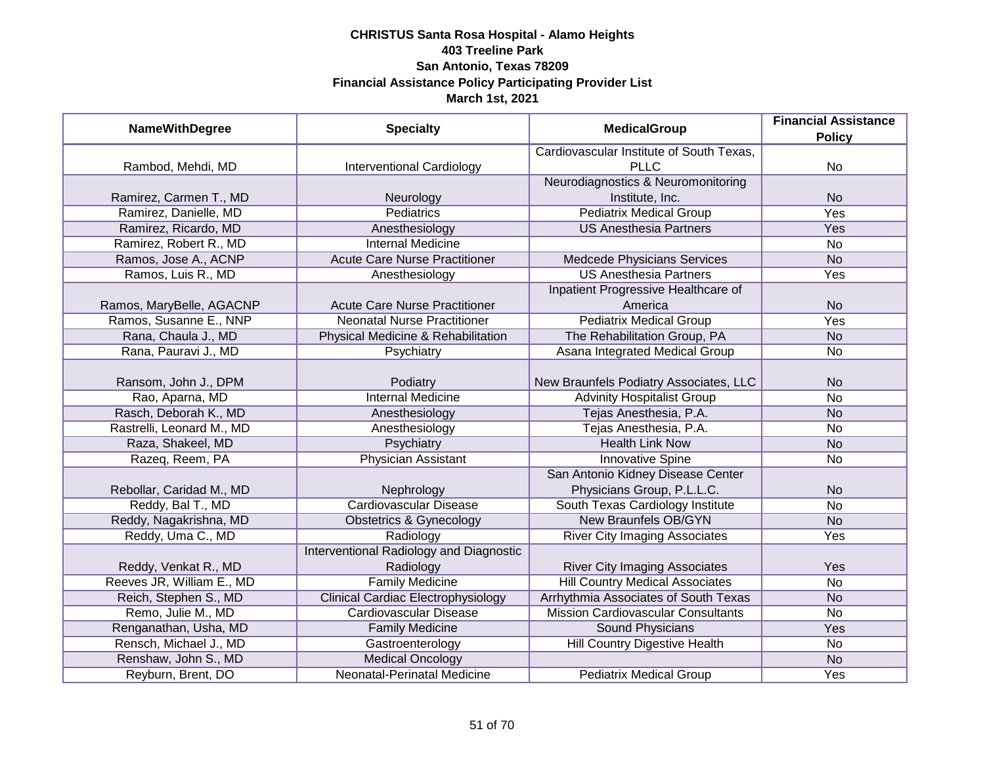| <b>NameWithDegree</b>     | <b>Specialty</b>                          | <b>MedicalGroup</b>                       | <b>Financial Assistance</b><br><b>Policy</b> |
|---------------------------|-------------------------------------------|-------------------------------------------|----------------------------------------------|
|                           |                                           | Cardiovascular Institute of South Texas,  |                                              |
| Rambod, Mehdi, MD         | <b>Interventional Cardiology</b>          | <b>PLLC</b>                               | <b>No</b>                                    |
|                           |                                           | Neurodiagnostics & Neuromonitoring        |                                              |
| Ramirez, Carmen T., MD    | Neurology                                 | Institute, Inc.                           | <b>No</b>                                    |
| Ramirez, Danielle, MD     | <b>Pediatrics</b>                         | <b>Pediatrix Medical Group</b>            | <b>Yes</b>                                   |
| Ramirez, Ricardo, MD      | Anesthesiology                            | <b>US Anesthesia Partners</b>             | Yes                                          |
| Ramirez, Robert R., MD    | <b>Internal Medicine</b>                  |                                           | <b>No</b>                                    |
| Ramos, Jose A., ACNP      | <b>Acute Care Nurse Practitioner</b>      | Medcede Physicians Services               | <b>No</b>                                    |
| Ramos, Luis R., MD        | Anesthesiology                            | <b>US Anesthesia Partners</b>             | Yes                                          |
|                           |                                           | Inpatient Progressive Healthcare of       |                                              |
| Ramos, MaryBelle, AGACNP  | <b>Acute Care Nurse Practitioner</b>      | America                                   | <b>No</b>                                    |
| Ramos, Susanne E., NNP    | <b>Neonatal Nurse Practitioner</b>        | <b>Pediatrix Medical Group</b>            | Yes                                          |
| Rana, Chaula J., MD       | Physical Medicine & Rehabilitation        | The Rehabilitation Group, PA              | <b>No</b>                                    |
| Rana, Pauravi J., MD      | Psychiatry                                | Asana Integrated Medical Group            | No                                           |
|                           |                                           |                                           |                                              |
| Ransom, John J., DPM      | Podiatry                                  | New Braunfels Podiatry Associates, LLC    | <b>No</b>                                    |
| Rao, Aparna, MD           | <b>Internal Medicine</b>                  | <b>Advinity Hospitalist Group</b>         | <b>No</b>                                    |
| Rasch, Deborah K., MD     | Anesthesiology                            | Tejas Anesthesia, P.A.                    | <b>No</b>                                    |
| Rastrelli, Leonard M., MD | Anesthesiology                            | Tejas Anesthesia, P.A.                    | <b>No</b>                                    |
| Raza, Shakeel, MD         | Psychiatry                                | <b>Health Link Now</b>                    | <b>No</b>                                    |
| Razeq, Reem, PA           | Physician Assistant                       | <b>Innovative Spine</b>                   | No                                           |
|                           |                                           | San Antonio Kidney Disease Center         |                                              |
| Rebollar, Caridad M., MD  | Nephrology                                | Physicians Group, P.L.L.C.                | <b>No</b>                                    |
| Reddy, Bal T., MD         | <b>Cardiovascular Disease</b>             | South Texas Cardiology Institute          | <b>No</b>                                    |
| Reddy, Nagakrishna, MD    | Obstetrics & Gynecology                   | <b>New Braunfels OB/GYN</b>               | <b>No</b>                                    |
| Reddy, Uma C., MD         | Radiology                                 | <b>River City Imaging Associates</b>      | Yes                                          |
|                           | Interventional Radiology and Diagnostic   |                                           |                                              |
| Reddy, Venkat R., MD      | Radiology                                 | <b>River City Imaging Associates</b>      | Yes                                          |
| Reeves JR, William E., MD | <b>Family Medicine</b>                    | <b>Hill Country Medical Associates</b>    | <b>No</b>                                    |
| Reich, Stephen S., MD     | <b>Clinical Cardiac Electrophysiology</b> | Arrhythmia Associates of South Texas      | <b>No</b>                                    |
| Remo, Julie M., MD        | Cardiovascular Disease                    | <b>Mission Cardiovascular Consultants</b> | <b>No</b>                                    |
| Renganathan, Usha, MD     | <b>Family Medicine</b>                    | <b>Sound Physicians</b>                   | <b>Yes</b>                                   |
| Rensch, Michael J., MD    | Gastroenterology                          | <b>Hill Country Digestive Health</b>      | <b>No</b>                                    |
| Renshaw, John S., MD      | <b>Medical Oncology</b>                   |                                           | <b>No</b>                                    |
| Reyburn, Brent, DO        | <b>Neonatal-Perinatal Medicine</b>        | <b>Pediatrix Medical Group</b>            | Yes                                          |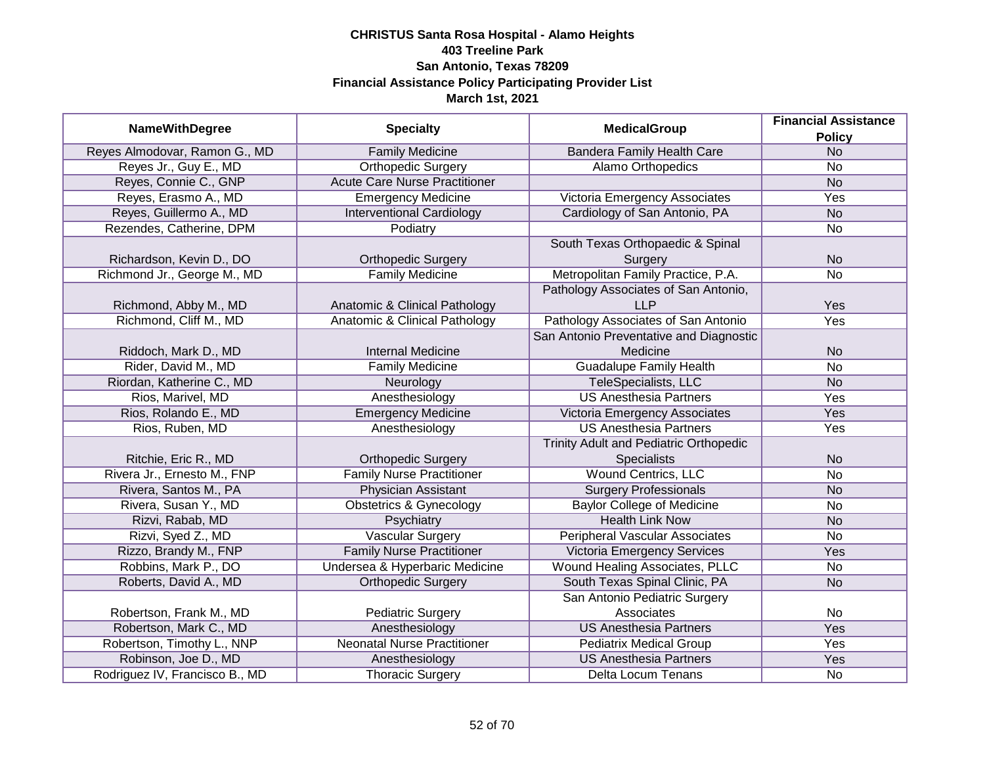|                                |                                      | <b>MedicalGroup</b>                           | <b>Financial Assistance</b> |
|--------------------------------|--------------------------------------|-----------------------------------------------|-----------------------------|
| <b>NameWithDegree</b>          | <b>Specialty</b>                     |                                               | <b>Policy</b>               |
| Reyes Almodovar, Ramon G., MD  | <b>Family Medicine</b>               | <b>Bandera Family Health Care</b>             | N <sub>o</sub>              |
| Reyes Jr., Guy E., MD          | <b>Orthopedic Surgery</b>            | Alamo Orthopedics                             | <b>No</b>                   |
| Reyes, Connie C., GNP          | <b>Acute Care Nurse Practitioner</b> |                                               | <b>No</b>                   |
| Reyes, Erasmo A., MD           | <b>Emergency Medicine</b>            | Victoria Emergency Associates                 | <b>Yes</b>                  |
| Reyes, Guillermo A., MD        | <b>Interventional Cardiology</b>     | Cardiology of San Antonio, PA                 | N <sub>o</sub>              |
| Rezendes, Catherine, DPM       | Podiatry                             |                                               | No                          |
|                                |                                      | South Texas Orthopaedic & Spinal              |                             |
| Richardson, Kevin D., DO       | <b>Orthopedic Surgery</b>            | Surgery                                       | <b>No</b>                   |
| Richmond Jr., George M., MD    | <b>Family Medicine</b>               | Metropolitan Family Practice, P.A.            | No                          |
|                                |                                      | Pathology Associates of San Antonio,          |                             |
| Richmond, Abby M., MD          | Anatomic & Clinical Pathology        | LLP                                           | Yes                         |
| Richmond, Cliff M., MD         | Anatomic & Clinical Pathology        | Pathology Associates of San Antonio           | Yes                         |
|                                |                                      | San Antonio Preventative and Diagnostic       |                             |
| Riddoch, Mark D., MD           | <b>Internal Medicine</b>             | Medicine                                      | <b>No</b>                   |
| Rider, David M., MD            | <b>Family Medicine</b>               | <b>Guadalupe Family Health</b>                | No                          |
| Riordan, Katherine C., MD      | Neurology                            | <b>TeleSpecialists, LLC</b>                   | <b>No</b>                   |
| Rios, Marivel, MD              | Anesthesiology                       | <b>US Anesthesia Partners</b>                 | Yes                         |
| Rios, Rolando E., MD           | <b>Emergency Medicine</b>            | Victoria Emergency Associates                 | Yes                         |
| Rios, Ruben, MD                | Anesthesiology                       | <b>US Anesthesia Partners</b>                 | Yes                         |
|                                |                                      | <b>Trinity Adult and Pediatric Orthopedic</b> |                             |
| Ritchie, Eric R., MD           | <b>Orthopedic Surgery</b>            | <b>Specialists</b>                            | <b>No</b>                   |
| Rivera Jr., Ernesto M., FNP    | <b>Family Nurse Practitioner</b>     | <b>Wound Centrics, LLC</b>                    | No                          |
| Rivera, Santos M., PA          | <b>Physician Assistant</b>           | <b>Surgery Professionals</b>                  | <b>No</b>                   |
| Rivera, Susan Y., MD           | <b>Obstetrics &amp; Gynecology</b>   | <b>Baylor College of Medicine</b>             | No                          |
| Rizvi, Rabab, MD               | Psychiatry                           | <b>Health Link Now</b>                        | <b>No</b>                   |
| Rizvi, Syed Z., MD             | <b>Vascular Surgery</b>              | Peripheral Vascular Associates                | No                          |
| Rizzo, Brandy M., FNP          | <b>Family Nurse Practitioner</b>     | <b>Victoria Emergency Services</b>            | Yes                         |
| Robbins, Mark P., DO           | Undersea & Hyperbaric Medicine       | <b>Wound Healing Associates, PLLC</b>         | <b>No</b>                   |
| Roberts, David A., MD          | <b>Orthopedic Surgery</b>            | South Texas Spinal Clinic, PA                 | <b>No</b>                   |
|                                |                                      | San Antonio Pediatric Surgery                 |                             |
| Robertson, Frank M., MD        | <b>Pediatric Surgery</b>             | Associates                                    | No                          |
| Robertson, Mark C., MD         | Anesthesiology                       | <b>US Anesthesia Partners</b>                 | <b>Yes</b>                  |
| Robertson, Timothy L., NNP     | <b>Neonatal Nurse Practitioner</b>   | <b>Pediatrix Medical Group</b>                | <b>Yes</b>                  |
| Robinson, Joe D., MD           | Anesthesiology                       | <b>US Anesthesia Partners</b>                 | Yes                         |
| Rodriguez IV, Francisco B., MD | <b>Thoracic Surgery</b>              | Delta Locum Tenans                            | No                          |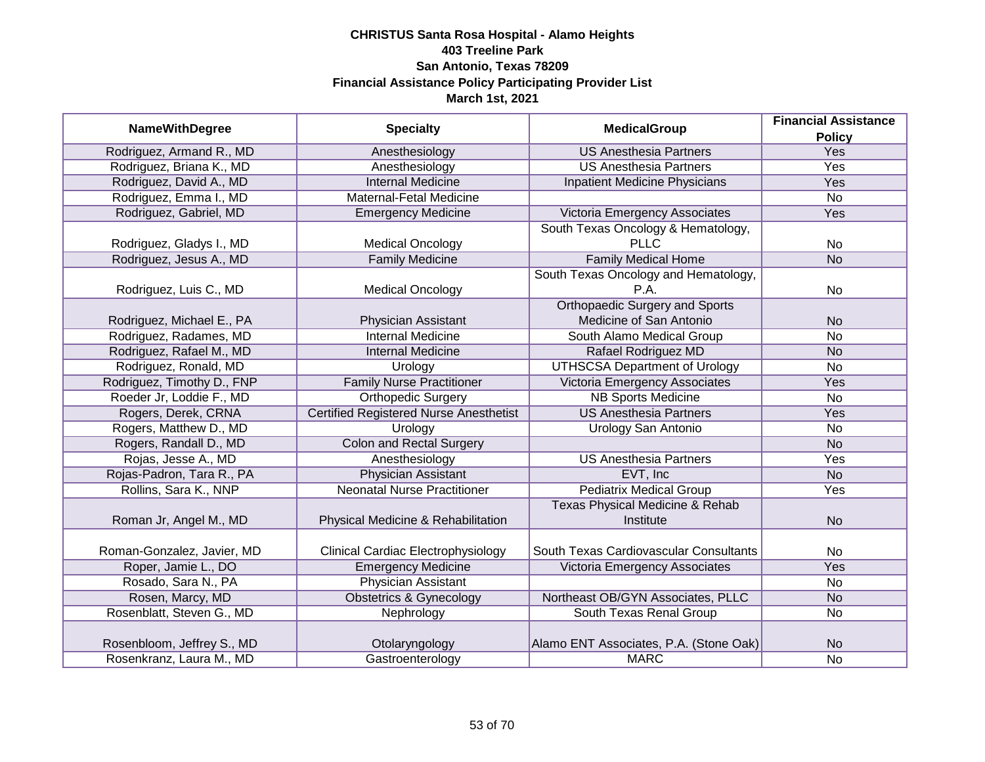|                            |                                               |                                            | <b>Financial Assistance</b> |
|----------------------------|-----------------------------------------------|--------------------------------------------|-----------------------------|
| <b>NameWithDegree</b>      | <b>Specialty</b>                              | <b>MedicalGroup</b>                        | <b>Policy</b>               |
| Rodriguez, Armand R., MD   | Anesthesiology                                | <b>US Anesthesia Partners</b>              | <b>Yes</b>                  |
| Rodriguez, Briana K., MD   | Anesthesiology                                | <b>US Anesthesia Partners</b>              | <b>Yes</b>                  |
| Rodriguez, David A., MD    | <b>Internal Medicine</b>                      | Inpatient Medicine Physicians              | Yes                         |
| Rodriguez, Emma I., MD     | Maternal-Fetal Medicine                       |                                            | $\overline{No}$             |
| Rodriguez, Gabriel, MD     | <b>Emergency Medicine</b>                     | Victoria Emergency Associates              | Yes                         |
|                            |                                               | South Texas Oncology & Hematology,         |                             |
| Rodriguez, Gladys I., MD   | <b>Medical Oncology</b>                       | <b>PLLC</b>                                | No                          |
| Rodriguez, Jesus A., MD    | <b>Family Medicine</b>                        | <b>Family Medical Home</b>                 | <b>No</b>                   |
|                            |                                               | South Texas Oncology and Hematology,       |                             |
| Rodriguez, Luis C., MD     | <b>Medical Oncology</b>                       | P.A.                                       | No                          |
|                            |                                               | <b>Orthopaedic Surgery and Sports</b>      |                             |
| Rodriguez, Michael E., PA  | Physician Assistant                           | Medicine of San Antonio                    | <b>No</b>                   |
| Rodriguez, Radames, MD     | <b>Internal Medicine</b>                      | South Alamo Medical Group                  | <b>No</b>                   |
| Rodriguez, Rafael M., MD   | <b>Internal Medicine</b>                      | Rafael Rodriguez MD                        | <b>No</b>                   |
| Rodriguez, Ronald, MD      | Urology                                       | <b>UTHSCSA Department of Urology</b>       | <b>No</b>                   |
| Rodriguez, Timothy D., FNP | <b>Family Nurse Practitioner</b>              | Victoria Emergency Associates              | Yes                         |
| Roeder Jr, Loddie F., MD   | <b>Orthopedic Surgery</b>                     | <b>NB Sports Medicine</b>                  | No                          |
| Rogers, Derek, CRNA        | <b>Certified Registered Nurse Anesthetist</b> | <b>US Anesthesia Partners</b>              | Yes                         |
| Rogers, Matthew D., MD     | Urology                                       | <b>Urology San Antonio</b>                 | <b>No</b>                   |
| Rogers, Randall D., MD     | <b>Colon and Rectal Surgery</b>               |                                            | <b>No</b>                   |
| Rojas, Jesse A., MD        | Anesthesiology                                | <b>US Anesthesia Partners</b>              | Yes                         |
| Rojas-Padron, Tara R., PA  | <b>Physician Assistant</b>                    | EVT, Inc.                                  | <b>No</b>                   |
| Rollins, Sara K., NNP      | <b>Neonatal Nurse Practitioner</b>            | <b>Pediatrix Medical Group</b>             | Yes                         |
|                            |                                               | <b>Texas Physical Medicine &amp; Rehab</b> |                             |
| Roman Jr, Angel M., MD     | Physical Medicine & Rehabilitation            | Institute                                  | <b>No</b>                   |
|                            |                                               |                                            |                             |
| Roman-Gonzalez, Javier, MD | <b>Clinical Cardiac Electrophysiology</b>     | South Texas Cardiovascular Consultants     | No                          |
| Roper, Jamie L., DO        | <b>Emergency Medicine</b>                     | Victoria Emergency Associates              | Yes                         |
| Rosado, Sara N., PA        | <b>Physician Assistant</b>                    |                                            | No                          |
| Rosen, Marcy, MD           | <b>Obstetrics &amp; Gynecology</b>            | Northeast OB/GYN Associates, PLLC          | <b>No</b>                   |
| Rosenblatt, Steven G., MD  | Nephrology                                    | South Texas Renal Group                    | No                          |
|                            |                                               |                                            |                             |
| Rosenbloom, Jeffrey S., MD | Otolaryngology                                | Alamo ENT Associates, P.A. (Stone Oak)     | <b>No</b>                   |
| Rosenkranz, Laura M., MD   | Gastroenterology                              | <b>MARC</b>                                | No                          |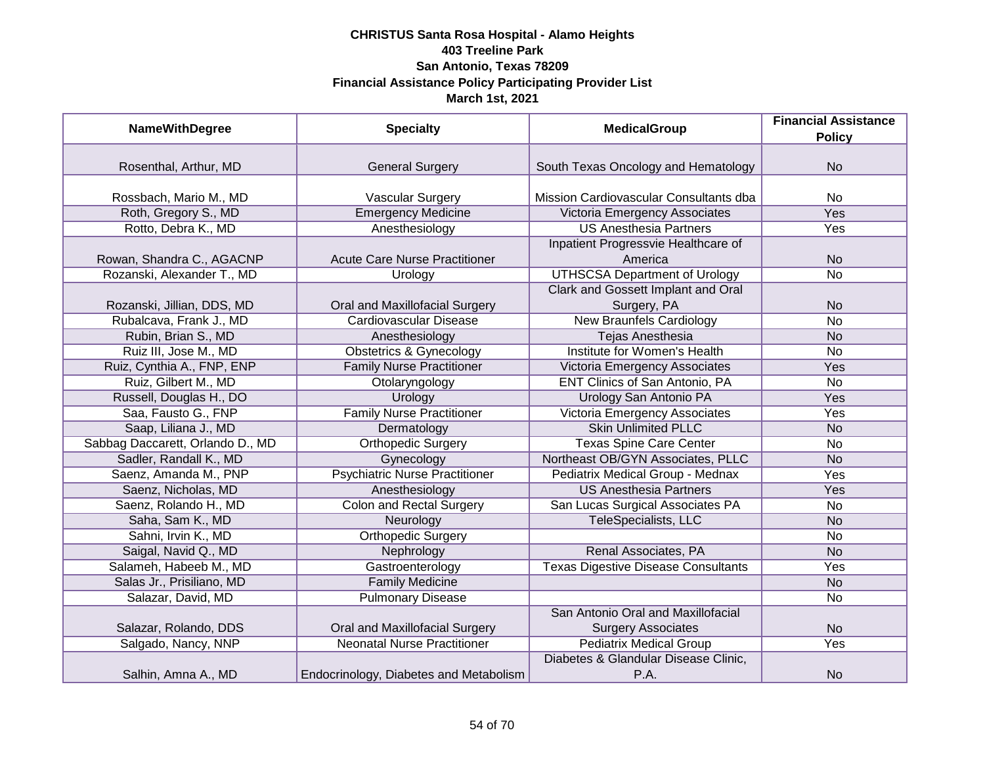| <b>NameWithDegree</b>            | <b>Specialty</b>                       | <b>MedicalGroup</b>                                             | <b>Financial Assistance</b><br><b>Policy</b> |
|----------------------------------|----------------------------------------|-----------------------------------------------------------------|----------------------------------------------|
|                                  |                                        |                                                                 |                                              |
| Rosenthal, Arthur, MD            | <b>General Surgery</b>                 | South Texas Oncology and Hematology                             | <b>No</b>                                    |
| Rossbach, Mario M., MD           | Vascular Surgery                       | Mission Cardiovascular Consultants dba                          | No                                           |
| Roth, Gregory S., MD             | <b>Emergency Medicine</b>              | Victoria Emergency Associates                                   | <b>Yes</b>                                   |
| Rotto, Debra K., MD              | Anesthesiology                         | <b>US Anesthesia Partners</b>                                   | Yes                                          |
| Rowan, Shandra C., AGACNP        | <b>Acute Care Nurse Practitioner</b>   | Inpatient Progressvie Healthcare of<br>America                  | <b>No</b>                                    |
| Rozanski, Alexander T., MD       | Urology                                | <b>UTHSCSA Department of Urology</b>                            | No                                           |
| Rozanski, Jillian, DDS, MD       | Oral and Maxillofacial Surgery         | Clark and Gossett Implant and Oral<br>Surgery, PA               | <b>No</b>                                    |
| Rubalcava, Frank J., MD          | <b>Cardiovascular Disease</b>          | <b>New Braunfels Cardiology</b>                                 | No                                           |
| Rubin, Brian S., MD              | Anesthesiology                         | <b>Tejas Anesthesia</b>                                         | <b>No</b>                                    |
| Ruiz III, Jose M., MD            | <b>Obstetrics &amp; Gynecology</b>     | Institute for Women's Health                                    | No                                           |
| Ruiz, Cynthia A., FNP, ENP       | <b>Family Nurse Practitioner</b>       | Victoria Emergency Associates                                   | Yes                                          |
| Ruiz, Gilbert M., MD             | Otolaryngology                         | ENT Clinics of San Antonio, PA                                  | No                                           |
| Russell, Douglas H., DO          | Urology                                | Urology San Antonio PA                                          | Yes                                          |
| Saa, Fausto G., FNP              | <b>Family Nurse Practitioner</b>       | Victoria Emergency Associates                                   | Yes                                          |
| Saap, Liliana J., MD             | Dermatology                            | <b>Skin Unlimited PLLC</b>                                      | <b>No</b>                                    |
| Sabbag Daccarett, Orlando D., MD | <b>Orthopedic Surgery</b>              | <b>Texas Spine Care Center</b>                                  | <b>No</b>                                    |
| Sadler, Randall K., MD           | Gynecology                             | Northeast OB/GYN Associates, PLLC                               | <b>No</b>                                    |
| Saenz, Amanda M., PNP            | <b>Psychiatric Nurse Practitioner</b>  | Pediatrix Medical Group - Mednax                                | Yes                                          |
| Saenz, Nicholas, MD              | Anesthesiology                         | <b>US Anesthesia Partners</b>                                   | Yes                                          |
| Saenz, Rolando H., MD            | <b>Colon and Rectal Surgery</b>        | San Lucas Surgical Associates PA                                | No                                           |
| Saha, Sam K., MD                 | Neurology                              | TeleSpecialists, LLC                                            | <b>No</b>                                    |
| Sahni, Irvin K., MD              | <b>Orthopedic Surgery</b>              |                                                                 | No                                           |
| Saigal, Navid Q., MD             | Nephrology                             | Renal Associates, PA                                            | <b>No</b>                                    |
| Salameh, Habeeb M., MD           | Gastroenterology                       | <b>Texas Digestive Disease Consultants</b>                      | Yes                                          |
| Salas Jr., Prisiliano, MD        | <b>Family Medicine</b>                 |                                                                 | <b>No</b>                                    |
| Salazar, David, MD               | <b>Pulmonary Disease</b>               |                                                                 | No                                           |
| Salazar, Rolando, DDS            | Oral and Maxillofacial Surgery         | San Antonio Oral and Maxillofacial<br><b>Surgery Associates</b> | <b>No</b>                                    |
| Salgado, Nancy, NNP              | <b>Neonatal Nurse Practitioner</b>     | <b>Pediatrix Medical Group</b>                                  | Yes                                          |
|                                  |                                        | Diabetes & Glandular Disease Clinic,                            |                                              |
| Salhin, Amna A., MD              | Endocrinology, Diabetes and Metabolism | P.A.                                                            | <b>No</b>                                    |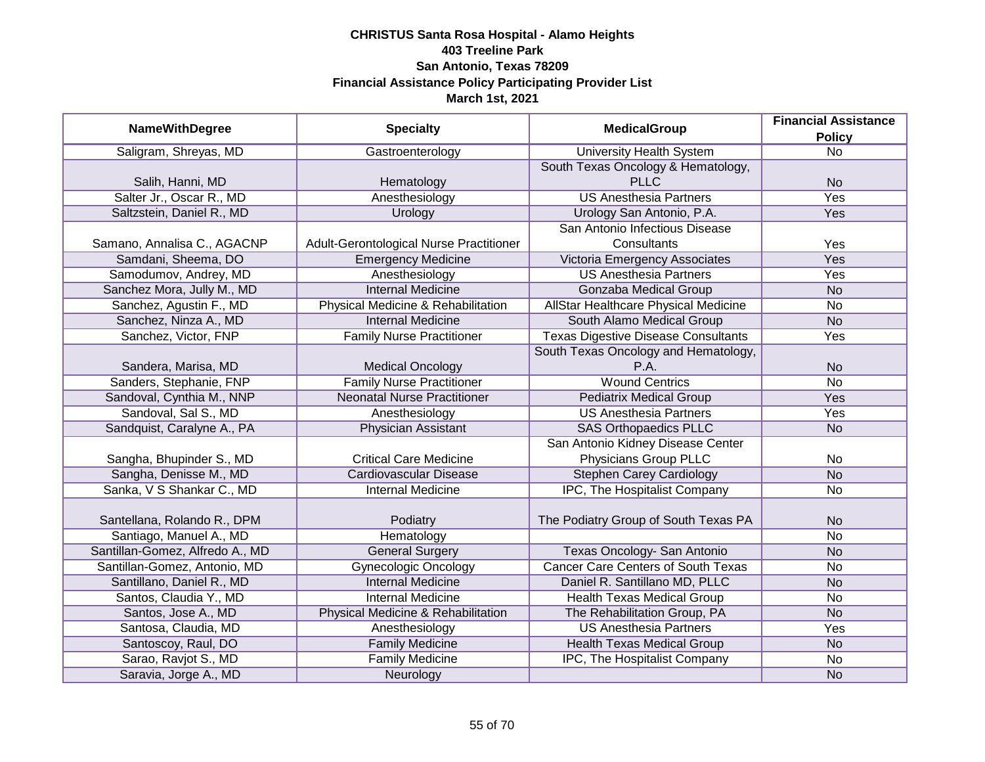|                                 |                                         | <b>MedicalGroup</b>                        | <b>Financial Assistance</b> |
|---------------------------------|-----------------------------------------|--------------------------------------------|-----------------------------|
| <b>NameWithDegree</b>           | <b>Specialty</b>                        |                                            | <b>Policy</b>               |
| Saligram, Shreyas, MD           | Gastroenterology                        | <b>University Health System</b>            | $\overline{No}$             |
|                                 |                                         | South Texas Oncology & Hematology,         |                             |
| Salih, Hanni, MD                | Hematology                              | <b>PLLC</b>                                | <b>No</b>                   |
| Salter Jr., Oscar R., MD        | Anesthesiology                          | <b>US Anesthesia Partners</b>              | <b>Yes</b>                  |
| Saltzstein, Daniel R., MD       | Urology                                 | Urology San Antonio, P.A.                  | Yes                         |
|                                 |                                         | San Antonio Infectious Disease             |                             |
| Samano, Annalisa C., AGACNP     | Adult-Gerontological Nurse Practitioner | Consultants                                | Yes                         |
| Samdani, Sheema, DO             | <b>Emergency Medicine</b>               | Victoria Emergency Associates              | Yes                         |
| Samodumov, Andrey, MD           | Anesthesiology                          | <b>US Anesthesia Partners</b>              | Yes                         |
| Sanchez Mora, Jully M., MD      | <b>Internal Medicine</b>                | Gonzaba Medical Group                      | <b>No</b>                   |
| Sanchez, Agustin F., MD         | Physical Medicine & Rehabilitation      | AllStar Healthcare Physical Medicine       | <b>No</b>                   |
| Sanchez, Ninza A., MD           | <b>Internal Medicine</b>                | South Alamo Medical Group                  | <b>No</b>                   |
| Sanchez, Victor, FNP            | <b>Family Nurse Practitioner</b>        | <b>Texas Digestive Disease Consultants</b> | Yes                         |
|                                 |                                         | South Texas Oncology and Hematology,       |                             |
| Sandera, Marisa, MD             | <b>Medical Oncology</b>                 | P.A.                                       | <b>No</b>                   |
| Sanders, Stephanie, FNP         | <b>Family Nurse Practitioner</b>        | <b>Wound Centrics</b>                      | <b>No</b>                   |
| Sandoval, Cynthia M., NNP       | <b>Neonatal Nurse Practitioner</b>      | <b>Pediatrix Medical Group</b>             | Yes                         |
| Sandoval, Sal S., MD            | Anesthesiology                          | <b>US Anesthesia Partners</b>              | Yes                         |
| Sandquist, Caralyne A., PA      | Physician Assistant                     | <b>SAS Orthopaedics PLLC</b>               | <b>No</b>                   |
|                                 |                                         | San Antonio Kidney Disease Center          |                             |
| Sangha, Bhupinder S., MD        | <b>Critical Care Medicine</b>           | Physicians Group PLLC                      | No                          |
| Sangha, Denisse M., MD          | <b>Cardiovascular Disease</b>           | <b>Stephen Carey Cardiology</b>            | <b>No</b>                   |
| Sanka, V S Shankar C., MD       | <b>Internal Medicine</b>                | IPC, The Hospitalist Company               | No                          |
|                                 |                                         |                                            |                             |
| Santellana, Rolando R., DPM     | Podiatry                                | The Podiatry Group of South Texas PA       | <b>No</b>                   |
| Santiago, Manuel A., MD         | Hematology                              |                                            | <b>No</b>                   |
| Santillan-Gomez, Alfredo A., MD | <b>General Surgery</b>                  | Texas Oncology- San Antonio                | <b>No</b>                   |
| Santillan-Gomez, Antonio, MD    | <b>Gynecologic Oncology</b>             | <b>Cancer Care Centers of South Texas</b>  | No                          |
| Santillano, Daniel R., MD       | <b>Internal Medicine</b>                | Daniel R. Santillano MD, PLLC              | <b>No</b>                   |
| Santos, Claudia Y., MD          | <b>Internal Medicine</b>                | <b>Health Texas Medical Group</b>          | <b>No</b>                   |
| Santos, Jose A., MD             | Physical Medicine & Rehabilitation      | The Rehabilitation Group, PA               | <b>No</b>                   |
| Santosa, Claudia, MD            | Anesthesiology                          | <b>US Anesthesia Partners</b>              | Yes                         |
| Santoscoy, Raul, DO             | <b>Family Medicine</b>                  | <b>Health Texas Medical Group</b>          | N <sub>o</sub>              |
| Sarao, Ravjot S., MD            | <b>Family Medicine</b>                  | IPC, The Hospitalist Company               | No                          |
| Saravia, Jorge A., MD           | Neurology                               |                                            | <b>No</b>                   |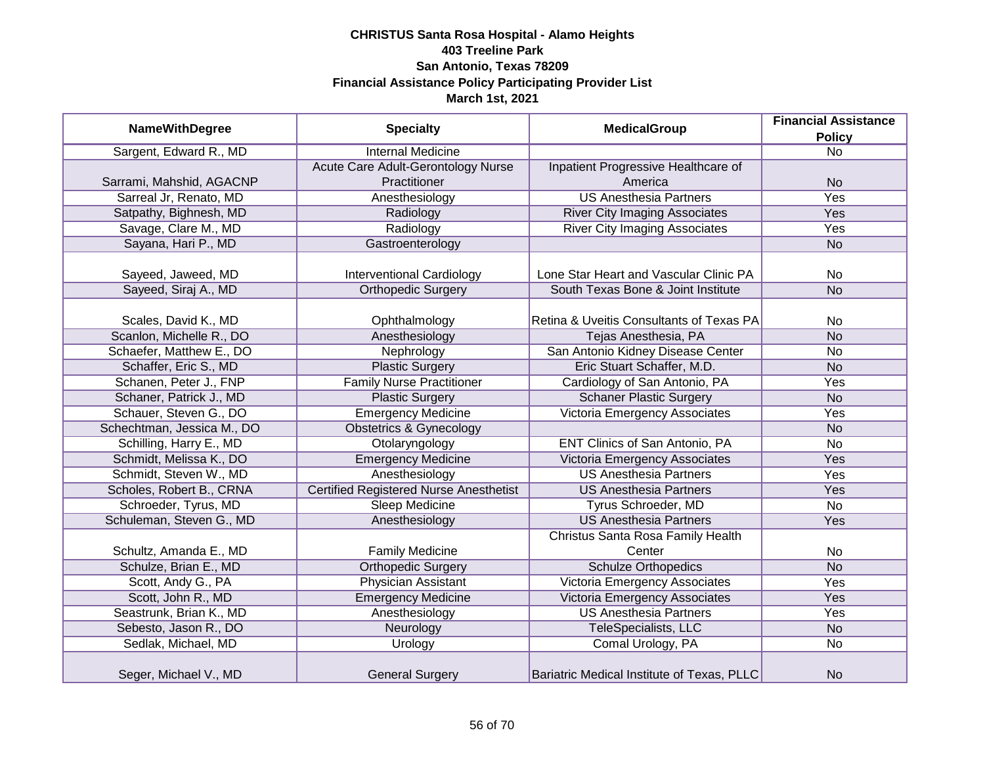| <b>NameWithDegree</b>      | <b>Specialty</b>                              | <b>MedicalGroup</b>                        | <b>Financial Assistance</b> |
|----------------------------|-----------------------------------------------|--------------------------------------------|-----------------------------|
|                            |                                               | <b>Policy</b>                              |                             |
| Sargent, Edward R., MD     | <b>Internal Medicine</b>                      |                                            | $\overline{No}$             |
|                            | Acute Care Adult-Gerontology Nurse            | Inpatient Progressive Healthcare of        |                             |
| Sarrami, Mahshid, AGACNP   | Practitioner                                  | America                                    | <b>No</b>                   |
| Sarreal Jr, Renato, MD     | Anesthesiology                                | <b>US Anesthesia Partners</b>              | <b>Yes</b>                  |
| Satpathy, Bighnesh, MD     | Radiology                                     | <b>River City Imaging Associates</b>       | Yes                         |
| Savage, Clare M., MD       | Radiology                                     | <b>River City Imaging Associates</b>       | Yes                         |
| Sayana, Hari P., MD        | Gastroenterology                              |                                            | <b>No</b>                   |
|                            |                                               |                                            |                             |
| Sayeed, Jaweed, MD         | <b>Interventional Cardiology</b>              | Lone Star Heart and Vascular Clinic PA     | No                          |
| Sayeed, Siraj A., MD       | <b>Orthopedic Surgery</b>                     | South Texas Bone & Joint Institute         | <b>No</b>                   |
|                            |                                               |                                            |                             |
| Scales, David K., MD       | Ophthalmology                                 | Retina & Uveitis Consultants of Texas PA   | No                          |
| Scanlon, Michelle R., DO   | Anesthesiology                                | Tejas Anesthesia, PA                       | <b>No</b>                   |
| Schaefer, Matthew E., DO   | Nephrology                                    | San Antonio Kidney Disease Center          | <b>No</b>                   |
| Schaffer, Eric S., MD      | <b>Plastic Surgery</b>                        | Eric Stuart Schaffer, M.D.                 | <b>No</b>                   |
| Schanen, Peter J., FNP     | <b>Family Nurse Practitioner</b>              | Cardiology of San Antonio, PA              | Yes                         |
| Schaner, Patrick J., MD    | <b>Plastic Surgery</b>                        | <b>Schaner Plastic Surgery</b>             | <b>No</b>                   |
| Schauer, Steven G., DO     | <b>Emergency Medicine</b>                     | Victoria Emergency Associates              | Yes                         |
| Schechtman, Jessica M., DO | <b>Obstetrics &amp; Gynecology</b>            |                                            | <b>No</b>                   |
| Schilling, Harry E., MD    | Otolaryngology                                | <b>ENT Clinics of San Antonio, PA</b>      | <b>No</b>                   |
| Schmidt, Melissa K., DO    | <b>Emergency Medicine</b>                     | Victoria Emergency Associates              | Yes                         |
| Schmidt, Steven W., MD     | Anesthesiology                                | <b>US Anesthesia Partners</b>              | Yes                         |
| Scholes, Robert B., CRNA   | <b>Certified Registered Nurse Anesthetist</b> | <b>US Anesthesia Partners</b>              | Yes                         |
| Schroeder, Tyrus, MD       | <b>Sleep Medicine</b>                         | Tyrus Schroeder, MD                        | <b>No</b>                   |
| Schuleman, Steven G., MD   | Anesthesiology                                | <b>US Anesthesia Partners</b>              | Yes                         |
|                            |                                               | Christus Santa Rosa Family Health          |                             |
| Schultz, Amanda E., MD     | <b>Family Medicine</b>                        | Center                                     | No                          |
| Schulze, Brian E., MD      | <b>Orthopedic Surgery</b>                     | <b>Schulze Orthopedics</b>                 | <b>No</b>                   |
| Scott, Andy G., PA         | <b>Physician Assistant</b>                    | Victoria Emergency Associates              | Yes                         |
| Scott, John R., MD         | <b>Emergency Medicine</b>                     | Victoria Emergency Associates              | Yes                         |
| Seastrunk, Brian K., MD    | Anesthesiology                                | <b>US Anesthesia Partners</b>              | Yes                         |
| Sebesto, Jason R., DO      | Neurology                                     | TeleSpecialists, LLC                       | <b>No</b>                   |
| Sedlak, Michael, MD        | Urology                                       | Comal Urology, PA                          | <b>No</b>                   |
| Seger, Michael V., MD      | <b>General Surgery</b>                        | Bariatric Medical Institute of Texas, PLLC | <b>No</b>                   |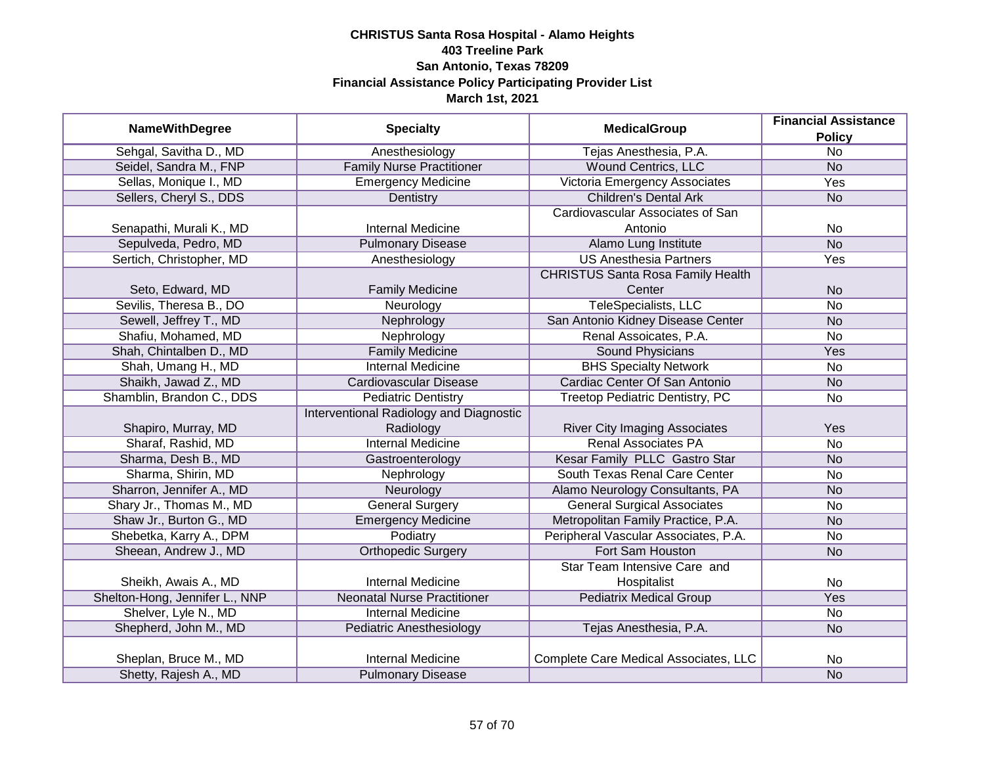|                                | <b>Specialty</b><br><b>MedicalGroup</b> |                                          | <b>Financial Assistance</b> |
|--------------------------------|-----------------------------------------|------------------------------------------|-----------------------------|
| <b>NameWithDegree</b>          |                                         |                                          | <b>Policy</b>               |
| Sehgal, Savitha D., MD         | Anesthesiology                          | Tejas Anesthesia, P.A.                   | $\overline{No}$             |
| Seidel, Sandra M., FNP         | <b>Family Nurse Practitioner</b>        | <b>Wound Centrics, LLC</b>               | <b>No</b>                   |
| Sellas, Monique I., MD         | <b>Emergency Medicine</b>               | Victoria Emergency Associates            | <b>Yes</b>                  |
| Sellers, Cheryl S., DDS        | Dentistry                               | <b>Children's Dental Ark</b>             | <b>No</b>                   |
|                                |                                         | Cardiovascular Associates of San         |                             |
| Senapathi, Murali K., MD       | <b>Internal Medicine</b>                | Antonio                                  | <b>No</b>                   |
| Sepulveda, Pedro, MD           | <b>Pulmonary Disease</b>                | Alamo Lung Institute                     | N <sub>o</sub>              |
| Sertich, Christopher, MD       | Anesthesiology                          | <b>US Anesthesia Partners</b>            | Yes                         |
|                                |                                         | <b>CHRISTUS Santa Rosa Family Health</b> |                             |
| Seto, Edward, MD               | <b>Family Medicine</b>                  | Center                                   | <b>No</b>                   |
| Sevilis, Theresa B., DO        | Neurology                               | <b>TeleSpecialists, LLC</b>              | <b>No</b>                   |
| Sewell, Jeffrey T., MD         | Nephrology                              | San Antonio Kidney Disease Center        | <b>No</b>                   |
| Shafiu, Mohamed, MD            | Nephrology                              | Renal Assoicates, P.A.                   | <b>No</b>                   |
| Shah, Chintalben D., MD        | <b>Family Medicine</b>                  | <b>Sound Physicians</b>                  | Yes                         |
| Shah, Umang H., MD             | <b>Internal Medicine</b>                | <b>BHS Specialty Network</b>             | <b>No</b>                   |
| Shaikh, Jawad Z., MD           | Cardiovascular Disease                  | Cardiac Center Of San Antonio            | <b>No</b>                   |
| Shamblin, Brandon C., DDS      | <b>Pediatric Dentistry</b>              | Treetop Pediatric Dentistry, PC          | <b>No</b>                   |
|                                | Interventional Radiology and Diagnostic |                                          |                             |
| Shapiro, Murray, MD            | Radiology                               | <b>River City Imaging Associates</b>     | Yes                         |
| Sharaf, Rashid, MD             | <b>Internal Medicine</b>                | <b>Renal Associates PA</b>               | <b>No</b>                   |
| Sharma, Desh B., MD            | Gastroenterology                        | Kesar Family PLLC Gastro Star            | <b>No</b>                   |
| Sharma, Shirin, MD             | Nephrology                              | South Texas Renal Care Center            | <b>No</b>                   |
| Sharron, Jennifer A., MD       | Neurology                               | Alamo Neurology Consultants, PA          | <b>No</b>                   |
| Shary Jr., Thomas M., MD       | <b>General Surgery</b>                  | <b>General Surgical Associates</b>       | <b>No</b>                   |
| Shaw Jr., Burton G., MD        | <b>Emergency Medicine</b>               | Metropolitan Family Practice, P.A.       | <b>No</b>                   |
| Shebetka, Karry A., DPM        | Podiatry                                | Peripheral Vascular Associates, P.A.     | <b>No</b>                   |
| Sheean, Andrew J., MD          | <b>Orthopedic Surgery</b>               | Fort Sam Houston                         | <b>No</b>                   |
|                                |                                         | Star Team Intensive Care and             |                             |
| Sheikh, Awais A., MD           | <b>Internal Medicine</b>                | Hospitalist                              | No                          |
| Shelton-Hong, Jennifer L., NNP | <b>Neonatal Nurse Practitioner</b>      | <b>Pediatrix Medical Group</b>           | Yes                         |
| Shelver, Lyle N., MD           | <b>Internal Medicine</b>                |                                          | No                          |
| Shepherd, John M., MD          | Pediatric Anesthesiology                | Tejas Anesthesia, P.A.                   | <b>No</b>                   |
|                                |                                         |                                          |                             |
| Sheplan, Bruce M., MD          | <b>Internal Medicine</b>                | Complete Care Medical Associates, LLC    | No                          |
| Shetty, Rajesh A., MD          | <b>Pulmonary Disease</b>                |                                          | <b>No</b>                   |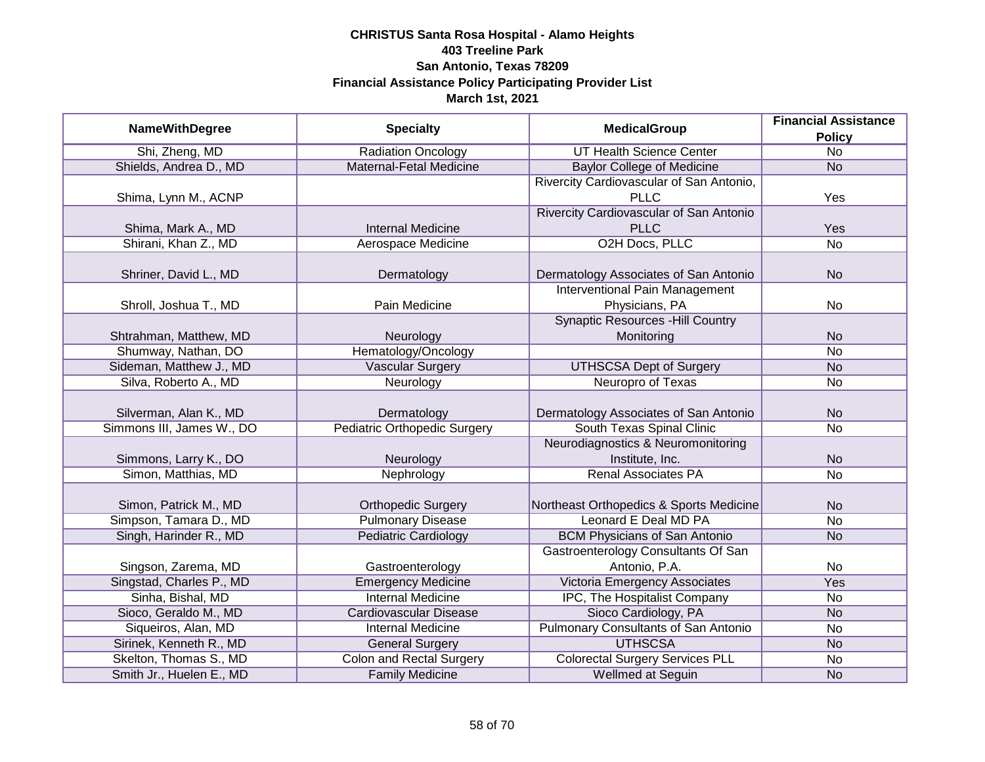|                           |                                     |                                          | <b>Financial Assistance</b> |
|---------------------------|-------------------------------------|------------------------------------------|-----------------------------|
| <b>NameWithDegree</b>     | <b>Specialty</b>                    | <b>MedicalGroup</b>                      | <b>Policy</b>               |
| Shi, Zheng, MD            | <b>Radiation Oncology</b>           | <b>UT Health Science Center</b>          | $\overline{No}$             |
| Shields, Andrea D., MD    | <b>Maternal-Fetal Medicine</b>      | <b>Baylor College of Medicine</b>        | <b>No</b>                   |
|                           |                                     | Rivercity Cardiovascular of San Antonio, |                             |
| Shima, Lynn M., ACNP      |                                     | <b>PLLC</b>                              | Yes                         |
|                           |                                     | Rivercity Cardiovascular of San Antonio  |                             |
| Shima, Mark A., MD        | <b>Internal Medicine</b>            | <b>PLLC</b>                              | Yes                         |
| Shirani, Khan Z., MD      | Aerospace Medicine                  | O2H Docs, PLLC                           | $\overline{No}$             |
|                           |                                     |                                          |                             |
| Shriner, David L., MD     | Dermatology                         | Dermatology Associates of San Antonio    | <b>No</b>                   |
|                           |                                     | <b>Interventional Pain Management</b>    |                             |
| Shroll, Joshua T., MD     | Pain Medicine                       | Physicians, PA                           | No                          |
|                           |                                     | <b>Synaptic Resources - Hill Country</b> |                             |
| Shtrahman, Matthew, MD    | Neurology                           | Monitoring                               | <b>No</b>                   |
| Shumway, Nathan, DO       | Hematology/Oncology                 |                                          | No                          |
| Sideman, Matthew J., MD   | <b>Vascular Surgery</b>             | <b>UTHSCSA Dept of Surgery</b>           | <b>No</b>                   |
| Silva, Roberto A., MD     | Neurology                           | Neuropro of Texas                        | No                          |
|                           |                                     |                                          |                             |
| Silverman, Alan K., MD    | Dermatology                         | Dermatology Associates of San Antonio    | <b>No</b>                   |
| Simmons III, James W., DO | <b>Pediatric Orthopedic Surgery</b> | South Texas Spinal Clinic                | <b>No</b>                   |
|                           |                                     | Neurodiagnostics & Neuromonitoring       |                             |
| Simmons, Larry K., DO     | Neurology                           | Institute, Inc.                          | <b>No</b>                   |
| Simon, Matthias, MD       | Nephrology                          | <b>Renal Associates PA</b>               | <b>No</b>                   |
|                           |                                     |                                          |                             |
| Simon, Patrick M., MD     | <b>Orthopedic Surgery</b>           | Northeast Orthopedics & Sports Medicine  | <b>No</b>                   |
| Simpson, Tamara D., MD    | <b>Pulmonary Disease</b>            | Leonard E Deal MD PA                     | No                          |
| Singh, Harinder R., MD    | <b>Pediatric Cardiology</b>         | <b>BCM Physicians of San Antonio</b>     | <b>No</b>                   |
|                           |                                     | Gastroenterology Consultants Of San      |                             |
| Singson, Zarema, MD       | Gastroenterology                    | Antonio, P.A.                            | No                          |
| Singstad, Charles P., MD  | <b>Emergency Medicine</b>           | Victoria Emergency Associates            | Yes                         |
| Sinha, Bishal, MD         | <b>Internal Medicine</b>            | IPC, The Hospitalist Company             | No                          |
| Sioco, Geraldo M., MD     | Cardiovascular Disease              | Sioco Cardiology, PA                     | <b>No</b>                   |
| Siqueiros, Alan, MD       | <b>Internal Medicine</b>            | Pulmonary Consultants of San Antonio     | No                          |
| Sirinek, Kenneth R., MD   | <b>General Surgery</b>              | <b>UTHSCSA</b>                           | N <sub>o</sub>              |
| Skelton, Thomas S., MD    | <b>Colon and Rectal Surgery</b>     | <b>Colorectal Surgery Services PLL</b>   | No                          |
| Smith Jr., Huelen E., MD  | <b>Family Medicine</b>              | Wellmed at Seguin                        | <b>No</b>                   |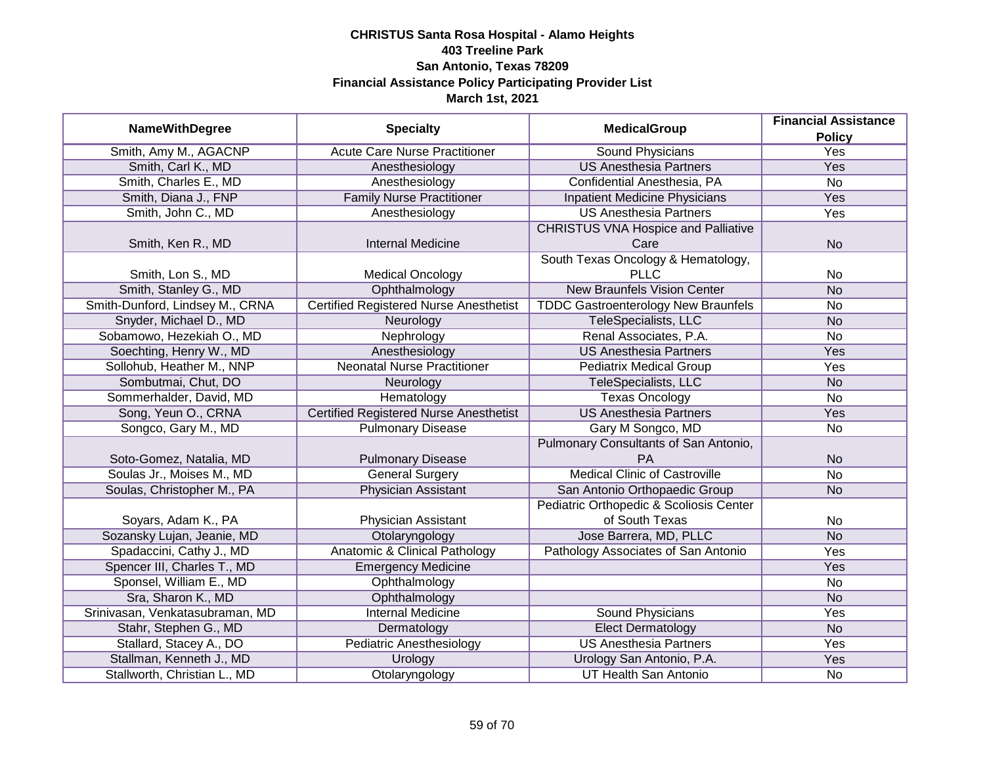|                                 |                                               | <b>MedicalGroup</b>                        | <b>Financial Assistance</b> |
|---------------------------------|-----------------------------------------------|--------------------------------------------|-----------------------------|
| <b>NameWithDegree</b>           | <b>Specialty</b>                              |                                            | <b>Policy</b>               |
| Smith, Amy M., AGACNP           | <b>Acute Care Nurse Practitioner</b>          | <b>Sound Physicians</b>                    | <b>Yes</b>                  |
| Smith, Carl K., MD              | Anesthesiology                                | <b>US Anesthesia Partners</b>              | <b>Yes</b>                  |
| Smith, Charles E., MD           | Anesthesiology                                | Confidential Anesthesia, PA                | $\overline{No}$             |
| Smith, Diana J., FNP            | <b>Family Nurse Practitioner</b>              | Inpatient Medicine Physicians              | <b>Yes</b>                  |
| Smith, John C., MD              | Anesthesiology                                | <b>US Anesthesia Partners</b>              | Yes                         |
|                                 |                                               | <b>CHRISTUS VNA Hospice and Palliative</b> |                             |
| Smith, Ken R., MD               | <b>Internal Medicine</b>                      | Care                                       | <b>No</b>                   |
|                                 |                                               | South Texas Oncology & Hematology,         |                             |
| Smith, Lon S., MD               | <b>Medical Oncology</b>                       | <b>PLLC</b>                                | No                          |
| Smith, Stanley G., MD           | Ophthalmology                                 | <b>New Braunfels Vision Center</b>         | <b>No</b>                   |
| Smith-Dunford, Lindsey M., CRNA | <b>Certified Registered Nurse Anesthetist</b> | <b>TDDC Gastroenterology New Braunfels</b> | <b>No</b>                   |
| Snyder, Michael D., MD          | Neurology                                     | TeleSpecialists, LLC                       | <b>No</b>                   |
| Sobamowo, Hezekiah O., MD       | Nephrology                                    | Renal Associates, P.A.                     | No                          |
| Soechting, Henry W., MD         | Anesthesiology                                | <b>US Anesthesia Partners</b>              | Yes                         |
| Sollohub, Heather M., NNP       | <b>Neonatal Nurse Practitioner</b>            | <b>Pediatrix Medical Group</b>             | Yes                         |
| Sombutmai, Chut, DO             | Neurology                                     | TeleSpecialists, LLC                       | <b>No</b>                   |
| Sommerhalder, David, MD         | Hematology                                    | <b>Texas Oncology</b>                      | No                          |
| Song, Yeun O., CRNA             | <b>Certified Registered Nurse Anesthetist</b> | <b>US Anesthesia Partners</b>              | Yes                         |
| Songco, Gary M., MD             | <b>Pulmonary Disease</b>                      | Gary M Songco, MD                          | No                          |
|                                 |                                               | Pulmonary Consultants of San Antonio,      |                             |
| Soto-Gomez, Natalia, MD         | <b>Pulmonary Disease</b>                      | <b>PA</b>                                  | <b>No</b>                   |
| Soulas Jr., Moises M., MD       | <b>General Surgery</b>                        | <b>Medical Clinic of Castroville</b>       | <b>No</b>                   |
| Soulas, Christopher M., PA      | <b>Physician Assistant</b>                    | San Antonio Orthopaedic Group              | <b>No</b>                   |
|                                 |                                               | Pediatric Orthopedic & Scoliosis Center    |                             |
| Soyars, Adam K., PA             | Physician Assistant                           | of South Texas                             | No                          |
| Sozansky Lujan, Jeanie, MD      | Otolaryngology                                | Jose Barrera, MD, PLLC                     | <b>No</b>                   |
| Spadaccini, Cathy J., MD        | <b>Anatomic &amp; Clinical Pathology</b>      | Pathology Associates of San Antonio        | Yes                         |
| Spencer III, Charles T., MD     | <b>Emergency Medicine</b>                     |                                            | Yes                         |
| Sponsel, William E., MD         | Ophthalmology                                 |                                            | No                          |
| Sra, Sharon K., MD              | Ophthalmology                                 |                                            | <b>No</b>                   |
| Srinivasan, Venkatasubraman, MD | <b>Internal Medicine</b>                      | <b>Sound Physicians</b>                    | Yes                         |
| Stahr, Stephen G., MD           | Dermatology                                   | <b>Elect Dermatology</b>                   | <b>No</b>                   |
| Stallard, Stacey A., DO         | <b>Pediatric Anesthesiology</b>               | <b>US Anesthesia Partners</b>              | <b>Yes</b>                  |
| Stallman, Kenneth J., MD        | Urology                                       | Urology San Antonio, P.A.                  | Yes                         |
| Stallworth, Christian L., MD    | Otolaryngology                                | <b>UT Health San Antonio</b>               | No                          |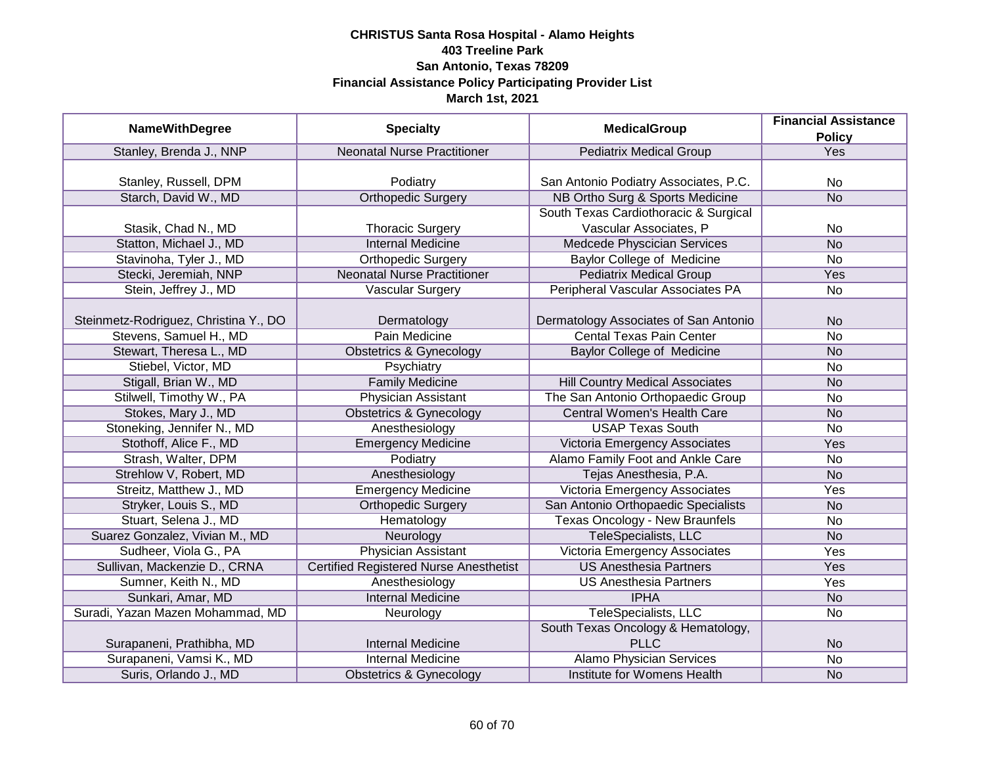|                                       |                                               |                                        | <b>Financial Assistance</b> |
|---------------------------------------|-----------------------------------------------|----------------------------------------|-----------------------------|
| <b>NameWithDegree</b>                 | <b>Specialty</b>                              | <b>MedicalGroup</b>                    | <b>Policy</b>               |
| Stanley, Brenda J., NNP               | <b>Neonatal Nurse Practitioner</b>            | <b>Pediatrix Medical Group</b>         | Yes                         |
|                                       |                                               |                                        |                             |
| Stanley, Russell, DPM                 | Podiatry                                      | San Antonio Podiatry Associates, P.C.  | No                          |
| Starch, David W., MD                  | <b>Orthopedic Surgery</b>                     | NB Ortho Surg & Sports Medicine        | N <sub>o</sub>              |
|                                       |                                               | South Texas Cardiothoracic & Surgical  |                             |
| Stasik, Chad N., MD                   | <b>Thoracic Surgery</b>                       | Vascular Associates, P                 | No                          |
| Statton, Michael J., MD               | <b>Internal Medicine</b>                      | Medcede Physcician Services            | <b>No</b>                   |
| Stavinoha, Tyler J., MD               | <b>Orthopedic Surgery</b>                     | Baylor College of Medicine             | No                          |
| Stecki, Jeremiah, NNP                 | <b>Neonatal Nurse Practitioner</b>            | <b>Pediatrix Medical Group</b>         | Yes                         |
| Stein, Jeffrey J., MD                 | <b>Vascular Surgery</b>                       | Peripheral Vascular Associates PA      | No                          |
|                                       |                                               |                                        |                             |
| Steinmetz-Rodriguez, Christina Y., DO | Dermatology                                   | Dermatology Associates of San Antonio  | <b>No</b>                   |
| Stevens, Samuel H., MD                | Pain Medicine                                 | <b>Cental Texas Pain Center</b>        | <b>No</b>                   |
| Stewart, Theresa L., MD               | <b>Obstetrics &amp; Gynecology</b>            | <b>Baylor College of Medicine</b>      | <b>No</b>                   |
| Stiebel, Victor, MD                   | Psychiatry                                    |                                        | <b>No</b>                   |
| Stigall, Brian W., MD                 | <b>Family Medicine</b>                        | <b>Hill Country Medical Associates</b> | <b>No</b>                   |
| Stilwell, Timothy W., PA              | <b>Physician Assistant</b>                    | The San Antonio Orthopaedic Group      | No                          |
| Stokes, Mary J., MD                   | <b>Obstetrics &amp; Gynecology</b>            | <b>Central Women's Health Care</b>     | <b>No</b>                   |
| Stoneking, Jennifer N., MD            | Anesthesiology                                | <b>USAP Texas South</b>                | <b>No</b>                   |
| Stothoff, Alice F., MD                | <b>Emergency Medicine</b>                     | Victoria Emergency Associates          | Yes                         |
| Strash, Walter, DPM                   | Podiatry                                      | Alamo Family Foot and Ankle Care       | <b>No</b>                   |
| Strehlow V, Robert, MD                | Anesthesiology                                | Tejas Anesthesia, P.A.                 | <b>No</b>                   |
| Streitz, Matthew J., MD               | <b>Emergency Medicine</b>                     | Victoria Emergency Associates          | Yes                         |
| Stryker, Louis S., MD                 | <b>Orthopedic Surgery</b>                     | San Antonio Orthopaedic Specialists    | <b>No</b>                   |
| Stuart, Selena J., MD                 | Hematology                                    | <b>Texas Oncology - New Braunfels</b>  | No                          |
| Suarez Gonzalez, Vivian M., MD        | Neurology                                     | TeleSpecialists, LLC                   | <b>No</b>                   |
| Sudheer, Viola G., PA                 | <b>Physician Assistant</b>                    | <b>Victoria Emergency Associates</b>   | Yes                         |
| Sullivan, Mackenzie D., CRNA          | <b>Certified Registered Nurse Anesthetist</b> | <b>US Anesthesia Partners</b>          | Yes                         |
| Sumner, Keith N., MD                  | Anesthesiology                                | <b>US Anesthesia Partners</b>          | Yes                         |
| Sunkari, Amar, MD                     | <b>Internal Medicine</b>                      | <b>IPHA</b>                            | <b>No</b>                   |
| Suradi, Yazan Mazen Mohammad, MD      | Neurology                                     | TeleSpecialists, LLC                   | No                          |
|                                       |                                               | South Texas Oncology & Hematology,     |                             |
| Surapaneni, Prathibha, MD             | <b>Internal Medicine</b>                      | <b>PLLC</b>                            | <b>No</b>                   |
| Surapaneni, Vamsi K., MD              | <b>Internal Medicine</b>                      | <b>Alamo Physician Services</b>        | $\overline{No}$             |
| Suris, Orlando J., MD                 | <b>Obstetrics &amp; Gynecology</b>            | Institute for Womens Health            | <b>No</b>                   |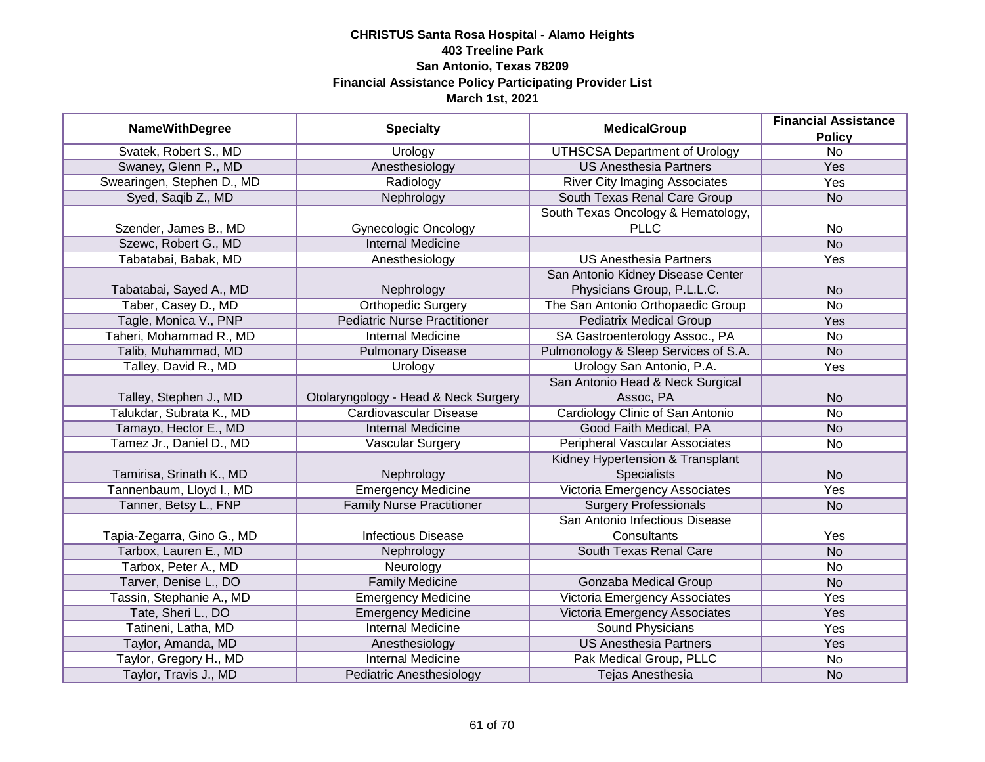| <b>NameWithDegree</b>      |                                      | <b>MedicalGroup</b>                   | <b>Financial Assistance</b> |
|----------------------------|--------------------------------------|---------------------------------------|-----------------------------|
|                            | <b>Specialty</b>                     |                                       | <b>Policy</b>               |
| Svatek, Robert S., MD      | Urology                              | <b>UTHSCSA Department of Urology</b>  | $\overline{No}$             |
| Swaney, Glenn P., MD       | Anesthesiology                       | <b>US Anesthesia Partners</b>         | <b>Yes</b>                  |
| Swearingen, Stephen D., MD | Radiology                            | <b>River City Imaging Associates</b>  | <b>Yes</b>                  |
| Syed, Saqib Z., MD         | Nephrology                           | South Texas Renal Care Group          | <b>No</b>                   |
|                            |                                      | South Texas Oncology & Hematology,    |                             |
| Szender, James B., MD      | <b>Gynecologic Oncology</b>          | <b>PLLC</b>                           | No                          |
| Szewc, Robert G., MD       | <b>Internal Medicine</b>             |                                       | N <sub>o</sub>              |
| Tabatabai, Babak, MD       | Anesthesiology                       | <b>US Anesthesia Partners</b>         | Yes                         |
|                            |                                      | San Antonio Kidney Disease Center     |                             |
| Tabatabai, Sayed A., MD    | Nephrology                           | Physicians Group, P.L.L.C.            | <b>No</b>                   |
| Taber, Casey D., MD        | <b>Orthopedic Surgery</b>            | The San Antonio Orthopaedic Group     | <b>No</b>                   |
| Tagle, Monica V., PNP      | <b>Pediatric Nurse Practitioner</b>  | <b>Pediatrix Medical Group</b>        | Yes                         |
| Taheri, Mohammad R., MD    | <b>Internal Medicine</b>             | SA Gastroenterology Assoc., PA        | <b>No</b>                   |
| Talib, Muhammad, MD        | <b>Pulmonary Disease</b>             | Pulmonology & Sleep Services of S.A.  | <b>No</b>                   |
| Talley, David R., MD       | Urology                              | Urology San Antonio, P.A.             | Yes                         |
|                            |                                      | San Antonio Head & Neck Surgical      |                             |
| Talley, Stephen J., MD     | Otolaryngology - Head & Neck Surgery | Assoc, PA                             | <b>No</b>                   |
| Talukdar, Subrata K., MD   | <b>Cardiovascular Disease</b>        | Cardiology Clinic of San Antonio      | <b>No</b>                   |
| Tamayo, Hector E., MD      | <b>Internal Medicine</b>             | Good Faith Medical, PA                | <b>No</b>                   |
| Tamez Jr., Daniel D., MD   | Vascular Surgery                     | <b>Peripheral Vascular Associates</b> | No                          |
|                            |                                      | Kidney Hypertension & Transplant      |                             |
| Tamirisa, Srinath K., MD   | Nephrology                           | <b>Specialists</b>                    | <b>No</b>                   |
| Tannenbaum, Lloyd I., MD   | <b>Emergency Medicine</b>            | Victoria Emergency Associates         | Yes                         |
| Tanner, Betsy L., FNP      | <b>Family Nurse Practitioner</b>     | <b>Surgery Professionals</b>          | <b>No</b>                   |
|                            |                                      | San Antonio Infectious Disease        |                             |
| Tapia-Zegarra, Gino G., MD | <b>Infectious Disease</b>            | Consultants                           | Yes                         |
| Tarbox, Lauren E., MD      | Nephrology                           | South Texas Renal Care                | <b>No</b>                   |
| Tarbox, Peter A., MD       | Neurology                            |                                       | No                          |
| Tarver, Denise L., DO      | <b>Family Medicine</b>               | <b>Gonzaba Medical Group</b>          | <b>No</b>                   |
| Tassin, Stephanie A., MD   | <b>Emergency Medicine</b>            | <b>Victoria Emergency Associates</b>  | Yes                         |
| Tate, Sheri L., DO         | <b>Emergency Medicine</b>            | Victoria Emergency Associates         | Yes                         |
| Tatineni, Latha, MD        | <b>Internal Medicine</b>             | <b>Sound Physicians</b>               | Yes                         |
| Taylor, Amanda, MD         | Anesthesiology                       | <b>US Anesthesia Partners</b>         | Yes                         |
| Taylor, Gregory H., MD     | <b>Internal Medicine</b>             | Pak Medical Group, PLLC               | No                          |
| Taylor, Travis J., MD      | <b>Pediatric Anesthesiology</b>      | Tejas Anesthesia                      | <b>No</b>                   |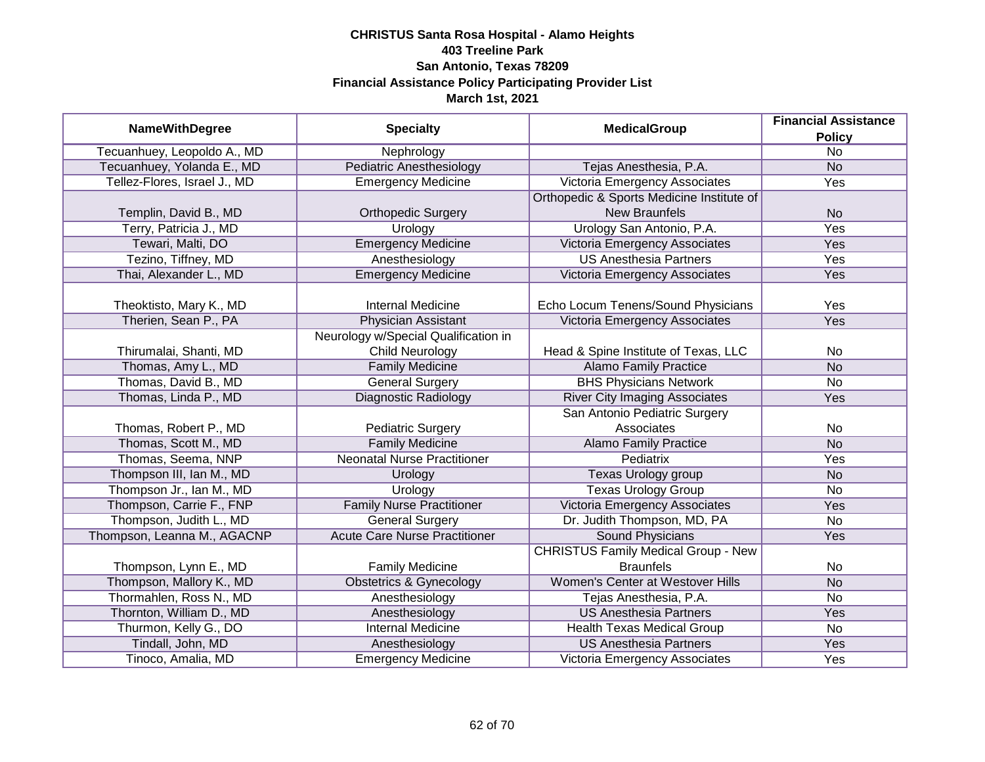|                              |                                      | <b>MedicalGroup</b>                        | <b>Financial Assistance</b> |
|------------------------------|--------------------------------------|--------------------------------------------|-----------------------------|
| <b>NameWithDegree</b>        | <b>Specialty</b>                     |                                            | <b>Policy</b>               |
| Tecuanhuey, Leopoldo A., MD  | Nephrology                           |                                            | $\overline{No}$             |
| Tecuanhuey, Yolanda E., MD   | <b>Pediatric Anesthesiology</b>      | Tejas Anesthesia, P.A.                     | <b>No</b>                   |
| Tellez-Flores, Israel J., MD | <b>Emergency Medicine</b>            | Victoria Emergency Associates              | Yes                         |
|                              |                                      | Orthopedic & Sports Medicine Institute of  |                             |
| Templin, David B., MD        | <b>Orthopedic Surgery</b>            | <b>New Braunfels</b>                       | <b>No</b>                   |
| Terry, Patricia J., MD       | Urology                              | Urology San Antonio, P.A.                  | Yes                         |
| Tewari, Malti, DO            | <b>Emergency Medicine</b>            | Victoria Emergency Associates              | Yes                         |
| Tezino, Tiffney, MD          | Anesthesiology                       | <b>US Anesthesia Partners</b>              | Yes                         |
| Thai, Alexander L., MD       | <b>Emergency Medicine</b>            | Victoria Emergency Associates              | Yes                         |
|                              |                                      |                                            |                             |
| Theoktisto, Mary K., MD      | <b>Internal Medicine</b>             | Echo Locum Tenens/Sound Physicians         | Yes                         |
| Therien, Sean P., PA         | <b>Physician Assistant</b>           | Victoria Emergency Associates              | Yes                         |
|                              | Neurology w/Special Qualification in |                                            |                             |
| Thirumalai, Shanti, MD       | <b>Child Neurology</b>               | Head & Spine Institute of Texas, LLC       | No                          |
| Thomas, Amy L., MD           | <b>Family Medicine</b>               | <b>Alamo Family Practice</b>               | <b>No</b>                   |
| Thomas, David B., MD         | <b>General Surgery</b>               | <b>BHS Physicians Network</b>              | <b>No</b>                   |
| Thomas, Linda P., MD         | <b>Diagnostic Radiology</b>          | <b>River City Imaging Associates</b>       | Yes                         |
|                              |                                      | San Antonio Pediatric Surgery              |                             |
| Thomas, Robert P., MD        | <b>Pediatric Surgery</b>             | Associates                                 | No                          |
| Thomas, Scott M., MD         | <b>Family Medicine</b>               | <b>Alamo Family Practice</b>               | <b>No</b>                   |
| Thomas, Seema, NNP           | <b>Neonatal Nurse Practitioner</b>   | Pediatrix                                  | Yes                         |
| Thompson III, Ian M., MD     | Urology                              | Texas Urology group                        | <b>No</b>                   |
| Thompson Jr., Ian M., MD     | Urology                              | <b>Texas Urology Group</b>                 | <b>No</b>                   |
| Thompson, Carrie F., FNP     | <b>Family Nurse Practitioner</b>     | Victoria Emergency Associates              | Yes                         |
| Thompson, Judith L., MD      | <b>General Surgery</b>               | Dr. Judith Thompson, MD, PA                | <b>No</b>                   |
| Thompson, Leanna M., AGACNP  | <b>Acute Care Nurse Practitioner</b> | <b>Sound Physicians</b>                    | Yes                         |
|                              |                                      | <b>CHRISTUS Family Medical Group - New</b> |                             |
| Thompson, Lynn E., MD        | <b>Family Medicine</b>               | <b>Braunfels</b>                           | No                          |
| Thompson, Mallory K., MD     | <b>Obstetrics &amp; Gynecology</b>   | Women's Center at Westover Hills           | <b>No</b>                   |
| Thormahlen, Ross N., MD      | Anesthesiology                       | Tejas Anesthesia, P.A.                     | <b>No</b>                   |
| Thornton, William D., MD     | Anesthesiology                       | <b>US Anesthesia Partners</b>              | Yes                         |
| Thurmon, Kelly G., DO        | <b>Internal Medicine</b>             | <b>Health Texas Medical Group</b>          | <b>No</b>                   |
| Tindall, John, MD            | Anesthesiology                       | <b>US Anesthesia Partners</b>              | Yes                         |
| Tinoco, Amalia, MD           | <b>Emergency Medicine</b>            | Victoria Emergency Associates              | Yes                         |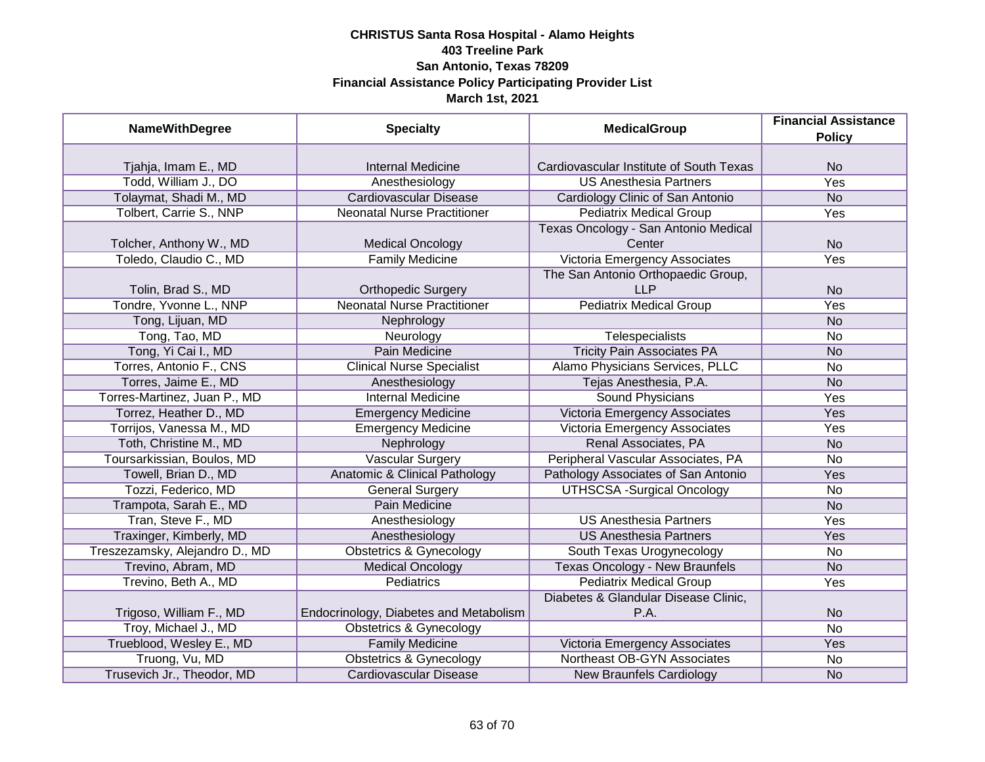| <b>NameWithDegree</b>          | <b>Specialty</b>                         | <b>MedicalGroup</b>                     | <b>Financial Assistance</b> |
|--------------------------------|------------------------------------------|-----------------------------------------|-----------------------------|
|                                |                                          |                                         | <b>Policy</b>               |
| Tjahja, Imam E., MD            | <b>Internal Medicine</b>                 | Cardiovascular Institute of South Texas | <b>No</b>                   |
| Todd, William J., DO           | Anesthesiology                           | <b>US Anesthesia Partners</b>           | <b>Yes</b>                  |
| Tolaymat, Shadi M., MD         | <b>Cardiovascular Disease</b>            | Cardiology Clinic of San Antonio        | <b>No</b>                   |
| Tolbert, Carrie S., NNP        | <b>Neonatal Nurse Practitioner</b>       | <b>Pediatrix Medical Group</b>          | Yes                         |
|                                |                                          | Texas Oncology - San Antonio Medical    |                             |
| Tolcher, Anthony W., MD        | <b>Medical Oncology</b>                  | Center                                  | <b>No</b>                   |
| Toledo, Claudio C., MD         | <b>Family Medicine</b>                   | Victoria Emergency Associates           | Yes                         |
|                                |                                          | The San Antonio Orthopaedic Group,      |                             |
| Tolin, Brad S., MD             | <b>Orthopedic Surgery</b>                | <b>LLP</b>                              | <b>No</b>                   |
| Tondre, Yvonne L., NNP         | <b>Neonatal Nurse Practitioner</b>       | <b>Pediatrix Medical Group</b>          | Yes                         |
| Tong, Lijuan, MD               | Nephrology                               |                                         | <b>No</b>                   |
| Tong, Tao, MD                  | Neurology                                | Telespecialists                         | No                          |
| Tong, Yi Cai I., MD            | Pain Medicine                            | <b>Tricity Pain Associates PA</b>       | <b>No</b>                   |
| Torres, Antonio F., CNS        | <b>Clinical Nurse Specialist</b>         | Alamo Physicians Services, PLLC         | No                          |
| Torres, Jaime E., MD           | Anesthesiology                           | Tejas Anesthesia, P.A.                  | <b>No</b>                   |
| Torres-Martinez, Juan P., MD   | <b>Internal Medicine</b>                 | Sound Physicians                        | Yes                         |
| Torrez, Heather D., MD         | <b>Emergency Medicine</b>                | <b>Victoria Emergency Associates</b>    | Yes                         |
| Torrijos, Vanessa M., MD       | <b>Emergency Medicine</b>                | Victoria Emergency Associates           | Yes                         |
| Toth, Christine M., MD         | Nephrology                               | Renal Associates, PA                    | <b>No</b>                   |
| Toursarkissian, Boulos, MD     | <b>Vascular Surgery</b>                  | Peripheral Vascular Associates, PA      | <b>No</b>                   |
| Towell, Brian D., MD           | <b>Anatomic &amp; Clinical Pathology</b> | Pathology Associates of San Antonio     | Yes                         |
| Tozzi, Federico, MD            | <b>General Surgery</b>                   | <b>UTHSCSA -Surgical Oncology</b>       | <b>No</b>                   |
| Trampota, Sarah E., MD         | Pain Medicine                            |                                         | <b>No</b>                   |
| Tran, Steve F., MD             | Anesthesiology                           | <b>US Anesthesia Partners</b>           | Yes                         |
| Traxinger, Kimberly, MD        | Anesthesiology                           | <b>US Anesthesia Partners</b>           | Yes                         |
| Treszezamsky, Alejandro D., MD | <b>Obstetrics &amp; Gynecology</b>       | South Texas Urogynecology               | No                          |
| Trevino, Abram, MD             | <b>Medical Oncology</b>                  | <b>Texas Oncology - New Braunfels</b>   | <b>No</b>                   |
| Trevino, Beth A., MD           | <b>Pediatrics</b>                        | <b>Pediatrix Medical Group</b>          | Yes                         |
|                                |                                          | Diabetes & Glandular Disease Clinic,    |                             |
| Trigoso, William F., MD        | Endocrinology, Diabetes and Metabolism   | P.A.                                    | <b>No</b>                   |
| Troy, Michael J., MD           | Obstetrics & Gynecology                  |                                         | $\overline{No}$             |
| Trueblood, Wesley E., MD       | <b>Family Medicine</b>                   | Victoria Emergency Associates           | Yes                         |
| Truong, Vu, MD                 | <b>Obstetrics &amp; Gynecology</b>       | Northeast OB-GYN Associates             | No                          |
| Trusevich Jr., Theodor, MD     | <b>Cardiovascular Disease</b>            | <b>New Braunfels Cardiology</b>         | <b>No</b>                   |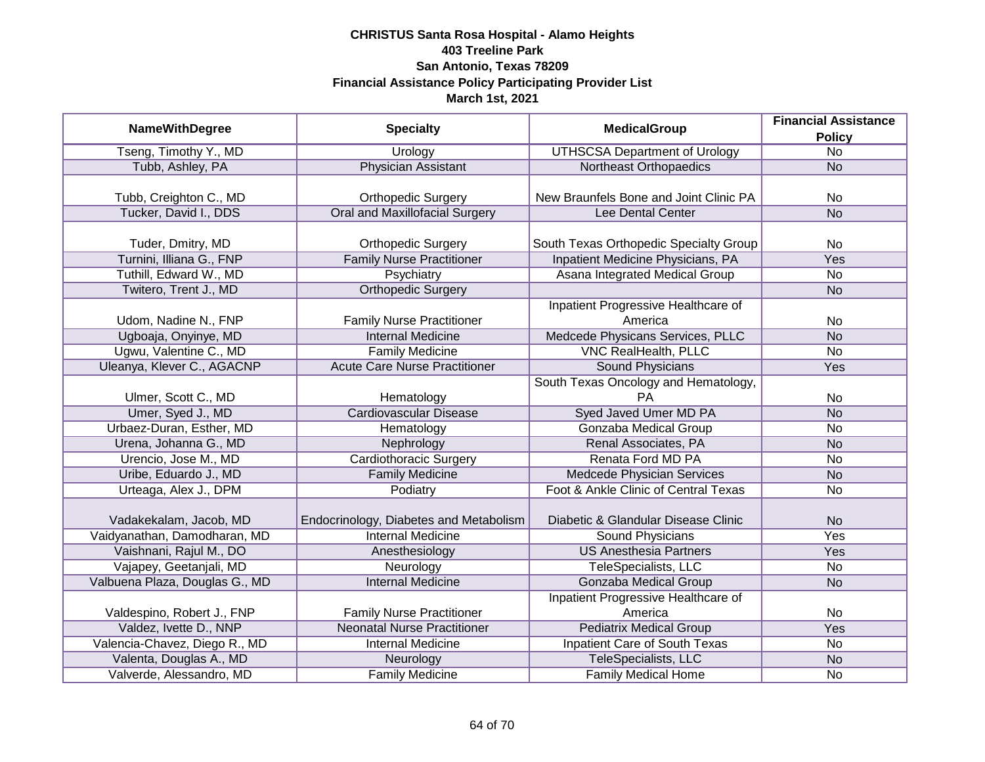|                                | <b>Financial Assistance</b>            |                                        |                 |
|--------------------------------|----------------------------------------|----------------------------------------|-----------------|
| <b>NameWithDegree</b>          | <b>Specialty</b>                       | <b>MedicalGroup</b>                    | <b>Policy</b>   |
| Tseng, Timothy Y., MD          | Urology                                | <b>UTHSCSA Department of Urology</b>   | $\overline{No}$ |
| Tubb, Ashley, PA               | <b>Physician Assistant</b>             | Northeast Orthopaedics                 | <b>No</b>       |
|                                |                                        |                                        |                 |
| Tubb, Creighton C., MD         | <b>Orthopedic Surgery</b>              | New Braunfels Bone and Joint Clinic PA | No              |
| Tucker, David I., DDS          | <b>Oral and Maxillofacial Surgery</b>  | Lee Dental Center                      | <b>No</b>       |
|                                |                                        |                                        |                 |
| Tuder, Dmitry, MD              | <b>Orthopedic Surgery</b>              | South Texas Orthopedic Specialty Group | <b>No</b>       |
| Turnini, Illiana G., FNP       | <b>Family Nurse Practitioner</b>       | Inpatient Medicine Physicians, PA      | Yes             |
| Tuthill, Edward W., MD         | Psychiatry                             | Asana Integrated Medical Group         | <b>No</b>       |
| Twitero, Trent J., MD          | <b>Orthopedic Surgery</b>              |                                        | <b>No</b>       |
|                                |                                        | Inpatient Progressive Healthcare of    |                 |
| Udom, Nadine N., FNP           | <b>Family Nurse Practitioner</b>       | America                                | No              |
| Ugboaja, Onyinye, MD           | <b>Internal Medicine</b>               | Medcede Physicans Services, PLLC       | <b>No</b>       |
| Ugwu, Valentine C., MD         | <b>Family Medicine</b>                 | <b>VNC RealHealth, PLLC</b>            | No              |
| Uleanya, Klever C., AGACNP     | <b>Acute Care Nurse Practitioner</b>   | <b>Sound Physicians</b>                | Yes             |
|                                |                                        | South Texas Oncology and Hematology,   |                 |
| Ulmer, Scott C., MD            | Hematology                             | РA                                     | No              |
| Umer, Syed J., MD              | <b>Cardiovascular Disease</b>          | <b>Syed Javed Umer MD PA</b>           | <b>No</b>       |
| Urbaez-Duran, Esther, MD       | Hematology                             | Gonzaba Medical Group                  | No              |
| Urena, Johanna G., MD          | Nephrology                             | Renal Associates, PA                   | <b>No</b>       |
| Urencio, Jose M., MD           | Cardiothoracic Surgery                 | Renata Ford MD PA                      | No              |
| Uribe, Eduardo J., MD          | <b>Family Medicine</b>                 | Medcede Physician Services             | <b>No</b>       |
| Urteaga, Alex J., DPM          | Podiatry                               | Foot & Ankle Clinic of Central Texas   | <b>No</b>       |
|                                |                                        |                                        |                 |
| Vadakekalam, Jacob, MD         | Endocrinology, Diabetes and Metabolism | Diabetic & Glandular Disease Clinic    | <b>No</b>       |
| Vaidyanathan, Damodharan, MD   | <b>Internal Medicine</b>               | <b>Sound Physicians</b>                | Yes             |
| Vaishnani, Rajul M., DO        | Anesthesiology                         | <b>US Anesthesia Partners</b>          | Yes             |
| Vajapey, Geetanjali, MD        | Neurology                              | TeleSpecialists, LLC                   | No              |
| Valbuena Plaza, Douglas G., MD | <b>Internal Medicine</b>               | Gonzaba Medical Group                  | <b>No</b>       |
|                                |                                        | Inpatient Progressive Healthcare of    |                 |
| Valdespino, Robert J., FNP     | <b>Family Nurse Practitioner</b>       | America                                | No              |
| Valdez, Ivette D., NNP         | <b>Neonatal Nurse Practitioner</b>     | <b>Pediatrix Medical Group</b>         | <b>Yes</b>      |
| Valencia-Chavez, Diego R., MD  | <b>Internal Medicine</b>               | <b>Inpatient Care of South Texas</b>   | No              |
| Valenta, Douglas A., MD        | Neurology                              | TeleSpecialists, LLC                   | <b>No</b>       |
| Valverde, Alessandro, MD       | <b>Family Medicine</b>                 | Family Medical Home                    | No              |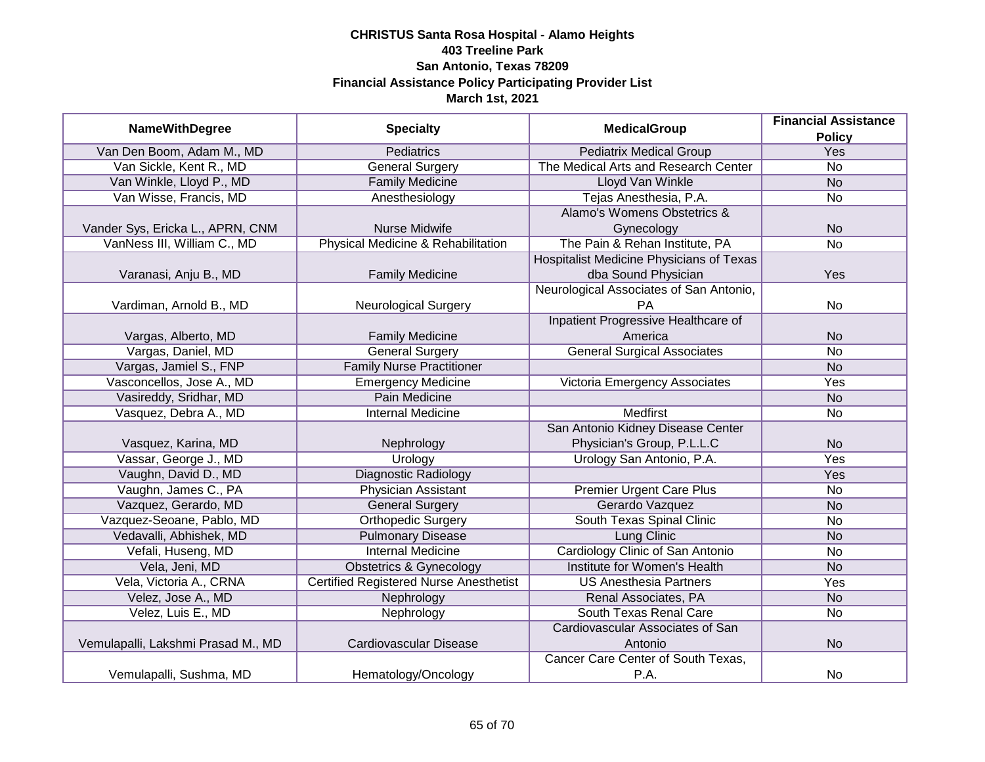| <b>NameWithDegree</b>              | <b>Specialty</b>                              | <b>MedicalGroup</b>                      | <b>Financial Assistance</b> |
|------------------------------------|-----------------------------------------------|------------------------------------------|-----------------------------|
|                                    |                                               |                                          | <b>Policy</b>               |
| Van Den Boom, Adam M., MD          | <b>Pediatrics</b>                             | <b>Pediatrix Medical Group</b>           | <b>Yes</b>                  |
| Van Sickle, Kent R., MD            | <b>General Surgery</b>                        | The Medical Arts and Research Center     | $\overline{No}$             |
| Van Winkle, Lloyd P., MD           | <b>Family Medicine</b>                        | <b>Lloyd Van Winkle</b>                  | <b>No</b>                   |
| Van Wisse, Francis, MD             | Anesthesiology                                | Tejas Anesthesia, P.A.                   | <b>No</b>                   |
|                                    |                                               | Alamo's Womens Obstetrics &              |                             |
| Vander Sys, Ericka L., APRN, CNM   | Nurse Midwife                                 | Gynecology                               | <b>No</b>                   |
| VanNess III, William C., MD        | Physical Medicine & Rehabilitation            | The Pain & Rehan Institute, PA           | <b>No</b>                   |
|                                    |                                               | Hospitalist Medicine Physicians of Texas |                             |
| Varanasi, Anju B., MD              | <b>Family Medicine</b>                        | dba Sound Physician                      | Yes                         |
|                                    |                                               | Neurological Associates of San Antonio,  |                             |
| Vardiman, Arnold B., MD            | <b>Neurological Surgery</b>                   | PA                                       | No                          |
|                                    |                                               | Inpatient Progressive Healthcare of      |                             |
| Vargas, Alberto, MD                | <b>Family Medicine</b>                        | America                                  | <b>No</b>                   |
| Vargas, Daniel, MD                 | <b>General Surgery</b>                        | <b>General Surgical Associates</b>       | <b>No</b>                   |
| Vargas, Jamiel S., FNP             | <b>Family Nurse Practitioner</b>              |                                          | <b>No</b>                   |
| Vasconcellos, Jose A., MD          | <b>Emergency Medicine</b>                     | Victoria Emergency Associates            | Yes                         |
| Vasireddy, Sridhar, MD             | <b>Pain Medicine</b>                          |                                          | <b>No</b>                   |
| Vasquez, Debra A., MD              | <b>Internal Medicine</b>                      | <b>Medfirst</b>                          | No                          |
|                                    |                                               | San Antonio Kidney Disease Center        |                             |
| Vasquez, Karina, MD                | Nephrology                                    | Physician's Group, P.L.L.C               | <b>No</b>                   |
| Vassar, George J., MD              | Urology                                       | Urology San Antonio, P.A.                | Yes                         |
| Vaughn, David D., MD               | <b>Diagnostic Radiology</b>                   |                                          | Yes                         |
| Vaughn, James C., PA               | <b>Physician Assistant</b>                    | <b>Premier Urgent Care Plus</b>          | <b>No</b>                   |
| Vazquez, Gerardo, MD               | <b>General Surgery</b>                        | Gerardo Vazquez                          | <b>No</b>                   |
| Vazquez-Seoane, Pablo, MD          | <b>Orthopedic Surgery</b>                     | South Texas Spinal Clinic                | <b>No</b>                   |
| Vedavalli, Abhishek, MD            | <b>Pulmonary Disease</b>                      | Lung Clinic                              | <b>No</b>                   |
| Vefali, Huseng, MD                 | <b>Internal Medicine</b>                      | Cardiology Clinic of San Antonio         | <b>No</b>                   |
| Vela, Jeni, MD                     | <b>Obstetrics &amp; Gynecology</b>            | Institute for Women's Health             | <b>No</b>                   |
| Vela, Victoria A., CRNA            | <b>Certified Registered Nurse Anesthetist</b> | <b>US Anesthesia Partners</b>            | Yes                         |
| Velez, Jose A., MD                 | Nephrology                                    | Renal Associates, PA                     | <b>No</b>                   |
| Velez, Luis E., MD                 | Nephrology                                    | South Texas Renal Care                   | <b>No</b>                   |
|                                    |                                               | Cardiovascular Associates of San         |                             |
| Vemulapalli, Lakshmi Prasad M., MD | Cardiovascular Disease                        | Antonio                                  | <b>No</b>                   |
|                                    |                                               | Cancer Care Center of South Texas,       |                             |
| Vemulapalli, Sushma, MD            | Hematology/Oncology                           | P.A.                                     | <b>No</b>                   |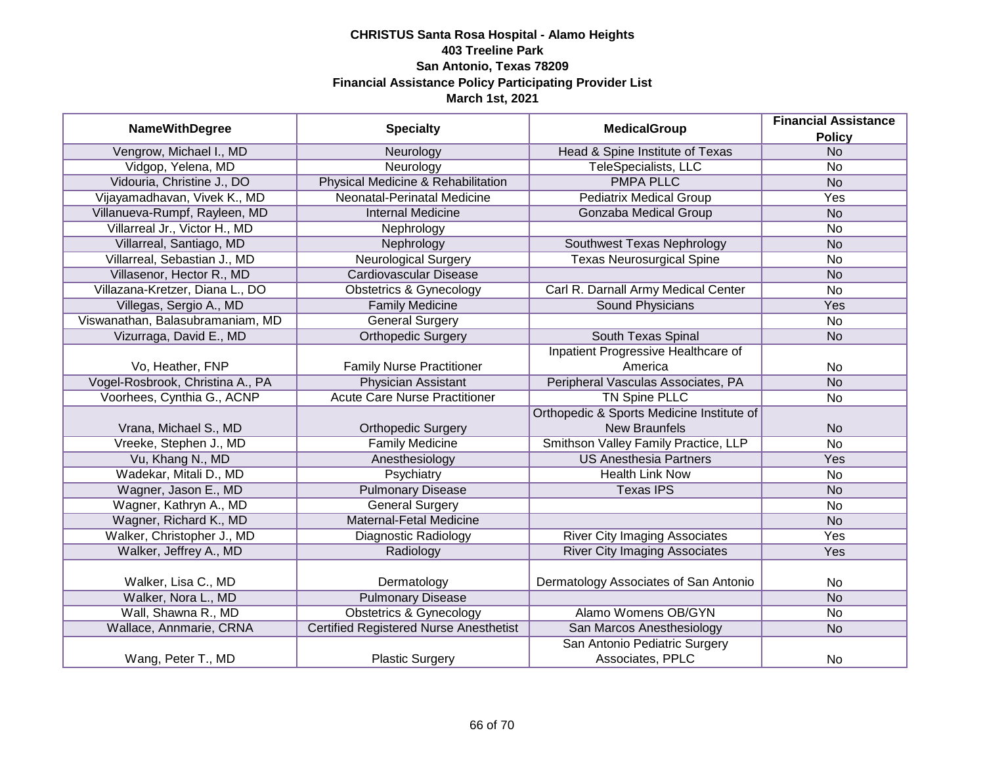| <b>NameWithDegree</b><br><b>Specialty</b> | <b>MedicalGroup</b>                           | <b>Financial Assistance</b>               |               |
|-------------------------------------------|-----------------------------------------------|-------------------------------------------|---------------|
|                                           |                                               |                                           | <b>Policy</b> |
| Vengrow, Michael I., MD                   | Neurology                                     | Head & Spine Institute of Texas           | <b>No</b>     |
| Vidgop, Yelena, MD                        | Neurology                                     | TeleSpecialists, LLC                      | <b>No</b>     |
| Vidouria, Christine J., DO                | Physical Medicine & Rehabilitation            | <b>PMPA PLLC</b>                          | <b>No</b>     |
| Vijayamadhavan, Vivek K., MD              | Neonatal-Perinatal Medicine                   | <b>Pediatrix Medical Group</b>            | Yes           |
| Villanueva-Rumpf, Rayleen, MD             | <b>Internal Medicine</b>                      | <b>Gonzaba Medical Group</b>              | <b>No</b>     |
| Villarreal Jr., Victor H., MD             | Nephrology                                    |                                           | <b>No</b>     |
| Villarreal, Santiago, MD                  | Nephrology                                    | Southwest Texas Nephrology                | <b>No</b>     |
| Villarreal, Sebastian J., MD              | <b>Neurological Surgery</b>                   | <b>Texas Neurosurgical Spine</b>          | <b>No</b>     |
| Villasenor, Hector R., MD                 | Cardiovascular Disease                        |                                           | <b>No</b>     |
| Villazana-Kretzer, Diana L., DO           | <b>Obstetrics &amp; Gynecology</b>            | Carl R. Darnall Army Medical Center       | No            |
| Villegas, Sergio A., MD                   | <b>Family Medicine</b>                        | <b>Sound Physicians</b>                   | Yes           |
| Viswanathan, Balasubramaniam, MD          | <b>General Surgery</b>                        |                                           | <b>No</b>     |
| Vizurraga, David E., MD                   | <b>Orthopedic Surgery</b>                     | South Texas Spinal                        | <b>No</b>     |
|                                           |                                               | Inpatient Progressive Healthcare of       |               |
| Vo, Heather, FNP                          | <b>Family Nurse Practitioner</b>              | America                                   | <b>No</b>     |
| Vogel-Rosbrook, Christina A., PA          | <b>Physician Assistant</b>                    | Peripheral Vasculas Associates, PA        | <b>No</b>     |
| Voorhees, Cynthia G., ACNP                | <b>Acute Care Nurse Practitioner</b>          | <b>TN Spine PLLC</b>                      | <b>No</b>     |
|                                           |                                               | Orthopedic & Sports Medicine Institute of |               |
| Vrana, Michael S., MD                     | <b>Orthopedic Surgery</b>                     | <b>New Braunfels</b>                      | <b>No</b>     |
| Vreeke, Stephen J., MD                    | <b>Family Medicine</b>                        | Smithson Valley Family Practice, LLP      | <b>No</b>     |
| Vu, Khang N., MD                          | Anesthesiology                                | <b>US Anesthesia Partners</b>             | Yes           |
| Wadekar, Mitali D., MD                    | Psychiatry                                    | <b>Health Link Now</b>                    | No            |
| Wagner, Jason E., MD                      | <b>Pulmonary Disease</b>                      | <b>Texas IPS</b>                          | <b>No</b>     |
| Wagner, Kathryn A., MD                    | <b>General Surgery</b>                        |                                           | <b>No</b>     |
| Wagner, Richard K., MD                    | <b>Maternal-Fetal Medicine</b>                |                                           | <b>No</b>     |
| Walker, Christopher J., MD                | Diagnostic Radiology                          | <b>River City Imaging Associates</b>      | Yes           |
| Walker, Jeffrey A., MD                    | Radiology                                     | <b>River City Imaging Associates</b>      | Yes           |
|                                           |                                               |                                           |               |
| Walker, Lisa C., MD                       | Dermatology                                   | Dermatology Associates of San Antonio     | No            |
| Walker, Nora L., MD                       | <b>Pulmonary Disease</b>                      |                                           | <b>No</b>     |
| Wall, Shawna R., MD                       | <b>Obstetrics &amp; Gynecology</b>            | Alamo Womens OB/GYN                       | <b>No</b>     |
| Wallace, Annmarie, CRNA                   | <b>Certified Registered Nurse Anesthetist</b> | San Marcos Anesthesiology                 | <b>No</b>     |
|                                           |                                               | San Antonio Pediatric Surgery             |               |
| Wang, Peter T., MD                        | <b>Plastic Surgery</b>                        | Associates, PPLC                          | No            |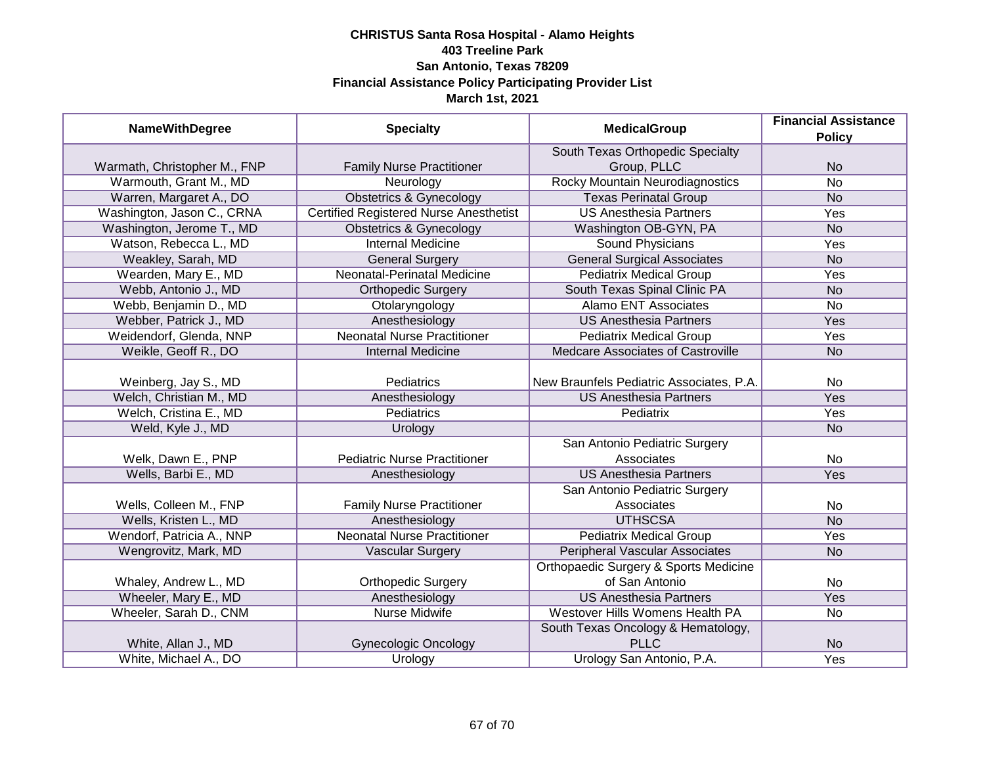| <b>NameWithDegree</b>        | <b>Specialty</b>                              | <b>MedicalGroup</b>                      | <b>Financial Assistance</b> |
|------------------------------|-----------------------------------------------|------------------------------------------|-----------------------------|
|                              |                                               |                                          | <b>Policy</b>               |
|                              |                                               | South Texas Orthopedic Specialty         |                             |
| Warmath, Christopher M., FNP | <b>Family Nurse Practitioner</b>              | Group, PLLC                              | <b>No</b>                   |
| Warmouth, Grant M., MD       | Neurology                                     | <b>Rocky Mountain Neurodiagnostics</b>   | <b>No</b>                   |
| Warren, Margaret A., DO      | <b>Obstetrics &amp; Gynecology</b>            | <b>Texas Perinatal Group</b>             | N <sub>o</sub>              |
| Washington, Jason C., CRNA   | <b>Certified Registered Nurse Anesthetist</b> | <b>US Anesthesia Partners</b>            | Yes                         |
| Washington, Jerome T., MD    | <b>Obstetrics &amp; Gynecology</b>            | Washington OB-GYN, PA                    | <b>No</b>                   |
| Watson, Rebecca L., MD       | <b>Internal Medicine</b>                      | <b>Sound Physicians</b>                  | <b>Yes</b>                  |
| Weakley, Sarah, MD           | <b>General Surgery</b>                        | <b>General Surgical Associates</b>       | <b>No</b>                   |
| Wearden, Mary E., MD         | Neonatal-Perinatal Medicine                   | <b>Pediatrix Medical Group</b>           | Yes                         |
| Webb, Antonio J., MD         | <b>Orthopedic Surgery</b>                     | South Texas Spinal Clinic PA             | <b>No</b>                   |
| Webb, Benjamin D., MD        | Otolaryngology                                | <b>Alamo ENT Associates</b>              | <b>No</b>                   |
| Webber, Patrick J., MD       | Anesthesiology                                | <b>US Anesthesia Partners</b>            | Yes                         |
| Weidendorf, Glenda, NNP      | <b>Neonatal Nurse Practitioner</b>            | <b>Pediatrix Medical Group</b>           | Yes                         |
| Weikle, Geoff R., DO         | <b>Internal Medicine</b>                      | <b>Medcare Associates of Castroville</b> | <b>No</b>                   |
|                              |                                               |                                          |                             |
| Weinberg, Jay S., MD         | Pediatrics                                    | New Braunfels Pediatric Associates, P.A. | No                          |
| Welch, Christian M., MD      | Anesthesiology                                | <b>US Anesthesia Partners</b>            | Yes                         |
| Welch, Cristina E., MD       | <b>Pediatrics</b>                             | Pediatrix                                | Yes                         |
| Weld, Kyle J., MD            | Urology                                       |                                          | <b>No</b>                   |
|                              |                                               | San Antonio Pediatric Surgery            |                             |
| Welk, Dawn E., PNP           | <b>Pediatric Nurse Practitioner</b>           | Associates                               | No                          |
| Wells, Barbi E., MD          | Anesthesiology                                | <b>US Anesthesia Partners</b>            | Yes                         |
|                              |                                               | San Antonio Pediatric Surgery            |                             |
| Wells, Colleen M., FNP       | <b>Family Nurse Practitioner</b>              | Associates                               | No                          |
| Wells, Kristen L., MD        | Anesthesiology                                | <b>UTHSCSA</b>                           | <b>No</b>                   |
| Wendorf, Patricia A., NNP    | <b>Neonatal Nurse Practitioner</b>            | <b>Pediatrix Medical Group</b>           | Yes                         |
| Wengrovitz, Mark, MD         | <b>Vascular Surgery</b>                       | <b>Peripheral Vascular Associates</b>    | <b>No</b>                   |
|                              |                                               | Orthopaedic Surgery & Sports Medicine    |                             |
| Whaley, Andrew L., MD        | <b>Orthopedic Surgery</b>                     | of San Antonio                           | No                          |
| Wheeler, Mary E., MD         | Anesthesiology                                | <b>US Anesthesia Partners</b>            | Yes                         |
| Wheeler, Sarah D., CNM       | <b>Nurse Midwife</b>                          | Westover Hills Womens Health PA          | $\overline{No}$             |
|                              |                                               | South Texas Oncology & Hematology,       |                             |
| White, Allan J., MD          | <b>Gynecologic Oncology</b>                   | <b>PLLC</b>                              | <b>No</b>                   |
| White, Michael A., DO        | Urology                                       | Urology San Antonio, P.A.                | <b>Yes</b>                  |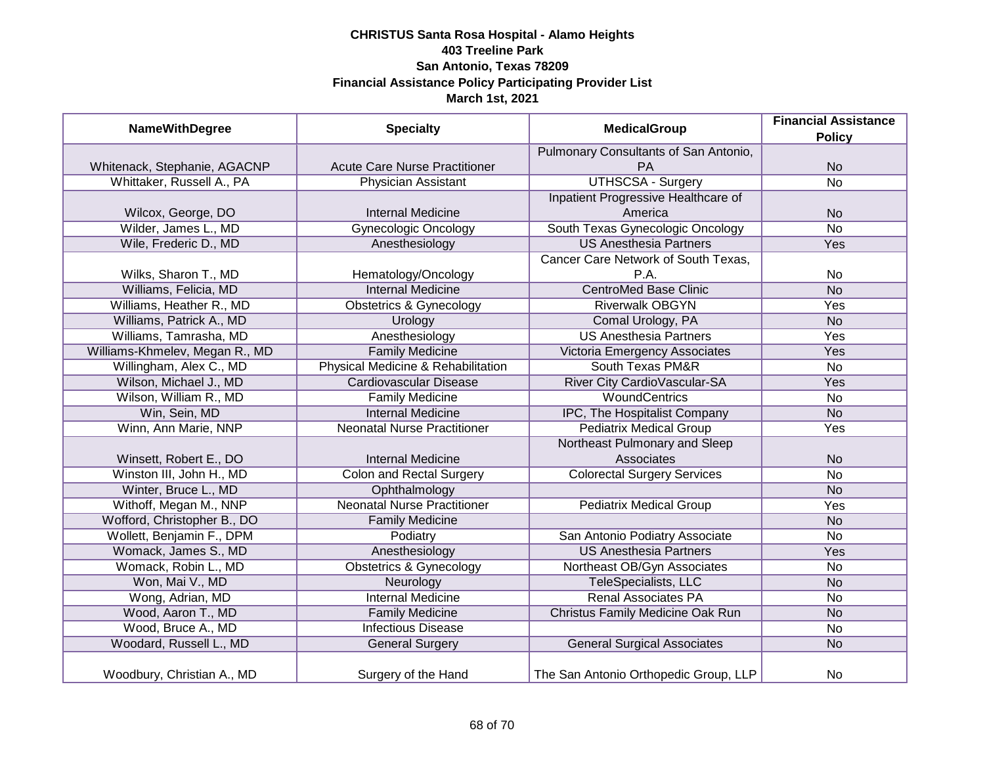| <b>NameWithDegree</b>          | <b>Specialty</b>                     | <b>MedicalGroup</b>                   | <b>Financial Assistance</b><br><b>Policy</b> |
|--------------------------------|--------------------------------------|---------------------------------------|----------------------------------------------|
|                                |                                      | Pulmonary Consultants of San Antonio, |                                              |
| Whitenack, Stephanie, AGACNP   | <b>Acute Care Nurse Practitioner</b> | PA                                    | <b>No</b>                                    |
| Whittaker, Russell A., PA      | <b>Physician Assistant</b>           | <b>UTHSCSA - Surgery</b>              | $\overline{No}$                              |
|                                |                                      | Inpatient Progressive Healthcare of   |                                              |
| Wilcox, George, DO             | <b>Internal Medicine</b>             | America                               | <b>No</b>                                    |
| Wilder, James L., MD           | <b>Gynecologic Oncology</b>          | South Texas Gynecologic Oncology      | <b>No</b>                                    |
| Wile, Frederic D., MD          | Anesthesiology                       | <b>US Anesthesia Partners</b>         | <b>Yes</b>                                   |
|                                |                                      | Cancer Care Network of South Texas,   |                                              |
| Wilks, Sharon T., MD           | Hematology/Oncology                  | P.A.                                  | <b>No</b>                                    |
| Williams, Felicia, MD          | <b>Internal Medicine</b>             | <b>CentroMed Base Clinic</b>          | <b>No</b>                                    |
| Williams, Heather R., MD       | <b>Obstetrics &amp; Gynecology</b>   | <b>Riverwalk OBGYN</b>                | Yes                                          |
| Williams, Patrick A., MD       | Urology                              | Comal Urology, PA                     | <b>No</b>                                    |
| Williams, Tamrasha, MD         | Anesthesiology                       | <b>US Anesthesia Partners</b>         | Yes                                          |
| Williams-Khmelev, Megan R., MD | <b>Family Medicine</b>               | Victoria Emergency Associates         | Yes                                          |
| Willingham, Alex C., MD        | Physical Medicine & Rehabilitation   | <b>South Texas PM&amp;R</b>           | <b>No</b>                                    |
| Wilson, Michael J., MD         | Cardiovascular Disease               | River City CardioVascular-SA          | Yes                                          |
| Wilson, William R., MD         | <b>Family Medicine</b>               | <b>WoundCentrics</b>                  | <b>No</b>                                    |
| Win, Sein, MD                  | <b>Internal Medicine</b>             | IPC, The Hospitalist Company          | <b>No</b>                                    |
| Winn, Ann Marie, NNP           | <b>Neonatal Nurse Practitioner</b>   | <b>Pediatrix Medical Group</b>        | Yes                                          |
|                                |                                      | Northeast Pulmonary and Sleep         |                                              |
| Winsett, Robert E., DO         | <b>Internal Medicine</b>             | Associates                            | <b>No</b>                                    |
| Winston III, John H., MD       | <b>Colon and Rectal Surgery</b>      | <b>Colorectal Surgery Services</b>    | <b>No</b>                                    |
| Winter, Bruce L., MD           | Ophthalmology                        |                                       | <b>No</b>                                    |
| Withoff, Megan M., NNP         | <b>Neonatal Nurse Practitioner</b>   | <b>Pediatrix Medical Group</b>        | Yes                                          |
| Wofford, Christopher B., DO    | <b>Family Medicine</b>               |                                       | <b>No</b>                                    |
| Wollett, Benjamin F., DPM      | Podiatry                             | San Antonio Podiatry Associate        | <b>No</b>                                    |
| Womack, James S., MD           | Anesthesiology                       | <b>US Anesthesia Partners</b>         | Yes                                          |
| Womack, Robin L., MD           | <b>Obstetrics &amp; Gynecology</b>   | Northeast OB/Gyn Associates           | <b>No</b>                                    |
| Won, Mai V., MD                | Neurology                            | TeleSpecialists, LLC                  | <b>No</b>                                    |
| Wong, Adrian, MD               | <b>Internal Medicine</b>             | <b>Renal Associates PA</b>            | <b>No</b>                                    |
| Wood, Aaron T., MD             | <b>Family Medicine</b>               | Christus Family Medicine Oak Run      | <b>No</b>                                    |
| Wood, Bruce A., MD             | <b>Infectious Disease</b>            |                                       | <b>No</b>                                    |
| Woodard, Russell L., MD        | <b>General Surgery</b>               | <b>General Surgical Associates</b>    | <b>No</b>                                    |
| Woodbury, Christian A., MD     | Surgery of the Hand                  | The San Antonio Orthopedic Group, LLP | <b>No</b>                                    |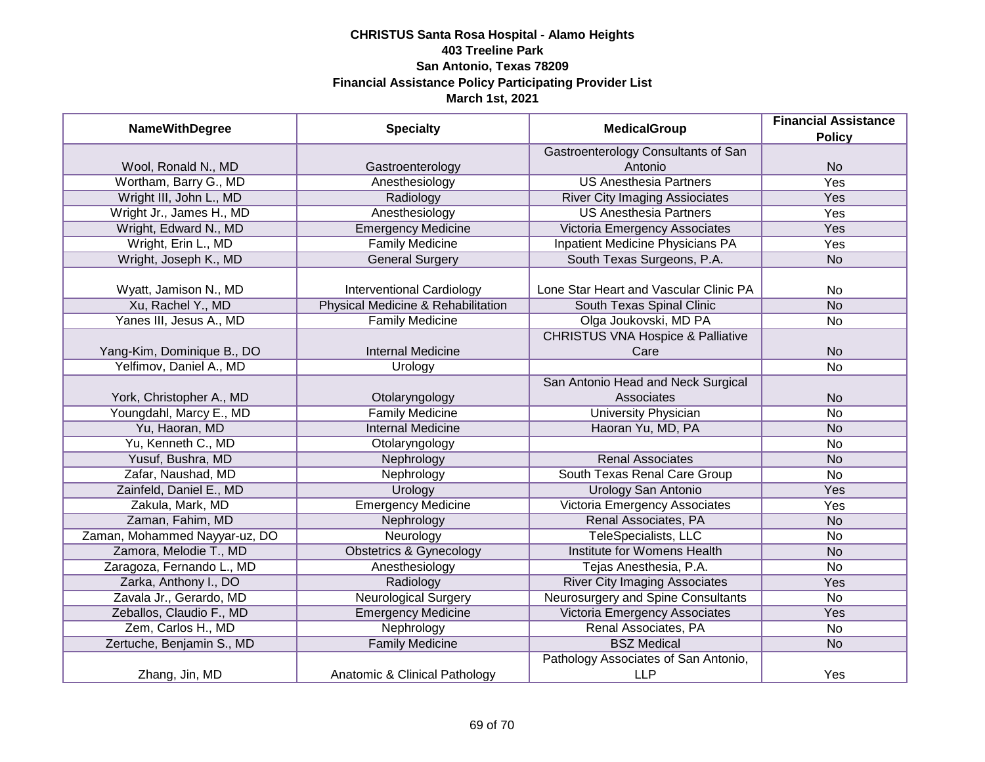| <b>NameWithDegree</b>         | <b>Specialty</b>                   | <b>MedicalGroup</b>                          | <b>Financial Assistance</b> |
|-------------------------------|------------------------------------|----------------------------------------------|-----------------------------|
|                               |                                    |                                              | <b>Policy</b>               |
|                               |                                    | Gastroenterology Consultants of San          |                             |
| Wool, Ronald N., MD           | Gastroenterology                   | Antonio                                      | <b>No</b>                   |
| Wortham, Barry G., MD         | Anesthesiology                     | <b>US Anesthesia Partners</b>                | <b>Yes</b>                  |
| Wright III, John L., MD       | Radiology                          | <b>River City Imaging Assiociates</b>        | Yes                         |
| Wright Jr., James H., MD      | Anesthesiology                     | <b>US Anesthesia Partners</b>                | <b>Yes</b>                  |
| Wright, Edward N., MD         | <b>Emergency Medicine</b>          | Victoria Emergency Associates                | <b>Yes</b>                  |
| Wright, Erin L., MD           | <b>Family Medicine</b>             | <b>Inpatient Medicine Physicians PA</b>      | <b>Yes</b>                  |
| Wright, Joseph K., MD         | <b>General Surgery</b>             | South Texas Surgeons, P.A.                   | <b>No</b>                   |
| Wyatt, Jamison N., MD         | <b>Interventional Cardiology</b>   | Lone Star Heart and Vascular Clinic PA       | <b>No</b>                   |
| Xu, Rachel Y., MD             | Physical Medicine & Rehabilitation | South Texas Spinal Clinic                    | <b>No</b>                   |
| Yanes III, Jesus A., MD       | <b>Family Medicine</b>             | Olga Joukovski, MD PA                        | No                          |
|                               |                                    | <b>CHRISTUS VNA Hospice &amp; Palliative</b> |                             |
| Yang-Kim, Dominique B., DO    | <b>Internal Medicine</b>           | Care                                         | <b>No</b>                   |
| Yelfimov, Daniel A., MD       | Urology                            |                                              | No                          |
|                               |                                    | San Antonio Head and Neck Surgical           |                             |
| York, Christopher A., MD      | Otolaryngology                     | Associates                                   | <b>No</b>                   |
| Youngdahl, Marcy E., MD       | <b>Family Medicine</b>             | <b>University Physician</b>                  | No                          |
| Yu, Haoran, MD                | <b>Internal Medicine</b>           | Haoran Yu, MD, PA                            | <b>No</b>                   |
| Yu, Kenneth C., MD            | Otolaryngology                     |                                              | No                          |
| Yusuf, Bushra, MD             | Nephrology                         | <b>Renal Associates</b>                      | <b>No</b>                   |
| Zafar, Naushad, MD            | Nephrology                         | South Texas Renal Care Group                 | No                          |
| Zainfeld, Daniel E., MD       | Urology                            | <b>Urology San Antonio</b>                   | Yes                         |
| Zakula, Mark, MD              | <b>Emergency Medicine</b>          | Victoria Emergency Associates                | Yes                         |
| Zaman, Fahim, MD              | Nephrology                         | Renal Associates, PA                         | <b>No</b>                   |
| Zaman, Mohammed Nayyar-uz, DO | Neurology                          | TeleSpecialists, LLC                         | No                          |
| Zamora, Melodie T., MD        | <b>Obstetrics &amp; Gynecology</b> | Institute for Womens Health                  | <b>No</b>                   |
| Zaragoza, Fernando L., MD     | Anesthesiology                     | Tejas Anesthesia, P.A.                       | No                          |
| Zarka, Anthony I., DO         | Radiology                          | <b>River City Imaging Associates</b>         | Yes                         |
| Zavala Jr., Gerardo, MD       | <b>Neurological Surgery</b>        | Neurosurgery and Spine Consultants           | No                          |
| Zeballos, Claudio F., MD      | <b>Emergency Medicine</b>          | Victoria Emergency Associates                | Yes                         |
| Zem, Carlos H., MD            | Nephrology                         | Renal Associates, PA                         | No                          |
| Zertuche, Benjamin S., MD     | <b>Family Medicine</b>             | <b>BSZ Medical</b>                           | <b>No</b>                   |
|                               |                                    | Pathology Associates of San Antonio,         |                             |
| Zhang, Jin, MD                | Anatomic & Clinical Pathology      | <b>LLP</b>                                   | Yes                         |